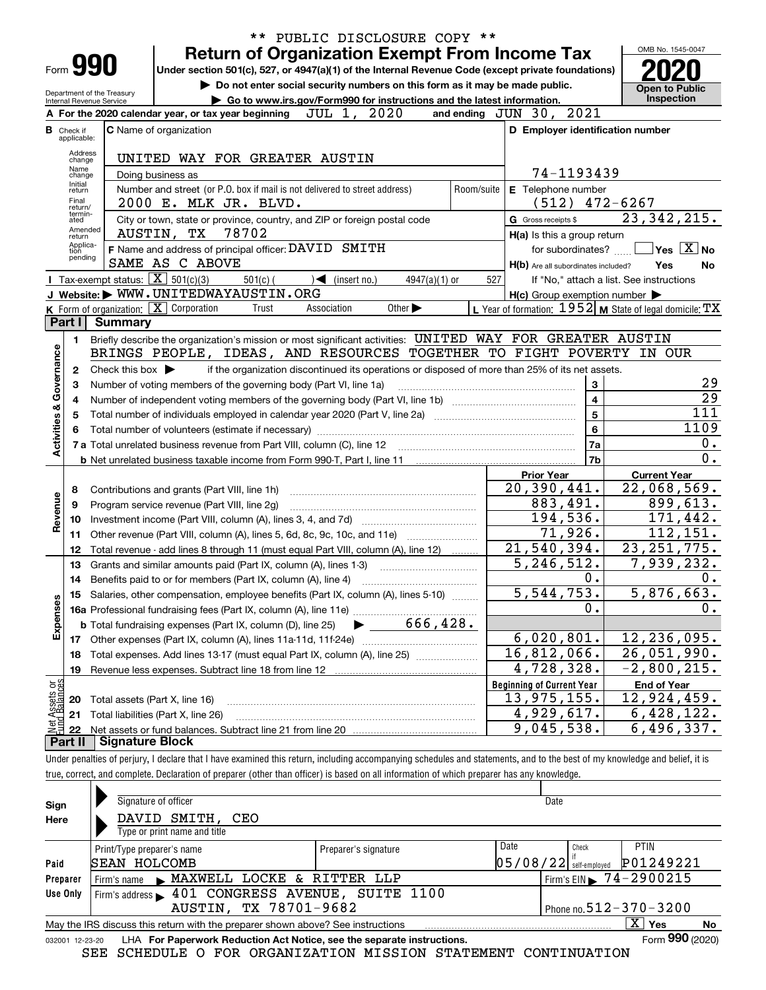|                                                 |                                                                    |                                                                   | ** PUBLIC DISCLOSURE COPY **                                                                                                                                               |                                                             |                                                                  |  |  |  |  |  |
|-------------------------------------------------|--------------------------------------------------------------------|-------------------------------------------------------------------|----------------------------------------------------------------------------------------------------------------------------------------------------------------------------|-------------------------------------------------------------|------------------------------------------------------------------|--|--|--|--|--|
|                                                 |                                                                    |                                                                   | <b>Return of Organization Exempt From Income Tax</b>                                                                                                                       |                                                             | OMB No. 1545-0047                                                |  |  |  |  |  |
|                                                 |                                                                    | Form 990                                                          | Under section 501(c), 527, or 4947(a)(1) of the Internal Revenue Code (except private foundations)                                                                         |                                                             |                                                                  |  |  |  |  |  |
|                                                 |                                                                    |                                                                   | Do not enter social security numbers on this form as it may be made public.                                                                                                |                                                             | <b>Open to Public</b>                                            |  |  |  |  |  |
|                                                 |                                                                    | Department of the Treasury<br>Internal Revenue Service            | Go to www.irs.gov/Form990 for instructions and the latest information.                                                                                                     |                                                             | Inspection                                                       |  |  |  |  |  |
|                                                 |                                                                    |                                                                   | A For the 2020 calendar year, or tax year beginning JUL 1, 2020                                                                                                            | and ending JUN 30, 2021                                     |                                                                  |  |  |  |  |  |
| в                                               | Check if<br>applicable:                                            |                                                                   | <b>C</b> Name of organization                                                                                                                                              | D Employer identification number                            |                                                                  |  |  |  |  |  |
|                                                 | Address                                                            |                                                                   |                                                                                                                                                                            |                                                             |                                                                  |  |  |  |  |  |
| UNITED WAY FOR GREATER AUSTIN<br>change<br>Name |                                                                    |                                                                   |                                                                                                                                                                            |                                                             |                                                                  |  |  |  |  |  |
|                                                 | 74-1193439<br>Doing business as<br>change<br>Initial<br>Room/suite |                                                                   |                                                                                                                                                                            |                                                             |                                                                  |  |  |  |  |  |
|                                                 | return<br>Final                                                    |                                                                   | Number and street (or P.O. box if mail is not delivered to street address)<br>2000 E. MLK JR. BLVD.                                                                        | E Telephone number<br>(512)                                 | $472 - 6267$                                                     |  |  |  |  |  |
|                                                 | return/<br>termin-<br>ated                                         |                                                                   | City or town, state or province, country, and ZIP or foreign postal code                                                                                                   | G Gross receipts \$                                         | 23,342,215.                                                      |  |  |  |  |  |
|                                                 | Amended<br>return                                                  |                                                                   | 78702<br>AUSTIN, TX                                                                                                                                                        | H(a) Is this a group return                                 |                                                                  |  |  |  |  |  |
|                                                 | Applica-<br>tion                                                   |                                                                   | F Name and address of principal officer: DAVID SMITH                                                                                                                       | for subordinates?                                           | $ {\mathsf Y}{\mathsf e}{\mathsf s} \mid \overline{{\rm X}} $ No |  |  |  |  |  |
|                                                 | pending                                                            |                                                                   | SAME AS C ABOVE                                                                                                                                                            | H(b) Are all subordinates included?                         | Yes<br>No                                                        |  |  |  |  |  |
|                                                 |                                                                    | Tax-exempt status: $\boxed{\mathbf{X}}$ 501(c)(3)                 | $\sqrt{\phantom{a}}$ (insert no.)<br>$501(c)$ (<br>$4947(a)(1)$ or                                                                                                         | 527                                                         | If "No," attach a list. See instructions                         |  |  |  |  |  |
|                                                 |                                                                    |                                                                   | J Website: WWW.UNITEDWAYAUSTIN.ORG                                                                                                                                         | $H(c)$ Group exemption number $\blacktriangleright$         |                                                                  |  |  |  |  |  |
|                                                 |                                                                    | K Form of organization: X Corporation                             | Association<br>Other $\blacktriangleright$<br>Trust                                                                                                                        | L Year of formation: $1952$ M State of legal domicile: $TX$ |                                                                  |  |  |  |  |  |
|                                                 | Part I                                                             | <b>Summary</b>                                                    |                                                                                                                                                                            |                                                             |                                                                  |  |  |  |  |  |
|                                                 | 1.                                                                 |                                                                   | Briefly describe the organization's mission or most significant activities: UNITED WAY FOR GREATER AUSTIN                                                                  |                                                             |                                                                  |  |  |  |  |  |
|                                                 |                                                                    |                                                                   | BRINGS PEOPLE, IDEAS, AND RESOURCES TOGETHER TO FIGHT POVERTY                                                                                                              |                                                             | IN OUR                                                           |  |  |  |  |  |
| Activities & Governance                         | $\mathbf{2}$                                                       | Check this box $\blacktriangleright$                              | if the organization discontinued its operations or disposed of more than 25% of its net assets.                                                                            | 3                                                           |                                                                  |  |  |  |  |  |
|                                                 | з                                                                  | Number of voting members of the governing body (Part VI, line 1a) | 29                                                                                                                                                                         |                                                             |                                                                  |  |  |  |  |  |
|                                                 | 4                                                                  |                                                                   |                                                                                                                                                                            | $\overline{\mathbf{4}}$                                     | $\overline{29}$<br>$\overline{111}$                              |  |  |  |  |  |
|                                                 | 5                                                                  |                                                                   |                                                                                                                                                                            | $\overline{5}$                                              |                                                                  |  |  |  |  |  |
|                                                 | 6                                                                  |                                                                   | Total number of volunteers (estimate if necessary) manufacture content content to a manufacture content of the                                                             | $6\phantom{a}$                                              | 1109<br>0.                                                       |  |  |  |  |  |
|                                                 |                                                                    |                                                                   |                                                                                                                                                                            | <b>7a</b><br>7 <sub>b</sub>                                 | $\overline{0}$ .                                                 |  |  |  |  |  |
|                                                 |                                                                    |                                                                   |                                                                                                                                                                            | <b>Prior Year</b>                                           | <b>Current Year</b>                                              |  |  |  |  |  |
|                                                 | 8                                                                  |                                                                   | Contributions and grants (Part VIII, line 1h)                                                                                                                              | 20,390,441.                                                 | $\overline{22}$ , 068, 569.                                      |  |  |  |  |  |
|                                                 | 9                                                                  |                                                                   | Program service revenue (Part VIII, line 2g)                                                                                                                               | 883,491.                                                    | 899,613.                                                         |  |  |  |  |  |
| Revenue                                         | 10                                                                 |                                                                   |                                                                                                                                                                            | 194,536.                                                    | 171, 442.                                                        |  |  |  |  |  |
|                                                 | 11                                                                 |                                                                   | Other revenue (Part VIII, column (A), lines 5, 6d, 8c, 9c, 10c, and 11e)                                                                                                   | 71,926.                                                     | 112, 151.                                                        |  |  |  |  |  |
|                                                 | 12                                                                 |                                                                   | Total revenue - add lines 8 through 11 (must equal Part VIII, column (A), line 12)                                                                                         | 21, 540, 394.                                               | 23, 251, 775.                                                    |  |  |  |  |  |
|                                                 | 13                                                                 |                                                                   | Grants and similar amounts paid (Part IX, column (A), lines 1-3)                                                                                                           | 5, 246, 512.                                                | 7,939,232.                                                       |  |  |  |  |  |
|                                                 | 14                                                                 |                                                                   | Benefits paid to or for members (Part IX, column (A), line 4)                                                                                                              | 0.                                                          | 0.                                                               |  |  |  |  |  |
|                                                 | 15                                                                 |                                                                   | Salaries, other compensation, employee benefits (Part IX, column (A), lines 5-10)                                                                                          | 5, 544, 753.                                                | 5,876,663.                                                       |  |  |  |  |  |
| Expenses                                        |                                                                    |                                                                   |                                                                                                                                                                            | $\mathbf 0$ .                                               | 0.                                                               |  |  |  |  |  |
|                                                 |                                                                    |                                                                   | 666,428.<br><b>b</b> Total fundraising expenses (Part IX, column (D), line 25)                                                                                             |                                                             |                                                                  |  |  |  |  |  |
|                                                 |                                                                    |                                                                   |                                                                                                                                                                            | 6,020,801.                                                  | 12, 236, 095.                                                    |  |  |  |  |  |
|                                                 | 18                                                                 |                                                                   | Total expenses. Add lines 13-17 (must equal Part IX, column (A), line 25)                                                                                                  | 16,812,066.                                                 | $\overline{26}$ , 051, 990.                                      |  |  |  |  |  |
|                                                 | 19                                                                 |                                                                   | Revenue less expenses. Subtract line 18 from line 12                                                                                                                       | $\overline{4}$ , 728, 328.                                  | $-2,800,215.$                                                    |  |  |  |  |  |
| Net Assets or                                   |                                                                    |                                                                   |                                                                                                                                                                            | <b>Beginning of Current Year</b>                            | <b>End of Year</b>                                               |  |  |  |  |  |
|                                                 | 20                                                                 | Total assets (Part X, line 16)                                    |                                                                                                                                                                            | <u>13,975,155.</u>                                          | 12,924,459.                                                      |  |  |  |  |  |
|                                                 | 21                                                                 |                                                                   | Total liabilities (Part X, line 26)                                                                                                                                        | $\overline{4,929,617}$ .                                    | 6, 428, 122.                                                     |  |  |  |  |  |
|                                                 | 22<br>Part II                                                      | Signature Block                                                   |                                                                                                                                                                            | 9,045,538.                                                  | $\overline{6}$ , 496, 337.                                       |  |  |  |  |  |
|                                                 |                                                                    |                                                                   | Under penalties of perjury, I declare that I have examined this return, including accompanying schedules and statements, and to the best of my knowledge and belief, it is |                                                             |                                                                  |  |  |  |  |  |
|                                                 |                                                                    |                                                                   | true, correct, and complete. Declaration of preparer (other than officer) is based on all information of which preparer has any knowledge.                                 |                                                             |                                                                  |  |  |  |  |  |
|                                                 |                                                                    |                                                                   |                                                                                                                                                                            |                                                             |                                                                  |  |  |  |  |  |

|                 | Signature of officer                                                            |                      | Date |       |                                     |    |  |  |  |  |  |
|-----------------|---------------------------------------------------------------------------------|----------------------|------|-------|-------------------------------------|----|--|--|--|--|--|
| Sign<br>Here    | DAVID SMITH,<br>CEO<br>Type or print name and title                             |                      |      |       |                                     |    |  |  |  |  |  |
|                 | Print/Type preparer's name                                                      | Preparer's signature | Date | Check | <b>PTIN</b>                         |    |  |  |  |  |  |
| Paid            | P01249221<br> 05/08/22 <br>SEAN HOLCOMB<br>self-emploved                        |                      |      |       |                                     |    |  |  |  |  |  |
| Preparer        | Firm's name MAXWELL LOCKE & RITTER LLP                                          |                      |      |       | Firm's EIN $\rightarrow 74-2900215$ |    |  |  |  |  |  |
| Use Only        | Firm's address > 401 CONGRESS AVENUE, SUITE 1100                                |                      |      |       |                                     |    |  |  |  |  |  |
|                 | AUSTIN, TX 78701-9682                                                           |                      |      |       | Phone no. $512 - 370 - 3200$        |    |  |  |  |  |  |
|                 | May the IRS discuss this return with the preparer shown above? See instructions |                      |      |       | $\mathbf{X}$<br>Yes                 | No |  |  |  |  |  |
| 032001 12-23-20 | LHA For Paperwork Reduction Act Notice, see the separate instructions.          |                      |      |       | Form 990 (2020)                     |    |  |  |  |  |  |
|                 | SEE SCHEDULE O FOR ORGANIZATION MISSION STATEMENT CONTINUATION                  |                      |      |       |                                     |    |  |  |  |  |  |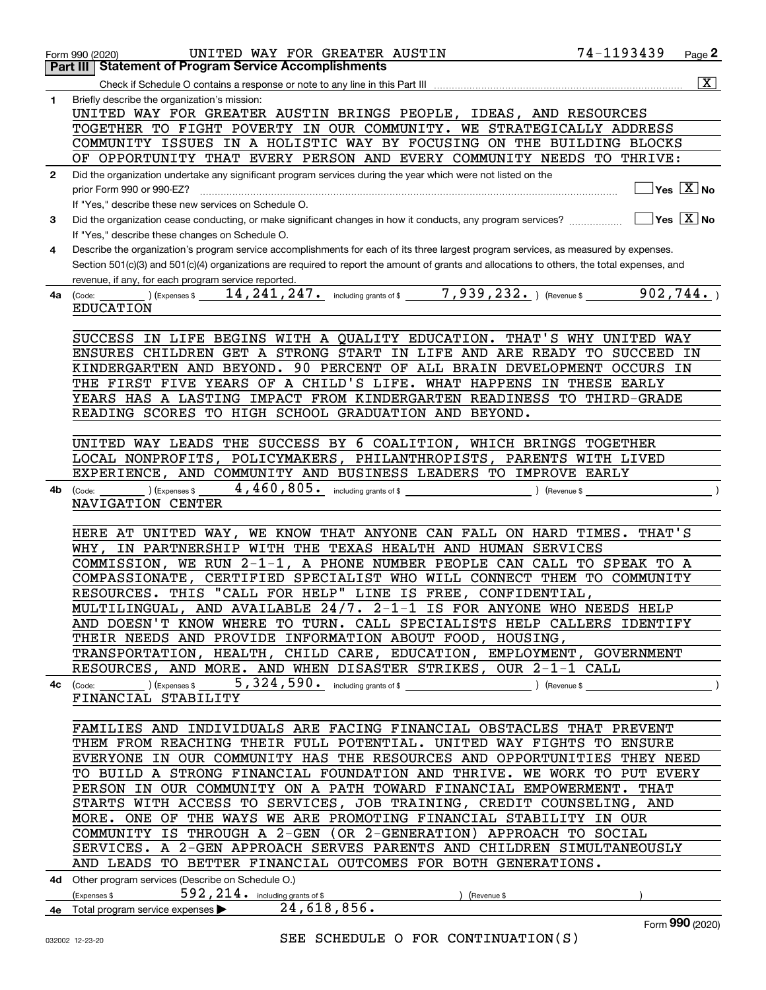|              | 74-1193439<br>UNITED WAY FOR GREATER AUSTIN<br>Form 990 (2020)                                                                                   |           | Page 2                                               |
|--------------|--------------------------------------------------------------------------------------------------------------------------------------------------|-----------|------------------------------------------------------|
|              | <b>Statement of Program Service Accomplishments</b><br>Part III                                                                                  |           |                                                      |
|              |                                                                                                                                                  |           | $\boxed{\text{X}}$                                   |
| 1            | Briefly describe the organization's mission:                                                                                                     |           |                                                      |
|              | UNITED WAY FOR GREATER AUSTIN BRINGS PEOPLE, IDEAS, AND RESOURCES                                                                                |           |                                                      |
|              | TOGETHER TO FIGHT POVERTY IN OUR COMMUNITY. WE STRATEGICALLY ADDRESS<br>COMMUNITY ISSUES IN A HOLISTIC WAY BY FOCUSING ON THE BUILDING BLOCKS    |           |                                                      |
|              | OF OPPORTUNITY THAT EVERY PERSON AND EVERY COMMUNITY NEEDS TO THRIVE:                                                                            |           |                                                      |
| $\mathbf{2}$ | Did the organization undertake any significant program services during the year which were not listed on the                                     |           |                                                      |
|              | prior Form 990 or 990-EZ?                                                                                                                        |           | $\overline{\mathsf{Yes}}$ $\overline{\mathsf{X}}$ No |
|              | If "Yes," describe these new services on Schedule O.                                                                                             |           |                                                      |
| 3            | Did the organization cease conducting, or make significant changes in how it conducts, any program services?                                     |           | $\sqrt{}$ Yes $\sqrt{}$ X $\sqrt{}$ No               |
|              | If "Yes," describe these changes on Schedule O.                                                                                                  |           |                                                      |
| 4            | Describe the organization's program service accomplishments for each of its three largest program services, as measured by expenses.             |           |                                                      |
|              | Section 501(c)(3) and 501(c)(4) organizations are required to report the amount of grants and allocations to others, the total expenses, and     |           |                                                      |
|              | revenue, if any, for each program service reported.                                                                                              |           |                                                      |
| 4a           | $(14, 241, 247)$ including grants of \$ $7, 939, 232$ and $(14, 241, 247)$<br>(Code:                                                             | 902, 744. |                                                      |
|              | <b>EDUCATION</b>                                                                                                                                 |           |                                                      |
|              |                                                                                                                                                  |           |                                                      |
|              | SUCCESS IN LIFE BEGINS WITH A QUALITY EDUCATION. THAT'S WHY UNITED WAY                                                                           |           |                                                      |
|              | ENSURES CHILDREN GET A STRONG START IN LIFE AND ARE READY TO SUCCEED IN                                                                          |           |                                                      |
|              | KINDERGARTEN AND BEYOND. 90 PERCENT OF ALL BRAIN DEVELOPMENT OCCURS IN<br>THE FIRST FIVE YEARS OF A CHILD'S LIFE. WHAT HAPPENS IN THESE EARLY    |           |                                                      |
|              | YEARS HAS A LASTING IMPACT FROM KINDERGARTEN READINESS TO THIRD-GRADE                                                                            |           |                                                      |
|              | READING SCORES TO HIGH SCHOOL GRADUATION AND BEYOND.                                                                                             |           |                                                      |
|              |                                                                                                                                                  |           |                                                      |
|              | UNITED WAY LEADS THE SUCCESS BY 6 COALITION, WHICH BRINGS TOGETHER                                                                               |           |                                                      |
|              | LOCAL NONPROFITS, POLICYMAKERS, PHILANTHROPISTS, PARENTS WITH LIVED                                                                              |           |                                                      |
|              | EXPERIENCE, AND COMMUNITY AND BUSINESS LEADERS TO IMPROVE EARLY                                                                                  |           |                                                      |
| 4b           | $4,460,805$ $\cdot$ including grants of \$<br>) (Expenses \$<br>) (Revenue \$<br>(Code:                                                          |           |                                                      |
|              | NAVIGATION CENTER                                                                                                                                |           |                                                      |
|              |                                                                                                                                                  |           |                                                      |
|              | HERE AT UNITED WAY, WE KNOW THAT ANYONE CAN FALL ON HARD TIMES.                                                                                  | THAT'S    |                                                      |
|              | WHY, IN PARTNERSHIP WITH THE TEXAS HEALTH AND HUMAN<br><b>SERVICES</b>                                                                           |           |                                                      |
|              | COMMISSION, WE RUN 2-1-1, A PHONE NUMBER PEOPLE CAN CALL TO SPEAK TO A<br>COMPASSIONATE, CERTIFIED SPECIALIST WHO WILL CONNECT THEM TO COMMUNITY |           |                                                      |
|              | RESOURCES. THIS "CALL FOR HELP" LINE IS FREE, CONFIDENTIAL,                                                                                      |           |                                                      |
|              | MULTILINGUAL, AND AVAILABLE 24/7. 2-1-1 IS FOR ANYONE WHO NEEDS HELP                                                                             |           |                                                      |
|              | AND DOESN'T KNOW WHERE TO TURN. CALL SPECIALISTS HELP CALLERS IDENTIFY                                                                           |           |                                                      |
|              | THEIR NEEDS AND PROVIDE INFORMATION ABOUT FOOD, HOUSING,                                                                                         |           |                                                      |
|              | TRANSPORTATION, HEALTH, CHILD CARE, EDUCATION, EMPLOYMENT, GOVERNMENT                                                                            |           |                                                      |
|              | RESOURCES, AND MORE. AND WHEN DISASTER STRIKES, OUR 2-1-1 CALL                                                                                   |           |                                                      |
|              |                                                                                                                                                  |           |                                                      |
|              | FINANCIAL STABILITY                                                                                                                              |           |                                                      |
|              |                                                                                                                                                  |           |                                                      |
|              | FAMILIES AND INDIVIDUALS ARE FACING FINANCIAL OBSTACLES THAT PREVENT                                                                             |           |                                                      |
|              | THEM FROM REACHING THEIR FULL POTENTIAL. UNITED WAY FIGHTS TO ENSURE<br>EVERYONE IN OUR COMMUNITY HAS THE RESOURCES AND OPPORTUNITIES THEY NEED  |           |                                                      |
|              | TO BUILD A STRONG FINANCIAL FOUNDATION AND THRIVE. WE WORK TO PUT EVERY                                                                          |           |                                                      |
|              | PERSON IN OUR COMMUNITY ON A PATH TOWARD FINANCIAL EMPOWERMENT. THAT                                                                             |           |                                                      |
|              | STARTS WITH ACCESS TO SERVICES, JOB TRAINING, CREDIT COUNSELING, AND                                                                             |           |                                                      |
|              | MORE. ONE OF THE WAYS WE ARE PROMOTING FINANCIAL STABILITY IN OUR                                                                                |           |                                                      |
|              | COMMUNITY IS THROUGH A 2-GEN (OR 2-GENERATION) APPROACH TO SOCIAL                                                                                |           |                                                      |
|              | SERVICES. A 2-GEN APPROACH SERVES PARENTS AND CHILDREN SIMULTANEOUSLY                                                                            |           |                                                      |
|              | AND LEADS TO BETTER FINANCIAL OUTCOMES FOR BOTH GENERATIONS.                                                                                     |           |                                                      |
|              | 4d Other program services (Describe on Schedule O.)                                                                                              |           |                                                      |
|              | 592, 214. including grants of \$<br>(Expenses \$<br>) (Revenue \$                                                                                |           |                                                      |
|              | 4e Total program service expenses $\blacktriangleright$ 24, 618, 856.                                                                            |           |                                                      |
|              |                                                                                                                                                  |           | Form 990 (2020)                                      |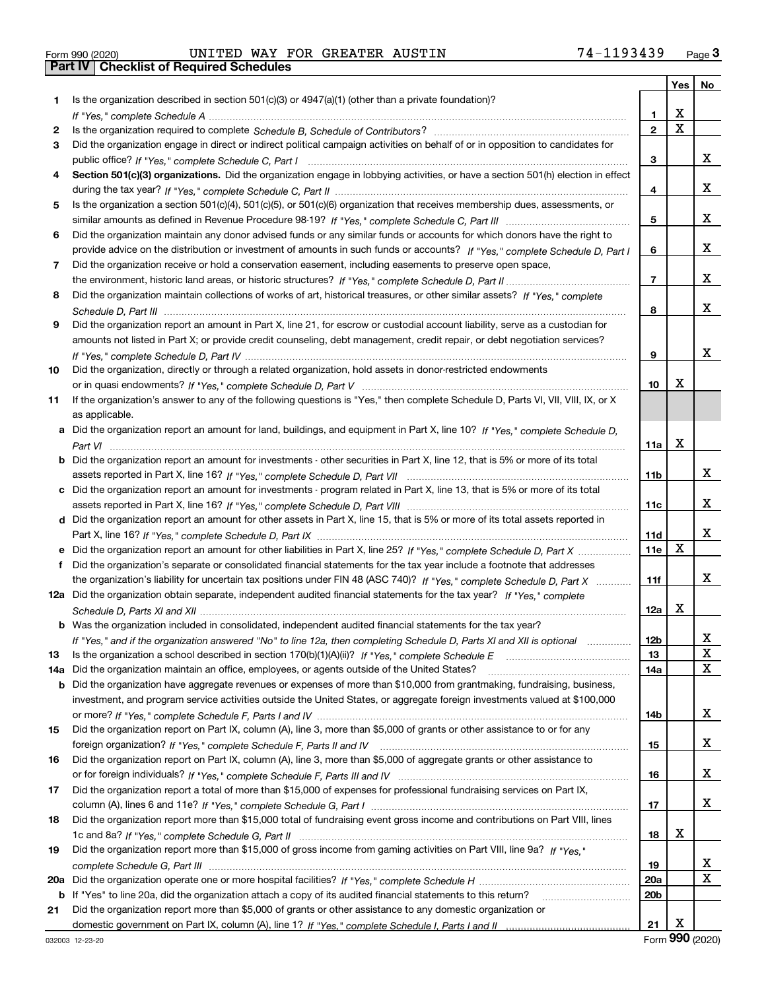|  | Form 990 (2020) |
|--|-----------------|

Form 990 (2020) Page **3Part IV Checklist of Required Schedules** UNITED WAY FOR GREATER AUSTIN 74-1193439

|     |                                                                                                                                       |                 | Yes                     | No                      |
|-----|---------------------------------------------------------------------------------------------------------------------------------------|-----------------|-------------------------|-------------------------|
| 1   | Is the organization described in section 501(c)(3) or 4947(a)(1) (other than a private foundation)?                                   |                 |                         |                         |
|     |                                                                                                                                       | 1               | х                       |                         |
| 2   |                                                                                                                                       | $\mathbf{2}$    | $\overline{\mathbf{x}}$ |                         |
| 3   | Did the organization engage in direct or indirect political campaign activities on behalf of or in opposition to candidates for       |                 |                         |                         |
|     |                                                                                                                                       | 3               |                         | X.                      |
| 4   | Section 501(c)(3) organizations. Did the organization engage in lobbying activities, or have a section 501(h) election in effect      |                 |                         |                         |
|     |                                                                                                                                       | 4               |                         | X.                      |
| 5   | Is the organization a section 501(c)(4), 501(c)(5), or 501(c)(6) organization that receives membership dues, assessments, or          |                 |                         |                         |
|     |                                                                                                                                       | 5               |                         | X.                      |
| 6   | Did the organization maintain any donor advised funds or any similar funds or accounts for which donors have the right to             |                 |                         |                         |
|     | provide advice on the distribution or investment of amounts in such funds or accounts? If "Yes," complete Schedule D, Part I          | 6               |                         | X.                      |
| 7   | Did the organization receive or hold a conservation easement, including easements to preserve open space,                             |                 |                         |                         |
|     |                                                                                                                                       | 7               |                         | X.                      |
| 8   | Did the organization maintain collections of works of art, historical treasures, or other similar assets? If "Yes," complete          |                 |                         |                         |
|     |                                                                                                                                       | 8               |                         | X.                      |
| 9   | Did the organization report an amount in Part X, line 21, for escrow or custodial account liability, serve as a custodian for         |                 |                         |                         |
|     | amounts not listed in Part X; or provide credit counseling, debt management, credit repair, or debt negotiation services?             |                 |                         |                         |
|     |                                                                                                                                       | 9               |                         | x                       |
| 10  | Did the organization, directly or through a related organization, hold assets in donor-restricted endowments                          |                 |                         |                         |
|     |                                                                                                                                       | 10              | х                       |                         |
| 11  | If the organization's answer to any of the following questions is "Yes," then complete Schedule D, Parts VI, VIII, VIII, IX, or X     |                 |                         |                         |
|     | as applicable.                                                                                                                        |                 |                         |                         |
|     | a Did the organization report an amount for land, buildings, and equipment in Part X, line 10? If "Yes," complete Schedule D,         |                 | X                       |                         |
|     |                                                                                                                                       | 11a             |                         |                         |
|     | <b>b</b> Did the organization report an amount for investments - other securities in Part X, line 12, that is 5% or more of its total |                 |                         | X.                      |
|     | c Did the organization report an amount for investments - program related in Part X, line 13, that is 5% or more of its total         | 11b             |                         |                         |
|     |                                                                                                                                       | 11c             |                         | X.                      |
|     | d Did the organization report an amount for other assets in Part X, line 15, that is 5% or more of its total assets reported in       |                 |                         |                         |
|     |                                                                                                                                       | 11d             |                         | x                       |
|     | e Did the organization report an amount for other liabilities in Part X, line 25? If "Yes," complete Schedule D, Part X               | <b>11e</b>      | X                       |                         |
| f   | Did the organization's separate or consolidated financial statements for the tax year include a footnote that addresses               |                 |                         |                         |
|     | the organization's liability for uncertain tax positions under FIN 48 (ASC 740)? If "Yes," complete Schedule D, Part X                | 11f             |                         | X.                      |
|     | 12a Did the organization obtain separate, independent audited financial statements for the tax year? If "Yes," complete               |                 |                         |                         |
|     |                                                                                                                                       | 12a             | X                       |                         |
|     | b Was the organization included in consolidated, independent audited financial statements for the tax year?                           |                 |                         |                         |
|     | If "Yes," and if the organization answered "No" to line 12a, then completing Schedule D, Parts XI and XII is optional                 | 12 <sub>b</sub> |                         | Χ                       |
| 13  |                                                                                                                                       | 13              |                         | X                       |
| 14a | Did the organization maintain an office, employees, or agents outside of the United States?                                           | 14a             |                         | X                       |
| b   | Did the organization have aggregate revenues or expenses of more than \$10,000 from grantmaking, fundraising, business,               |                 |                         |                         |
|     | investment, and program service activities outside the United States, or aggregate foreign investments valued at \$100,000            |                 |                         |                         |
|     |                                                                                                                                       | 14b             |                         | X.                      |
| 15  | Did the organization report on Part IX, column (A), line 3, more than \$5,000 of grants or other assistance to or for any             |                 |                         |                         |
|     |                                                                                                                                       | 15              |                         | X.                      |
| 16  | Did the organization report on Part IX, column (A), line 3, more than \$5,000 of aggregate grants or other assistance to              |                 |                         |                         |
|     |                                                                                                                                       | 16              |                         | X.                      |
| 17  | Did the organization report a total of more than \$15,000 of expenses for professional fundraising services on Part IX,               |                 |                         |                         |
|     |                                                                                                                                       | 17              |                         | X.                      |
| 18  | Did the organization report more than \$15,000 total of fundraising event gross income and contributions on Part VIII, lines          |                 |                         |                         |
|     |                                                                                                                                       | 18              | x                       |                         |
| 19  | Did the organization report more than \$15,000 of gross income from gaming activities on Part VIII, line 9a? If "Yes."                |                 |                         |                         |
|     |                                                                                                                                       | 19              |                         | X                       |
| 20a |                                                                                                                                       | 20a             |                         | $\overline{\mathbf{X}}$ |
|     | b If "Yes" to line 20a, did the organization attach a copy of its audited financial statements to this return?                        | 20b             |                         |                         |
| 21  | Did the organization report more than \$5,000 of grants or other assistance to any domestic organization or                           |                 |                         |                         |
|     |                                                                                                                                       | 21              | x                       |                         |

Form (2020) **990**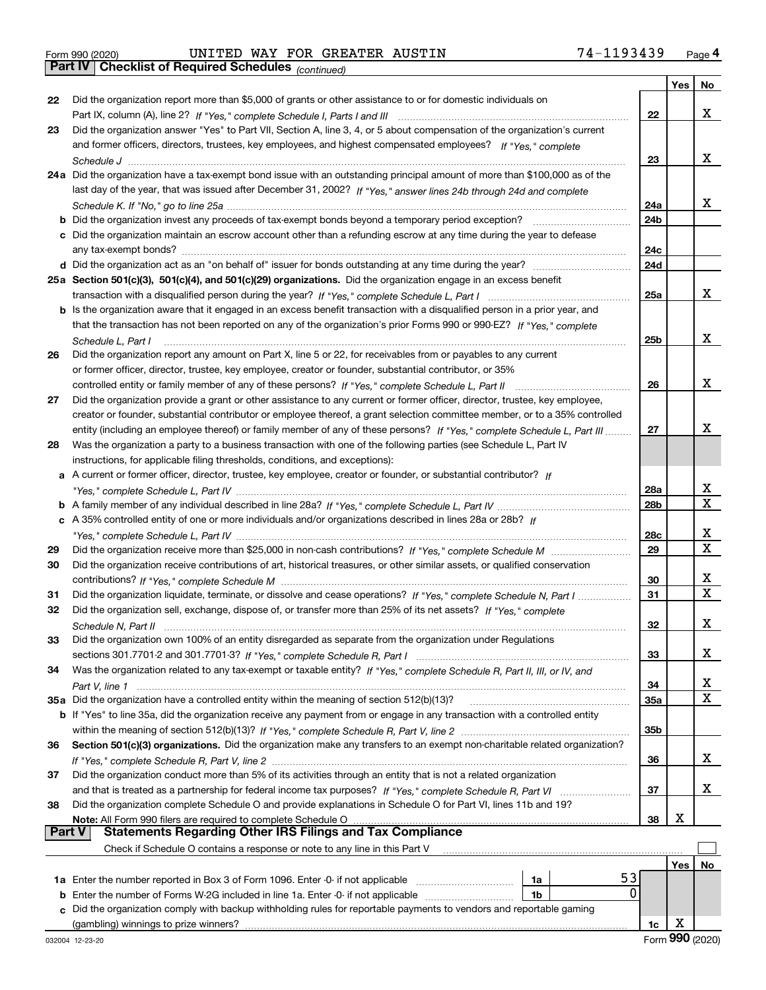Form 990 (2020) Page **4Part IV Checklist of Required Schedules** UNITED WAY FOR GREATER AUSTIN 74-1193439

*(continued)*

|               |                                                                                                                                    |            | Yes | No               |
|---------------|------------------------------------------------------------------------------------------------------------------------------------|------------|-----|------------------|
| 22            | Did the organization report more than \$5,000 of grants or other assistance to or for domestic individuals on                      |            |     |                  |
|               |                                                                                                                                    | 22         |     | х                |
| 23            | Did the organization answer "Yes" to Part VII, Section A, line 3, 4, or 5 about compensation of the organization's current         |            |     |                  |
|               | and former officers, directors, trustees, key employees, and highest compensated employees? If "Yes," complete                     |            |     |                  |
|               |                                                                                                                                    | 23         |     | х                |
|               | 24a Did the organization have a tax-exempt bond issue with an outstanding principal amount of more than \$100,000 as of the        |            |     |                  |
|               | last day of the year, that was issued after December 31, 2002? If "Yes," answer lines 24b through 24d and complete                 |            |     | х                |
|               | <b>b</b> Did the organization invest any proceeds of tax-exempt bonds beyond a temporary period exception?                         | 24a<br>24b |     |                  |
|               | c Did the organization maintain an escrow account other than a refunding escrow at any time during the year to defease             |            |     |                  |
|               |                                                                                                                                    | 24c        |     |                  |
|               |                                                                                                                                    | 24d        |     |                  |
|               | 25a Section 501(c)(3), 501(c)(4), and 501(c)(29) organizations. Did the organization engage in an excess benefit                   |            |     |                  |
|               |                                                                                                                                    | 25a        |     | х                |
|               | b Is the organization aware that it engaged in an excess benefit transaction with a disqualified person in a prior year, and       |            |     |                  |
|               | that the transaction has not been reported on any of the organization's prior Forms 990 or 990-EZ? If "Yes," complete              |            |     |                  |
|               | Schedule L, Part I                                                                                                                 | 25b        |     | х                |
| 26            | Did the organization report any amount on Part X, line 5 or 22, for receivables from or payables to any current                    |            |     |                  |
|               | or former officer, director, trustee, key employee, creator or founder, substantial contributor, or 35%                            |            |     |                  |
|               |                                                                                                                                    | 26         |     | х                |
| 27            | Did the organization provide a grant or other assistance to any current or former officer, director, trustee, key employee,        |            |     |                  |
|               | creator or founder, substantial contributor or employee thereof, a grant selection committee member, or to a 35% controlled        |            |     |                  |
|               | entity (including an employee thereof) or family member of any of these persons? If "Yes," complete Schedule L, Part III           | 27         |     | x                |
| 28            | Was the organization a party to a business transaction with one of the following parties (see Schedule L, Part IV                  |            |     |                  |
|               | instructions, for applicable filing thresholds, conditions, and exceptions):                                                       |            |     |                  |
|               | a A current or former officer, director, trustee, key employee, creator or founder, or substantial contributor? If                 |            |     |                  |
|               |                                                                                                                                    | 28a        |     | х<br>$\mathbf x$ |
|               | c A 35% controlled entity of one or more individuals and/or organizations described in lines 28a or 28b? If                        | 28b        |     |                  |
|               |                                                                                                                                    | 28c        |     | х                |
| 29            |                                                                                                                                    | 29         |     | X                |
| 30            | Did the organization receive contributions of art, historical treasures, or other similar assets, or qualified conservation        |            |     |                  |
|               |                                                                                                                                    | 30         |     | х                |
| 31            | Did the organization liquidate, terminate, or dissolve and cease operations? If "Yes," complete Schedule N, Part I                 | 31         |     | X                |
| 32            | Did the organization sell, exchange, dispose of, or transfer more than 25% of its net assets? If "Yes," complete                   |            |     |                  |
|               |                                                                                                                                    | 32         |     | х                |
| 33            | Did the organization own 100% of an entity disregarded as separate from the organization under Regulations                         |            |     |                  |
|               |                                                                                                                                    | 33         |     | х                |
| 34            | Was the organization related to any tax-exempt or taxable entity? If "Yes," complete Schedule R, Part II, III, or IV, and          |            |     |                  |
|               |                                                                                                                                    | 34         |     | х                |
|               | 35a Did the organization have a controlled entity within the meaning of section 512(b)(13)?                                        | <b>35a</b> |     | X                |
|               | <b>b</b> If "Yes" to line 35a, did the organization receive any payment from or engage in any transaction with a controlled entity |            |     |                  |
|               |                                                                                                                                    | 35b        |     |                  |
| 36            | Section 501(c)(3) organizations. Did the organization make any transfers to an exempt non-charitable related organization?         |            |     | x                |
| 37            | Did the organization conduct more than 5% of its activities through an entity that is not a related organization                   | 36         |     |                  |
|               | and that is treated as a partnership for federal income tax purposes? If "Yes," complete Schedule R, Part VI                       | 37         |     | x                |
| 38            | Did the organization complete Schedule O and provide explanations in Schedule O for Part VI, lines 11b and 19?                     |            |     |                  |
|               | Note: All Form 990 filers are required to complete Schedule O                                                                      | 38         | х   |                  |
| <b>Part V</b> | <b>Statements Regarding Other IRS Filings and Tax Compliance</b>                                                                   |            |     |                  |
|               | Check if Schedule O contains a response or note to any line in this Part V                                                         |            |     |                  |
|               |                                                                                                                                    |            | Yes | No               |
|               | 53<br>1a Enter the number reported in Box 3 of Form 1096. Enter -0- if not applicable<br>1a                                        |            |     |                  |
|               | 0<br><b>b</b> Enter the number of Forms W-2G included in line 1a. Enter -0- if not applicable<br>1b                                |            |     |                  |
|               | c Did the organization comply with backup withholding rules for reportable payments to vendors and reportable gaming               |            |     |                  |
|               | (gambling) winnings to prize winners?                                                                                              | 1c         | X   |                  |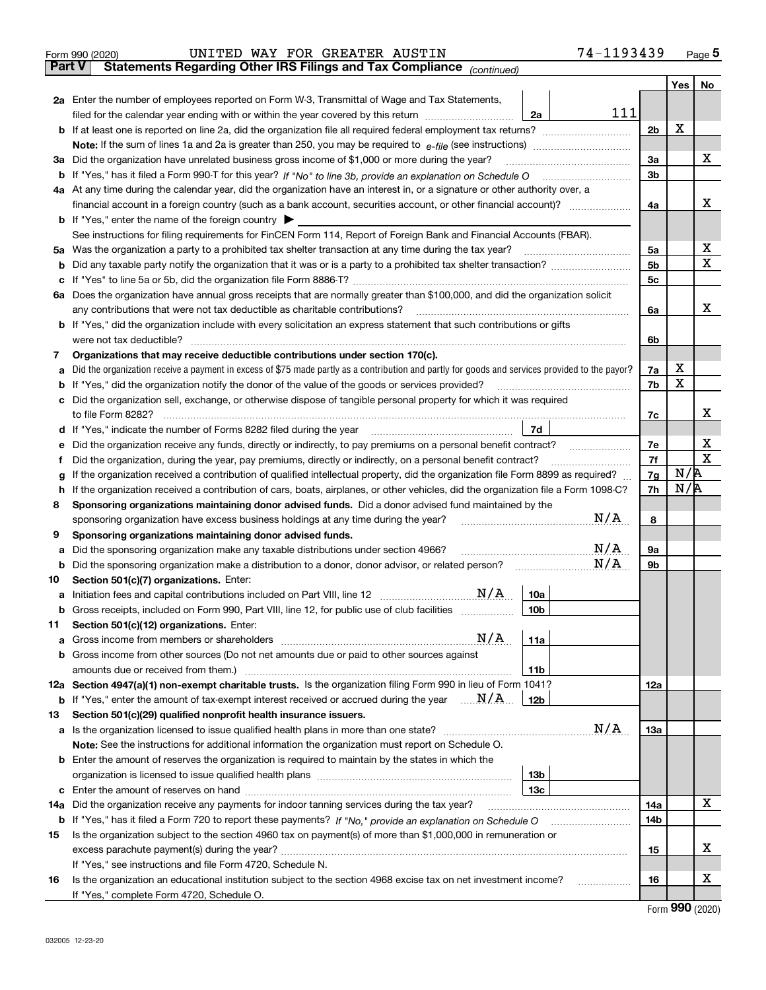|        | UNITED WAY FOR GREATER AUSTIN<br>Form 990 (2020)                                                                                                                                                                                 | 74-1193439     |     | $_{\text{Page}}$ 5 |  |  |  |  |  |  |
|--------|----------------------------------------------------------------------------------------------------------------------------------------------------------------------------------------------------------------------------------|----------------|-----|--------------------|--|--|--|--|--|--|
| Part V | Statements Regarding Other IRS Filings and Tax Compliance (continued)                                                                                                                                                            |                |     |                    |  |  |  |  |  |  |
|        |                                                                                                                                                                                                                                  |                | Yes | No                 |  |  |  |  |  |  |
|        | 2a Enter the number of employees reported on Form W-3, Transmittal of Wage and Tax Statements,                                                                                                                                   |                |     |                    |  |  |  |  |  |  |
|        | filed for the calendar year ending with or within the year covered by this return <i>manumumumum</i><br>2a                                                                                                                       | 111            | x   |                    |  |  |  |  |  |  |
|        |                                                                                                                                                                                                                                  |                |     |                    |  |  |  |  |  |  |
|        |                                                                                                                                                                                                                                  |                |     |                    |  |  |  |  |  |  |
| За     | Did the organization have unrelated business gross income of \$1,000 or more during the year?                                                                                                                                    | 3a             |     | x                  |  |  |  |  |  |  |
|        |                                                                                                                                                                                                                                  | 3b             |     |                    |  |  |  |  |  |  |
|        | 4a At any time during the calendar year, did the organization have an interest in, or a signature or other authority over, a                                                                                                     |                |     |                    |  |  |  |  |  |  |
|        |                                                                                                                                                                                                                                  | 4a             |     | x                  |  |  |  |  |  |  |
|        | <b>b</b> If "Yes," enter the name of the foreign country $\blacktriangleright$                                                                                                                                                   |                |     |                    |  |  |  |  |  |  |
|        | See instructions for filing requirements for FinCEN Form 114, Report of Foreign Bank and Financial Accounts (FBAR).                                                                                                              |                |     |                    |  |  |  |  |  |  |
| 5a     | Was the organization a party to a prohibited tax shelter transaction at any time during the tax year?                                                                                                                            | 5a             |     | х                  |  |  |  |  |  |  |
| b      |                                                                                                                                                                                                                                  | 5 <sub>b</sub> |     | x                  |  |  |  |  |  |  |
| c      |                                                                                                                                                                                                                                  | 5c             |     |                    |  |  |  |  |  |  |
|        | 6a Does the organization have annual gross receipts that are normally greater than \$100,000, and did the organization solicit                                                                                                   |                |     |                    |  |  |  |  |  |  |
|        | any contributions that were not tax deductible as charitable contributions?                                                                                                                                                      | 6a             |     | x                  |  |  |  |  |  |  |
|        | b If "Yes," did the organization include with every solicitation an express statement that such contributions or gifts                                                                                                           |                |     |                    |  |  |  |  |  |  |
|        | were not tax deductible?                                                                                                                                                                                                         | 6b             |     |                    |  |  |  |  |  |  |
| 7      | Organizations that may receive deductible contributions under section 170(c).                                                                                                                                                    |                |     |                    |  |  |  |  |  |  |
| a      | Did the organization receive a payment in excess of \$75 made partly as a contribution and partly for goods and services provided to the payor?                                                                                  | 7a             | x   |                    |  |  |  |  |  |  |
| b      | If "Yes," did the organization notify the donor of the value of the goods or services provided?                                                                                                                                  | 7b             | x   |                    |  |  |  |  |  |  |
|        | Did the organization sell, exchange, or otherwise dispose of tangible personal property for which it was required                                                                                                                |                |     |                    |  |  |  |  |  |  |
|        |                                                                                                                                                                                                                                  | 7c             |     | x                  |  |  |  |  |  |  |
| d      | 7d                                                                                                                                                                                                                               |                |     |                    |  |  |  |  |  |  |
| е      | Did the organization receive any funds, directly or indirectly, to pay premiums on a personal benefit contract?                                                                                                                  | 7e             |     | х                  |  |  |  |  |  |  |
| f      | Did the organization, during the year, pay premiums, directly or indirectly, on a personal benefit contract?                                                                                                                     | 7f<br>7g       | N/R | $\mathbf X$        |  |  |  |  |  |  |
|        | If the organization received a contribution of qualified intellectual property, did the organization file Form 8899 as required?<br>g                                                                                            |                |     |                    |  |  |  |  |  |  |
| h.     | If the organization received a contribution of cars, boats, airplanes, or other vehicles, did the organization file a Form 1098-C?                                                                                               | 7h             | N/R |                    |  |  |  |  |  |  |
| 8      | Sponsoring organizations maintaining donor advised funds. Did a donor advised fund maintained by the                                                                                                                             |                |     |                    |  |  |  |  |  |  |
|        | N/A<br>sponsoring organization have excess business holdings at any time during the year?                                                                                                                                        | 8              |     |                    |  |  |  |  |  |  |
| 9      | Sponsoring organizations maintaining donor advised funds.<br>$\mathrm{N}/\mathrm{A}$                                                                                                                                             |                |     |                    |  |  |  |  |  |  |
| a      | Did the sponsoring organization make any taxable distributions under section 4966?<br>N/A                                                                                                                                        | 9а             |     |                    |  |  |  |  |  |  |
| b      | Did the sponsoring organization make a distribution to a donor, donor advisor, or related person?                                                                                                                                | 9b             |     |                    |  |  |  |  |  |  |
| 10     | Section 501(c)(7) organizations. Enter:<br>N/A<br>10a                                                                                                                                                                            |                |     |                    |  |  |  |  |  |  |
|        | a Initiation fees and capital contributions included on Part VIII, line 12 [111] [11] [12] [11] [12] [11] [12]<br>10 <sub>b</sub><br>Gross receipts, included on Form 990, Part VIII, line 12, for public use of club facilities |                |     |                    |  |  |  |  |  |  |
| 11     | Section 501(c)(12) organizations. Enter:                                                                                                                                                                                         |                |     |                    |  |  |  |  |  |  |
| a      | N/A<br>11a<br>Gross income from members or shareholders                                                                                                                                                                          |                |     |                    |  |  |  |  |  |  |
|        | b Gross income from other sources (Do not net amounts due or paid to other sources against                                                                                                                                       |                |     |                    |  |  |  |  |  |  |
|        | 11 <sub>b</sub><br>amounts due or received from them.)                                                                                                                                                                           |                |     |                    |  |  |  |  |  |  |
|        | 12a Section 4947(a)(1) non-exempt charitable trusts. Is the organization filing Form 990 in lieu of Form 1041?                                                                                                                   | 12a            |     |                    |  |  |  |  |  |  |
|        | <b>b</b> If "Yes," enter the amount of tax-exempt interest received or accrued during the year $\ldots \mathbf{N}/\mathbf{A}$ .<br>12b                                                                                           |                |     |                    |  |  |  |  |  |  |
| 13     | Section 501(c)(29) qualified nonprofit health insurance issuers.                                                                                                                                                                 |                |     |                    |  |  |  |  |  |  |
|        | N/A<br>a Is the organization licensed to issue qualified health plans in more than one state?                                                                                                                                    | 13a            |     |                    |  |  |  |  |  |  |
|        | Note: See the instructions for additional information the organization must report on Schedule O.                                                                                                                                |                |     |                    |  |  |  |  |  |  |
|        | <b>b</b> Enter the amount of reserves the organization is required to maintain by the states in which the                                                                                                                        |                |     |                    |  |  |  |  |  |  |
|        | 13 <sub>b</sub>                                                                                                                                                                                                                  |                |     |                    |  |  |  |  |  |  |
|        | 13 <sub>c</sub>                                                                                                                                                                                                                  |                |     |                    |  |  |  |  |  |  |
| 14a    | Did the organization receive any payments for indoor tanning services during the tax year?                                                                                                                                       | 14a            |     | x                  |  |  |  |  |  |  |
|        | <b>b</b> If "Yes," has it filed a Form 720 to report these payments? If "No," provide an explanation on Schedule O                                                                                                               | 14b            |     |                    |  |  |  |  |  |  |
| 15     | Is the organization subject to the section 4960 tax on payment(s) of more than \$1,000,000 in remuneration or                                                                                                                    |                |     |                    |  |  |  |  |  |  |
|        |                                                                                                                                                                                                                                  | 15             |     | x                  |  |  |  |  |  |  |
|        | If "Yes," see instructions and file Form 4720, Schedule N.                                                                                                                                                                       |                |     |                    |  |  |  |  |  |  |
| 16     | Is the organization an educational institution subject to the section 4968 excise tax on net investment income?                                                                                                                  | 16             |     | х                  |  |  |  |  |  |  |
|        | If "Yes," complete Form 4720, Schedule O.                                                                                                                                                                                        |                |     |                    |  |  |  |  |  |  |
|        |                                                                                                                                                                                                                                  |                |     |                    |  |  |  |  |  |  |

Form (2020) **990**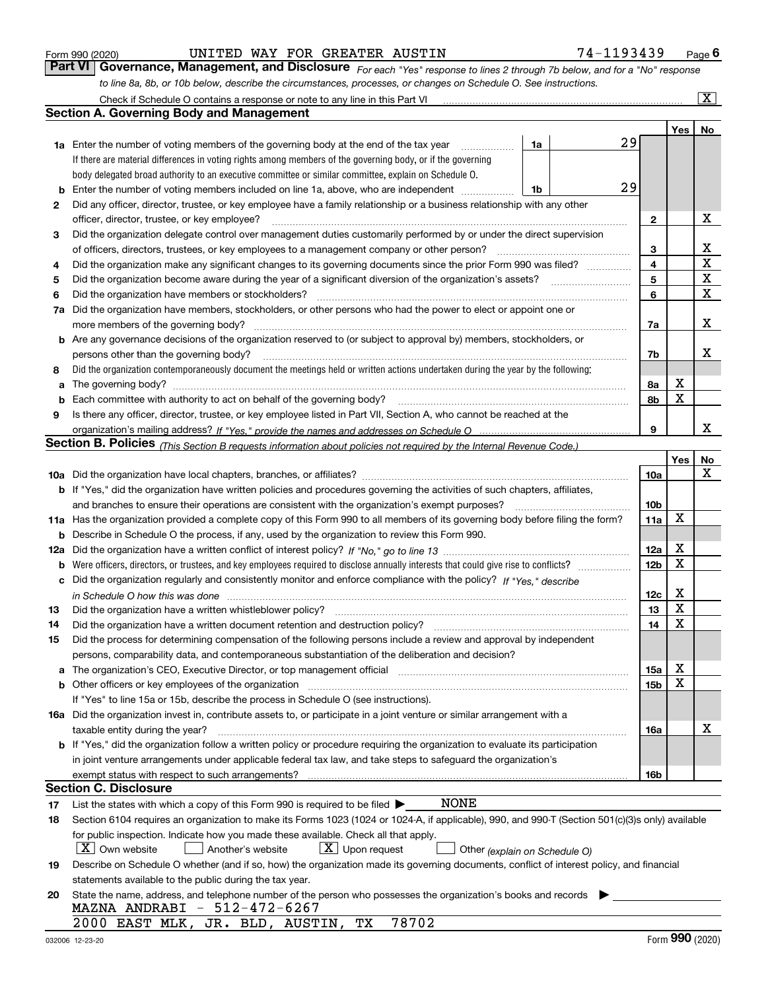|  | Form 990 (2020) |
|--|-----------------|
|  |                 |

*For each "Yes" response to lines 2 through 7b below, and for a "No" response to line 8a, 8b, or 10b below, describe the circumstances, processes, or changes on Schedule O. See instructions.* Form 990 (2020) **CONVITED WAY FOR GREATER AUSTIN** 74 – 1193439 Page 6<br>**Part VI Governance, Management, and Disclosure** *For each "Yes" response to lines 2 through 7b below, and for a "No" response* 

|    |                                                                                                                                                  |                 |     | $\overline{\mathbf{x}}$ |  |  |  |  |  |
|----|--------------------------------------------------------------------------------------------------------------------------------------------------|-----------------|-----|-------------------------|--|--|--|--|--|
|    | Section A. Governing Body and Management                                                                                                         |                 |     |                         |  |  |  |  |  |
|    |                                                                                                                                                  |                 | Yes | No                      |  |  |  |  |  |
|    | 29<br><b>1a</b> Enter the number of voting members of the governing body at the end of the tax year<br>1a                                        |                 |     |                         |  |  |  |  |  |
|    | .<br>If there are material differences in voting rights among members of the governing body, or if the governing                                 |                 |     |                         |  |  |  |  |  |
|    | body delegated broad authority to an executive committee or similar committee, explain on Schedule O.                                            |                 |     |                         |  |  |  |  |  |
|    | 29                                                                                                                                               |                 |     |                         |  |  |  |  |  |
| b  | Enter the number of voting members included on line 1a, above, who are independent<br>1b                                                         |                 |     |                         |  |  |  |  |  |
| 2  | Did any officer, director, trustee, or key employee have a family relationship or a business relationship with any other                         | 2               |     | x                       |  |  |  |  |  |
|    | officer, director, trustee, or key employee?                                                                                                     |                 |     |                         |  |  |  |  |  |
| 3  | Did the organization delegate control over management duties customarily performed by or under the direct supervision                            | З               |     | х                       |  |  |  |  |  |
|    | of officers, directors, trustees, or key employees to a management company or other person?                                                      |                 |     |                         |  |  |  |  |  |
| 4  | Did the organization make any significant changes to its governing documents since the prior Form 990 was filed?                                 | 4               |     | X                       |  |  |  |  |  |
| 5  | Did the organization become aware during the year of a significant diversion of the organization's assets?                                       | 5               |     | X                       |  |  |  |  |  |
| 6  | Did the organization have members or stockholders?                                                                                               | 6               |     | X                       |  |  |  |  |  |
| 7a | Did the organization have members, stockholders, or other persons who had the power to elect or appoint one or                                   |                 |     |                         |  |  |  |  |  |
|    | more members of the governing body?                                                                                                              | 7a              |     | х                       |  |  |  |  |  |
|    | <b>b</b> Are any governance decisions of the organization reserved to (or subject to approval by) members, stockholders, or                      |                 |     |                         |  |  |  |  |  |
|    | persons other than the governing body?                                                                                                           | 7b              |     | X                       |  |  |  |  |  |
| 8  | Did the organization contemporaneously document the meetings held or written actions undertaken during the year by the following:                |                 |     |                         |  |  |  |  |  |
| a  |                                                                                                                                                  | 8a              | X   |                         |  |  |  |  |  |
| b  | Each committee with authority to act on behalf of the governing body?                                                                            | 8b              | x   |                         |  |  |  |  |  |
| 9  | Is there any officer, director, trustee, or key employee listed in Part VII, Section A, who cannot be reached at the                             |                 |     |                         |  |  |  |  |  |
|    |                                                                                                                                                  | 9               |     | X                       |  |  |  |  |  |
|    | Section B. Policies <sub>(This Section B requests information about policies not required by the Internal Revenue Code.)</sub>                   |                 |     |                         |  |  |  |  |  |
|    |                                                                                                                                                  |                 | Yes | No                      |  |  |  |  |  |
|    |                                                                                                                                                  | 10a             |     | x                       |  |  |  |  |  |
|    | <b>b</b> If "Yes," did the organization have written policies and procedures governing the activities of such chapters, affiliates,              |                 |     |                         |  |  |  |  |  |
|    | and branches to ensure their operations are consistent with the organization's exempt purposes?                                                  | 10 <sub>b</sub> |     |                         |  |  |  |  |  |
|    | 11a Has the organization provided a complete copy of this Form 990 to all members of its governing body before filing the form?                  | 11a             | X   |                         |  |  |  |  |  |
|    | <b>b</b> Describe in Schedule O the process, if any, used by the organization to review this Form 990.                                           |                 |     |                         |  |  |  |  |  |
|    |                                                                                                                                                  | 12a             | х   |                         |  |  |  |  |  |
|    | <b>b</b> Were officers, directors, or trustees, and key employees required to disclose annually interests that could give rise to conflicts?     | 12 <sub>b</sub> | X   |                         |  |  |  |  |  |
|    | c Did the organization regularly and consistently monitor and enforce compliance with the policy? If "Yes," describe                             |                 |     |                         |  |  |  |  |  |
|    | in Schedule O how this was done                                                                                                                  | 12c             | X   |                         |  |  |  |  |  |
| 13 | Did the organization have a written whistleblower policy?                                                                                        | 13              | X   |                         |  |  |  |  |  |
| 14 | Did the organization have a written document retention and destruction policy?                                                                   | 14              | X   |                         |  |  |  |  |  |
| 15 | Did the process for determining compensation of the following persons include a review and approval by independent                               |                 |     |                         |  |  |  |  |  |
|    | persons, comparability data, and contemporaneous substantiation of the deliberation and decision?                                                |                 |     |                         |  |  |  |  |  |
|    |                                                                                                                                                  | 15a             | х   |                         |  |  |  |  |  |
|    |                                                                                                                                                  | 15b             | X   |                         |  |  |  |  |  |
|    | If "Yes" to line 15a or 15b, describe the process in Schedule O (see instructions).                                                              |                 |     |                         |  |  |  |  |  |
|    | 16a Did the organization invest in, contribute assets to, or participate in a joint venture or similar arrangement with a                        |                 |     |                         |  |  |  |  |  |
|    | taxable entity during the year?                                                                                                                  | 16a             |     | х                       |  |  |  |  |  |
|    | <b>b</b> If "Yes," did the organization follow a written policy or procedure requiring the organization to evaluate its participation            |                 |     |                         |  |  |  |  |  |
|    | in joint venture arrangements under applicable federal tax law, and take steps to safeguard the organization's                                   |                 |     |                         |  |  |  |  |  |
|    | exempt status with respect to such arrangements?                                                                                                 | 16b             |     |                         |  |  |  |  |  |
|    | Section C. Disclosure                                                                                                                            |                 |     |                         |  |  |  |  |  |
| 17 | <b>NONE</b><br>List the states with which a copy of this Form 990 is required to be filed $\blacktriangleright$                                  |                 |     |                         |  |  |  |  |  |
| 18 | Section 6104 requires an organization to make its Forms 1023 (1024 or 1024-A, if applicable), 990, and 990-T (Section 501(c)(3)s only) available |                 |     |                         |  |  |  |  |  |
|    | for public inspection. Indicate how you made these available. Check all that apply.                                                              |                 |     |                         |  |  |  |  |  |
|    | X   Own website<br>$\lfloor x \rfloor$ Upon request<br>Another's website<br>Other (explain on Schedule O)                                        |                 |     |                         |  |  |  |  |  |
| 19 | Describe on Schedule O whether (and if so, how) the organization made its governing documents, conflict of interest policy, and financial        |                 |     |                         |  |  |  |  |  |
|    | statements available to the public during the tax year.                                                                                          |                 |     |                         |  |  |  |  |  |
| 20 | State the name, address, and telephone number of the person who possesses the organization's books and records                                   |                 |     |                         |  |  |  |  |  |
|    | MAZNA ANDRABI - 512-472-6267                                                                                                                     |                 |     |                         |  |  |  |  |  |
|    | 78702<br>2000 EAST MLK, JR. BLD, AUSTIN,<br>TХ                                                                                                   |                 |     |                         |  |  |  |  |  |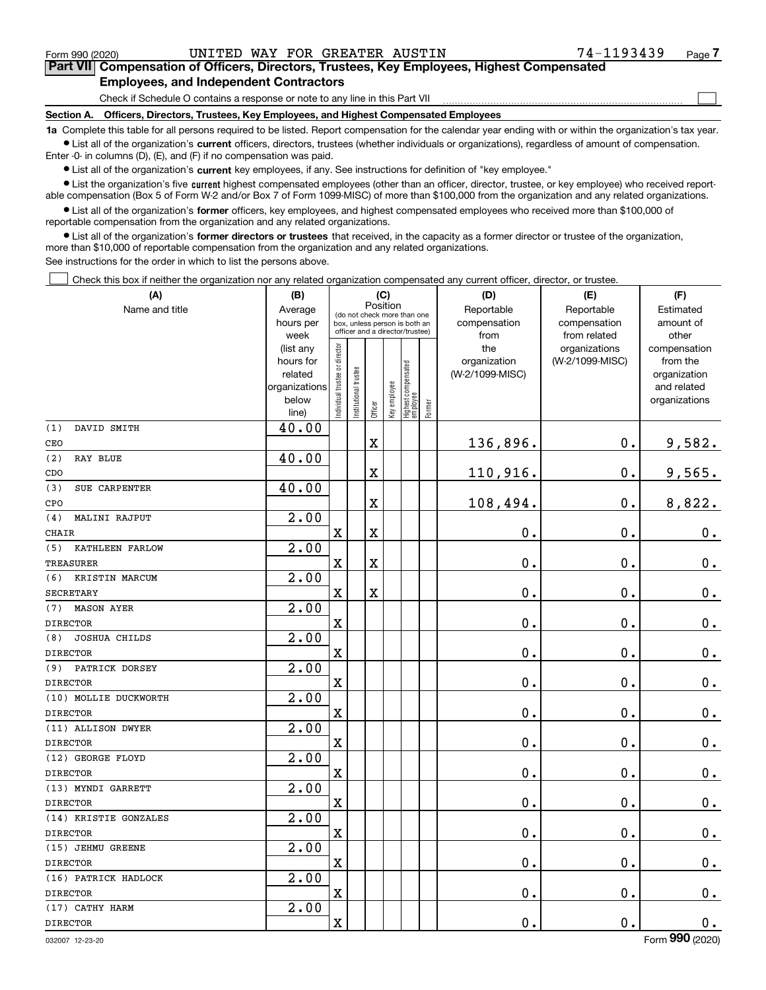$\mathcal{L}^{\text{max}}$ 

# **7Part VII Compensation of Officers, Directors, Trustees, Key Employees, Highest Compensated Employees, and Independent Contractors**

Check if Schedule O contains a response or note to any line in this Part VII

**Section A. Officers, Directors, Trustees, Key Employees, and Highest Compensated Employees**

**1a**  Complete this table for all persons required to be listed. Report compensation for the calendar year ending with or within the organization's tax year. **•** List all of the organization's current officers, directors, trustees (whether individuals or organizations), regardless of amount of compensation.

Enter -0- in columns (D), (E), and (F) if no compensation was paid.

 $\bullet$  List all of the organization's  $\,$ current key employees, if any. See instructions for definition of "key employee."

**•** List the organization's five current highest compensated employees (other than an officer, director, trustee, or key employee) who received reportable compensation (Box 5 of Form W-2 and/or Box 7 of Form 1099-MISC) of more than \$100,000 from the organization and any related organizations.

**•** List all of the organization's former officers, key employees, and highest compensated employees who received more than \$100,000 of reportable compensation from the organization and any related organizations.

**former directors or trustees**  ¥ List all of the organization's that received, in the capacity as a former director or trustee of the organization, more than \$10,000 of reportable compensation from the organization and any related organizations.

See instructions for the order in which to list the persons above.

Check this box if neither the organization nor any related organization compensated any current officer, director, or trustee.  $\mathcal{L}^{\text{max}}$ 

| (A)                         | (B)               |                                                                  |                      | (C)                     |              |                                  |            | (D)             | (E)                           | (F)                   |  |
|-----------------------------|-------------------|------------------------------------------------------------------|----------------------|-------------------------|--------------|----------------------------------|------------|-----------------|-------------------------------|-----------------------|--|
| Name and title              | Average           | Position<br>(do not check more than one                          |                      |                         |              |                                  | Reportable | Reportable      | Estimated<br>amount of        |                       |  |
|                             | hours per         | box, unless person is both an<br>officer and a director/trustee) |                      |                         |              |                                  |            |                 | compensation<br>compensation  |                       |  |
|                             | week<br>(list any |                                                                  |                      |                         |              |                                  |            | from<br>the     | from related<br>organizations | other<br>compensation |  |
|                             | hours for         |                                                                  |                      |                         |              |                                  |            | organization    | (W-2/1099-MISC)               | from the              |  |
|                             | related           |                                                                  |                      |                         |              |                                  |            | (W-2/1099-MISC) |                               | organization          |  |
|                             | organizations     |                                                                  |                      |                         |              |                                  |            |                 |                               | and related           |  |
|                             | below             | ndividual trustee or director                                    | nstitutional trustee |                         | Key employee |                                  |            |                 |                               | organizations         |  |
|                             | line)             |                                                                  |                      | Officer                 |              | Highest compensated<br> employee | Former     |                 |                               |                       |  |
| (1)<br>DAVID SMITH          | 40.00             |                                                                  |                      |                         |              |                                  |            |                 |                               |                       |  |
| CEO                         |                   |                                                                  |                      | $\overline{\textbf{X}}$ |              |                                  |            | 136,896.        | 0.                            | 9,582.                |  |
| (2)<br><b>RAY BLUE</b>      | 40.00             |                                                                  |                      |                         |              |                                  |            |                 |                               |                       |  |
| CDO                         |                   |                                                                  |                      | X                       |              |                                  |            | 110,916.        | 0.                            | 9,565.                |  |
| (3)<br>SUE CARPENTER        | 40.00             |                                                                  |                      |                         |              |                                  |            |                 |                               |                       |  |
| CPO                         |                   |                                                                  |                      | X                       |              |                                  |            | 108,494.        | 0.                            | 8,822.                |  |
| MALINI RAJPUT<br>(4)        | 2.00              |                                                                  |                      |                         |              |                                  |            |                 |                               |                       |  |
| CHAIR                       |                   | $\mathbf x$                                                      |                      | X                       |              |                                  |            | 0.              | 0.                            | $\mathbf 0$ .         |  |
| (5)<br>KATHLEEN FARLOW      | 2.00              |                                                                  |                      |                         |              |                                  |            |                 |                               |                       |  |
| <b>TREASURER</b>            |                   | $\mathbf X$                                                      |                      | X                       |              |                                  |            | 0.              | 0.                            | $0_{.}$               |  |
| (6)<br>KRISTIN MARCUM       | 2.00              |                                                                  |                      |                         |              |                                  |            |                 |                               |                       |  |
| <b>SECRETARY</b>            |                   | X                                                                |                      | X                       |              |                                  |            | 0.              | $\mathbf 0$ .                 | $0_{.}$               |  |
| <b>MASON AYER</b><br>(7)    | 2.00              |                                                                  |                      |                         |              |                                  |            |                 |                               |                       |  |
| <b>DIRECTOR</b>             |                   | $\mathbf X$                                                      |                      |                         |              |                                  |            | 0.              | 0.                            | 0.                    |  |
| (8)<br><b>JOSHUA CHILDS</b> | 2.00              |                                                                  |                      |                         |              |                                  |            |                 |                               |                       |  |
| <b>DIRECTOR</b>             |                   | X                                                                |                      |                         |              |                                  |            | 0.              | 0.                            | 0.                    |  |
| PATRICK DORSEY<br>(9)       | 2.00              |                                                                  |                      |                         |              |                                  |            |                 |                               |                       |  |
| <b>DIRECTOR</b>             |                   | $\rm X$                                                          |                      |                         |              |                                  |            | 0.              | 0.                            | 0.                    |  |
| (10) MOLLIE DUCKWORTH       | 2.00              |                                                                  |                      |                         |              |                                  |            |                 |                               |                       |  |
| <b>DIRECTOR</b>             |                   | $\mathbf X$                                                      |                      |                         |              |                                  |            | 0.              | 0.                            | $\mathbf 0$ .         |  |
| (11) ALLISON DWYER          | $\overline{2.00}$ |                                                                  |                      |                         |              |                                  |            |                 |                               |                       |  |
| <b>DIRECTOR</b>             |                   | $\mathbf X$                                                      |                      |                         |              |                                  |            | $\mathbf 0$ .   | 0.                            | $\mathbf 0$ .         |  |
| (12) GEORGE FLOYD           | 2.00              |                                                                  |                      |                         |              |                                  |            |                 |                               |                       |  |
| <b>DIRECTOR</b>             |                   | X                                                                |                      |                         |              |                                  |            | 0.              | $\mathbf 0$ .                 | $0_{.}$               |  |
| (13) MYNDI GARRETT          | 2.00              |                                                                  |                      |                         |              |                                  |            |                 |                               |                       |  |
| <b>DIRECTOR</b>             |                   | $\mathbf X$                                                      |                      |                         |              |                                  |            | $\mathbf 0$ .   | $\mathbf 0$ .                 | $\mathbf 0$ .         |  |
| (14) KRISTIE GONZALES       | 2.00              |                                                                  |                      |                         |              |                                  |            |                 |                               |                       |  |
| <b>DIRECTOR</b>             |                   | X                                                                |                      |                         |              |                                  |            | 0.              | $\mathbf 0$ .                 | $\mathbf 0$ .         |  |
| (15) JEHMU GREENE           | 2.00              |                                                                  |                      |                         |              |                                  |            |                 |                               |                       |  |
| <b>DIRECTOR</b>             |                   | $\mathbf X$                                                      |                      |                         |              |                                  |            | 0.              | 0.                            | $0_{.}$               |  |
| (16) PATRICK HADLOCK        | $\overline{2.00}$ |                                                                  |                      |                         |              |                                  |            |                 |                               |                       |  |
| <b>DIRECTOR</b>             |                   | X                                                                |                      |                         |              |                                  |            | 0.              | $\mathbf 0$ .                 | $\mathbf 0$ .         |  |
| (17) CATHY HARM             | 2.00              |                                                                  |                      |                         |              |                                  |            |                 |                               |                       |  |
| <b>DIRECTOR</b>             |                   | $\rm X$                                                          |                      |                         |              |                                  |            | 0.              | 0.                            | $\mathbf 0$ .         |  |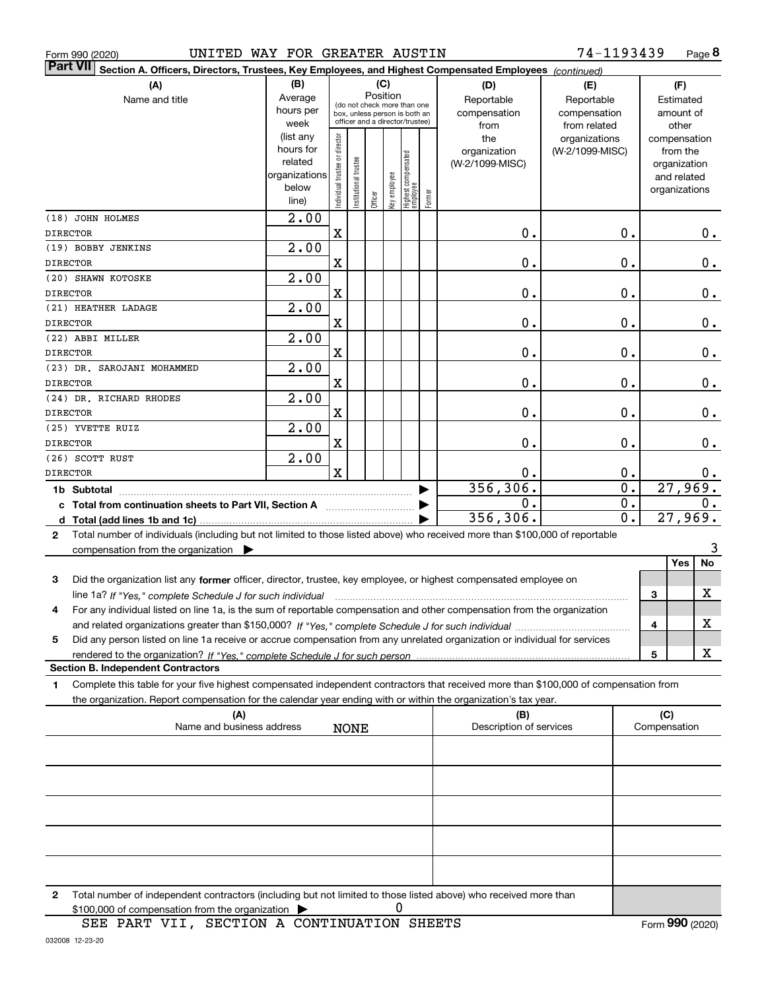|                                                                                                                                                                                                                                                                                                                                                                        |                                                                                                                                                                                  |                                                                                                                                                                                                               |                                                                                                                               |                       |                        |                     |                                                                                                                                                     |                                                                                                                                               |                                                                                                                                             |                                                                                                                                                                                                                                                                                                                                                                                                                                                                                                                                                                                                                                                                                                                                                                                                                                                                                                                                                                                                                                                                                |                                                                                                                     | Page 8                                                                                                                                                                                                                                                                              |
|------------------------------------------------------------------------------------------------------------------------------------------------------------------------------------------------------------------------------------------------------------------------------------------------------------------------------------------------------------------------|----------------------------------------------------------------------------------------------------------------------------------------------------------------------------------|---------------------------------------------------------------------------------------------------------------------------------------------------------------------------------------------------------------|-------------------------------------------------------------------------------------------------------------------------------|-----------------------|------------------------|---------------------|-----------------------------------------------------------------------------------------------------------------------------------------------------|-----------------------------------------------------------------------------------------------------------------------------------------------|---------------------------------------------------------------------------------------------------------------------------------------------|--------------------------------------------------------------------------------------------------------------------------------------------------------------------------------------------------------------------------------------------------------------------------------------------------------------------------------------------------------------------------------------------------------------------------------------------------------------------------------------------------------------------------------------------------------------------------------------------------------------------------------------------------------------------------------------------------------------------------------------------------------------------------------------------------------------------------------------------------------------------------------------------------------------------------------------------------------------------------------------------------------------------------------------------------------------------------------|---------------------------------------------------------------------------------------------------------------------|-------------------------------------------------------------------------------------------------------------------------------------------------------------------------------------------------------------------------------------------------------------------------------------|
|                                                                                                                                                                                                                                                                                                                                                                        |                                                                                                                                                                                  |                                                                                                                                                                                                               |                                                                                                                               |                       |                        |                     |                                                                                                                                                     |                                                                                                                                               |                                                                                                                                             |                                                                                                                                                                                                                                                                                                                                                                                                                                                                                                                                                                                                                                                                                                                                                                                                                                                                                                                                                                                                                                                                                |                                                                                                                     |                                                                                                                                                                                                                                                                                     |
|                                                                                                                                                                                                                                                                                                                                                                        |                                                                                                                                                                                  |                                                                                                                                                                                                               |                                                                                                                               |                       |                        |                     |                                                                                                                                                     |                                                                                                                                               |                                                                                                                                             |                                                                                                                                                                                                                                                                                                                                                                                                                                                                                                                                                                                                                                                                                                                                                                                                                                                                                                                                                                                                                                                                                |                                                                                                                     |                                                                                                                                                                                                                                                                                     |
|                                                                                                                                                                                                                                                                                                                                                                        | Average                                                                                                                                                                          |                                                                                                                                                                                                               |                                                                                                                               |                       |                        |                     |                                                                                                                                                     |                                                                                                                                               |                                                                                                                                             |                                                                                                                                                                                                                                                                                                                                                                                                                                                                                                                                                                                                                                                                                                                                                                                                                                                                                                                                                                                                                                                                                |                                                                                                                     |                                                                                                                                                                                                                                                                                     |
|                                                                                                                                                                                                                                                                                                                                                                        | hours per                                                                                                                                                                        |                                                                                                                                                                                                               |                                                                                                                               |                       |                        |                     |                                                                                                                                                     |                                                                                                                                               |                                                                                                                                             |                                                                                                                                                                                                                                                                                                                                                                                                                                                                                                                                                                                                                                                                                                                                                                                                                                                                                                                                                                                                                                                                                | amount of                                                                                                           |                                                                                                                                                                                                                                                                                     |
|                                                                                                                                                                                                                                                                                                                                                                        | week                                                                                                                                                                             |                                                                                                                                                                                                               |                                                                                                                               |                       |                        |                     |                                                                                                                                                     | from                                                                                                                                          | from related                                                                                                                                |                                                                                                                                                                                                                                                                                                                                                                                                                                                                                                                                                                                                                                                                                                                                                                                                                                                                                                                                                                                                                                                                                | other                                                                                                               |                                                                                                                                                                                                                                                                                     |
|                                                                                                                                                                                                                                                                                                                                                                        | (list any                                                                                                                                                                        |                                                                                                                                                                                                               |                                                                                                                               |                       |                        |                     |                                                                                                                                                     | the                                                                                                                                           | organizations                                                                                                                               |                                                                                                                                                                                                                                                                                                                                                                                                                                                                                                                                                                                                                                                                                                                                                                                                                                                                                                                                                                                                                                                                                |                                                                                                                     |                                                                                                                                                                                                                                                                                     |
|                                                                                                                                                                                                                                                                                                                                                                        | hours for                                                                                                                                                                        |                                                                                                                                                                                                               |                                                                                                                               |                       |                        |                     |                                                                                                                                                     | organization                                                                                                                                  |                                                                                                                                             |                                                                                                                                                                                                                                                                                                                                                                                                                                                                                                                                                                                                                                                                                                                                                                                                                                                                                                                                                                                                                                                                                | from the                                                                                                            |                                                                                                                                                                                                                                                                                     |
|                                                                                                                                                                                                                                                                                                                                                                        | related                                                                                                                                                                          |                                                                                                                                                                                                               |                                                                                                                               |                       |                        |                     |                                                                                                                                                     | (W-2/1099-MISC)                                                                                                                               |                                                                                                                                             |                                                                                                                                                                                                                                                                                                                                                                                                                                                                                                                                                                                                                                                                                                                                                                                                                                                                                                                                                                                                                                                                                |                                                                                                                     |                                                                                                                                                                                                                                                                                     |
|                                                                                                                                                                                                                                                                                                                                                                        | organizations                                                                                                                                                                    |                                                                                                                                                                                                               |                                                                                                                               |                       |                        |                     |                                                                                                                                                     |                                                                                                                                               |                                                                                                                                             |                                                                                                                                                                                                                                                                                                                                                                                                                                                                                                                                                                                                                                                                                                                                                                                                                                                                                                                                                                                                                                                                                | and related                                                                                                         |                                                                                                                                                                                                                                                                                     |
|                                                                                                                                                                                                                                                                                                                                                                        |                                                                                                                                                                                  |                                                                                                                                                                                                               |                                                                                                                               |                       |                        |                     |                                                                                                                                                     |                                                                                                                                               |                                                                                                                                             |                                                                                                                                                                                                                                                                                                                                                                                                                                                                                                                                                                                                                                                                                                                                                                                                                                                                                                                                                                                                                                                                                |                                                                                                                     |                                                                                                                                                                                                                                                                                     |
|                                                                                                                                                                                                                                                                                                                                                                        |                                                                                                                                                                                  |                                                                                                                                                                                                               |                                                                                                                               |                       |                        |                     |                                                                                                                                                     |                                                                                                                                               |                                                                                                                                             |                                                                                                                                                                                                                                                                                                                                                                                                                                                                                                                                                                                                                                                                                                                                                                                                                                                                                                                                                                                                                                                                                |                                                                                                                     |                                                                                                                                                                                                                                                                                     |
|                                                                                                                                                                                                                                                                                                                                                                        |                                                                                                                                                                                  |                                                                                                                                                                                                               |                                                                                                                               |                       |                        |                     |                                                                                                                                                     |                                                                                                                                               |                                                                                                                                             |                                                                                                                                                                                                                                                                                                                                                                                                                                                                                                                                                                                                                                                                                                                                                                                                                                                                                                                                                                                                                                                                                |                                                                                                                     |                                                                                                                                                                                                                                                                                     |
|                                                                                                                                                                                                                                                                                                                                                                        |                                                                                                                                                                                  |                                                                                                                                                                                                               |                                                                                                                               |                       |                        |                     |                                                                                                                                                     |                                                                                                                                               |                                                                                                                                             |                                                                                                                                                                                                                                                                                                                                                                                                                                                                                                                                                                                                                                                                                                                                                                                                                                                                                                                                                                                                                                                                                |                                                                                                                     | 0.                                                                                                                                                                                                                                                                                  |
|                                                                                                                                                                                                                                                                                                                                                                        |                                                                                                                                                                                  |                                                                                                                                                                                                               |                                                                                                                               |                       |                        |                     |                                                                                                                                                     |                                                                                                                                               |                                                                                                                                             |                                                                                                                                                                                                                                                                                                                                                                                                                                                                                                                                                                                                                                                                                                                                                                                                                                                                                                                                                                                                                                                                                |                                                                                                                     |                                                                                                                                                                                                                                                                                     |
|                                                                                                                                                                                                                                                                                                                                                                        |                                                                                                                                                                                  |                                                                                                                                                                                                               |                                                                                                                               |                       |                        |                     |                                                                                                                                                     |                                                                                                                                               |                                                                                                                                             |                                                                                                                                                                                                                                                                                                                                                                                                                                                                                                                                                                                                                                                                                                                                                                                                                                                                                                                                                                                                                                                                                |                                                                                                                     | 0.                                                                                                                                                                                                                                                                                  |
|                                                                                                                                                                                                                                                                                                                                                                        |                                                                                                                                                                                  |                                                                                                                                                                                                               |                                                                                                                               |                       |                        |                     |                                                                                                                                                     |                                                                                                                                               |                                                                                                                                             |                                                                                                                                                                                                                                                                                                                                                                                                                                                                                                                                                                                                                                                                                                                                                                                                                                                                                                                                                                                                                                                                                |                                                                                                                     |                                                                                                                                                                                                                                                                                     |
|                                                                                                                                                                                                                                                                                                                                                                        |                                                                                                                                                                                  | $\mathbf X$                                                                                                                                                                                                   |                                                                                                                               |                       |                        |                     |                                                                                                                                                     | 0.                                                                                                                                            |                                                                                                                                             |                                                                                                                                                                                                                                                                                                                                                                                                                                                                                                                                                                                                                                                                                                                                                                                                                                                                                                                                                                                                                                                                                |                                                                                                                     | 0.                                                                                                                                                                                                                                                                                  |
|                                                                                                                                                                                                                                                                                                                                                                        | $\overline{2.00}$                                                                                                                                                                |                                                                                                                                                                                                               |                                                                                                                               |                       |                        |                     |                                                                                                                                                     |                                                                                                                                               |                                                                                                                                             |                                                                                                                                                                                                                                                                                                                                                                                                                                                                                                                                                                                                                                                                                                                                                                                                                                                                                                                                                                                                                                                                                |                                                                                                                     |                                                                                                                                                                                                                                                                                     |
|                                                                                                                                                                                                                                                                                                                                                                        |                                                                                                                                                                                  | $\mathbf X$                                                                                                                                                                                                   |                                                                                                                               |                       |                        |                     |                                                                                                                                                     | 0.                                                                                                                                            |                                                                                                                                             |                                                                                                                                                                                                                                                                                                                                                                                                                                                                                                                                                                                                                                                                                                                                                                                                                                                                                                                                                                                                                                                                                |                                                                                                                     | 0.                                                                                                                                                                                                                                                                                  |
|                                                                                                                                                                                                                                                                                                                                                                        |                                                                                                                                                                                  |                                                                                                                                                                                                               |                                                                                                                               |                       |                        |                     |                                                                                                                                                     |                                                                                                                                               |                                                                                                                                             |                                                                                                                                                                                                                                                                                                                                                                                                                                                                                                                                                                                                                                                                                                                                                                                                                                                                                                                                                                                                                                                                                |                                                                                                                     |                                                                                                                                                                                                                                                                                     |
|                                                                                                                                                                                                                                                                                                                                                                        |                                                                                                                                                                                  |                                                                                                                                                                                                               |                                                                                                                               |                       |                        |                     |                                                                                                                                                     |                                                                                                                                               |                                                                                                                                             |                                                                                                                                                                                                                                                                                                                                                                                                                                                                                                                                                                                                                                                                                                                                                                                                                                                                                                                                                                                                                                                                                |                                                                                                                     | $0$ .                                                                                                                                                                                                                                                                               |
|                                                                                                                                                                                                                                                                                                                                                                        |                                                                                                                                                                                  |                                                                                                                                                                                                               |                                                                                                                               |                       |                        |                     |                                                                                                                                                     |                                                                                                                                               |                                                                                                                                             |                                                                                                                                                                                                                                                                                                                                                                                                                                                                                                                                                                                                                                                                                                                                                                                                                                                                                                                                                                                                                                                                                |                                                                                                                     |                                                                                                                                                                                                                                                                                     |
|                                                                                                                                                                                                                                                                                                                                                                        |                                                                                                                                                                                  |                                                                                                                                                                                                               |                                                                                                                               |                       |                        |                     |                                                                                                                                                     |                                                                                                                                               |                                                                                                                                             |                                                                                                                                                                                                                                                                                                                                                                                                                                                                                                                                                                                                                                                                                                                                                                                                                                                                                                                                                                                                                                                                                |                                                                                                                     | 0.                                                                                                                                                                                                                                                                                  |
|                                                                                                                                                                                                                                                                                                                                                                        |                                                                                                                                                                                  |                                                                                                                                                                                                               |                                                                                                                               |                       |                        |                     |                                                                                                                                                     |                                                                                                                                               |                                                                                                                                             |                                                                                                                                                                                                                                                                                                                                                                                                                                                                                                                                                                                                                                                                                                                                                                                                                                                                                                                                                                                                                                                                                |                                                                                                                     |                                                                                                                                                                                                                                                                                     |
|                                                                                                                                                                                                                                                                                                                                                                        |                                                                                                                                                                                  |                                                                                                                                                                                                               |                                                                                                                               |                       |                        |                     |                                                                                                                                                     |                                                                                                                                               |                                                                                                                                             |                                                                                                                                                                                                                                                                                                                                                                                                                                                                                                                                                                                                                                                                                                                                                                                                                                                                                                                                                                                                                                                                                |                                                                                                                     | 0.                                                                                                                                                                                                                                                                                  |
|                                                                                                                                                                                                                                                                                                                                                                        |                                                                                                                                                                                  |                                                                                                                                                                                                               |                                                                                                                               |                       |                        |                     |                                                                                                                                                     |                                                                                                                                               |                                                                                                                                             |                                                                                                                                                                                                                                                                                                                                                                                                                                                                                                                                                                                                                                                                                                                                                                                                                                                                                                                                                                                                                                                                                |                                                                                                                     |                                                                                                                                                                                                                                                                                     |
|                                                                                                                                                                                                                                                                                                                                                                        |                                                                                                                                                                                  |                                                                                                                                                                                                               |                                                                                                                               |                       |                        |                     |                                                                                                                                                     |                                                                                                                                               |                                                                                                                                             |                                                                                                                                                                                                                                                                                                                                                                                                                                                                                                                                                                                                                                                                                                                                                                                                                                                                                                                                                                                                                                                                                |                                                                                                                     | 0.                                                                                                                                                                                                                                                                                  |
|                                                                                                                                                                                                                                                                                                                                                                        |                                                                                                                                                                                  |                                                                                                                                                                                                               |                                                                                                                               |                       |                        |                     |                                                                                                                                                     |                                                                                                                                               |                                                                                                                                             |                                                                                                                                                                                                                                                                                                                                                                                                                                                                                                                                                                                                                                                                                                                                                                                                                                                                                                                                                                                                                                                                                |                                                                                                                     |                                                                                                                                                                                                                                                                                     |
|                                                                                                                                                                                                                                                                                                                                                                        |                                                                                                                                                                                  |                                                                                                                                                                                                               |                                                                                                                               |                       |                        |                     |                                                                                                                                                     |                                                                                                                                               |                                                                                                                                             |                                                                                                                                                                                                                                                                                                                                                                                                                                                                                                                                                                                                                                                                                                                                                                                                                                                                                                                                                                                                                                                                                |                                                                                                                     |                                                                                                                                                                                                                                                                                     |
|                                                                                                                                                                                                                                                                                                                                                                        |                                                                                                                                                                                  |                                                                                                                                                                                                               |                                                                                                                               |                       |                        |                     |                                                                                                                                                     |                                                                                                                                               |                                                                                                                                             |                                                                                                                                                                                                                                                                                                                                                                                                                                                                                                                                                                                                                                                                                                                                                                                                                                                                                                                                                                                                                                                                                |                                                                                                                     | $0$ .                                                                                                                                                                                                                                                                               |
|                                                                                                                                                                                                                                                                                                                                                                        |                                                                                                                                                                                  |                                                                                                                                                                                                               |                                                                                                                               |                       |                        |                     |                                                                                                                                                     |                                                                                                                                               |                                                                                                                                             |                                                                                                                                                                                                                                                                                                                                                                                                                                                                                                                                                                                                                                                                                                                                                                                                                                                                                                                                                                                                                                                                                |                                                                                                                     | 0.                                                                                                                                                                                                                                                                                  |
|                                                                                                                                                                                                                                                                                                                                                                        |                                                                                                                                                                                  |                                                                                                                                                                                                               |                                                                                                                               |                       |                        |                     |                                                                                                                                                     |                                                                                                                                               |                                                                                                                                             |                                                                                                                                                                                                                                                                                                                                                                                                                                                                                                                                                                                                                                                                                                                                                                                                                                                                                                                                                                                                                                                                                |                                                                                                                     |                                                                                                                                                                                                                                                                                     |
|                                                                                                                                                                                                                                                                                                                                                                        |                                                                                                                                                                                  |                                                                                                                                                                                                               |                                                                                                                               |                       |                        |                     |                                                                                                                                                     |                                                                                                                                               |                                                                                                                                             |                                                                                                                                                                                                                                                                                                                                                                                                                                                                                                                                                                                                                                                                                                                                                                                                                                                                                                                                                                                                                                                                                |                                                                                                                     |                                                                                                                                                                                                                                                                                     |
|                                                                                                                                                                                                                                                                                                                                                                        |                                                                                                                                                                                  |                                                                                                                                                                                                               |                                                                                                                               |                       |                        |                     |                                                                                                                                                     |                                                                                                                                               |                                                                                                                                             |                                                                                                                                                                                                                                                                                                                                                                                                                                                                                                                                                                                                                                                                                                                                                                                                                                                                                                                                                                                                                                                                                |                                                                                                                     |                                                                                                                                                                                                                                                                                     |
|                                                                                                                                                                                                                                                                                                                                                                        |                                                                                                                                                                                  |                                                                                                                                                                                                               |                                                                                                                               |                       |                        |                     |                                                                                                                                                     |                                                                                                                                               |                                                                                                                                             |                                                                                                                                                                                                                                                                                                                                                                                                                                                                                                                                                                                                                                                                                                                                                                                                                                                                                                                                                                                                                                                                                |                                                                                                                     | 3                                                                                                                                                                                                                                                                                   |
|                                                                                                                                                                                                                                                                                                                                                                        |                                                                                                                                                                                  |                                                                                                                                                                                                               |                                                                                                                               |                       |                        |                     |                                                                                                                                                     |                                                                                                                                               |                                                                                                                                             |                                                                                                                                                                                                                                                                                                                                                                                                                                                                                                                                                                                                                                                                                                                                                                                                                                                                                                                                                                                                                                                                                |                                                                                                                     | No                                                                                                                                                                                                                                                                                  |
|                                                                                                                                                                                                                                                                                                                                                                        |                                                                                                                                                                                  |                                                                                                                                                                                                               |                                                                                                                               |                       |                        |                     |                                                                                                                                                     |                                                                                                                                               |                                                                                                                                             |                                                                                                                                                                                                                                                                                                                                                                                                                                                                                                                                                                                                                                                                                                                                                                                                                                                                                                                                                                                                                                                                                |                                                                                                                     |                                                                                                                                                                                                                                                                                     |
|                                                                                                                                                                                                                                                                                                                                                                        |                                                                                                                                                                                  |                                                                                                                                                                                                               |                                                                                                                               |                       |                        |                     |                                                                                                                                                     |                                                                                                                                               |                                                                                                                                             |                                                                                                                                                                                                                                                                                                                                                                                                                                                                                                                                                                                                                                                                                                                                                                                                                                                                                                                                                                                                                                                                                |                                                                                                                     | X                                                                                                                                                                                                                                                                                   |
|                                                                                                                                                                                                                                                                                                                                                                        |                                                                                                                                                                                  |                                                                                                                                                                                                               |                                                                                                                               |                       |                        |                     |                                                                                                                                                     |                                                                                                                                               |                                                                                                                                             |                                                                                                                                                                                                                                                                                                                                                                                                                                                                                                                                                                                                                                                                                                                                                                                                                                                                                                                                                                                                                                                                                |                                                                                                                     |                                                                                                                                                                                                                                                                                     |
|                                                                                                                                                                                                                                                                                                                                                                        |                                                                                                                                                                                  |                                                                                                                                                                                                               |                                                                                                                               |                       |                        |                     |                                                                                                                                                     |                                                                                                                                               |                                                                                                                                             |                                                                                                                                                                                                                                                                                                                                                                                                                                                                                                                                                                                                                                                                                                                                                                                                                                                                                                                                                                                                                                                                                |                                                                                                                     | х                                                                                                                                                                                                                                                                                   |
|                                                                                                                                                                                                                                                                                                                                                                        |                                                                                                                                                                                  |                                                                                                                                                                                                               |                                                                                                                               |                       |                        |                     |                                                                                                                                                     |                                                                                                                                               |                                                                                                                                             |                                                                                                                                                                                                                                                                                                                                                                                                                                                                                                                                                                                                                                                                                                                                                                                                                                                                                                                                                                                                                                                                                |                                                                                                                     |                                                                                                                                                                                                                                                                                     |
|                                                                                                                                                                                                                                                                                                                                                                        |                                                                                                                                                                                  |                                                                                                                                                                                                               |                                                                                                                               |                       |                        |                     |                                                                                                                                                     |                                                                                                                                               |                                                                                                                                             |                                                                                                                                                                                                                                                                                                                                                                                                                                                                                                                                                                                                                                                                                                                                                                                                                                                                                                                                                                                                                                                                                |                                                                                                                     | х                                                                                                                                                                                                                                                                                   |
|                                                                                                                                                                                                                                                                                                                                                                        |                                                                                                                                                                                  |                                                                                                                                                                                                               |                                                                                                                               |                       |                        |                     |                                                                                                                                                     |                                                                                                                                               |                                                                                                                                             |                                                                                                                                                                                                                                                                                                                                                                                                                                                                                                                                                                                                                                                                                                                                                                                                                                                                                                                                                                                                                                                                                |                                                                                                                     |                                                                                                                                                                                                                                                                                     |
|                                                                                                                                                                                                                                                                                                                                                                        |                                                                                                                                                                                  |                                                                                                                                                                                                               |                                                                                                                               |                       |                        |                     |                                                                                                                                                     |                                                                                                                                               |                                                                                                                                             |                                                                                                                                                                                                                                                                                                                                                                                                                                                                                                                                                                                                                                                                                                                                                                                                                                                                                                                                                                                                                                                                                |                                                                                                                     |                                                                                                                                                                                                                                                                                     |
|                                                                                                                                                                                                                                                                                                                                                                        |                                                                                                                                                                                  |                                                                                                                                                                                                               |                                                                                                                               |                       |                        |                     |                                                                                                                                                     |                                                                                                                                               |                                                                                                                                             |                                                                                                                                                                                                                                                                                                                                                                                                                                                                                                                                                                                                                                                                                                                                                                                                                                                                                                                                                                                                                                                                                |                                                                                                                     |                                                                                                                                                                                                                                                                                     |
| (A)                                                                                                                                                                                                                                                                                                                                                                    |                                                                                                                                                                                  |                                                                                                                                                                                                               |                                                                                                                               |                       |                        |                     |                                                                                                                                                     | (B)                                                                                                                                           |                                                                                                                                             |                                                                                                                                                                                                                                                                                                                                                                                                                                                                                                                                                                                                                                                                                                                                                                                                                                                                                                                                                                                                                                                                                | (C)                                                                                                                 |                                                                                                                                                                                                                                                                                     |
|                                                                                                                                                                                                                                                                                                                                                                        |                                                                                                                                                                                  |                                                                                                                                                                                                               |                                                                                                                               |                       |                        |                     |                                                                                                                                                     |                                                                                                                                               |                                                                                                                                             |                                                                                                                                                                                                                                                                                                                                                                                                                                                                                                                                                                                                                                                                                                                                                                                                                                                                                                                                                                                                                                                                                |                                                                                                                     |                                                                                                                                                                                                                                                                                     |
|                                                                                                                                                                                                                                                                                                                                                                        |                                                                                                                                                                                  |                                                                                                                                                                                                               |                                                                                                                               |                       |                        |                     |                                                                                                                                                     |                                                                                                                                               |                                                                                                                                             |                                                                                                                                                                                                                                                                                                                                                                                                                                                                                                                                                                                                                                                                                                                                                                                                                                                                                                                                                                                                                                                                                |                                                                                                                     |                                                                                                                                                                                                                                                                                     |
|                                                                                                                                                                                                                                                                                                                                                                        |                                                                                                                                                                                  |                                                                                                                                                                                                               |                                                                                                                               |                       |                        |                     |                                                                                                                                                     |                                                                                                                                               |                                                                                                                                             |                                                                                                                                                                                                                                                                                                                                                                                                                                                                                                                                                                                                                                                                                                                                                                                                                                                                                                                                                                                                                                                                                |                                                                                                                     |                                                                                                                                                                                                                                                                                     |
|                                                                                                                                                                                                                                                                                                                                                                        |                                                                                                                                                                                  |                                                                                                                                                                                                               |                                                                                                                               |                       |                        |                     |                                                                                                                                                     |                                                                                                                                               |                                                                                                                                             |                                                                                                                                                                                                                                                                                                                                                                                                                                                                                                                                                                                                                                                                                                                                                                                                                                                                                                                                                                                                                                                                                |                                                                                                                     |                                                                                                                                                                                                                                                                                     |
|                                                                                                                                                                                                                                                                                                                                                                        |                                                                                                                                                                                  |                                                                                                                                                                                                               |                                                                                                                               |                       |                        |                     |                                                                                                                                                     |                                                                                                                                               |                                                                                                                                             |                                                                                                                                                                                                                                                                                                                                                                                                                                                                                                                                                                                                                                                                                                                                                                                                                                                                                                                                                                                                                                                                                |                                                                                                                     |                                                                                                                                                                                                                                                                                     |
|                                                                                                                                                                                                                                                                                                                                                                        |                                                                                                                                                                                  |                                                                                                                                                                                                               |                                                                                                                               |                       |                        |                     |                                                                                                                                                     |                                                                                                                                               |                                                                                                                                             |                                                                                                                                                                                                                                                                                                                                                                                                                                                                                                                                                                                                                                                                                                                                                                                                                                                                                                                                                                                                                                                                                |                                                                                                                     |                                                                                                                                                                                                                                                                                     |
|                                                                                                                                                                                                                                                                                                                                                                        |                                                                                                                                                                                  |                                                                                                                                                                                                               |                                                                                                                               |                       |                        |                     |                                                                                                                                                     |                                                                                                                                               |                                                                                                                                             |                                                                                                                                                                                                                                                                                                                                                                                                                                                                                                                                                                                                                                                                                                                                                                                                                                                                                                                                                                                                                                                                                |                                                                                                                     |                                                                                                                                                                                                                                                                                     |
|                                                                                                                                                                                                                                                                                                                                                                        |                                                                                                                                                                                  |                                                                                                                                                                                                               |                                                                                                                               |                       |                        |                     |                                                                                                                                                     |                                                                                                                                               |                                                                                                                                             |                                                                                                                                                                                                                                                                                                                                                                                                                                                                                                                                                                                                                                                                                                                                                                                                                                                                                                                                                                                                                                                                                |                                                                                                                     |                                                                                                                                                                                                                                                                                     |
|                                                                                                                                                                                                                                                                                                                                                                        |                                                                                                                                                                                  |                                                                                                                                                                                                               |                                                                                                                               |                       |                        |                     |                                                                                                                                                     |                                                                                                                                               |                                                                                                                                             |                                                                                                                                                                                                                                                                                                                                                                                                                                                                                                                                                                                                                                                                                                                                                                                                                                                                                                                                                                                                                                                                                |                                                                                                                     |                                                                                                                                                                                                                                                                                     |
|                                                                                                                                                                                                                                                                                                                                                                        |                                                                                                                                                                                  |                                                                                                                                                                                                               |                                                                                                                               |                       |                        |                     |                                                                                                                                                     |                                                                                                                                               |                                                                                                                                             |                                                                                                                                                                                                                                                                                                                                                                                                                                                                                                                                                                                                                                                                                                                                                                                                                                                                                                                                                                                                                                                                                |                                                                                                                     |                                                                                                                                                                                                                                                                                     |
|                                                                                                                                                                                                                                                                                                                                                                        |                                                                                                                                                                                  |                                                                                                                                                                                                               |                                                                                                                               |                       |                        |                     |                                                                                                                                                     |                                                                                                                                               |                                                                                                                                             |                                                                                                                                                                                                                                                                                                                                                                                                                                                                                                                                                                                                                                                                                                                                                                                                                                                                                                                                                                                                                                                                                |                                                                                                                     |                                                                                                                                                                                                                                                                                     |
|                                                                                                                                                                                                                                                                                                                                                                        |                                                                                                                                                                                  |                                                                                                                                                                                                               |                                                                                                                               |                       |                        |                     |                                                                                                                                                     |                                                                                                                                               |                                                                                                                                             |                                                                                                                                                                                                                                                                                                                                                                                                                                                                                                                                                                                                                                                                                                                                                                                                                                                                                                                                                                                                                                                                                |                                                                                                                     |                                                                                                                                                                                                                                                                                     |
| Form 990 (2020)<br><b>Part VII</b><br>(A)<br>(18) JOHN HOLMES<br><b>DIRECTOR</b><br>(19) BOBBY JENKINS<br><b>DIRECTOR</b><br>(20) SHAWN KOTOSKE<br><b>DIRECTOR</b><br>(21) HEATHER LADAGE<br><b>DIRECTOR</b><br>(22) ABBI MILLER<br><b>DIRECTOR</b><br><b>DIRECTOR</b><br><b>DIRECTOR</b><br>(25) YVETTE RUIZ<br><b>DIRECTOR</b><br>(26) SCOTT RUST<br><b>DIRECTOR</b> | Name and title<br>(23) DR. SAROJANI MOHAMMED<br>(24) DR. RICHARD RHODES<br>compensation from the organization $\blacktriangleright$<br><b>Section B. Independent Contractors</b> | (B)<br>below<br>line)<br>$\overline{2.00}$<br>$\overline{2.00}$<br>2.00<br>$\overline{2.00}$<br>$\overline{2.00}$<br>$\overline{2.00}$<br>$\overline{2.00}$<br>$\overline{2.00}$<br>Name and business address | Individual trustee or director<br>$\mathbf X$<br>$\mathbf X$<br>X<br>$\mathbf X$<br>$\mathbf X$<br>$\mathbf X$<br>$\mathbf x$ | Institutional trustee | Officer<br><b>NONE</b> | (C)<br>Key employee | Position<br>c Total from continuation sheets to Part VII, Section A<br>rendered to the organization? If "Yes." complete Schedule J for such person. | (do not check more than one<br>box, unless person is both an<br>officer and a director/trustee)<br>Highest compensated<br> employee<br>Former | UNITED WAY FOR GREATER AUSTIN<br>(D)<br>Reportable<br>compensation<br>0.<br>0.<br>0.<br>0.<br>0.<br>0.<br>0.<br>356, 306.<br>0.<br>356,306. | Section A. Officers, Directors, Trustees, Key Employees, and Highest Compensated Employees (continued)<br>(E)<br>Reportable<br>compensation<br>Total number of individuals (including but not limited to those listed above) who received more than \$100,000 of reportable<br>Did the organization list any former officer, director, trustee, key employee, or highest compensated employee on<br>line 1a? If "Yes," complete Schedule J for such individual manufactured contained and the 1a? If "Yes," complete Schedule J for such individual<br>For any individual listed on line 1a, is the sum of reportable compensation and other compensation from the organization<br>Did any person listed on line 1a receive or accrue compensation from any unrelated organization or individual for services<br>the organization. Report compensation for the calendar year ending with or within the organization's tax year.<br>Description of services<br>Total number of independent contractors (including but not limited to those listed above) who received more than | (W-2/1099-MISC)<br>Ο.<br>Ο.<br>Ο.<br>Ο.<br>Ο.<br>Ο.<br>Ο.<br>Ο.<br>0.<br>$\overline{0}$ .<br>$\overline{0}$ .<br>0. | 74-1193439<br>(F)<br>Estimated<br>compensation<br>organization<br>organizations<br>27,969.<br>27,969.<br>Yes<br>3<br>4<br>5<br>Complete this table for your five highest compensated independent contractors that received more than \$100,000 of compensation from<br>Compensation |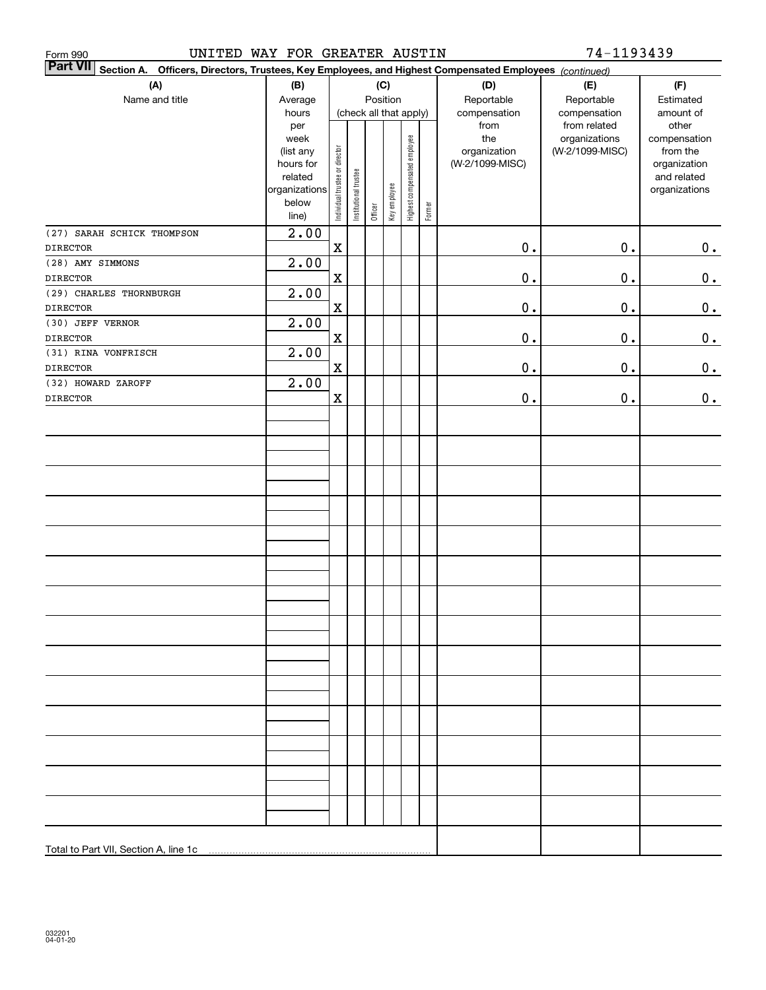| UNITED WAY FOR GREATER AUSTIN<br>Form 990                                                                                 |                                                                      |                                |                       |                        |              |                              |        |                                 | 74-1193439                                    |                                                          |
|---------------------------------------------------------------------------------------------------------------------------|----------------------------------------------------------------------|--------------------------------|-----------------------|------------------------|--------------|------------------------------|--------|---------------------------------|-----------------------------------------------|----------------------------------------------------------|
| <b>Part VII</b><br>Section A. Officers, Directors, Trustees, Key Employees, and Highest Compensated Employees (continued) |                                                                      |                                |                       |                        |              |                              |        |                                 |                                               |                                                          |
| (A)                                                                                                                       | (B)                                                                  |                                |                       | (C)                    |              |                              |        | (D)                             | (E)                                           | (F)                                                      |
| Name and title                                                                                                            | Average                                                              |                                |                       | Position               |              |                              |        | Reportable                      | Reportable                                    | Estimated                                                |
|                                                                                                                           | hours<br>per<br>week                                                 |                                |                       | (check all that apply) |              |                              |        | compensation<br>from<br>the     | compensation<br>from related<br>organizations | amount of<br>other<br>compensation                       |
|                                                                                                                           | (list any<br>hours for<br>related<br>organizations<br>below<br>line) | Individual trustee or director | Institutional trustee | Officer                | Key employee | Highest compensated employee | Former | organization<br>(W-2/1099-MISC) | (W-2/1099-MISC)                               | from the<br>organization<br>and related<br>organizations |
| (27) SARAH SCHICK THOMPSON<br><b>DIRECTOR</b>                                                                             | 2.00                                                                 | $\mathbf X$                    |                       |                        |              |                              |        | $0$ .                           | $\mathbf 0$ .                                 | 0.                                                       |
| (28) AMY SIMMONS                                                                                                          | 2.00                                                                 |                                |                       |                        |              |                              |        |                                 |                                               |                                                          |
| <b>DIRECTOR</b>                                                                                                           |                                                                      | $\mathbf X$                    |                       |                        |              |                              |        | $0$ .                           | 0.                                            | $\mathbf 0$ .                                            |
| (29) CHARLES THORNBURGH                                                                                                   | 2.00                                                                 |                                |                       |                        |              |                              |        |                                 |                                               |                                                          |
| <b>DIRECTOR</b>                                                                                                           |                                                                      | $\mathbf X$                    |                       |                        |              |                              |        | $0$ .                           | 0.                                            | 0.                                                       |
| (30) JEFF VERNOR                                                                                                          | 2.00                                                                 |                                |                       |                        |              |                              |        |                                 |                                               |                                                          |
| <b>DIRECTOR</b>                                                                                                           |                                                                      | $\mathbf X$                    |                       |                        |              |                              |        | $\mathbf 0$ .                   | 0.                                            | $\mathbf 0$ .                                            |
| (31) RINA VONFRISCH<br><b>DIRECTOR</b>                                                                                    | 2.00                                                                 | $\mathbf X$                    |                       |                        |              |                              |        | $\mathbf 0$ .                   | 0.                                            | $0_{.}$                                                  |
| (32) HOWARD ZAROFF                                                                                                        | 2.00                                                                 |                                |                       |                        |              |                              |        |                                 |                                               |                                                          |
| <b>DIRECTOR</b>                                                                                                           |                                                                      | $\mathbf X$                    |                       |                        |              |                              |        | $\mathbf 0$ .                   | $\mathbf 0$ .                                 | 0.                                                       |
|                                                                                                                           |                                                                      |                                |                       |                        |              |                              |        |                                 |                                               |                                                          |
|                                                                                                                           |                                                                      |                                |                       |                        |              |                              |        |                                 |                                               |                                                          |
|                                                                                                                           |                                                                      |                                |                       |                        |              |                              |        |                                 |                                               |                                                          |
|                                                                                                                           |                                                                      |                                |                       |                        |              |                              |        |                                 |                                               |                                                          |
|                                                                                                                           |                                                                      |                                |                       |                        |              |                              |        |                                 |                                               |                                                          |
|                                                                                                                           |                                                                      |                                |                       |                        |              |                              |        |                                 |                                               |                                                          |
|                                                                                                                           |                                                                      |                                |                       |                        |              |                              |        |                                 |                                               |                                                          |
|                                                                                                                           |                                                                      |                                |                       |                        |              |                              |        |                                 |                                               |                                                          |
|                                                                                                                           |                                                                      |                                |                       |                        |              |                              |        |                                 |                                               |                                                          |
|                                                                                                                           |                                                                      |                                |                       |                        |              |                              |        |                                 |                                               |                                                          |
|                                                                                                                           |                                                                      |                                |                       |                        |              |                              |        |                                 |                                               |                                                          |
|                                                                                                                           |                                                                      |                                |                       |                        |              |                              |        |                                 |                                               |                                                          |
|                                                                                                                           |                                                                      |                                |                       |                        |              |                              |        |                                 |                                               |                                                          |
|                                                                                                                           |                                                                      |                                |                       |                        |              |                              |        |                                 |                                               |                                                          |
|                                                                                                                           |                                                                      |                                |                       |                        |              |                              |        |                                 |                                               |                                                          |
|                                                                                                                           |                                                                      |                                |                       |                        |              |                              |        |                                 |                                               |                                                          |
|                                                                                                                           |                                                                      |                                |                       |                        |              |                              |        |                                 |                                               |                                                          |
|                                                                                                                           |                                                                      |                                |                       |                        |              |                              |        |                                 |                                               |                                                          |
|                                                                                                                           |                                                                      |                                |                       |                        |              |                              |        |                                 |                                               |                                                          |
|                                                                                                                           |                                                                      |                                |                       |                        |              |                              |        |                                 |                                               |                                                          |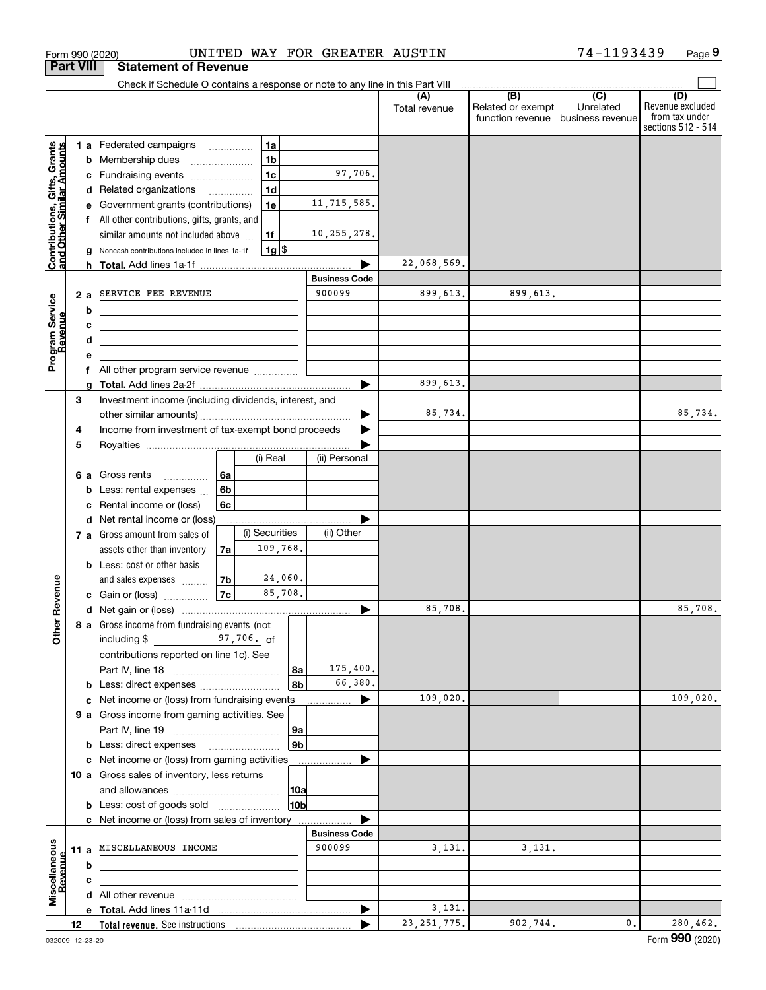|                                                           | <b>Part VIII</b> | <b>Statement of Revenue</b>                                                                                                                                                                                                                                            |                                                                                 |                                           |                      |                                                           |                                                 |                                                                 |
|-----------------------------------------------------------|------------------|------------------------------------------------------------------------------------------------------------------------------------------------------------------------------------------------------------------------------------------------------------------------|---------------------------------------------------------------------------------|-------------------------------------------|----------------------|-----------------------------------------------------------|-------------------------------------------------|-----------------------------------------------------------------|
|                                                           |                  | Check if Schedule O contains a response or note to any line in this Part VIII                                                                                                                                                                                          |                                                                                 |                                           |                      |                                                           |                                                 |                                                                 |
|                                                           |                  |                                                                                                                                                                                                                                                                        |                                                                                 |                                           | (A)<br>Total revenue | $\overline{(B)}$<br>Related or exempt<br>function revenue | $\overline{C}$<br>Unrelated<br>business revenue | (D)<br>Revenue excluded<br>from tax under<br>sections 512 - 514 |
| Contributions, Gifts, Grants<br>and Other Similar Amounts | b<br>с<br>d<br>g | 1 a Federated campaigns<br>Membership dues<br>Fundraising events<br>Related organizations<br>Government grants (contributions)<br>f All other contributions, gifts, grants, and<br>similar amounts not included above<br>Noncash contributions included in lines 1a-1f | 1a<br>1 <sub>b</sub><br>1 <sub>c</sub><br>1 <sub>d</sub><br>1e<br>1f<br>$1g$ \$ | 97,706.<br>11, 715, 585.<br>10, 255, 278. |                      |                                                           |                                                 |                                                                 |
|                                                           |                  |                                                                                                                                                                                                                                                                        |                                                                                 |                                           | 22,068,569.          |                                                           |                                                 |                                                                 |
|                                                           | 2a<br>b<br>c     | SERVICE FEE REVENUE                                                                                                                                                                                                                                                    |                                                                                 | <b>Business Code</b><br>900099            | 899,613.             | 899,613.                                                  |                                                 |                                                                 |
| Program Service<br>Revenue<br>evenue                      | d<br>е           | <u> 1999 - Johann John Stone, market fan it ferskearre fan it ferskearre fan it ferskearre fan it ferskearre fan i</u><br><u> 1989 - Johann Barbara, martxa eta idazlea (h. 1989).</u>                                                                                 |                                                                                 |                                           |                      |                                                           |                                                 |                                                                 |
|                                                           |                  | f All other program service revenue                                                                                                                                                                                                                                    |                                                                                 |                                           |                      |                                                           |                                                 |                                                                 |
|                                                           | 3                | Investment income (including dividends, interest, and                                                                                                                                                                                                                  |                                                                                 |                                           | 899,613.<br>85,734.  |                                                           |                                                 | 85,734.                                                         |
|                                                           | 4<br>5           | Income from investment of tax-exempt bond proceeds                                                                                                                                                                                                                     | (i) Real                                                                        | (ii) Personal                             |                      |                                                           |                                                 |                                                                 |
|                                                           | 6а<br>b<br>c     | Gross rents<br>6a<br>6b<br>Less: rental expenses<br>Rental income or (loss)<br>6c                                                                                                                                                                                      |                                                                                 |                                           |                      |                                                           |                                                 |                                                                 |
|                                                           | d                | Net rental income or (loss)<br>7 a Gross amount from sales of<br>assets other than inventory<br>7a<br><b>b</b> Less: cost or other basis                                                                                                                               | (i) Securities<br>109,768.                                                      | (ii) Other                                |                      |                                                           |                                                 |                                                                 |
| Revenue                                                   |                  | 7b<br>and sales expenses<br>7c<br>Gain or (loss) <i></i>                                                                                                                                                                                                               | 24,060.<br>85,708.                                                              |                                           | 85,708.              |                                                           |                                                 | 85,708.                                                         |
| Other                                                     |                  | 8 a Gross income from fundraising events (not<br>$\frac{97}{100}$ , 706. of<br>including \$<br>contributions reported on line 1c). See                                                                                                                                 | ∣8a<br>8b                                                                       | 175,400.<br>66,380.                       |                      |                                                           |                                                 |                                                                 |
|                                                           | c                | Net income or (loss) from fundraising events                                                                                                                                                                                                                           |                                                                                 |                                           | 109,020.             |                                                           |                                                 | 109,020.                                                        |
|                                                           |                  | 9 a Gross income from gaming activities. See                                                                                                                                                                                                                           | 9а<br>9 <sub>b</sub>                                                            |                                           |                      |                                                           |                                                 |                                                                 |
|                                                           |                  | <b>b</b> Less: direct expenses <b>manually</b><br>c Net income or (loss) from gaming activities                                                                                                                                                                        |                                                                                 |                                           |                      |                                                           |                                                 |                                                                 |
|                                                           |                  | 10 a Gross sales of inventory, less returns                                                                                                                                                                                                                            | 10a                                                                             |                                           |                      |                                                           |                                                 |                                                                 |
|                                                           |                  | <b>b</b> Less: cost of goods sold                                                                                                                                                                                                                                      | 10bl                                                                            |                                           |                      |                                                           |                                                 |                                                                 |
|                                                           |                  | c Net income or (loss) from sales of inventory                                                                                                                                                                                                                         |                                                                                 | <b>Business Code</b>                      |                      |                                                           |                                                 |                                                                 |
| Miscellaneous                                             | 11 a<br>b        | MISCELLANEOUS INCOME                                                                                                                                                                                                                                                   |                                                                                 | 900099                                    | 3,131.               | 3,131.                                                    |                                                 |                                                                 |
| levenue                                                   | c                |                                                                                                                                                                                                                                                                        |                                                                                 |                                           |                      |                                                           |                                                 |                                                                 |
|                                                           |                  |                                                                                                                                                                                                                                                                        |                                                                                 |                                           |                      |                                                           |                                                 |                                                                 |
|                                                           |                  |                                                                                                                                                                                                                                                                        |                                                                                 | ▶                                         | 3,131.               |                                                           |                                                 |                                                                 |
|                                                           | 12               |                                                                                                                                                                                                                                                                        |                                                                                 |                                           | 23, 251, 775.        | 902,744.                                                  | 0.                                              | 280,462.                                                        |

Form 990 (2020) UNITED WAY FOR GREATER AUSTIN 74-1193439 Page

**9** 74-1193439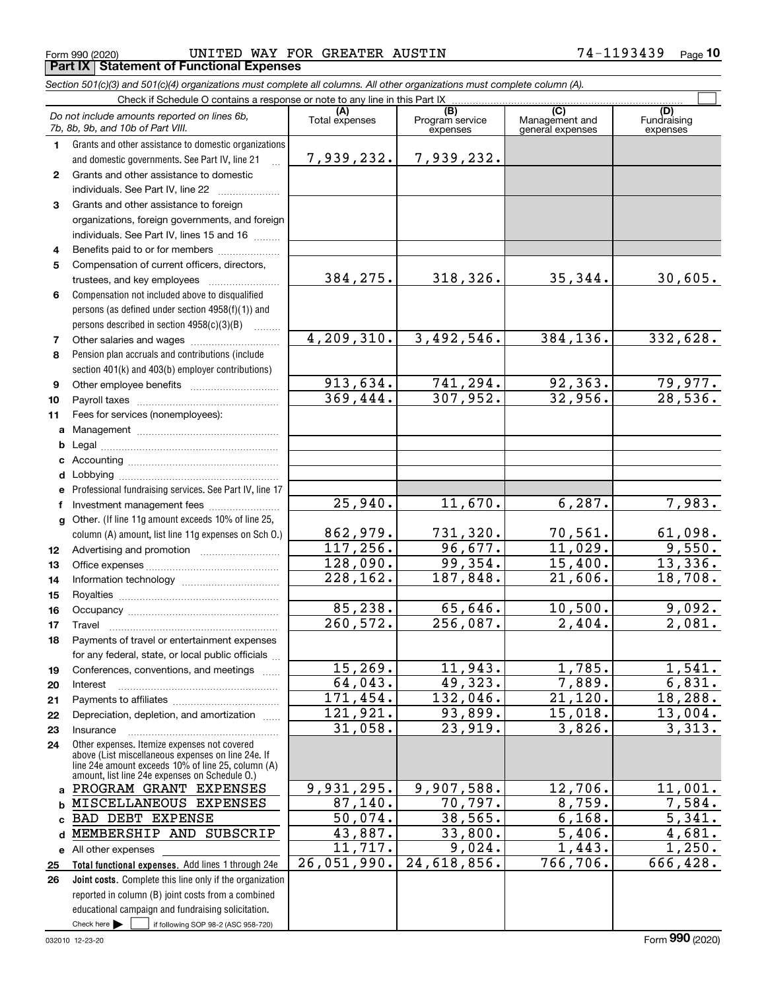Form 990 (2020) Page **Part IX Statement of Functional Expenses** UNITED WAY FOR GREATER AUSTIN 74-1193439

*Section 501(c)(3) and 501(c)(4) organizations must complete all columns. All other organizations must complete column (A).*

| Do not include amounts reported on lines 6b,<br>Program service<br>Management and<br>Fundraising<br>Total expenses<br>7b, 8b, 9b, and 10b of Part VIII.<br>expenses<br>general expenses<br>expenses<br>Grants and other assistance to domestic organizations<br>1.<br>7,939,232.<br>7,939,232.<br>and domestic governments. See Part IV, line 21<br>Grants and other assistance to domestic<br>$\mathbf{2}$<br>individuals. See Part IV, line 22<br>Grants and other assistance to foreign<br>3<br>organizations, foreign governments, and foreign<br>individuals. See Part IV, lines 15 and 16<br>Benefits paid to or for members<br>4<br>Compensation of current officers, directors,<br>5<br>318,326.<br>384,275.<br>35,344.<br>30,605.<br>Compensation not included above to disqualified<br>6<br>persons (as defined under section 4958(f)(1)) and<br>persons described in section 4958(c)(3)(B)<br>4,209,310.<br>3,492,546.<br>384,136.<br>332,628.<br>7<br>Pension plan accruals and contributions (include<br>8<br>section 401(k) and 403(b) employer contributions)<br>913,634.<br>741,294.<br>92, 363.<br>$\frac{79,977.}{28,536.}$<br>9<br>369,444.<br>307,952.<br>32,956.<br>10<br>11<br>Fees for services (nonemployees):<br>a<br>b<br>c<br>d<br>Professional fundraising services. See Part IV, line 17<br>e |   |                            |         |         |                |          |  |  |  |  |  |
|----------------------------------------------------------------------------------------------------------------------------------------------------------------------------------------------------------------------------------------------------------------------------------------------------------------------------------------------------------------------------------------------------------------------------------------------------------------------------------------------------------------------------------------------------------------------------------------------------------------------------------------------------------------------------------------------------------------------------------------------------------------------------------------------------------------------------------------------------------------------------------------------------------------------------------------------------------------------------------------------------------------------------------------------------------------------------------------------------------------------------------------------------------------------------------------------------------------------------------------------------------------------------------------------------------------------------|---|----------------------------|---------|---------|----------------|----------|--|--|--|--|--|
|                                                                                                                                                                                                                                                                                                                                                                                                                                                                                                                                                                                                                                                                                                                                                                                                                                                                                                                                                                                                                                                                                                                                                                                                                                                                                                                            |   |                            | (A)     | (B)     | $\overline{C}$ | (D)      |  |  |  |  |  |
|                                                                                                                                                                                                                                                                                                                                                                                                                                                                                                                                                                                                                                                                                                                                                                                                                                                                                                                                                                                                                                                                                                                                                                                                                                                                                                                            |   |                            |         |         |                |          |  |  |  |  |  |
|                                                                                                                                                                                                                                                                                                                                                                                                                                                                                                                                                                                                                                                                                                                                                                                                                                                                                                                                                                                                                                                                                                                                                                                                                                                                                                                            |   |                            |         |         |                |          |  |  |  |  |  |
|                                                                                                                                                                                                                                                                                                                                                                                                                                                                                                                                                                                                                                                                                                                                                                                                                                                                                                                                                                                                                                                                                                                                                                                                                                                                                                                            |   |                            |         |         |                |          |  |  |  |  |  |
|                                                                                                                                                                                                                                                                                                                                                                                                                                                                                                                                                                                                                                                                                                                                                                                                                                                                                                                                                                                                                                                                                                                                                                                                                                                                                                                            |   |                            |         |         |                |          |  |  |  |  |  |
|                                                                                                                                                                                                                                                                                                                                                                                                                                                                                                                                                                                                                                                                                                                                                                                                                                                                                                                                                                                                                                                                                                                                                                                                                                                                                                                            |   |                            |         |         |                |          |  |  |  |  |  |
|                                                                                                                                                                                                                                                                                                                                                                                                                                                                                                                                                                                                                                                                                                                                                                                                                                                                                                                                                                                                                                                                                                                                                                                                                                                                                                                            |   |                            |         |         |                |          |  |  |  |  |  |
|                                                                                                                                                                                                                                                                                                                                                                                                                                                                                                                                                                                                                                                                                                                                                                                                                                                                                                                                                                                                                                                                                                                                                                                                                                                                                                                            |   |                            |         |         |                |          |  |  |  |  |  |
|                                                                                                                                                                                                                                                                                                                                                                                                                                                                                                                                                                                                                                                                                                                                                                                                                                                                                                                                                                                                                                                                                                                                                                                                                                                                                                                            |   |                            |         |         |                |          |  |  |  |  |  |
|                                                                                                                                                                                                                                                                                                                                                                                                                                                                                                                                                                                                                                                                                                                                                                                                                                                                                                                                                                                                                                                                                                                                                                                                                                                                                                                            |   |                            |         |         |                |          |  |  |  |  |  |
|                                                                                                                                                                                                                                                                                                                                                                                                                                                                                                                                                                                                                                                                                                                                                                                                                                                                                                                                                                                                                                                                                                                                                                                                                                                                                                                            |   |                            |         |         |                |          |  |  |  |  |  |
|                                                                                                                                                                                                                                                                                                                                                                                                                                                                                                                                                                                                                                                                                                                                                                                                                                                                                                                                                                                                                                                                                                                                                                                                                                                                                                                            |   |                            |         |         |                |          |  |  |  |  |  |
|                                                                                                                                                                                                                                                                                                                                                                                                                                                                                                                                                                                                                                                                                                                                                                                                                                                                                                                                                                                                                                                                                                                                                                                                                                                                                                                            |   |                            |         |         |                |          |  |  |  |  |  |
|                                                                                                                                                                                                                                                                                                                                                                                                                                                                                                                                                                                                                                                                                                                                                                                                                                                                                                                                                                                                                                                                                                                                                                                                                                                                                                                            |   |                            |         |         |                |          |  |  |  |  |  |
|                                                                                                                                                                                                                                                                                                                                                                                                                                                                                                                                                                                                                                                                                                                                                                                                                                                                                                                                                                                                                                                                                                                                                                                                                                                                                                                            |   |                            |         |         |                |          |  |  |  |  |  |
|                                                                                                                                                                                                                                                                                                                                                                                                                                                                                                                                                                                                                                                                                                                                                                                                                                                                                                                                                                                                                                                                                                                                                                                                                                                                                                                            |   |                            |         |         |                |          |  |  |  |  |  |
|                                                                                                                                                                                                                                                                                                                                                                                                                                                                                                                                                                                                                                                                                                                                                                                                                                                                                                                                                                                                                                                                                                                                                                                                                                                                                                                            |   |                            |         |         |                |          |  |  |  |  |  |
|                                                                                                                                                                                                                                                                                                                                                                                                                                                                                                                                                                                                                                                                                                                                                                                                                                                                                                                                                                                                                                                                                                                                                                                                                                                                                                                            |   |                            |         |         |                |          |  |  |  |  |  |
|                                                                                                                                                                                                                                                                                                                                                                                                                                                                                                                                                                                                                                                                                                                                                                                                                                                                                                                                                                                                                                                                                                                                                                                                                                                                                                                            |   |                            |         |         |                |          |  |  |  |  |  |
|                                                                                                                                                                                                                                                                                                                                                                                                                                                                                                                                                                                                                                                                                                                                                                                                                                                                                                                                                                                                                                                                                                                                                                                                                                                                                                                            |   |                            |         |         |                |          |  |  |  |  |  |
|                                                                                                                                                                                                                                                                                                                                                                                                                                                                                                                                                                                                                                                                                                                                                                                                                                                                                                                                                                                                                                                                                                                                                                                                                                                                                                                            |   |                            |         |         |                |          |  |  |  |  |  |
|                                                                                                                                                                                                                                                                                                                                                                                                                                                                                                                                                                                                                                                                                                                                                                                                                                                                                                                                                                                                                                                                                                                                                                                                                                                                                                                            |   |                            |         |         |                |          |  |  |  |  |  |
|                                                                                                                                                                                                                                                                                                                                                                                                                                                                                                                                                                                                                                                                                                                                                                                                                                                                                                                                                                                                                                                                                                                                                                                                                                                                                                                            |   |                            |         |         |                |          |  |  |  |  |  |
|                                                                                                                                                                                                                                                                                                                                                                                                                                                                                                                                                                                                                                                                                                                                                                                                                                                                                                                                                                                                                                                                                                                                                                                                                                                                                                                            |   |                            |         |         |                |          |  |  |  |  |  |
|                                                                                                                                                                                                                                                                                                                                                                                                                                                                                                                                                                                                                                                                                                                                                                                                                                                                                                                                                                                                                                                                                                                                                                                                                                                                                                                            |   |                            |         |         |                |          |  |  |  |  |  |
|                                                                                                                                                                                                                                                                                                                                                                                                                                                                                                                                                                                                                                                                                                                                                                                                                                                                                                                                                                                                                                                                                                                                                                                                                                                                                                                            | f | Investment management fees | 25,940. | 11,670. | 6, 287.        | 7,983.   |  |  |  |  |  |
| Other. (If line 11g amount exceeds 10% of line 25,<br>g                                                                                                                                                                                                                                                                                                                                                                                                                                                                                                                                                                                                                                                                                                                                                                                                                                                                                                                                                                                                                                                                                                                                                                                                                                                                    |   |                            |         |         |                |          |  |  |  |  |  |
| 862,979.<br>731,320.<br>70,561.<br>column (A) amount, list line 11g expenses on Sch 0.)                                                                                                                                                                                                                                                                                                                                                                                                                                                                                                                                                                                                                                                                                                                                                                                                                                                                                                                                                                                                                                                                                                                                                                                                                                    |   |                            |         |         |                | 61,098.  |  |  |  |  |  |
| 117, 256.<br>11,029.<br>96,677.<br>12                                                                                                                                                                                                                                                                                                                                                                                                                                                                                                                                                                                                                                                                                                                                                                                                                                                                                                                                                                                                                                                                                                                                                                                                                                                                                      |   |                            |         |         |                | 9,550.   |  |  |  |  |  |
| 128,090.<br>99, 354.<br>15,400.<br>13                                                                                                                                                                                                                                                                                                                                                                                                                                                                                                                                                                                                                                                                                                                                                                                                                                                                                                                                                                                                                                                                                                                                                                                                                                                                                      |   |                            |         |         |                | 13,336.  |  |  |  |  |  |
| 228, 162.<br>187,848.<br>21,606.<br>14                                                                                                                                                                                                                                                                                                                                                                                                                                                                                                                                                                                                                                                                                                                                                                                                                                                                                                                                                                                                                                                                                                                                                                                                                                                                                     |   |                            |         |         |                | 18,708.  |  |  |  |  |  |
| 15                                                                                                                                                                                                                                                                                                                                                                                                                                                                                                                                                                                                                                                                                                                                                                                                                                                                                                                                                                                                                                                                                                                                                                                                                                                                                                                         |   |                            |         |         |                |          |  |  |  |  |  |
| 85,238.<br>65,646.<br>10,500.<br>16<br>2,404.                                                                                                                                                                                                                                                                                                                                                                                                                                                                                                                                                                                                                                                                                                                                                                                                                                                                                                                                                                                                                                                                                                                                                                                                                                                                              |   |                            |         |         |                | 9,092.   |  |  |  |  |  |
| 260,572.<br>256,087.<br>17<br>Travel                                                                                                                                                                                                                                                                                                                                                                                                                                                                                                                                                                                                                                                                                                                                                                                                                                                                                                                                                                                                                                                                                                                                                                                                                                                                                       |   |                            |         |         |                | 2,081.   |  |  |  |  |  |
| Payments of travel or entertainment expenses<br>18                                                                                                                                                                                                                                                                                                                                                                                                                                                                                                                                                                                                                                                                                                                                                                                                                                                                                                                                                                                                                                                                                                                                                                                                                                                                         |   |                            |         |         |                |          |  |  |  |  |  |
| for any federal, state, or local public officials<br>15, 269.<br>11,943.<br>1,785.                                                                                                                                                                                                                                                                                                                                                                                                                                                                                                                                                                                                                                                                                                                                                                                                                                                                                                                                                                                                                                                                                                                                                                                                                                         |   |                            |         |         |                | 1,541.   |  |  |  |  |  |
| Conferences, conventions, and meetings<br>19<br>49,323.<br>7,889.<br>64,043.                                                                                                                                                                                                                                                                                                                                                                                                                                                                                                                                                                                                                                                                                                                                                                                                                                                                                                                                                                                                                                                                                                                                                                                                                                               |   |                            |         |         |                | 6,831.   |  |  |  |  |  |
| 20<br>Interest<br>171,454.<br>132,046.<br>21,120.                                                                                                                                                                                                                                                                                                                                                                                                                                                                                                                                                                                                                                                                                                                                                                                                                                                                                                                                                                                                                                                                                                                                                                                                                                                                          |   |                            |         |         |                | 18,288.  |  |  |  |  |  |
| 21<br>121,921.<br>93,899.<br>15,018.<br>Depreciation, depletion, and amortization                                                                                                                                                                                                                                                                                                                                                                                                                                                                                                                                                                                                                                                                                                                                                                                                                                                                                                                                                                                                                                                                                                                                                                                                                                          |   |                            |         |         |                | 13,004.  |  |  |  |  |  |
| 22<br>23,919.<br>31,058.<br>3,826.<br>Insurance                                                                                                                                                                                                                                                                                                                                                                                                                                                                                                                                                                                                                                                                                                                                                                                                                                                                                                                                                                                                                                                                                                                                                                                                                                                                            |   |                            |         |         |                | 3,313.   |  |  |  |  |  |
| 23<br>Other expenses. Itemize expenses not covered                                                                                                                                                                                                                                                                                                                                                                                                                                                                                                                                                                                                                                                                                                                                                                                                                                                                                                                                                                                                                                                                                                                                                                                                                                                                         |   |                            |         |         |                |          |  |  |  |  |  |
| 24<br>above (List miscellaneous expenses on line 24e. If                                                                                                                                                                                                                                                                                                                                                                                                                                                                                                                                                                                                                                                                                                                                                                                                                                                                                                                                                                                                                                                                                                                                                                                                                                                                   |   |                            |         |         |                |          |  |  |  |  |  |
| line 24e amount exceeds 10% of line 25, column (A)                                                                                                                                                                                                                                                                                                                                                                                                                                                                                                                                                                                                                                                                                                                                                                                                                                                                                                                                                                                                                                                                                                                                                                                                                                                                         |   |                            |         |         |                |          |  |  |  |  |  |
| amount, list line 24e expenses on Schedule 0.)<br>9,931,295.<br>9,907,588.<br>12,706.<br>11,001.<br>PROGRAM GRANT EXPENSES<br>a                                                                                                                                                                                                                                                                                                                                                                                                                                                                                                                                                                                                                                                                                                                                                                                                                                                                                                                                                                                                                                                                                                                                                                                            |   |                            |         |         |                |          |  |  |  |  |  |
| 87,140.<br>70,797.<br>$\overline{8,759}$ .<br>MISCELLANEOUS EXPENSES<br>b                                                                                                                                                                                                                                                                                                                                                                                                                                                                                                                                                                                                                                                                                                                                                                                                                                                                                                                                                                                                                                                                                                                                                                                                                                                  |   |                            |         |         |                | 7,584.   |  |  |  |  |  |
| 38,565.<br>6,168.<br>50,074.<br><b>BAD DEBT EXPENSE</b><br>C.                                                                                                                                                                                                                                                                                                                                                                                                                                                                                                                                                                                                                                                                                                                                                                                                                                                                                                                                                                                                                                                                                                                                                                                                                                                              |   |                            |         |         |                | 5,341.   |  |  |  |  |  |
| 43,887.<br>33,800.<br>$\overline{5}$ , 406.<br>MEMBERSHIP AND SUBSCRIP<br>d                                                                                                                                                                                                                                                                                                                                                                                                                                                                                                                                                                                                                                                                                                                                                                                                                                                                                                                                                                                                                                                                                                                                                                                                                                                |   |                            |         |         |                | 4,681.   |  |  |  |  |  |
| 11,717.<br>1,443.<br>9,024.<br>e All other expenses                                                                                                                                                                                                                                                                                                                                                                                                                                                                                                                                                                                                                                                                                                                                                                                                                                                                                                                                                                                                                                                                                                                                                                                                                                                                        |   |                            |         |         |                | 1,250.   |  |  |  |  |  |
| 24,618,856.<br>766,706.<br>26,051,990.<br>Total functional expenses. Add lines 1 through 24e<br>25                                                                                                                                                                                                                                                                                                                                                                                                                                                                                                                                                                                                                                                                                                                                                                                                                                                                                                                                                                                                                                                                                                                                                                                                                         |   |                            |         |         |                | 666,428. |  |  |  |  |  |
| Joint costs. Complete this line only if the organization<br>26                                                                                                                                                                                                                                                                                                                                                                                                                                                                                                                                                                                                                                                                                                                                                                                                                                                                                                                                                                                                                                                                                                                                                                                                                                                             |   |                            |         |         |                |          |  |  |  |  |  |
| reported in column (B) joint costs from a combined                                                                                                                                                                                                                                                                                                                                                                                                                                                                                                                                                                                                                                                                                                                                                                                                                                                                                                                                                                                                                                                                                                                                                                                                                                                                         |   |                            |         |         |                |          |  |  |  |  |  |
| educational campaign and fundraising solicitation.                                                                                                                                                                                                                                                                                                                                                                                                                                                                                                                                                                                                                                                                                                                                                                                                                                                                                                                                                                                                                                                                                                                                                                                                                                                                         |   |                            |         |         |                |          |  |  |  |  |  |
| Check here $\blacktriangleright$<br>if following SOP 98-2 (ASC 958-720)                                                                                                                                                                                                                                                                                                                                                                                                                                                                                                                                                                                                                                                                                                                                                                                                                                                                                                                                                                                                                                                                                                                                                                                                                                                    |   |                            |         |         |                |          |  |  |  |  |  |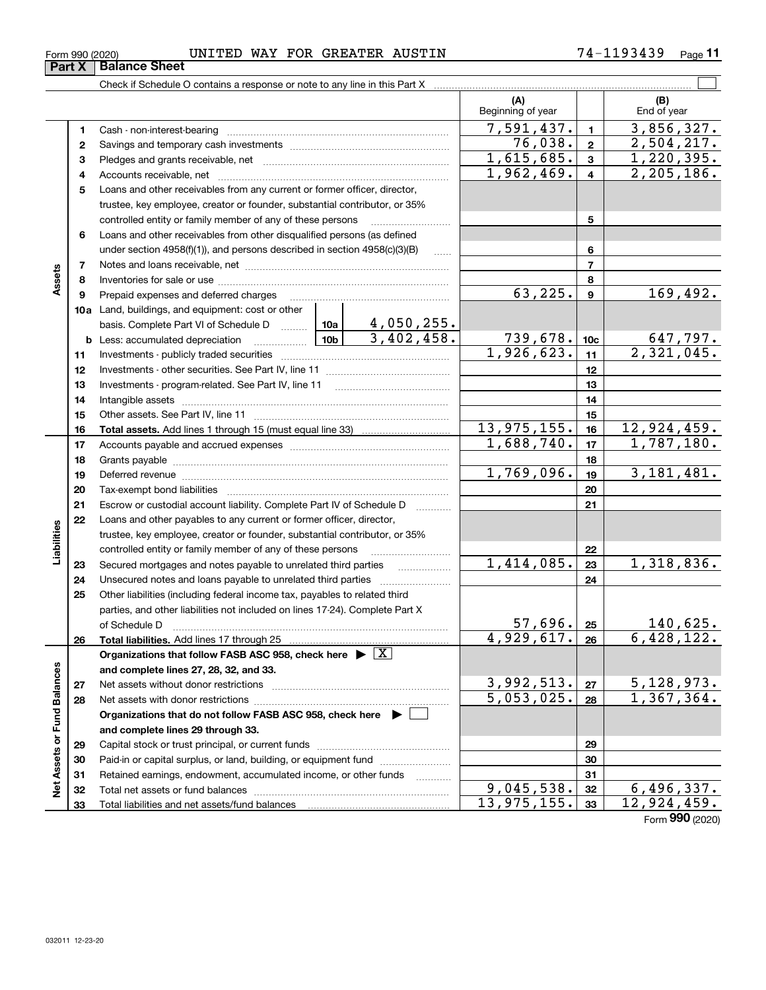**3132 33** Retained earnings, endowment, accumulated income, or other funds

Total liabilities and net assets/fund balances

Total net assets or fund balances ~~~~~~~~~~~~~~~~~~~~~~

**Net Assets or Fund Balances**

Net Assets or Fund Balances

| .93439<br>WAY<br><b>GREATER</b><br>AUSTIN<br>FOR<br>UNITED<br>$71 -$<br>Form 990 (2020) | $P$ age |
|-----------------------------------------------------------------------------------------|---------|
|-----------------------------------------------------------------------------------------|---------|

(B)<br>End of year

 $\mathcal{L}^{\text{max}}$ 

**(A) (B)**

Beginning of year | | End of year

| .u_u                                                                       |  |  |  |
|----------------------------------------------------------------------------|--|--|--|
| <b>Balance Sheet</b>                                                       |  |  |  |
| Check if Schedule O contains a response or note to any line in this Part X |  |  |  |

| 1  |                                                                                                                                          |                   | 7,591,437.                    | $\blacksquare$  | 3,856,327.                    |
|----|------------------------------------------------------------------------------------------------------------------------------------------|-------------------|-------------------------------|-----------------|-------------------------------|
| 2  |                                                                                                                                          | 76,038.           | $\overline{2}$                | 2,504,217.      |                               |
| 3  |                                                                                                                                          | 1,615,685.        | 3                             | 1,220,395.      |                               |
| 4  |                                                                                                                                          |                   | 1,962,469.                    | 4               | 2, 205, 186.                  |
| 5  | Loans and other receivables from any current or former officer, director,                                                                |                   |                               |                 |                               |
|    | trustee, key employee, creator or founder, substantial contributor, or 35%                                                               |                   |                               |                 |                               |
|    | controlled entity or family member of any of these persons                                                                               |                   |                               | 5               |                               |
| 6  | Loans and other receivables from other disqualified persons (as defined                                                                  |                   |                               |                 |                               |
|    | under section $4958(f)(1)$ , and persons described in section $4958(c)(3)(B)$                                                            |                   |                               | 6               |                               |
| 7  |                                                                                                                                          |                   |                               | $\overline{7}$  |                               |
| 8  |                                                                                                                                          |                   |                               | 8               |                               |
| 9  | Prepaid expenses and deferred charges                                                                                                    |                   | 63,225.                       | 9               | 169,492.                      |
|    | <b>10a</b> Land, buildings, and equipment: cost or other                                                                                 |                   |                               |                 |                               |
|    | basis. Complete Part VI of Schedule D  10a                                                                                               | <u>4,050,255.</u> |                               |                 |                               |
|    | <u> 10b</u><br><b>b</b> Less: accumulated depreciation                                                                                   | 3,402,458.        | $\frac{739,678.}{1,926,623.}$ | 10 <sub>c</sub> | $\frac{647,797.}{2,321,045.}$ |
| 11 |                                                                                                                                          |                   |                               | 11              |                               |
| 12 |                                                                                                                                          |                   |                               | 12              |                               |
| 13 | Investments - program-related. See Part IV, line 11                                                                                      |                   |                               | 13              |                               |
| 14 |                                                                                                                                          |                   |                               | 14              |                               |
| 15 |                                                                                                                                          |                   |                               | 15              |                               |
| 16 |                                                                                                                                          |                   | 13, 975, 155.                 | 16              | $\overline{12,924,459}$ .     |
| 17 |                                                                                                                                          |                   | 1,688,740.                    | 17              | 1,787,180.                    |
| 18 |                                                                                                                                          |                   |                               | 18              |                               |
| 19 |                                                                                                                                          |                   | 1,769,096.                    | 19              | 3,181,481.                    |
| 20 |                                                                                                                                          |                   |                               | 20              |                               |
| 21 | Escrow or custodial account liability. Complete Part IV of Schedule D                                                                    | 1.1.1.1.1.1.1.1.1 |                               | 21              |                               |
| 22 | Loans and other payables to any current or former officer, director,                                                                     |                   |                               |                 |                               |
|    | trustee, key employee, creator or founder, substantial contributor, or 35%                                                               |                   |                               |                 |                               |
|    | controlled entity or family member of any of these persons                                                                               |                   |                               | 22              |                               |
| 23 |                                                                                                                                          |                   | 1,414,085.                    | 23              | 1,318,836.                    |
| 24 |                                                                                                                                          |                   |                               | 24              |                               |
| 25 | Other liabilities (including federal income tax, payables to related third                                                               |                   |                               |                 |                               |
|    | parties, and other liabilities not included on lines 17-24). Complete Part X                                                             |                   | 57,696.                       |                 |                               |
|    | of Schedule D                                                                                                                            |                   | 4,929,617.                    | 25              | <u>140,625.</u><br>6,428,122. |
| 26 | Total liabilities. Add lines 17 through 25<br>Organizations that follow FASB ASC 958, check here $\blacktriangleright \lfloor X \rfloor$ |                   |                               | 26              |                               |
|    | and complete lines 27, 28, 32, and 33.                                                                                                   |                   |                               |                 |                               |
| 27 |                                                                                                                                          |                   | 3,992,513.                    | 27              | 5,128,973.                    |
| 28 |                                                                                                                                          |                   | 5,053,025.                    | 28              | 1,367,364.                    |
|    | Organizations that do not follow FASB ASC 958, check here ▶ [                                                                            |                   |                               |                 |                               |
|    | and complete lines 29 through 33.                                                                                                        |                   |                               |                 |                               |
| 29 |                                                                                                                                          |                   |                               | 29              |                               |
| 30 | Paid-in or capital surplus, or land, building, or equipment fund                                                                         |                   |                               | 30              |                               |
|    |                                                                                                                                          |                   |                               |                 |                               |

Form (2020) **990**

**313233**

 $9,045,538.$   $32$  6,496,337. 13,975,155. 33 12,924,459.

**Assets**

**Liabilities**

Liabilities

**Part X Balance Sheet**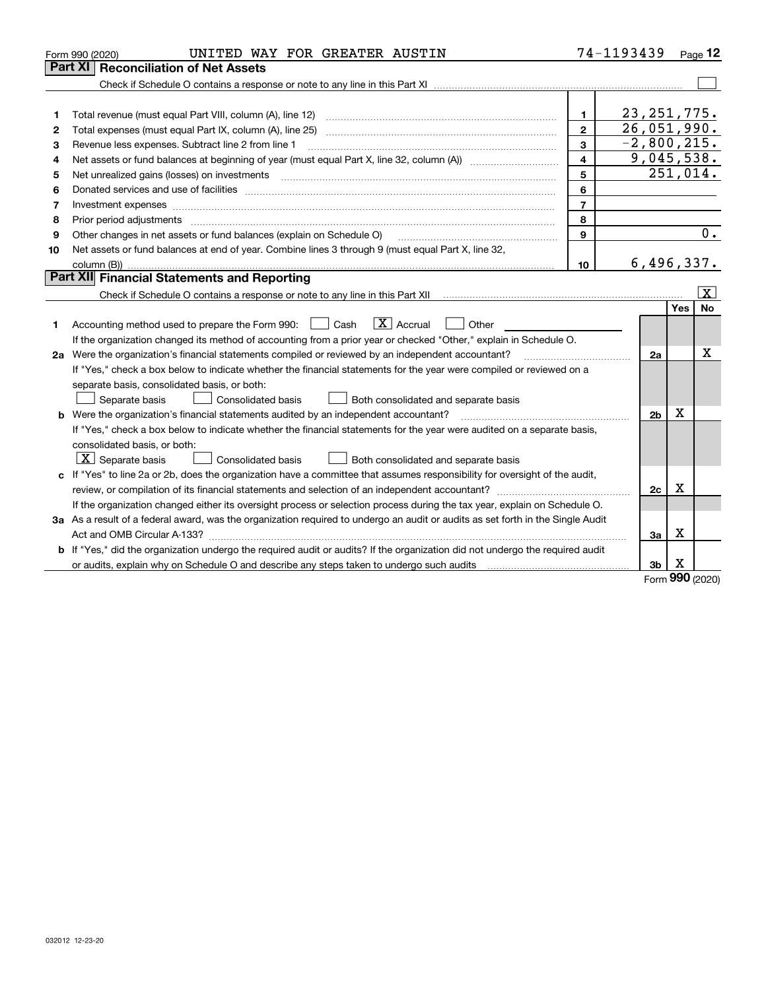|    | UNITED WAY FOR GREATER AUSTIN<br>Form 990 (2020)                                                                                |                | 74-1193439     |            | Page $12$               |
|----|---------------------------------------------------------------------------------------------------------------------------------|----------------|----------------|------------|-------------------------|
|    | Part XI<br><b>Reconciliation of Net Assets</b>                                                                                  |                |                |            |                         |
|    |                                                                                                                                 |                |                |            |                         |
|    |                                                                                                                                 |                |                |            |                         |
| 1  | Total revenue (must equal Part VIII, column (A), line 12)                                                                       | 1              | 23, 251, 775.  |            |                         |
| 2  |                                                                                                                                 | $\overline{2}$ | 26,051,990.    |            |                         |
| 3  | Revenue less expenses. Subtract line 2 from line 1                                                                              | 3              | $-2,800,215.$  |            |                         |
| 4  |                                                                                                                                 | 4              | 9,045,538.     |            |                         |
| 5  |                                                                                                                                 | 5              |                |            | 251,014.                |
| 6  |                                                                                                                                 | 6              |                |            |                         |
| 7  |                                                                                                                                 | $\overline{7}$ |                |            |                         |
| 8  | Prior period adjustments                                                                                                        | 8              |                |            |                         |
| 9  | Other changes in net assets or fund balances (explain on Schedule O)                                                            | 9              |                |            | 0.                      |
| 10 | Net assets or fund balances at end of year. Combine lines 3 through 9 (must equal Part X, line 32,                              |                |                |            |                         |
|    |                                                                                                                                 | 10             | 6,496,337.     |            |                         |
|    | Part XII Financial Statements and Reporting                                                                                     |                |                |            |                         |
|    |                                                                                                                                 |                |                |            | $\overline{\mathbf{X}}$ |
|    |                                                                                                                                 |                |                | <b>Yes</b> | <b>No</b>               |
| 1  | $ X $ Accrual<br>Accounting method used to prepare the Form 990: <u>I</u> Cash<br>Other                                         |                |                |            |                         |
|    | If the organization changed its method of accounting from a prior year or checked "Other," explain in Schedule O.               |                |                |            |                         |
|    | 2a Were the organization's financial statements compiled or reviewed by an independent accountant?                              |                | 2a             |            | x                       |
|    | If "Yes," check a box below to indicate whether the financial statements for the year were compiled or reviewed on a            |                |                |            |                         |
|    | separate basis, consolidated basis, or both:                                                                                    |                |                |            |                         |
|    | Separate basis<br>Consolidated basis<br>Both consolidated and separate basis                                                    |                |                |            |                         |
|    | <b>b</b> Were the organization's financial statements audited by an independent accountant?                                     |                | 2 <sub>b</sub> | х          |                         |
|    | If "Yes," check a box below to indicate whether the financial statements for the year were audited on a separate basis,         |                |                |            |                         |
|    | consolidated basis, or both:                                                                                                    |                |                |            |                         |
|    | $X$ Separate basis<br>Consolidated basis<br>Both consolidated and separate basis                                                |                |                |            |                         |
|    | c If "Yes" to line 2a or 2b, does the organization have a committee that assumes responsibility for oversight of the audit,     |                |                |            |                         |
|    | review, or compilation of its financial statements and selection of an independent accountant?                                  |                | 2c             | х          |                         |
|    | If the organization changed either its oversight process or selection process during the tax year, explain on Schedule O.       |                |                |            |                         |
|    | 3a As a result of a federal award, was the organization required to undergo an audit or audits as set forth in the Single Audit |                |                |            |                         |
|    |                                                                                                                                 |                | 3a             | х          |                         |
|    | b If "Yes," did the organization undergo the required audit or audits? If the organization did not undergo the required audit   |                |                |            |                         |
|    |                                                                                                                                 |                | 3b             | X          |                         |

Form (2020) **990**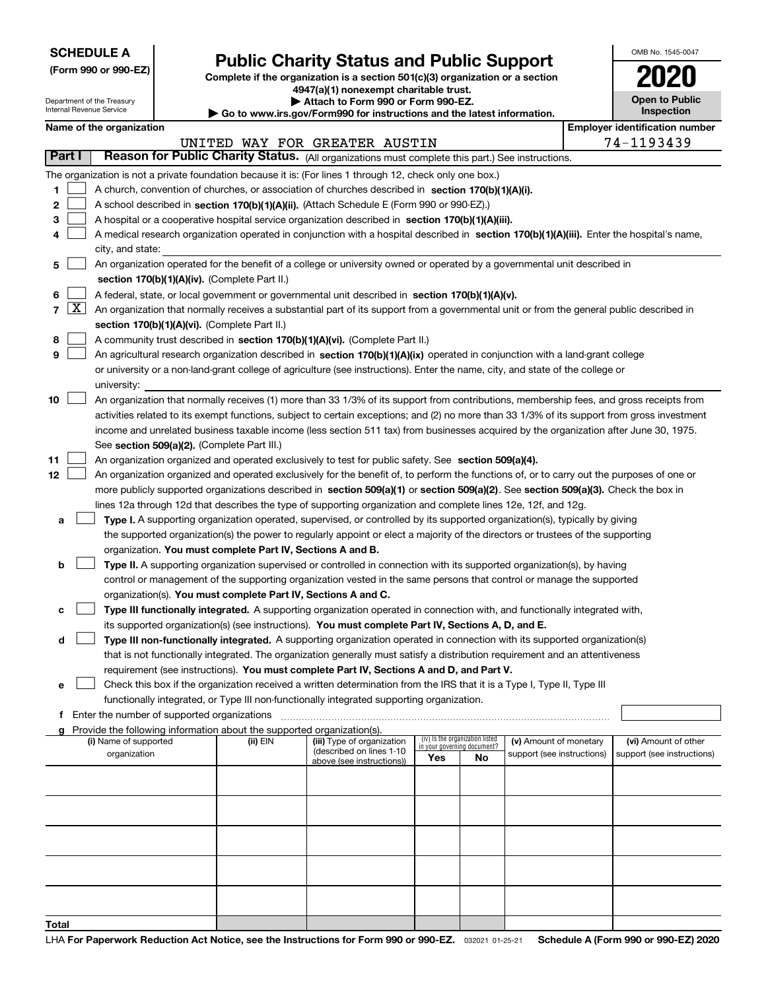| <b>SCHEDULE A</b> |  |
|-------------------|--|
|-------------------|--|

Department of the Treasury Internal Revenue Service

**(Form 990 or 990-EZ)**

# **Public Charity Status and Public Support**

**Complete if the organization is a section 501(c)(3) organization or a section 4947(a)(1) nonexempt charitable trust.**

**| Attach to Form 990 or Form 990-EZ.** 

**| Go to www.irs.gov/Form990 for instructions and the latest information.**

| OMB No. 1545-0047                   |
|-------------------------------------|
| 2020                                |
| <b>Open to Public</b><br>Inspection |

**Employer identification number** 

| Name of the organization |  |
|--------------------------|--|
|                          |  |
|                          |  |

|                  |                    |                                                                                                                                                                                                                                                                                                                                                                                                                                                                                                                                                                 |          | UNITED WAY FOR GREATER AUSTIN                          |                                                                |    |                            |  | 74-1193439                 |  |  |  |  |
|------------------|--------------------|-----------------------------------------------------------------------------------------------------------------------------------------------------------------------------------------------------------------------------------------------------------------------------------------------------------------------------------------------------------------------------------------------------------------------------------------------------------------------------------------------------------------------------------------------------------------|----------|--------------------------------------------------------|----------------------------------------------------------------|----|----------------------------|--|----------------------------|--|--|--|--|
| Part I           |                    | Reason for Public Charity Status. (All organizations must complete this part.) See instructions.                                                                                                                                                                                                                                                                                                                                                                                                                                                                |          |                                                        |                                                                |    |                            |  |                            |  |  |  |  |
| 1<br>2<br>3<br>4 |                    | The organization is not a private foundation because it is: (For lines 1 through 12, check only one box.)<br>A church, convention of churches, or association of churches described in section 170(b)(1)(A)(i).<br>A school described in section 170(b)(1)(A)(ii). (Attach Schedule E (Form 990 or 990-EZ).)<br>A hospital or a cooperative hospital service organization described in section 170(b)(1)(A)(iii).<br>A medical research organization operated in conjunction with a hospital described in section 170(b)(1)(A)(iii). Enter the hospital's name, |          |                                                        |                                                                |    |                            |  |                            |  |  |  |  |
| 5                |                    | city, and state:<br>An organization operated for the benefit of a college or university owned or operated by a governmental unit described in                                                                                                                                                                                                                                                                                                                                                                                                                   |          |                                                        |                                                                |    |                            |  |                            |  |  |  |  |
|                  |                    | section 170(b)(1)(A)(iv). (Complete Part II.)                                                                                                                                                                                                                                                                                                                                                                                                                                                                                                                   |          |                                                        |                                                                |    |                            |  |                            |  |  |  |  |
| 6                |                    | A federal, state, or local government or governmental unit described in section 170(b)(1)(A)(v).                                                                                                                                                                                                                                                                                                                                                                                                                                                                |          |                                                        |                                                                |    |                            |  |                            |  |  |  |  |
| 7                | $\boxed{\text{X}}$ | An organization that normally receives a substantial part of its support from a governmental unit or from the general public described in                                                                                                                                                                                                                                                                                                                                                                                                                       |          |                                                        |                                                                |    |                            |  |                            |  |  |  |  |
|                  |                    | section 170(b)(1)(A)(vi). (Complete Part II.)                                                                                                                                                                                                                                                                                                                                                                                                                                                                                                                   |          |                                                        |                                                                |    |                            |  |                            |  |  |  |  |
| 8                |                    | A community trust described in section 170(b)(1)(A)(vi). (Complete Part II.)                                                                                                                                                                                                                                                                                                                                                                                                                                                                                    |          |                                                        |                                                                |    |                            |  |                            |  |  |  |  |
| 9                |                    | An agricultural research organization described in section 170(b)(1)(A)(ix) operated in conjunction with a land-grant college                                                                                                                                                                                                                                                                                                                                                                                                                                   |          |                                                        |                                                                |    |                            |  |                            |  |  |  |  |
|                  |                    | or university or a non-land-grant college of agriculture (see instructions). Enter the name, city, and state of the college or                                                                                                                                                                                                                                                                                                                                                                                                                                  |          |                                                        |                                                                |    |                            |  |                            |  |  |  |  |
|                  |                    | university:                                                                                                                                                                                                                                                                                                                                                                                                                                                                                                                                                     |          |                                                        |                                                                |    |                            |  |                            |  |  |  |  |
| 10               |                    | An organization that normally receives (1) more than 33 1/3% of its support from contributions, membership fees, and gross receipts from                                                                                                                                                                                                                                                                                                                                                                                                                        |          |                                                        |                                                                |    |                            |  |                            |  |  |  |  |
|                  |                    | activities related to its exempt functions, subject to certain exceptions; and (2) no more than 33 1/3% of its support from gross investment                                                                                                                                                                                                                                                                                                                                                                                                                    |          |                                                        |                                                                |    |                            |  |                            |  |  |  |  |
|                  |                    | income and unrelated business taxable income (less section 511 tax) from businesses acquired by the organization after June 30, 1975.<br>See section 509(a)(2). (Complete Part III.)                                                                                                                                                                                                                                                                                                                                                                            |          |                                                        |                                                                |    |                            |  |                            |  |  |  |  |
| 11               |                    | An organization organized and operated exclusively to test for public safety. See section 509(a)(4).                                                                                                                                                                                                                                                                                                                                                                                                                                                            |          |                                                        |                                                                |    |                            |  |                            |  |  |  |  |
| 12               |                    | An organization organized and operated exclusively for the benefit of, to perform the functions of, or to carry out the purposes of one or                                                                                                                                                                                                                                                                                                                                                                                                                      |          |                                                        |                                                                |    |                            |  |                            |  |  |  |  |
|                  |                    | more publicly supported organizations described in section 509(a)(1) or section 509(a)(2). See section 509(a)(3). Check the box in                                                                                                                                                                                                                                                                                                                                                                                                                              |          |                                                        |                                                                |    |                            |  |                            |  |  |  |  |
|                  |                    | lines 12a through 12d that describes the type of supporting organization and complete lines 12e, 12f, and 12g.                                                                                                                                                                                                                                                                                                                                                                                                                                                  |          |                                                        |                                                                |    |                            |  |                            |  |  |  |  |
| a                |                    | Type I. A supporting organization operated, supervised, or controlled by its supported organization(s), typically by giving                                                                                                                                                                                                                                                                                                                                                                                                                                     |          |                                                        |                                                                |    |                            |  |                            |  |  |  |  |
|                  |                    | the supported organization(s) the power to regularly appoint or elect a majority of the directors or trustees of the supporting                                                                                                                                                                                                                                                                                                                                                                                                                                 |          |                                                        |                                                                |    |                            |  |                            |  |  |  |  |
|                  |                    | organization. You must complete Part IV, Sections A and B.                                                                                                                                                                                                                                                                                                                                                                                                                                                                                                      |          |                                                        |                                                                |    |                            |  |                            |  |  |  |  |
| b                |                    | Type II. A supporting organization supervised or controlled in connection with its supported organization(s), by having                                                                                                                                                                                                                                                                                                                                                                                                                                         |          |                                                        |                                                                |    |                            |  |                            |  |  |  |  |
|                  |                    | control or management of the supporting organization vested in the same persons that control or manage the supported                                                                                                                                                                                                                                                                                                                                                                                                                                            |          |                                                        |                                                                |    |                            |  |                            |  |  |  |  |
|                  |                    | organization(s). You must complete Part IV, Sections A and C.                                                                                                                                                                                                                                                                                                                                                                                                                                                                                                   |          |                                                        |                                                                |    |                            |  |                            |  |  |  |  |
|                  |                    | Type III functionally integrated. A supporting organization operated in connection with, and functionally integrated with,                                                                                                                                                                                                                                                                                                                                                                                                                                      |          |                                                        |                                                                |    |                            |  |                            |  |  |  |  |
|                  |                    | its supported organization(s) (see instructions). You must complete Part IV, Sections A, D, and E.                                                                                                                                                                                                                                                                                                                                                                                                                                                              |          |                                                        |                                                                |    |                            |  |                            |  |  |  |  |
| d                |                    | Type III non-functionally integrated. A supporting organization operated in connection with its supported organization(s)<br>that is not functionally integrated. The organization generally must satisfy a distribution requirement and an attentiveness                                                                                                                                                                                                                                                                                                       |          |                                                        |                                                                |    |                            |  |                            |  |  |  |  |
|                  |                    | requirement (see instructions). You must complete Part IV, Sections A and D, and Part V.                                                                                                                                                                                                                                                                                                                                                                                                                                                                        |          |                                                        |                                                                |    |                            |  |                            |  |  |  |  |
| е                |                    | Check this box if the organization received a written determination from the IRS that it is a Type I, Type II, Type III                                                                                                                                                                                                                                                                                                                                                                                                                                         |          |                                                        |                                                                |    |                            |  |                            |  |  |  |  |
|                  |                    | functionally integrated, or Type III non-functionally integrated supporting organization.                                                                                                                                                                                                                                                                                                                                                                                                                                                                       |          |                                                        |                                                                |    |                            |  |                            |  |  |  |  |
|                  |                    | f Enter the number of supported organizations                                                                                                                                                                                                                                                                                                                                                                                                                                                                                                                   |          |                                                        |                                                                |    |                            |  |                            |  |  |  |  |
|                  |                    | Provide the following information about the supported organization(s).                                                                                                                                                                                                                                                                                                                                                                                                                                                                                          |          |                                                        |                                                                |    |                            |  |                            |  |  |  |  |
|                  |                    | (i) Name of supported                                                                                                                                                                                                                                                                                                                                                                                                                                                                                                                                           | (ii) EIN | (iii) Type of organization<br>(described on lines 1-10 | (iv) Is the organization listed<br>in your governing document? |    | (v) Amount of monetary     |  | (vi) Amount of other       |  |  |  |  |
|                  |                    | organization                                                                                                                                                                                                                                                                                                                                                                                                                                                                                                                                                    |          | above (see instructions))                              | Yes                                                            | No | support (see instructions) |  | support (see instructions) |  |  |  |  |
|                  |                    |                                                                                                                                                                                                                                                                                                                                                                                                                                                                                                                                                                 |          |                                                        |                                                                |    |                            |  |                            |  |  |  |  |
|                  |                    |                                                                                                                                                                                                                                                                                                                                                                                                                                                                                                                                                                 |          |                                                        |                                                                |    |                            |  |                            |  |  |  |  |
|                  |                    |                                                                                                                                                                                                                                                                                                                                                                                                                                                                                                                                                                 |          |                                                        |                                                                |    |                            |  |                            |  |  |  |  |
|                  |                    |                                                                                                                                                                                                                                                                                                                                                                                                                                                                                                                                                                 |          |                                                        |                                                                |    |                            |  |                            |  |  |  |  |
|                  |                    |                                                                                                                                                                                                                                                                                                                                                                                                                                                                                                                                                                 |          |                                                        |                                                                |    |                            |  |                            |  |  |  |  |
| Total            |                    |                                                                                                                                                                                                                                                                                                                                                                                                                                                                                                                                                                 |          |                                                        |                                                                |    |                            |  |                            |  |  |  |  |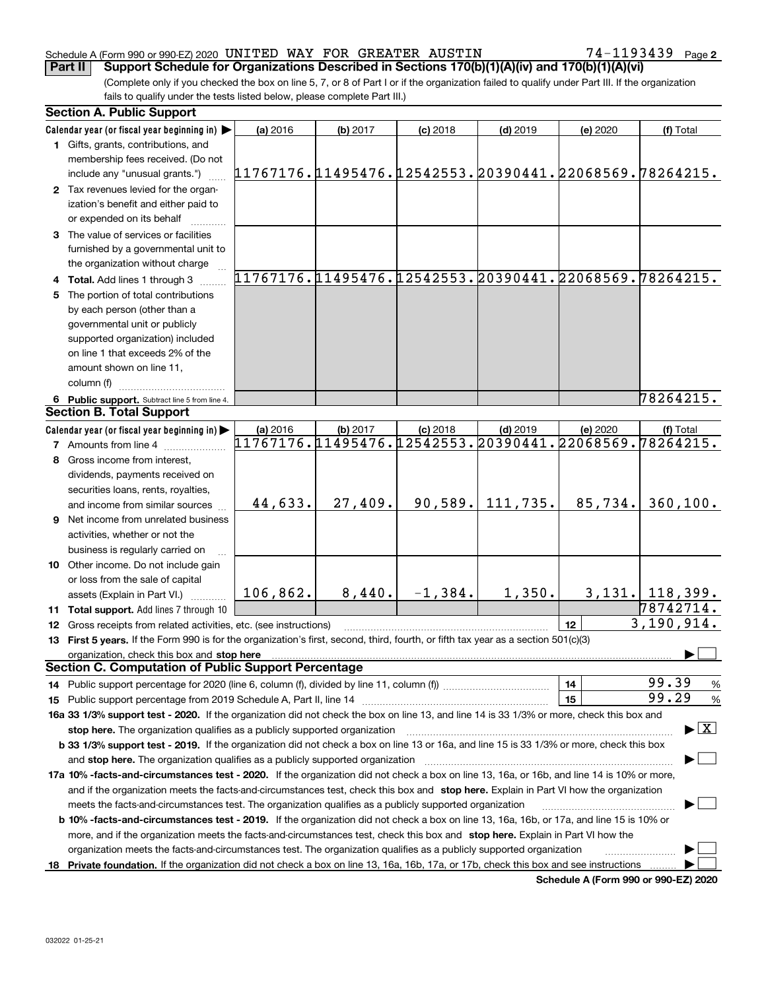#### Schedule A (Form 990 or 990-EZ) 2020 <code>UNITED WAY FOR GREATER AUSTIN</code>  $74-1193439$  <code>Page</code> **Part II Support Schedule for Organizations Described in Sections 170(b)(1)(A)(iv) and 170(b)(1)(A)(vi)**

**2**

(Complete only if you checked the box on line 5, 7, or 8 of Part I or if the organization failed to qualify under Part III. If the organization fails to qualify under the tests listed below, please complete Part III.)

| <b>Section A. Public Support</b>                                                                                                               |                                                        |          |            |            |          |                                         |
|------------------------------------------------------------------------------------------------------------------------------------------------|--------------------------------------------------------|----------|------------|------------|----------|-----------------------------------------|
| Calendar year (or fiscal year beginning in)                                                                                                    | (a) 2016                                               | (b) 2017 | $(c)$ 2018 | $(d)$ 2019 | (e) 2020 | (f) Total                               |
| 1 Gifts, grants, contributions, and                                                                                                            |                                                        |          |            |            |          |                                         |
| membership fees received. (Do not                                                                                                              |                                                        |          |            |            |          |                                         |
| include any "unusual grants.")                                                                                                                 | 11767176.11495476.12542553.20390441.22068569.78264215. |          |            |            |          |                                         |
| 2 Tax revenues levied for the organ-                                                                                                           |                                                        |          |            |            |          |                                         |
| ization's benefit and either paid to                                                                                                           |                                                        |          |            |            |          |                                         |
| or expended on its behalf                                                                                                                      |                                                        |          |            |            |          |                                         |
| 3 The value of services or facilities                                                                                                          |                                                        |          |            |            |          |                                         |
| furnished by a governmental unit to                                                                                                            |                                                        |          |            |            |          |                                         |
| the organization without charge                                                                                                                |                                                        |          |            |            |          |                                         |
| 4 Total. Add lines 1 through 3                                                                                                                 | 11767176.11495476.12542553.20390441.22068569.78264215. |          |            |            |          |                                         |
| 5 The portion of total contributions                                                                                                           |                                                        |          |            |            |          |                                         |
| by each person (other than a                                                                                                                   |                                                        |          |            |            |          |                                         |
| governmental unit or publicly                                                                                                                  |                                                        |          |            |            |          |                                         |
| supported organization) included                                                                                                               |                                                        |          |            |            |          |                                         |
| on line 1 that exceeds 2% of the                                                                                                               |                                                        |          |            |            |          |                                         |
| amount shown on line 11,                                                                                                                       |                                                        |          |            |            |          |                                         |
| column (f)                                                                                                                                     |                                                        |          |            |            |          |                                         |
|                                                                                                                                                |                                                        |          |            |            |          | 78264215.                               |
| 6 Public support. Subtract line 5 from line 4.<br><b>Section B. Total Support</b>                                                              |                                                        |          |            |            |          |                                         |
|                                                                                                                                                |                                                        |          |            |            |          |                                         |
| Calendar year (or fiscal year beginning in)                                                                                                    | (a) 2016                                               | (b) 2017 | $(c)$ 2018 | $(d)$ 2019 | (e) 2020 | (f) Total                               |
| <b>7</b> Amounts from line 4                                                                                                                   | 11767176.11495476.12542553.20390441.22068569.78264215. |          |            |            |          |                                         |
| 8 Gross income from interest,                                                                                                                  |                                                        |          |            |            |          |                                         |
| dividends, payments received on                                                                                                                |                                                        |          |            |            |          |                                         |
| securities loans, rents, royalties,                                                                                                            |                                                        |          |            |            |          |                                         |
| and income from similar sources                                                                                                                | 44,633.                                                | 27,409.  | 90,589.    | 111,735.   | 85,734.  | 360, 100.                               |
| 9 Net income from unrelated business                                                                                                           |                                                        |          |            |            |          |                                         |
| activities, whether or not the                                                                                                                 |                                                        |          |            |            |          |                                         |
| business is regularly carried on                                                                                                               |                                                        |          |            |            |          |                                         |
| 10 Other income. Do not include gain                                                                                                           |                                                        |          |            |            |          |                                         |
| or loss from the sale of capital                                                                                                               |                                                        |          |            |            |          |                                         |
| assets (Explain in Part VI.)                                                                                                                   | 106,862.                                               | 8,440.   | $-1,384.$  | 1,350.     |          | $3,131.$   118,399.                     |
| 11 Total support. Add lines 7 through 10                                                                                                       |                                                        |          |            |            |          | 78742714.                               |
| 12 Gross receipts from related activities, etc. (see instructions)                                                                             |                                                        |          |            |            | 12       | 3,190,914.                              |
| 13 First 5 years. If the Form 990 is for the organization's first, second, third, fourth, or fifth tax year as a section 501(c)(3)             |                                                        |          |            |            |          |                                         |
| organization, check this box and stop here                                                                                                     |                                                        |          |            |            |          |                                         |
| <b>Section C. Computation of Public Support Percentage</b>                                                                                     |                                                        |          |            |            |          |                                         |
|                                                                                                                                                |                                                        |          |            |            | 14       | 99.39<br>$\frac{9}{6}$                  |
|                                                                                                                                                |                                                        |          |            |            | 15       | 99.29<br>%                              |
| 16a 33 1/3% support test - 2020. If the organization did not check the box on line 13, and line 14 is 33 1/3% or more, check this box and      |                                                        |          |            |            |          |                                         |
| stop here. The organization qualifies as a publicly supported organization                                                                     |                                                        |          |            |            |          | $\blacktriangleright$ $\vert$ X $\vert$ |
| b 33 1/3% support test - 2019. If the organization did not check a box on line 13 or 16a, and line 15 is 33 1/3% or more, check this box       |                                                        |          |            |            |          |                                         |
| and stop here. The organization qualifies as a publicly supported organization                                                                 |                                                        |          |            |            |          |                                         |
| 17a 10% -facts-and-circumstances test - 2020. If the organization did not check a box on line 13, 16a, or 16b, and line 14 is 10% or more,     |                                                        |          |            |            |          |                                         |
| and if the organization meets the facts-and-circumstances test, check this box and stop here. Explain in Part VI how the organization          |                                                        |          |            |            |          |                                         |
| meets the facts-and-circumstances test. The organization qualifies as a publicly supported organization                                        |                                                        |          |            |            |          |                                         |
| <b>b 10% -facts-and-circumstances test - 2019.</b> If the organization did not check a box on line 13, 16a, 16b, or 17a, and line 15 is 10% or |                                                        |          |            |            |          |                                         |
|                                                                                                                                                |                                                        |          |            |            |          |                                         |
| more, and if the organization meets the facts-and-circumstances test, check this box and stop here. Explain in Part VI how the                 |                                                        |          |            |            |          |                                         |
| organization meets the facts-and-circumstances test. The organization qualifies as a publicly supported organization                           |                                                        |          |            |            |          |                                         |
| 18 Private foundation. If the organization did not check a box on line 13, 16a, 16b, 17a, or 17b, check this box and see instructions          |                                                        |          |            |            |          |                                         |

**Schedule A (Form 990 or 990-EZ) 2020**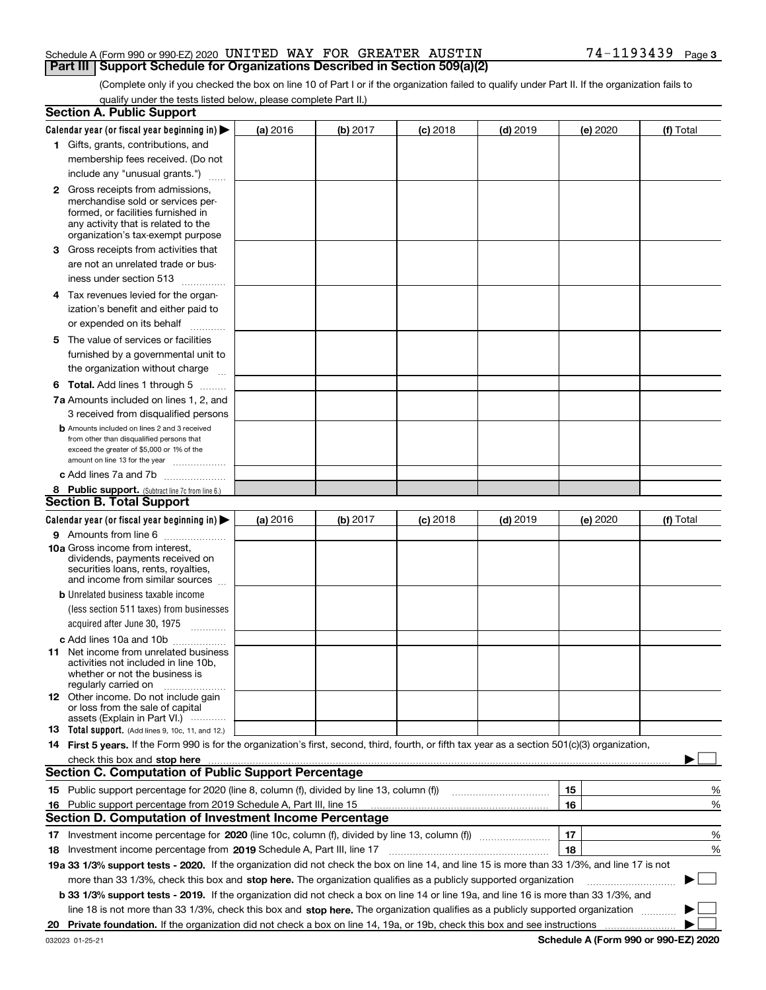#### Schedule A (Form 990 or 990-EZ) 2020 <code>UNITED WAY FOR GREATER AUSTIN</code>  $74-1193439$  <code>Page</code> **Part III** | Support Schedule for Organizations Described in Section 509(a)(2)

(Complete only if you checked the box on line 10 of Part I or if the organization failed to qualify under Part II. If the organization fails to qualify under the tests listed below, please complete Part II.)

| <b>Section A. Public Support</b>                                                                                                                 |                 |          |                 |            |          |           |
|--------------------------------------------------------------------------------------------------------------------------------------------------|-----------------|----------|-----------------|------------|----------|-----------|
| Calendar year (or fiscal year beginning in) $\blacktriangleright$                                                                                | <b>(a)</b> 2016 | (b) 2017 | <b>(c)</b> 2018 | $(d)$ 2019 | (e) 2020 | (f) Total |
| 1 Gifts, grants, contributions, and                                                                                                              |                 |          |                 |            |          |           |
| membership fees received. (Do not                                                                                                                |                 |          |                 |            |          |           |
| include any "unusual grants.")                                                                                                                   |                 |          |                 |            |          |           |
| <b>2</b> Gross receipts from admissions,                                                                                                         |                 |          |                 |            |          |           |
| merchandise sold or services per-                                                                                                                |                 |          |                 |            |          |           |
| formed, or facilities furnished in                                                                                                               |                 |          |                 |            |          |           |
| any activity that is related to the<br>organization's tax-exempt purpose                                                                         |                 |          |                 |            |          |           |
| 3 Gross receipts from activities that                                                                                                            |                 |          |                 |            |          |           |
| are not an unrelated trade or bus-                                                                                                               |                 |          |                 |            |          |           |
| iness under section 513                                                                                                                          |                 |          |                 |            |          |           |
|                                                                                                                                                  |                 |          |                 |            |          |           |
| 4 Tax revenues levied for the organ-                                                                                                             |                 |          |                 |            |          |           |
| ization's benefit and either paid to                                                                                                             |                 |          |                 |            |          |           |
| or expended on its behalf<br>.                                                                                                                   |                 |          |                 |            |          |           |
| 5 The value of services or facilities                                                                                                            |                 |          |                 |            |          |           |
| furnished by a governmental unit to                                                                                                              |                 |          |                 |            |          |           |
| the organization without charge                                                                                                                  |                 |          |                 |            |          |           |
| <b>6 Total.</b> Add lines 1 through 5                                                                                                            |                 |          |                 |            |          |           |
| 7a Amounts included on lines 1, 2, and                                                                                                           |                 |          |                 |            |          |           |
| 3 received from disqualified persons                                                                                                             |                 |          |                 |            |          |           |
| <b>b</b> Amounts included on lines 2 and 3 received                                                                                              |                 |          |                 |            |          |           |
| from other than disqualified persons that<br>exceed the greater of \$5,000 or 1% of the                                                          |                 |          |                 |            |          |           |
| amount on line 13 for the year                                                                                                                   |                 |          |                 |            |          |           |
| c Add lines 7a and 7b                                                                                                                            |                 |          |                 |            |          |           |
| 8 Public support. (Subtract line 7c from line 6.)                                                                                                |                 |          |                 |            |          |           |
| <b>Section B. Total Support</b>                                                                                                                  |                 |          |                 |            |          |           |
| Calendar year (or fiscal year beginning in)                                                                                                      | (a) 2016        | (b) 2017 | $(c)$ 2018      | $(d)$ 2019 | (e) 2020 | (f) Total |
| 9 Amounts from line 6                                                                                                                            |                 |          |                 |            |          |           |
| <b>10a</b> Gross income from interest,                                                                                                           |                 |          |                 |            |          |           |
| dividends, payments received on                                                                                                                  |                 |          |                 |            |          |           |
| securities loans, rents, royalties,                                                                                                              |                 |          |                 |            |          |           |
| and income from similar sources                                                                                                                  |                 |          |                 |            |          |           |
| <b>b</b> Unrelated business taxable income                                                                                                       |                 |          |                 |            |          |           |
| (less section 511 taxes) from businesses                                                                                                         |                 |          |                 |            |          |           |
| acquired after June 30, 1975<br>$\overline{\phantom{a}}$                                                                                         |                 |          |                 |            |          |           |
| c Add lines 10a and 10b                                                                                                                          |                 |          |                 |            |          |           |
| 11 Net income from unrelated business<br>activities not included in line 10b,                                                                    |                 |          |                 |            |          |           |
| whether or not the business is                                                                                                                   |                 |          |                 |            |          |           |
| regularly carried on                                                                                                                             |                 |          |                 |            |          |           |
| <b>12</b> Other income. Do not include gain                                                                                                      |                 |          |                 |            |          |           |
| or loss from the sale of capital<br>assets (Explain in Part VI.)                                                                                 |                 |          |                 |            |          |           |
| <b>13</b> Total support. (Add lines 9, 10c, 11, and 12.)                                                                                         |                 |          |                 |            |          |           |
| 14 First 5 years. If the Form 990 is for the organization's first, second, third, fourth, or fifth tax year as a section 501(c)(3) organization, |                 |          |                 |            |          |           |
| check this box and stop here <i>macuum macuum macuum macuum macuum macuum macuum macuum macuum</i>                                               |                 |          |                 |            |          |           |
| <b>Section C. Computation of Public Support Percentage</b>                                                                                       |                 |          |                 |            |          |           |
| 15 Public support percentage for 2020 (line 8, column (f), divided by line 13, column (f))                                                       |                 |          |                 |            | 15       | %         |
| 16 Public support percentage from 2019 Schedule A, Part III, line 15                                                                             |                 |          |                 |            | 16       | %         |
| <b>Section D. Computation of Investment Income Percentage</b>                                                                                    |                 |          |                 |            |          |           |
| 17 Investment income percentage for 2020 (line 10c, column (f), divided by line 13, column (f))                                                  |                 |          |                 |            | 17       | %         |
| <b>18</b> Investment income percentage from <b>2019</b> Schedule A, Part III, line 17                                                            |                 |          |                 |            | 18       | %         |
| 19a 33 1/3% support tests - 2020. If the organization did not check the box on line 14, and line 15 is more than 33 1/3%, and line 17 is not     |                 |          |                 |            |          |           |
| more than 33 1/3%, check this box and stop here. The organization qualifies as a publicly supported organization                                 |                 |          |                 |            |          | $\sim$ 10 |
| b 33 1/3% support tests - 2019. If the organization did not check a box on line 14 or line 19a, and line 16 is more than 33 1/3%, and            |                 |          |                 |            |          |           |
|                                                                                                                                                  |                 |          |                 |            |          |           |
| line 18 is not more than 33 1/3%, check this box and stop here. The organization qualifies as a publicly supported organization                  |                 |          |                 |            |          |           |
|                                                                                                                                                  |                 |          |                 |            |          |           |

**Schedule A (Form 990 or 990-EZ) 2020**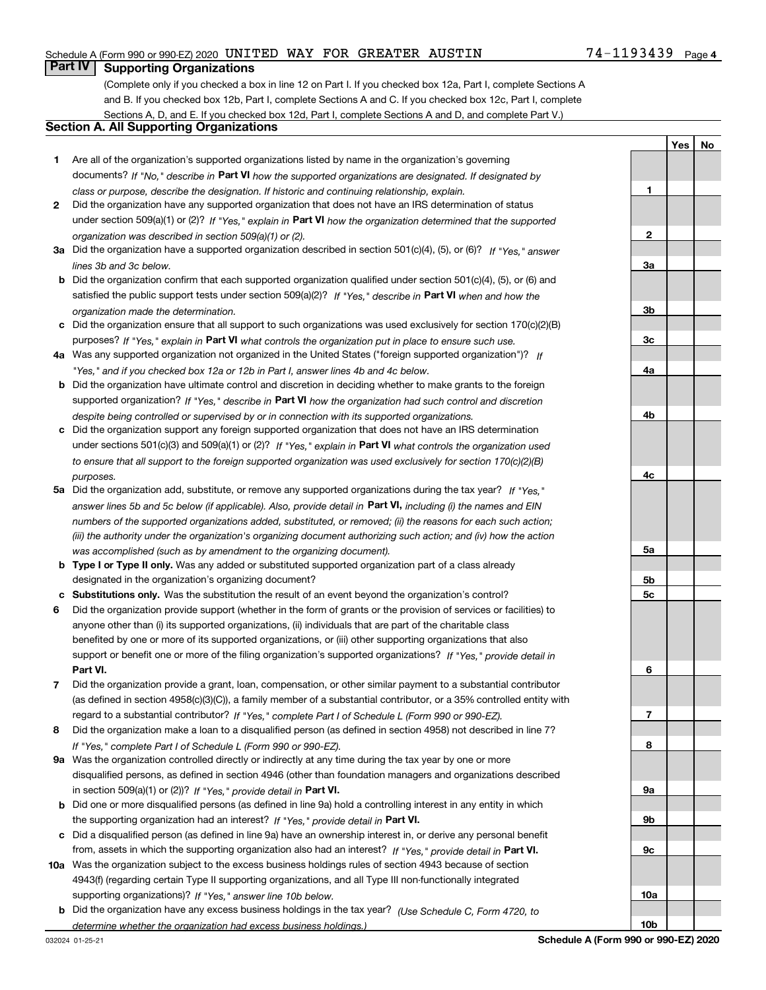### Schedule A (Form 990 or 990-EZ) 2020 <code>UNITED WAY FOR GREATER AUSTIN</code>  $74-1193439$  <code>Page</code>

# **Part IV Supporting Organizations**

(Complete only if you checked a box in line 12 on Part I. If you checked box 12a, Part I, complete Sections A and B. If you checked box 12b, Part I, complete Sections A and C. If you checked box 12c, Part I, complete Sections A, D, and E. If you checked box 12d, Part I, complete Sections A and D, and complete Part V.)

### **Section A. All Supporting Organizations**

- **1** Are all of the organization's supported organizations listed by name in the organization's governing documents? If "No," describe in **Part VI** how the supported organizations are designated. If designated by *class or purpose, describe the designation. If historic and continuing relationship, explain.*
- **2** Did the organization have any supported organization that does not have an IRS determination of status under section 509(a)(1) or (2)? If "Yes," explain in Part VI how the organization determined that the supported *organization was described in section 509(a)(1) or (2).*
- **3a** Did the organization have a supported organization described in section 501(c)(4), (5), or (6)? If "Yes," answer *lines 3b and 3c below.*
- **b** Did the organization confirm that each supported organization qualified under section 501(c)(4), (5), or (6) and satisfied the public support tests under section 509(a)(2)? If "Yes," describe in **Part VI** when and how the *organization made the determination.*
- **c**Did the organization ensure that all support to such organizations was used exclusively for section 170(c)(2)(B) purposes? If "Yes," explain in **Part VI** what controls the organization put in place to ensure such use.
- **4a***If* Was any supported organization not organized in the United States ("foreign supported organization")? *"Yes," and if you checked box 12a or 12b in Part I, answer lines 4b and 4c below.*
- **b** Did the organization have ultimate control and discretion in deciding whether to make grants to the foreign supported organization? If "Yes," describe in **Part VI** how the organization had such control and discretion *despite being controlled or supervised by or in connection with its supported organizations.*
- **c** Did the organization support any foreign supported organization that does not have an IRS determination under sections 501(c)(3) and 509(a)(1) or (2)? If "Yes," explain in **Part VI** what controls the organization used *to ensure that all support to the foreign supported organization was used exclusively for section 170(c)(2)(B) purposes.*
- **5a***If "Yes,"* Did the organization add, substitute, or remove any supported organizations during the tax year? answer lines 5b and 5c below (if applicable). Also, provide detail in **Part VI,** including (i) the names and EIN *numbers of the supported organizations added, substituted, or removed; (ii) the reasons for each such action; (iii) the authority under the organization's organizing document authorizing such action; and (iv) how the action was accomplished (such as by amendment to the organizing document).*
- **b** Type I or Type II only. Was any added or substituted supported organization part of a class already designated in the organization's organizing document?
- **cSubstitutions only.**  Was the substitution the result of an event beyond the organization's control?
- **6** Did the organization provide support (whether in the form of grants or the provision of services or facilities) to **Part VI.** *If "Yes," provide detail in* support or benefit one or more of the filing organization's supported organizations? anyone other than (i) its supported organizations, (ii) individuals that are part of the charitable class benefited by one or more of its supported organizations, or (iii) other supporting organizations that also
- **7**Did the organization provide a grant, loan, compensation, or other similar payment to a substantial contributor *If "Yes," complete Part I of Schedule L (Form 990 or 990-EZ).* regard to a substantial contributor? (as defined in section 4958(c)(3)(C)), a family member of a substantial contributor, or a 35% controlled entity with
- **8** Did the organization make a loan to a disqualified person (as defined in section 4958) not described in line 7? *If "Yes," complete Part I of Schedule L (Form 990 or 990-EZ).*
- **9a** Was the organization controlled directly or indirectly at any time during the tax year by one or more in section 509(a)(1) or (2))? If "Yes," *provide detail in* <code>Part VI.</code> disqualified persons, as defined in section 4946 (other than foundation managers and organizations described
- **b** Did one or more disqualified persons (as defined in line 9a) hold a controlling interest in any entity in which the supporting organization had an interest? If "Yes," provide detail in P**art VI**.
- **c**Did a disqualified person (as defined in line 9a) have an ownership interest in, or derive any personal benefit from, assets in which the supporting organization also had an interest? If "Yes," provide detail in P**art VI.**
- **10a** Was the organization subject to the excess business holdings rules of section 4943 because of section supporting organizations)? If "Yes," answer line 10b below. 4943(f) (regarding certain Type II supporting organizations, and all Type III non-functionally integrated
- **b** Did the organization have any excess business holdings in the tax year? (Use Schedule C, Form 4720, to *determine whether the organization had excess business holdings.)*

**YesNo**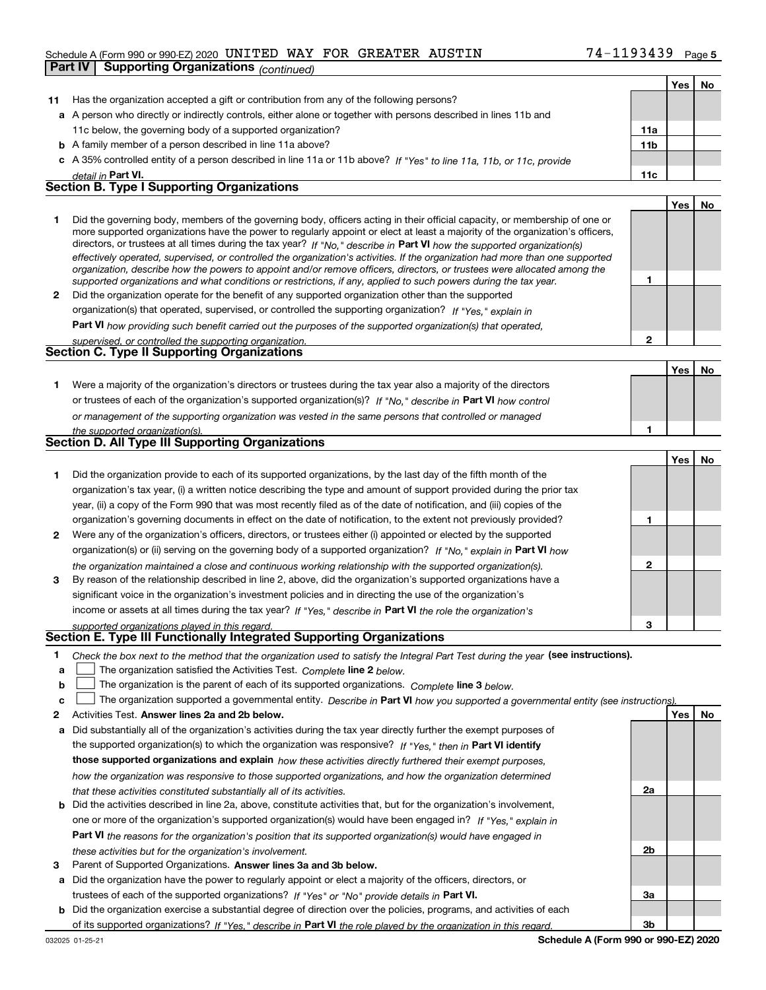#### Schedule A (Form 990 or 990-EZ) 2020 <code>UNITED WAY FOR GREATER AUSTIN</code>  $74-1193439$  <code>Page</code>

|    | <b>Supporting Organizations (continued)</b><br>Part IV                                                                                                                                                                                                     |                 |     |    |
|----|------------------------------------------------------------------------------------------------------------------------------------------------------------------------------------------------------------------------------------------------------------|-----------------|-----|----|
|    |                                                                                                                                                                                                                                                            |                 | Yes | No |
| 11 | Has the organization accepted a gift or contribution from any of the following persons?                                                                                                                                                                    |                 |     |    |
|    | a A person who directly or indirectly controls, either alone or together with persons described in lines 11b and                                                                                                                                           |                 |     |    |
|    | 11c below, the governing body of a supported organization?                                                                                                                                                                                                 | 11a             |     |    |
|    | <b>b</b> A family member of a person described in line 11a above?                                                                                                                                                                                          | 11 <sub>b</sub> |     |    |
|    | c A 35% controlled entity of a person described in line 11a or 11b above? If "Yes" to line 11a, 11b, or 11c, provide                                                                                                                                       |                 |     |    |
|    | detail in Part VI.                                                                                                                                                                                                                                         | 11c             |     |    |
|    | <b>Section B. Type I Supporting Organizations</b>                                                                                                                                                                                                          |                 |     |    |
|    |                                                                                                                                                                                                                                                            |                 | Yes | No |
| 1. | Did the governing body, members of the governing body, officers acting in their official capacity, or membership of one or                                                                                                                                 |                 |     |    |
|    | more supported organizations have the power to regularly appoint or elect at least a majority of the organization's officers,                                                                                                                              |                 |     |    |
|    | directors, or trustees at all times during the tax year? If "No," describe in Part VI how the supported organization(s)                                                                                                                                    |                 |     |    |
|    | effectively operated, supervised, or controlled the organization's activities. If the organization had more than one supported<br>organization, describe how the powers to appoint and/or remove officers, directors, or trustees were allocated among the |                 |     |    |
|    | supported organizations and what conditions or restrictions, if any, applied to such powers during the tax year.                                                                                                                                           | 1               |     |    |
| 2  | Did the organization operate for the benefit of any supported organization other than the supported                                                                                                                                                        |                 |     |    |
|    | organization(s) that operated, supervised, or controlled the supporting organization? If "Yes," explain in                                                                                                                                                 |                 |     |    |
|    | Part VI how providing such benefit carried out the purposes of the supported organization(s) that operated,                                                                                                                                                |                 |     |    |
|    | supervised, or controlled the supporting organization.                                                                                                                                                                                                     | $\overline{2}$  |     |    |
|    | Section C. Type II Supporting Organizations                                                                                                                                                                                                                |                 |     |    |
|    |                                                                                                                                                                                                                                                            |                 | Yes | No |
| 1. | Were a majority of the organization's directors or trustees during the tax year also a majority of the directors                                                                                                                                           |                 |     |    |
|    | or trustees of each of the organization's supported organization(s)? If "No," describe in Part VI how control                                                                                                                                              |                 |     |    |
|    | or management of the supporting organization was vested in the same persons that controlled or managed                                                                                                                                                     |                 |     |    |
|    | the supported organization(s).                                                                                                                                                                                                                             | 1               |     |    |
|    | Section D. All Type III Supporting Organizations                                                                                                                                                                                                           |                 |     |    |
|    |                                                                                                                                                                                                                                                            |                 | Yes | No |
| 1. | Did the organization provide to each of its supported organizations, by the last day of the fifth month of the                                                                                                                                             |                 |     |    |
|    | organization's tax year, (i) a written notice describing the type and amount of support provided during the prior tax                                                                                                                                      |                 |     |    |
|    | year, (ii) a copy of the Form 990 that was most recently filed as of the date of notification, and (iii) copies of the                                                                                                                                     |                 |     |    |
|    | organization's governing documents in effect on the date of notification, to the extent not previously provided?                                                                                                                                           | 1               |     |    |
| 2  | Were any of the organization's officers, directors, or trustees either (i) appointed or elected by the supported                                                                                                                                           |                 |     |    |
|    | organization(s) or (ii) serving on the governing body of a supported organization? If "No," explain in Part VI how                                                                                                                                         |                 |     |    |
|    | the organization maintained a close and continuous working relationship with the supported organization(s).                                                                                                                                                | $\mathbf{2}$    |     |    |
| 3  | By reason of the relationship described in line 2, above, did the organization's supported organizations have a                                                                                                                                            |                 |     |    |
|    | significant voice in the organization's investment policies and in directing the use of the organization's                                                                                                                                                 |                 |     |    |
|    | income or assets at all times during the tax year? If "Yes," describe in Part VI the role the organization's                                                                                                                                               |                 |     |    |
|    | supported organizations played in this regard.                                                                                                                                                                                                             | 3               |     |    |
|    | Section E. Type III Functionally Integrated Supporting Organizations                                                                                                                                                                                       |                 |     |    |
| 1  | Check the box next to the method that the organization used to satisfy the Integral Part Test during the year (see instructions).                                                                                                                          |                 |     |    |
| а  | The organization satisfied the Activities Test. Complete line 2 below.                                                                                                                                                                                     |                 |     |    |
| b  | The organization is the parent of each of its supported organizations. Complete line 3 below.                                                                                                                                                              |                 |     |    |
| с  | The organization supported a governmental entity. Describe in Part VI how you supported a governmental entity (see instructions)                                                                                                                           |                 |     |    |
| 2  | Activities Test. Answer lines 2a and 2b below.                                                                                                                                                                                                             |                 | Yes | No |
| а  | Did substantially all of the organization's activities during the tax year directly further the exempt purposes of<br>the supported examination(s) to which the examination was responsived $\mu$ will will be <b>Dort VI identify</b>                     |                 |     |    |
|    |                                                                                                                                                                                                                                                            |                 |     |    |

the supported organization(s) to which the organization was responsive? If "Yes," then in **Part VI identify those supported organizations and explain**  *how these activities directly furthered their exempt purposes, how the organization was responsive to those supported organizations, and how the organization determined that these activities constituted substantially all of its activities.*

- **b** Did the activities described in line 2a, above, constitute activities that, but for the organization's involvement, **Part VI**  *the reasons for the organization's position that its supported organization(s) would have engaged in* one or more of the organization's supported organization(s) would have been engaged in? If "Yes," e*xplain in these activities but for the organization's involvement.*
- **3** Parent of Supported Organizations. Answer lines 3a and 3b below.

**a** Did the organization have the power to regularly appoint or elect a majority of the officers, directors, or trustees of each of the supported organizations? If "Yes" or "No" provide details in **Part VI.** 

**b** Did the organization exercise a substantial degree of direction over the policies, programs, and activities of each of its supported organizations? If "Yes," describe in Part VI the role played by the organization in this regard.

**2a**

**2b**

**3a**

**3b**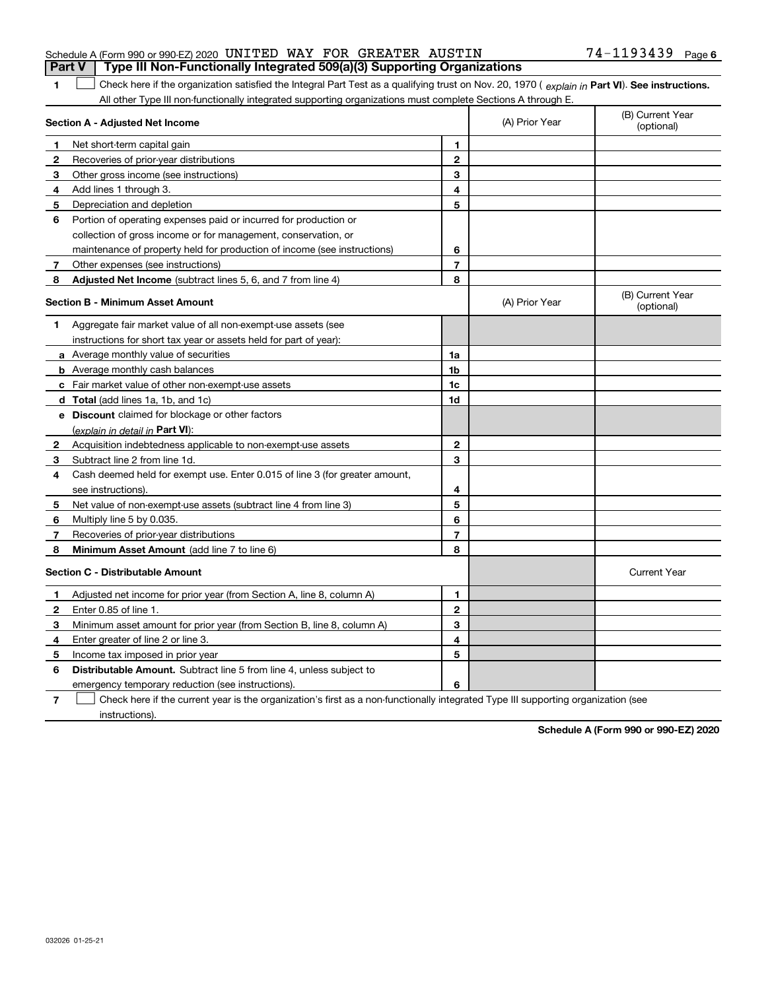| 1              | Net short-term capital gain                                                                                                                        | 1              |                |                                |
|----------------|----------------------------------------------------------------------------------------------------------------------------------------------------|----------------|----------------|--------------------------------|
| 2              | Recoveries of prior-year distributions                                                                                                             | $\mathbf{2}$   |                |                                |
| 3              | Other gross income (see instructions)                                                                                                              | 3              |                |                                |
| 4              | Add lines 1 through 3.                                                                                                                             | 4              |                |                                |
| 5              | Depreciation and depletion                                                                                                                         | 5              |                |                                |
| 6              | Portion of operating expenses paid or incurred for production or                                                                                   |                |                |                                |
|                | collection of gross income or for management, conservation, or                                                                                     |                |                |                                |
|                | maintenance of property held for production of income (see instructions)                                                                           | 6              |                |                                |
| 7              | Other expenses (see instructions)                                                                                                                  | $\overline{7}$ |                |                                |
| 8              | Adjusted Net Income (subtract lines 5, 6, and 7 from line 4)                                                                                       | 8              |                |                                |
|                | Section B - Minimum Asset Amount                                                                                                                   |                | (A) Prior Year | (B) Current Year<br>(optional) |
| 1              | Aggregate fair market value of all non-exempt-use assets (see                                                                                      |                |                |                                |
|                | instructions for short tax year or assets held for part of year):                                                                                  |                |                |                                |
|                | a Average monthly value of securities                                                                                                              | 1a             |                |                                |
|                | <b>b</b> Average monthly cash balances                                                                                                             | 1b             |                |                                |
|                | c Fair market value of other non-exempt-use assets                                                                                                 | 1c             |                |                                |
|                | <b>d</b> Total (add lines 1a, 1b, and 1c)                                                                                                          | 1d             |                |                                |
|                | <b>e</b> Discount claimed for blockage or other factors                                                                                            |                |                |                                |
|                | (explain in detail in Part VI):                                                                                                                    |                |                |                                |
| $\mathbf{2}$   | Acquisition indebtedness applicable to non-exempt-use assets                                                                                       | $\mathbf{2}$   |                |                                |
| 3              | Subtract line 2 from line 1d.                                                                                                                      | 3              |                |                                |
| 4              | Cash deemed held for exempt use. Enter 0.015 of line 3 (for greater amount,                                                                        |                |                |                                |
|                | see instructions).                                                                                                                                 | 4              |                |                                |
| 5              | Net value of non-exempt-use assets (subtract line 4 from line 3)                                                                                   | 5              |                |                                |
| 6              | Multiply line 5 by 0.035.                                                                                                                          | 6              |                |                                |
| 7              | Recoveries of prior-year distributions                                                                                                             | $\overline{7}$ |                |                                |
| 8              | Minimum Asset Amount (add line 7 to line 6)                                                                                                        | 8              |                |                                |
|                | <b>Section C - Distributable Amount</b>                                                                                                            |                |                | <b>Current Year</b>            |
| 1              | Adjusted net income for prior year (from Section A, line 8, column A)                                                                              | 1              |                |                                |
| 2              | Enter 0.85 of line 1.                                                                                                                              | $\overline{2}$ |                |                                |
| 3              | Minimum asset amount for prior year (from Section B, line 8, column A)                                                                             | 3              |                |                                |
| 4              | Enter greater of line 2 or line 3.                                                                                                                 | 4              |                |                                |
| 5              | Income tax imposed in prior year                                                                                                                   | 5              |                |                                |
| 6              | <b>Distributable Amount.</b> Subtract line 5 from line 4, unless subject to                                                                        |                |                |                                |
|                | emergency temporary reduction (see instructions).                                                                                                  | 6              |                |                                |
| $\overline{7}$ | Check here if the current year is the organization's first as a non-functionally integrated Type III supporting organization (see<br>instructions) |                |                |                                |

# 74-1193439 Page 6

(A) Prior Year

(B) Current Year (optional)

1 Check here if the organization satisfied the Integral Part Test as a qualifying trust on Nov. 20, 1970 (explain in Part VI). See instructions. All other Type III non-functionally integrated supporting organizations must complete Sections A through E.

**1**

**Section A - Adjusted Net Income**

**Schedule A (Form 990 or 990-EZ) 2020**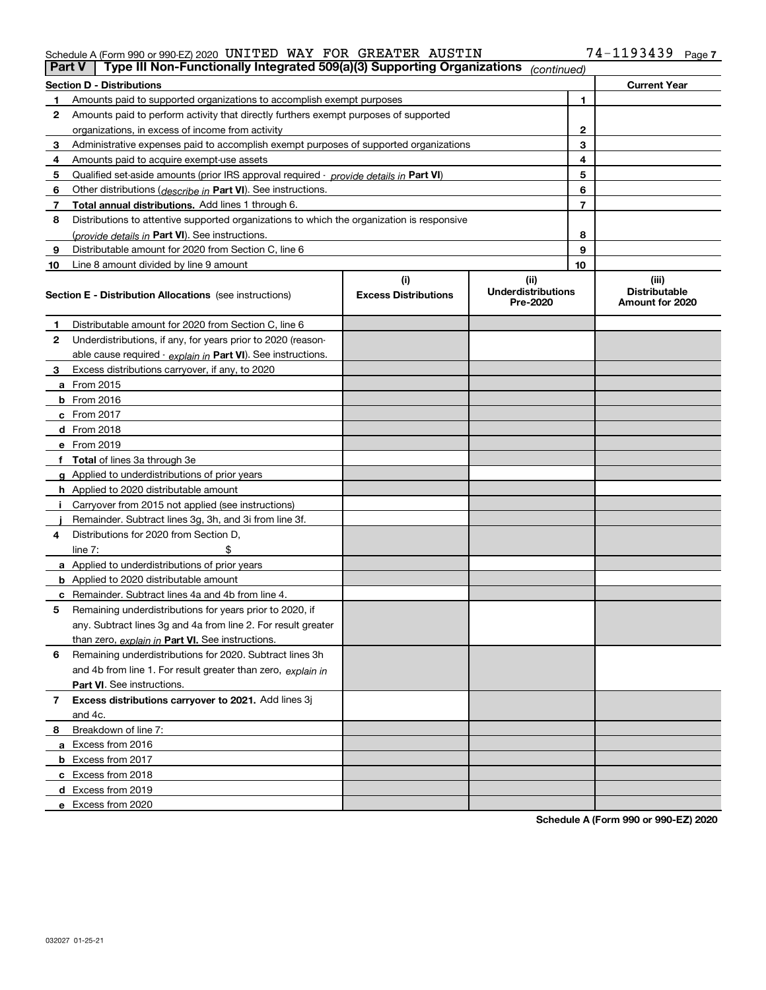### Schedule A (Form 990 or 990-EZ) 2020 <code>UNITED WAY FOR GREATER AUSTIN</code>  $74-1193439$  <code>Page</code>

|    | Type III Non-Functionally Integrated 509(a)(3) Supporting Organizations<br><b>Part V</b><br>(continued) |                             |                                       |              |                                         |  |
|----|---------------------------------------------------------------------------------------------------------|-----------------------------|---------------------------------------|--------------|-----------------------------------------|--|
|    | <b>Section D - Distributions</b>                                                                        |                             |                                       |              | <b>Current Year</b>                     |  |
| 1  | Amounts paid to supported organizations to accomplish exempt purposes                                   |                             |                                       | 1            |                                         |  |
| 2  | Amounts paid to perform activity that directly furthers exempt purposes of supported                    |                             |                                       |              |                                         |  |
|    | organizations, in excess of income from activity                                                        |                             |                                       | $\mathbf{2}$ |                                         |  |
| 3  | Administrative expenses paid to accomplish exempt purposes of supported organizations                   |                             |                                       | 3            |                                         |  |
| 4  | Amounts paid to acquire exempt-use assets                                                               |                             |                                       | 4            |                                         |  |
| 5  | Qualified set-aside amounts (prior IRS approval required - provide details in Part VI)                  |                             |                                       | 5            |                                         |  |
| 6  | Other distributions ( <i>describe in</i> Part VI). See instructions.                                    |                             |                                       | 6            |                                         |  |
| 7  | Total annual distributions. Add lines 1 through 6.                                                      |                             |                                       | 7            |                                         |  |
| 8  | Distributions to attentive supported organizations to which the organization is responsive              |                             |                                       |              |                                         |  |
|    | (provide details in Part VI). See instructions.                                                         |                             |                                       | 8            |                                         |  |
| 9  | Distributable amount for 2020 from Section C, line 6                                                    |                             |                                       | 9            |                                         |  |
| 10 | Line 8 amount divided by line 9 amount                                                                  |                             |                                       | 10           |                                         |  |
|    |                                                                                                         | (i)                         | (ii)                                  |              | (iii)                                   |  |
|    | Section E - Distribution Allocations (see instructions)                                                 | <b>Excess Distributions</b> | <b>Underdistributions</b><br>Pre-2020 |              | <b>Distributable</b><br>Amount for 2020 |  |
| 1  | Distributable amount for 2020 from Section C, line 6                                                    |                             |                                       |              |                                         |  |
| 2  | Underdistributions, if any, for years prior to 2020 (reason-                                            |                             |                                       |              |                                         |  |
|    | able cause required - explain in Part VI). See instructions.                                            |                             |                                       |              |                                         |  |
| 3  | Excess distributions carryover, if any, to 2020                                                         |                             |                                       |              |                                         |  |
|    | <b>a</b> From 2015                                                                                      |                             |                                       |              |                                         |  |
|    | <b>b</b> From 2016                                                                                      |                             |                                       |              |                                         |  |
|    | c From 2017                                                                                             |                             |                                       |              |                                         |  |
|    | <b>d</b> From 2018                                                                                      |                             |                                       |              |                                         |  |
|    | e From 2019                                                                                             |                             |                                       |              |                                         |  |
|    | f Total of lines 3a through 3e                                                                          |                             |                                       |              |                                         |  |
|    | g Applied to underdistributions of prior years                                                          |                             |                                       |              |                                         |  |
|    | <b>h</b> Applied to 2020 distributable amount                                                           |                             |                                       |              |                                         |  |
|    | Carryover from 2015 not applied (see instructions)                                                      |                             |                                       |              |                                         |  |
|    | Remainder. Subtract lines 3g, 3h, and 3i from line 3f.                                                  |                             |                                       |              |                                         |  |
| 4  | Distributions for 2020 from Section D,                                                                  |                             |                                       |              |                                         |  |
|    | line $7:$                                                                                               |                             |                                       |              |                                         |  |
|    | a Applied to underdistributions of prior years                                                          |                             |                                       |              |                                         |  |
|    | <b>b</b> Applied to 2020 distributable amount                                                           |                             |                                       |              |                                         |  |
|    | c Remainder. Subtract lines 4a and 4b from line 4.                                                      |                             |                                       |              |                                         |  |
| 5  | Remaining underdistributions for years prior to 2020, if                                                |                             |                                       |              |                                         |  |
|    | any. Subtract lines 3g and 4a from line 2. For result greater                                           |                             |                                       |              |                                         |  |
|    | than zero, explain in Part VI. See instructions.                                                        |                             |                                       |              |                                         |  |
| 6  | Remaining underdistributions for 2020. Subtract lines 3h                                                |                             |                                       |              |                                         |  |
|    | and 4b from line 1. For result greater than zero, explain in                                            |                             |                                       |              |                                         |  |
|    | Part VI. See instructions.                                                                              |                             |                                       |              |                                         |  |
| 7  | Excess distributions carryover to 2021. Add lines 3j                                                    |                             |                                       |              |                                         |  |
|    | and 4c.                                                                                                 |                             |                                       |              |                                         |  |
| 8  | Breakdown of line 7:                                                                                    |                             |                                       |              |                                         |  |
|    | a Excess from 2016                                                                                      |                             |                                       |              |                                         |  |
|    | <b>b</b> Excess from 2017                                                                               |                             |                                       |              |                                         |  |
|    | c Excess from 2018                                                                                      |                             |                                       |              |                                         |  |
|    | d Excess from 2019                                                                                      |                             |                                       |              |                                         |  |
|    | e Excess from 2020                                                                                      |                             |                                       |              |                                         |  |
|    |                                                                                                         |                             |                                       |              |                                         |  |

**Schedule A (Form 990 or 990-EZ) 2020**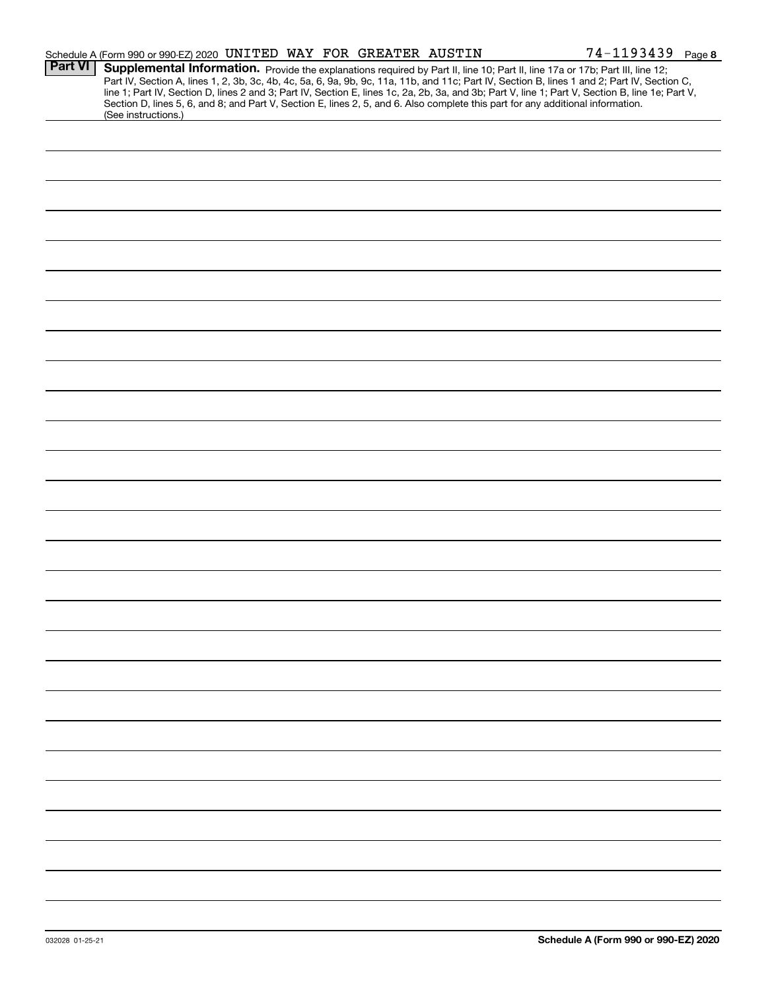|                | Schedule A (Form 990 or 990-EZ) 2020 UNITED WAY FOR GREATER AUSTIN                                                                                                                                                                                                                                                                                                                                                                                                                                                                                                                          |  | 74-1193439 Page 8 |
|----------------|---------------------------------------------------------------------------------------------------------------------------------------------------------------------------------------------------------------------------------------------------------------------------------------------------------------------------------------------------------------------------------------------------------------------------------------------------------------------------------------------------------------------------------------------------------------------------------------------|--|-------------------|
| <b>Part VI</b> | Supplemental Information. Provide the explanations required by Part II, line 10; Part II, line 17a or 17b; Part III, line 12;<br>Part IV, Section A, lines 1, 2, 3b, 3c, 4b, 4c, 5a, 6, 9a, 9b, 9c, 11a, 11b, and 11c; Part IV, Section B, lines 1 and 2; Part IV, Section C,<br>line 1; Part IV, Section D, lines 2 and 3; Part IV, Section E, lines 1c, 2a, 2b, 3a, and 3b; Part V, line 1; Part V, Section B, line 1e; Part V,<br>Section D, lines 5, 6, and 8; and Part V, Section E, lines 2, 5, and 6. Also complete this part for any additional information.<br>(See instructions.) |  |                   |
|                |                                                                                                                                                                                                                                                                                                                                                                                                                                                                                                                                                                                             |  |                   |
|                |                                                                                                                                                                                                                                                                                                                                                                                                                                                                                                                                                                                             |  |                   |
|                |                                                                                                                                                                                                                                                                                                                                                                                                                                                                                                                                                                                             |  |                   |
|                |                                                                                                                                                                                                                                                                                                                                                                                                                                                                                                                                                                                             |  |                   |
|                |                                                                                                                                                                                                                                                                                                                                                                                                                                                                                                                                                                                             |  |                   |
|                |                                                                                                                                                                                                                                                                                                                                                                                                                                                                                                                                                                                             |  |                   |
|                |                                                                                                                                                                                                                                                                                                                                                                                                                                                                                                                                                                                             |  |                   |
|                |                                                                                                                                                                                                                                                                                                                                                                                                                                                                                                                                                                                             |  |                   |
|                |                                                                                                                                                                                                                                                                                                                                                                                                                                                                                                                                                                                             |  |                   |
|                |                                                                                                                                                                                                                                                                                                                                                                                                                                                                                                                                                                                             |  |                   |
|                |                                                                                                                                                                                                                                                                                                                                                                                                                                                                                                                                                                                             |  |                   |
|                |                                                                                                                                                                                                                                                                                                                                                                                                                                                                                                                                                                                             |  |                   |
|                |                                                                                                                                                                                                                                                                                                                                                                                                                                                                                                                                                                                             |  |                   |
|                |                                                                                                                                                                                                                                                                                                                                                                                                                                                                                                                                                                                             |  |                   |
|                |                                                                                                                                                                                                                                                                                                                                                                                                                                                                                                                                                                                             |  |                   |
|                |                                                                                                                                                                                                                                                                                                                                                                                                                                                                                                                                                                                             |  |                   |
|                |                                                                                                                                                                                                                                                                                                                                                                                                                                                                                                                                                                                             |  |                   |
|                |                                                                                                                                                                                                                                                                                                                                                                                                                                                                                                                                                                                             |  |                   |
|                |                                                                                                                                                                                                                                                                                                                                                                                                                                                                                                                                                                                             |  |                   |
|                |                                                                                                                                                                                                                                                                                                                                                                                                                                                                                                                                                                                             |  |                   |
|                |                                                                                                                                                                                                                                                                                                                                                                                                                                                                                                                                                                                             |  |                   |
|                |                                                                                                                                                                                                                                                                                                                                                                                                                                                                                                                                                                                             |  |                   |
|                |                                                                                                                                                                                                                                                                                                                                                                                                                                                                                                                                                                                             |  |                   |
|                |                                                                                                                                                                                                                                                                                                                                                                                                                                                                                                                                                                                             |  |                   |
|                |                                                                                                                                                                                                                                                                                                                                                                                                                                                                                                                                                                                             |  |                   |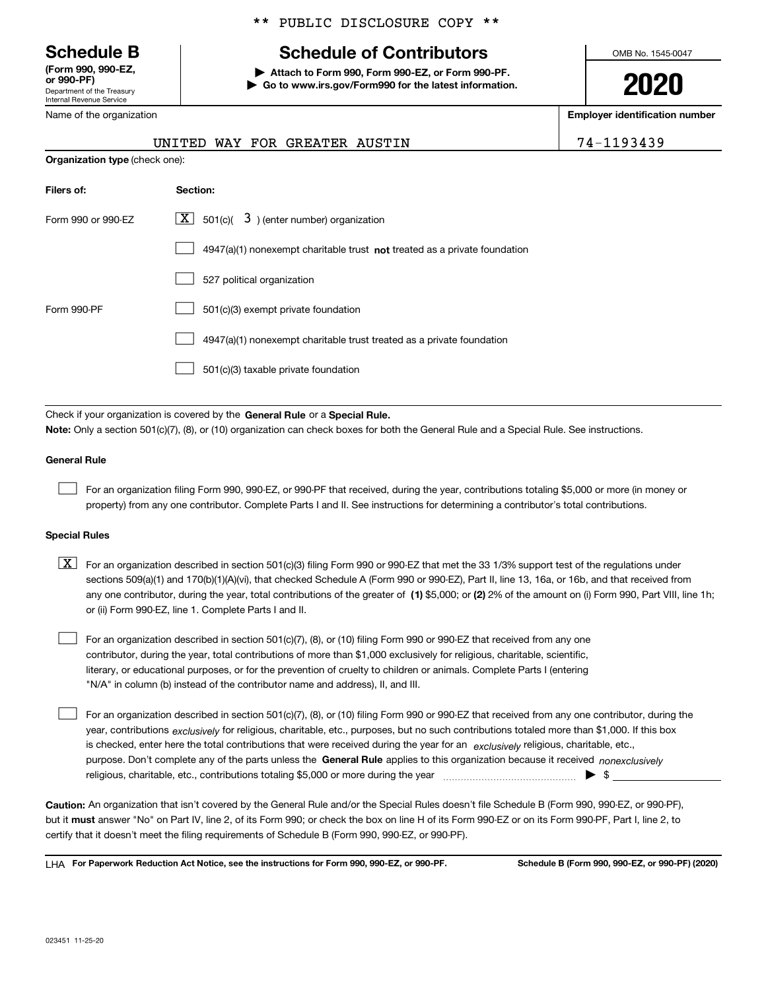Department of the Treasury Internal Revenue Service **(Form 990, 990-EZ, or 990-PF)**

Name of the organization

### \*\* PUBLIC DISCLOSURE COPY \*\*

# **Schedule B Schedule of Contributors**

**| Attach to Form 990, Form 990-EZ, or Form 990-PF. | Go to www.irs.gov/Form990 for the latest information.** OMB No. 1545-0047

**2020**

**Employer identification number**

|  |  | 93 | 4 |  |  |
|--|--|----|---|--|--|
|  |  |    |   |  |  |

| <b>TVALLIC OF LITE OF GALILLE AND</b> |  |                               |  |
|---------------------------------------|--|-------------------------------|--|
|                                       |  | UNITED WAY FOR GREATER AUSTIN |  |
| <b>Organization type (check one):</b> |  |                               |  |

| Filers of:         | Section:                                                                  |
|--------------------|---------------------------------------------------------------------------|
| Form 990 or 990-EZ | $\lfloor x \rfloor$ 501(c)( 3) (enter number) organization                |
|                    | 4947(a)(1) nonexempt charitable trust not treated as a private foundation |
|                    | 527 political organization                                                |
| Form 990-PF        | 501(c)(3) exempt private foundation                                       |
|                    | 4947(a)(1) nonexempt charitable trust treated as a private foundation     |
|                    | 501(c)(3) taxable private foundation                                      |

Check if your organization is covered by the **General Rule** or a **Special Rule. Note:**  Only a section 501(c)(7), (8), or (10) organization can check boxes for both the General Rule and a Special Rule. See instructions.

#### **General Rule**

 $\mathcal{L}^{\text{max}}$ 

For an organization filing Form 990, 990-EZ, or 990-PF that received, during the year, contributions totaling \$5,000 or more (in money or property) from any one contributor. Complete Parts I and II. See instructions for determining a contributor's total contributions.

#### **Special Rules**

any one contributor, during the year, total contributions of the greater of  $\,$  (1) \$5,000; or **(2)** 2% of the amount on (i) Form 990, Part VIII, line 1h;  $\boxed{\textbf{X}}$  For an organization described in section 501(c)(3) filing Form 990 or 990-EZ that met the 33 1/3% support test of the regulations under sections 509(a)(1) and 170(b)(1)(A)(vi), that checked Schedule A (Form 990 or 990-EZ), Part II, line 13, 16a, or 16b, and that received from or (ii) Form 990-EZ, line 1. Complete Parts I and II.

For an organization described in section 501(c)(7), (8), or (10) filing Form 990 or 990-EZ that received from any one contributor, during the year, total contributions of more than \$1,000 exclusively for religious, charitable, scientific, literary, or educational purposes, or for the prevention of cruelty to children or animals. Complete Parts I (entering "N/A" in column (b) instead of the contributor name and address), II, and III.  $\mathcal{L}^{\text{max}}$ 

purpose. Don't complete any of the parts unless the **General Rule** applies to this organization because it received *nonexclusively* year, contributions <sub>exclusively</sub> for religious, charitable, etc., purposes, but no such contributions totaled more than \$1,000. If this box is checked, enter here the total contributions that were received during the year for an  $\;$ exclusively religious, charitable, etc., For an organization described in section 501(c)(7), (8), or (10) filing Form 990 or 990-EZ that received from any one contributor, during the religious, charitable, etc., contributions totaling \$5,000 or more during the year  $\Box$ — $\Box$   $\Box$  $\mathcal{L}^{\text{max}}$ 

**Caution:**  An organization that isn't covered by the General Rule and/or the Special Rules doesn't file Schedule B (Form 990, 990-EZ, or 990-PF),  **must** but it answer "No" on Part IV, line 2, of its Form 990; or check the box on line H of its Form 990-EZ or on its Form 990-PF, Part I, line 2, to certify that it doesn't meet the filing requirements of Schedule B (Form 990, 990-EZ, or 990-PF).

**For Paperwork Reduction Act Notice, see the instructions for Form 990, 990-EZ, or 990-PF. Schedule B (Form 990, 990-EZ, or 990-PF) (2020)** LHA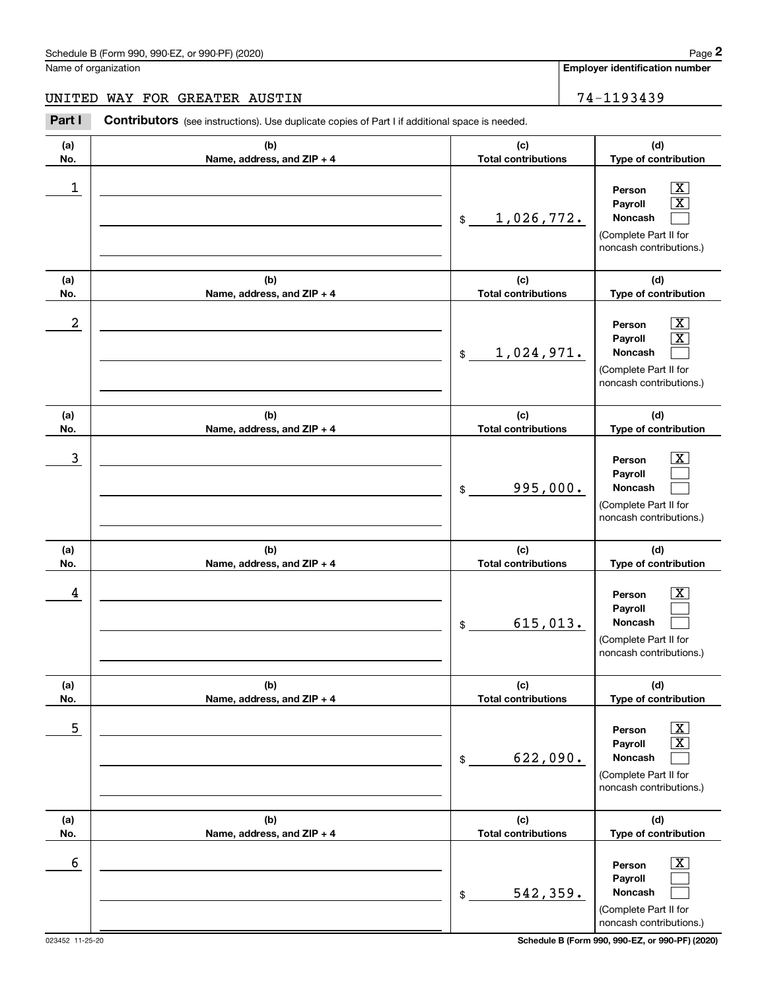**Employer identification number**

**(d)**

# UNITED WAY FOR GREATER AUSTIN 74-1193439

**(a) No.(b) Name, address, and ZIP + 4 (c)** Chedule B (Form 990, 990-EZ, or 990-PF) (2020)<br>
lame of organization<br> **24 - 1193439**<br> **24 - 1193439**<br> **24 - 1193439**<br> **24 - 1193439** 

| No.        | Name, address, and ZIP + 4        | <b>Total contributions</b>        | Type of contribution                                                                                                              |
|------------|-----------------------------------|-----------------------------------|-----------------------------------------------------------------------------------------------------------------------------------|
| 1          |                                   | 1,026,772.<br>\$                  | $\boxed{\text{X}}$<br>Person<br>$\boxed{\text{X}}$<br>Payroll<br>Noncash<br>(Complete Part II for<br>noncash contributions.)      |
| (a)<br>No. | (b)<br>Name, address, and ZIP + 4 | (c)<br><b>Total contributions</b> | (d)<br>Type of contribution                                                                                                       |
| 2          |                                   | 1,024,971.<br>$\frac{1}{2}$       | $\boxed{\text{X}}$<br>Person<br>$\boxed{\text{X}}$<br>Payroll<br>Noncash<br>(Complete Part II for<br>noncash contributions.)      |
| (a)<br>No. | (b)<br>Name, address, and ZIP + 4 | (c)<br><b>Total contributions</b> | (d)<br>Type of contribution                                                                                                       |
| 3          |                                   | 995,000.<br>$$\mathbb{S}$$        | $\vert$ X<br>Person<br>Payroll<br>Noncash<br>(Complete Part II for<br>noncash contributions.)                                     |
| (a)<br>No. | (b)<br>Name, address, and ZIP + 4 | (c)<br><b>Total contributions</b> | (d)<br>Type of contribution                                                                                                       |
| 4          |                                   | 615,013.<br>\$                    | $\vert$ X<br>Person<br>Payroll<br>Noncash<br>(Complete Part II for<br>noncash contributions.)                                     |
| (a)<br>No. | (b)<br>Name, address, and ZIP + 4 | (c)<br><b>Total contributions</b> | (d)<br>Type of contribution                                                                                                       |
| 5          |                                   | 622,090.<br>\$                    | $\overline{\mathbf{X}}$<br>Person<br>$\boxed{\text{X}}$<br>Payroll<br>Noncash<br>(Complete Part II for<br>noncash contributions.) |
| (a)<br>No. | (b)<br>Name, address, and ZIP + 4 | (c)<br><b>Total contributions</b> | (d)<br>Type of contribution                                                                                                       |
| 6          |                                   |                                   | $\boxed{\text{X}}$<br>Person<br>Payroll                                                                                           |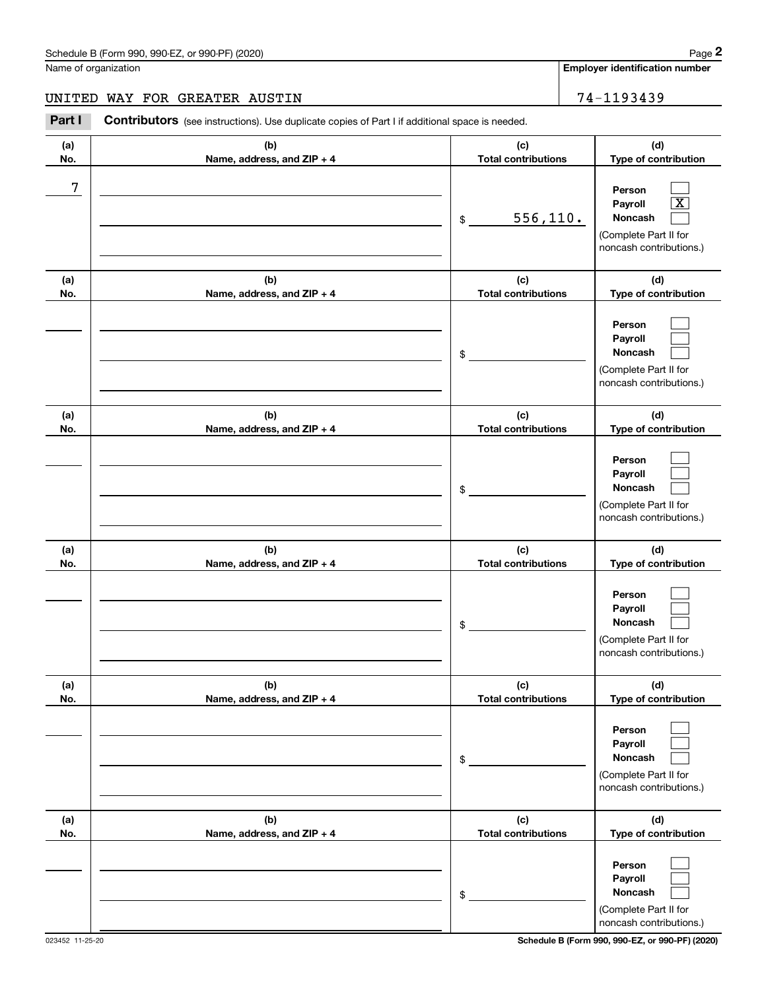**Employer identification number**

**(d)**

 $\mathcal{L}^{\text{max}}$  X  $\mathcal{L}^{\text{max}}$ 

 $\mathcal{L}^{\text{max}}$  $\mathcal{L}^{\text{max}}$  $\mathcal{L}^{\text{max}}$ 

 $\Box$ 

**(d)**

**(d)**

**(a) No.(b) Name, address, and ZIP + 4 (c) Total contributions Type of contribution Person PayrollNoncash (a)No.(b)Name, address, and ZIP + 4 (c) Total contributions Type of contribution PersonPayrollNoncash (a)No.(b)Name, address, and ZIP + 4 (c) Total contributions Type of contribution Person(a)No.(b)Name, address, and ZIP + 4 (c)Total contributions** Name of organization Contributors (see instructions). Use duplicate copies of Part I if additional space is needed. \$(Complete Part II for noncash contributions.) \$(Complete Part II for noncash contributions.) \$Chedule B (Form 990, 990-EZ, or 990-PF) (2020)<br>Iame of organization<br>**2Part I 2Part I Contributors** (see instructions). Use duplicate copies of Part I if additional space is needed. 7 556,110. UNITED WAY FOR GREATER AUSTIN 74-1193439

|            |                                   | \$                                | Payroll<br>Noncash<br>(Complete Part II for<br>noncash contributions.)                  |
|------------|-----------------------------------|-----------------------------------|-----------------------------------------------------------------------------------------|
| (a)<br>No. | (b)<br>Name, address, and ZIP + 4 | (c)<br><b>Total contributions</b> | (d)<br>Type of contribution                                                             |
|            |                                   | \$                                | Person<br>Payroll<br>Noncash<br>(Complete Part II for<br>noncash contributions.)        |
| (a)<br>No. | (b)<br>Name, address, and ZIP + 4 | (c)<br><b>Total contributions</b> | (d)<br>Type of contribution                                                             |
|            |                                   | \$                                | Person<br>Payroll<br><b>Noncash</b><br>(Complete Part II for<br>noncash contributions.) |
| (a)<br>No. | (b)<br>Name, address, and ZIP + 4 | (c)<br><b>Total contributions</b> | (d)<br>Type of contribution                                                             |
|            |                                   | \$                                | Person<br>Payroll<br>Noncash<br>(Complete Part II for<br>noncash contributions.)        |

023452 11-25-20 **Schedule B (Form 990, 990-EZ, or 990-PF) (2020)**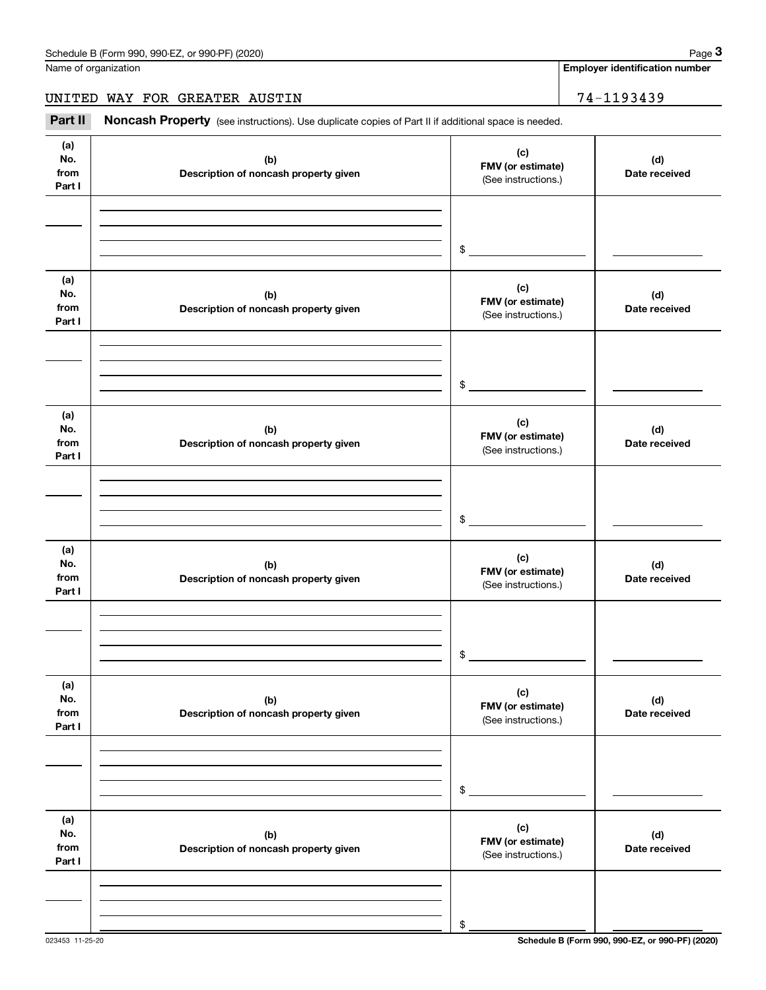Name of organization

**Employer identification number**

UNITED WAY FOR GREATER AUSTIN 74-1193439

Chedule B (Form 990, 990-EZ, or 990-PF) (2020)<br> **2020 Alame of organization**<br> **3Part II if additional space is needed.**<br> **24-1193439**<br> **14-1193439** 

| (a)<br>No.<br>from<br>Part I | (b)<br>Description of noncash property given | (c)<br>FMV (or estimate)<br>(See instructions.) | (d)<br>Date received |
|------------------------------|----------------------------------------------|-------------------------------------------------|----------------------|
|                              |                                              |                                                 |                      |
|                              |                                              | \$                                              |                      |
| (a)<br>No.<br>from<br>Part I | (b)<br>Description of noncash property given | (c)<br>FMV (or estimate)<br>(See instructions.) | (d)<br>Date received |
|                              |                                              |                                                 |                      |
|                              |                                              | \$                                              |                      |
| (a)<br>No.<br>from<br>Part I | (b)<br>Description of noncash property given | (c)<br>FMV (or estimate)<br>(See instructions.) | (d)<br>Date received |
|                              |                                              |                                                 |                      |
|                              |                                              | \$                                              |                      |
| (a)<br>No.<br>from<br>Part I | (b)<br>Description of noncash property given | (c)<br>FMV (or estimate)<br>(See instructions.) | (d)<br>Date received |
|                              |                                              |                                                 |                      |
|                              |                                              | \$                                              |                      |
| (a)<br>No.<br>from<br>Part I | (b)<br>Description of noncash property given | (c)<br>FMV (or estimate)<br>(See instructions.) | (d)<br>Date received |
|                              |                                              |                                                 |                      |
|                              |                                              | \$                                              |                      |
| (a)<br>No.<br>from<br>Part I | (b)<br>Description of noncash property given | (c)<br>FMV (or estimate)<br>(See instructions.) | (d)<br>Date received |
|                              |                                              |                                                 |                      |
|                              |                                              | \$                                              |                      |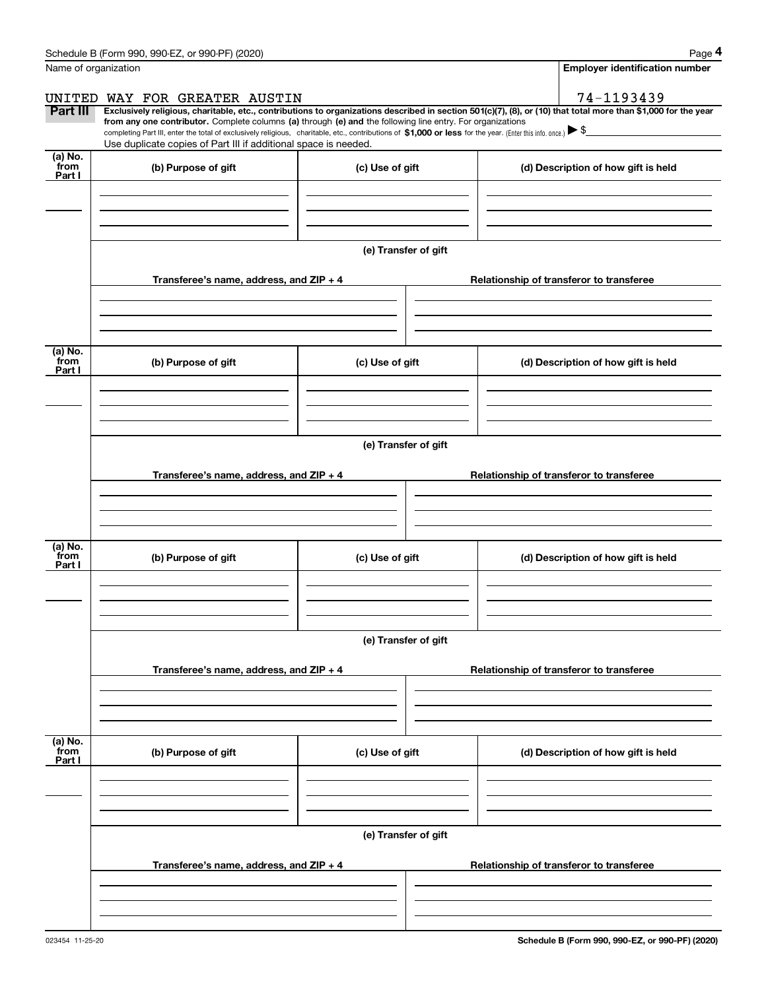|                 | Schedule B (Form 990, 990-EZ, or 990-PF) (2020)                                                                                                                                                                                                                                                 |                      | Page 4                                                                                                                                                         |  |  |  |  |  |
|-----------------|-------------------------------------------------------------------------------------------------------------------------------------------------------------------------------------------------------------------------------------------------------------------------------------------------|----------------------|----------------------------------------------------------------------------------------------------------------------------------------------------------------|--|--|--|--|--|
|                 | Name of organization                                                                                                                                                                                                                                                                            |                      | <b>Employer identification number</b>                                                                                                                          |  |  |  |  |  |
| UNITED          | WAY FOR GREATER AUSTIN                                                                                                                                                                                                                                                                          |                      | 74-1193439                                                                                                                                                     |  |  |  |  |  |
| Part III        |                                                                                                                                                                                                                                                                                                 |                      | Exclusively religious, charitable, etc., contributions to organizations described in section 501(c)(7), (8), or (10) that total more than \$1,000 for the year |  |  |  |  |  |
|                 | from any one contributor. Complete columns (a) through (e) and the following line entry. For organizations<br>completing Part III, enter the total of exclusively religious, charitable, etc., contributions of \$1,000 or less for the year. (Enter this info. once.) $\blacktriangleright$ \$ |                      |                                                                                                                                                                |  |  |  |  |  |
|                 | Use duplicate copies of Part III if additional space is needed.                                                                                                                                                                                                                                 |                      |                                                                                                                                                                |  |  |  |  |  |
| (a) No.<br>from | (b) Purpose of gift                                                                                                                                                                                                                                                                             | (c) Use of gift      | (d) Description of how gift is held                                                                                                                            |  |  |  |  |  |
| Part I          |                                                                                                                                                                                                                                                                                                 |                      |                                                                                                                                                                |  |  |  |  |  |
|                 |                                                                                                                                                                                                                                                                                                 |                      |                                                                                                                                                                |  |  |  |  |  |
|                 |                                                                                                                                                                                                                                                                                                 |                      |                                                                                                                                                                |  |  |  |  |  |
|                 |                                                                                                                                                                                                                                                                                                 |                      |                                                                                                                                                                |  |  |  |  |  |
|                 |                                                                                                                                                                                                                                                                                                 | (e) Transfer of gift |                                                                                                                                                                |  |  |  |  |  |
|                 | Transferee's name, address, and ZIP + 4                                                                                                                                                                                                                                                         |                      | Relationship of transferor to transferee                                                                                                                       |  |  |  |  |  |
|                 |                                                                                                                                                                                                                                                                                                 |                      |                                                                                                                                                                |  |  |  |  |  |
|                 |                                                                                                                                                                                                                                                                                                 |                      |                                                                                                                                                                |  |  |  |  |  |
|                 |                                                                                                                                                                                                                                                                                                 |                      |                                                                                                                                                                |  |  |  |  |  |
| (a) No.<br>from |                                                                                                                                                                                                                                                                                                 |                      |                                                                                                                                                                |  |  |  |  |  |
| Part I          | (b) Purpose of gift                                                                                                                                                                                                                                                                             | (c) Use of gift      | (d) Description of how gift is held                                                                                                                            |  |  |  |  |  |
|                 |                                                                                                                                                                                                                                                                                                 |                      |                                                                                                                                                                |  |  |  |  |  |
|                 |                                                                                                                                                                                                                                                                                                 |                      |                                                                                                                                                                |  |  |  |  |  |
|                 |                                                                                                                                                                                                                                                                                                 |                      |                                                                                                                                                                |  |  |  |  |  |
|                 | (e) Transfer of gift                                                                                                                                                                                                                                                                            |                      |                                                                                                                                                                |  |  |  |  |  |
|                 | Transferee's name, address, and ZIP + 4                                                                                                                                                                                                                                                         |                      | Relationship of transferor to transferee                                                                                                                       |  |  |  |  |  |
|                 |                                                                                                                                                                                                                                                                                                 |                      |                                                                                                                                                                |  |  |  |  |  |
|                 |                                                                                                                                                                                                                                                                                                 |                      |                                                                                                                                                                |  |  |  |  |  |
|                 |                                                                                                                                                                                                                                                                                                 |                      |                                                                                                                                                                |  |  |  |  |  |
| (a) No.         |                                                                                                                                                                                                                                                                                                 |                      |                                                                                                                                                                |  |  |  |  |  |
| from<br>Part I  | (b) Purpose of gift                                                                                                                                                                                                                                                                             | (c) Use of gift      | (d) Description of how gift is held                                                                                                                            |  |  |  |  |  |
|                 |                                                                                                                                                                                                                                                                                                 |                      |                                                                                                                                                                |  |  |  |  |  |
|                 |                                                                                                                                                                                                                                                                                                 |                      |                                                                                                                                                                |  |  |  |  |  |
|                 |                                                                                                                                                                                                                                                                                                 |                      |                                                                                                                                                                |  |  |  |  |  |
|                 |                                                                                                                                                                                                                                                                                                 | (e) Transfer of gift |                                                                                                                                                                |  |  |  |  |  |
|                 | Transferee's name, address, and ZIP + 4                                                                                                                                                                                                                                                         |                      | Relationship of transferor to transferee                                                                                                                       |  |  |  |  |  |
|                 |                                                                                                                                                                                                                                                                                                 |                      |                                                                                                                                                                |  |  |  |  |  |
|                 |                                                                                                                                                                                                                                                                                                 |                      |                                                                                                                                                                |  |  |  |  |  |
|                 |                                                                                                                                                                                                                                                                                                 |                      |                                                                                                                                                                |  |  |  |  |  |
| (a) No.<br>from |                                                                                                                                                                                                                                                                                                 |                      |                                                                                                                                                                |  |  |  |  |  |
| Part I          | (b) Purpose of gift                                                                                                                                                                                                                                                                             | (c) Use of gift      | (d) Description of how gift is held                                                                                                                            |  |  |  |  |  |
|                 |                                                                                                                                                                                                                                                                                                 |                      |                                                                                                                                                                |  |  |  |  |  |
|                 |                                                                                                                                                                                                                                                                                                 |                      |                                                                                                                                                                |  |  |  |  |  |
|                 |                                                                                                                                                                                                                                                                                                 |                      |                                                                                                                                                                |  |  |  |  |  |
|                 | (e) Transfer of gift                                                                                                                                                                                                                                                                            |                      |                                                                                                                                                                |  |  |  |  |  |
|                 | Transferee's name, address, and ZIP + 4                                                                                                                                                                                                                                                         |                      | Relationship of transferor to transferee                                                                                                                       |  |  |  |  |  |
|                 |                                                                                                                                                                                                                                                                                                 |                      |                                                                                                                                                                |  |  |  |  |  |
|                 |                                                                                                                                                                                                                                                                                                 |                      |                                                                                                                                                                |  |  |  |  |  |
|                 |                                                                                                                                                                                                                                                                                                 |                      |                                                                                                                                                                |  |  |  |  |  |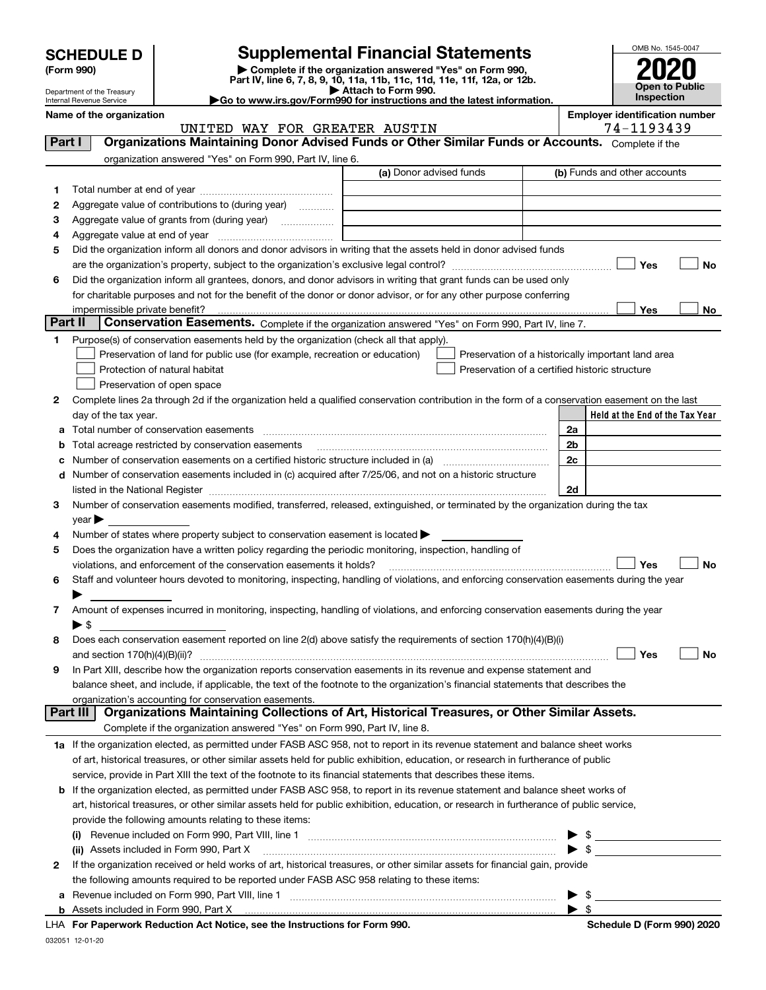| <b>SCHEDULE D</b> |  |
|-------------------|--|
|-------------------|--|

| (Form 990) |  |
|------------|--|
|------------|--|

# **SCHEDULE D Supplemental Financial Statements**

(Form 990)<br>
Pepartment of the Treasury<br>
Department of the Treasury<br>
Department of the Treasury<br>
Department of the Treasury<br> **Co to www.irs.gov/Form990 for instructions and the latest information.**<br> **Co to www.irs.gov/Form9** 



Department of the Treasury Internal Revenue Service

**Name of the organization Employer identification number**

|  | 74-1193439 |  |  |  |  |  |
|--|------------|--|--|--|--|--|
|  |            |  |  |  |  |  |
|  |            |  |  |  |  |  |

|         | UNITED WAY FOR GREATER AUSTIN                                                                                                                                                                                                 | 74-1193439                                         |
|---------|-------------------------------------------------------------------------------------------------------------------------------------------------------------------------------------------------------------------------------|----------------------------------------------------|
| Part I  | Organizations Maintaining Donor Advised Funds or Other Similar Funds or Accounts. Complete if the                                                                                                                             |                                                    |
|         | organization answered "Yes" on Form 990, Part IV, line 6.                                                                                                                                                                     |                                                    |
|         | (a) Donor advised funds                                                                                                                                                                                                       | (b) Funds and other accounts                       |
| 1       |                                                                                                                                                                                                                               |                                                    |
| 2       | Aggregate value of contributions to (during year)                                                                                                                                                                             |                                                    |
| з       |                                                                                                                                                                                                                               |                                                    |
| 4       |                                                                                                                                                                                                                               |                                                    |
| 5       | Did the organization inform all donors and donor advisors in writing that the assets held in donor advised funds                                                                                                              |                                                    |
|         |                                                                                                                                                                                                                               | Yes<br>No                                          |
| 6       | Did the organization inform all grantees, donors, and donor advisors in writing that grant funds can be used only                                                                                                             |                                                    |
|         | for charitable purposes and not for the benefit of the donor or donor advisor, or for any other purpose conferring                                                                                                            |                                                    |
|         |                                                                                                                                                                                                                               | Yes                                                |
| Part II | impermissible private benefit?<br>Conservation Easements. Complete if the organization answered "Yes" on Form 990, Part IV, line 7.                                                                                           | No                                                 |
|         |                                                                                                                                                                                                                               |                                                    |
| 1       | Purpose(s) of conservation easements held by the organization (check all that apply).                                                                                                                                         |                                                    |
|         | Preservation of land for public use (for example, recreation or education)                                                                                                                                                    | Preservation of a historically important land area |
|         | Protection of natural habitat                                                                                                                                                                                                 | Preservation of a certified historic structure     |
|         | Preservation of open space                                                                                                                                                                                                    |                                                    |
| 2       | Complete lines 2a through 2d if the organization held a qualified conservation contribution in the form of a conservation easement on the last                                                                                |                                                    |
|         | day of the tax year.                                                                                                                                                                                                          | Held at the End of the Tax Year                    |
| а       |                                                                                                                                                                                                                               | 2a                                                 |
| b       | Total acreage restricted by conservation easements                                                                                                                                                                            | 2b                                                 |
|         |                                                                                                                                                                                                                               | 2c                                                 |
| d       | Number of conservation easements included in (c) acquired after 7/25/06, and not on a historic structure                                                                                                                      |                                                    |
|         | listed in the National Register [111] Marshall Register [11] Marshall Register [11] Marshall Register [11] Marshall Register [11] Marshall Register [11] Marshall Register [11] Marshall Register [11] Marshall Register [11] | 2d                                                 |
| 3       | Number of conservation easements modified, transferred, released, extinguished, or terminated by the organization during the tax                                                                                              |                                                    |
|         | year                                                                                                                                                                                                                          |                                                    |
| 4       | Number of states where property subject to conservation easement is located >                                                                                                                                                 |                                                    |
| 5       | Does the organization have a written policy regarding the periodic monitoring, inspection, handling of                                                                                                                        |                                                    |
|         | violations, and enforcement of the conservation easements it holds?                                                                                                                                                           | Yes<br>No                                          |
| 6       | Staff and volunteer hours devoted to monitoring, inspecting, handling of violations, and enforcing conservation easements during the year                                                                                     |                                                    |
|         |                                                                                                                                                                                                                               |                                                    |
| 7       | Amount of expenses incurred in monitoring, inspecting, handling of violations, and enforcing conservation easements during the year                                                                                           |                                                    |
|         | $\blacktriangleright$ s                                                                                                                                                                                                       |                                                    |
| 8       | Does each conservation easement reported on line 2(d) above satisfy the requirements of section 170(h)(4)(B)(i)                                                                                                               |                                                    |
|         | and section $170(h)(4)(B)(ii)?$                                                                                                                                                                                               | Yes<br>No                                          |
| 9       | In Part XIII, describe how the organization reports conservation easements in its revenue and expense statement and                                                                                                           |                                                    |
|         | balance sheet, and include, if applicable, the text of the footnote to the organization's financial statements that describes the                                                                                             |                                                    |
|         | organization's accounting for conservation easements.                                                                                                                                                                         |                                                    |
|         | Organizations Maintaining Collections of Art, Historical Treasures, or Other Similar Assets.<br>Part III                                                                                                                      |                                                    |
|         | Complete if the organization answered "Yes" on Form 990, Part IV, line 8.                                                                                                                                                     |                                                    |
|         | 1a If the organization elected, as permitted under FASB ASC 958, not to report in its revenue statement and balance sheet works                                                                                               |                                                    |
|         | of art, historical treasures, or other similar assets held for public exhibition, education, or research in furtherance of public                                                                                             |                                                    |
|         | service, provide in Part XIII the text of the footnote to its financial statements that describes these items.                                                                                                                |                                                    |
| b       | If the organization elected, as permitted under FASB ASC 958, to report in its revenue statement and balance sheet works of                                                                                                   |                                                    |
|         | art, historical treasures, or other similar assets held for public exhibition, education, or research in furtherance of public service,                                                                                       |                                                    |
|         | provide the following amounts relating to these items:                                                                                                                                                                        |                                                    |
|         | (i)                                                                                                                                                                                                                           |                                                    |
|         | (ii) Assets included in Form 990, Part X                                                                                                                                                                                      | $\bullet$ \$                                       |
| 2       | If the organization received or held works of art, historical treasures, or other similar assets for financial gain, provide                                                                                                  |                                                    |
|         | the following amounts required to be reported under FASB ASC 958 relating to these items:                                                                                                                                     |                                                    |
| а       |                                                                                                                                                                                                                               | $\frac{1}{2}$<br>▶                                 |
|         |                                                                                                                                                                                                                               | $\blacktriangleright$ s                            |
|         |                                                                                                                                                                                                                               |                                                    |

032051 12-01-20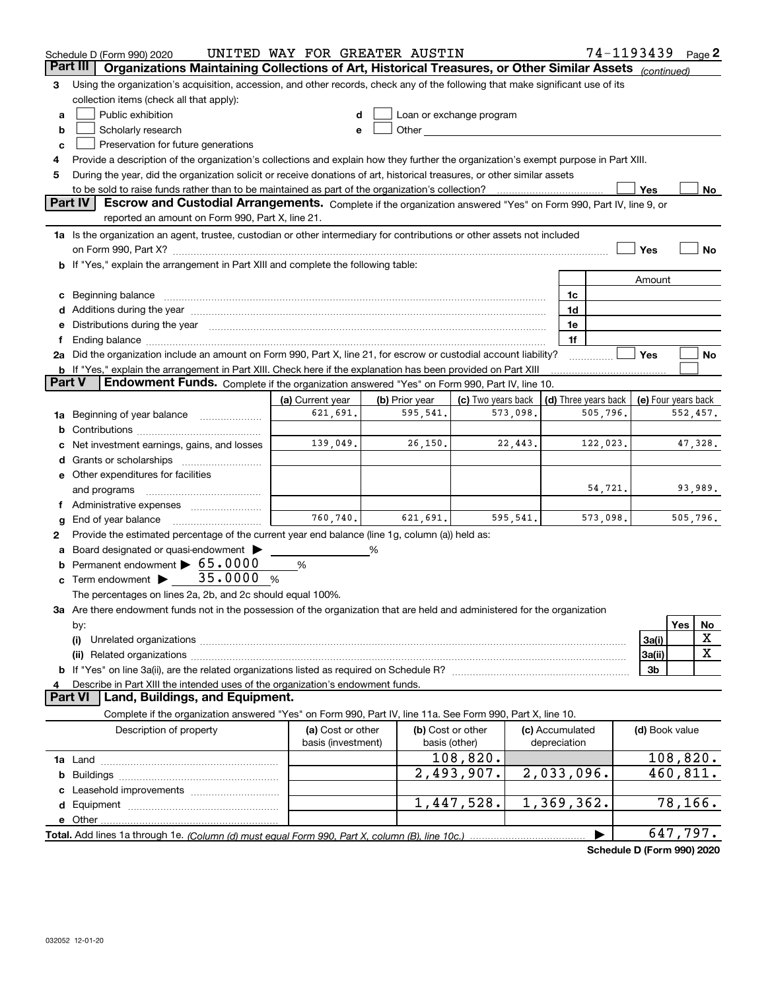|                | Schedule D (Form 990) 2020                                                                                                                                                                                                     | UNITED WAY FOR GREATER AUSTIN           |                |                                                                                                                                                                                                                                |                                 | 74-1193439 |                     |          | Page 2   |
|----------------|--------------------------------------------------------------------------------------------------------------------------------------------------------------------------------------------------------------------------------|-----------------------------------------|----------------|--------------------------------------------------------------------------------------------------------------------------------------------------------------------------------------------------------------------------------|---------------------------------|------------|---------------------|----------|----------|
| Part III       | Organizations Maintaining Collections of Art, Historical Treasures, or Other Similar Assets (continued)                                                                                                                        |                                         |                |                                                                                                                                                                                                                                |                                 |            |                     |          |          |
| 3              | Using the organization's acquisition, accession, and other records, check any of the following that make significant use of its                                                                                                |                                         |                |                                                                                                                                                                                                                                |                                 |            |                     |          |          |
|                | collection items (check all that apply):                                                                                                                                                                                       |                                         |                |                                                                                                                                                                                                                                |                                 |            |                     |          |          |
| a              | Public exhibition                                                                                                                                                                                                              |                                         |                | Loan or exchange program                                                                                                                                                                                                       |                                 |            |                     |          |          |
| b              | Scholarly research                                                                                                                                                                                                             |                                         |                | Other and the control of the control of the control of the control of the control of the control of the control of the control of the control of the control of the control of the control of the control of the control of th |                                 |            |                     |          |          |
| c              | Preservation for future generations                                                                                                                                                                                            |                                         |                |                                                                                                                                                                                                                                |                                 |            |                     |          |          |
|                | Provide a description of the organization's collections and explain how they further the organization's exempt purpose in Part XIII.                                                                                           |                                         |                |                                                                                                                                                                                                                                |                                 |            |                     |          |          |
| 5              | During the year, did the organization solicit or receive donations of art, historical treasures, or other similar assets                                                                                                       |                                         |                |                                                                                                                                                                                                                                |                                 |            |                     |          |          |
|                | to be sold to raise funds rather than to be maintained as part of the organization's collection?                                                                                                                               |                                         |                |                                                                                                                                                                                                                                |                                 |            | Yes                 |          | No       |
|                | <b>Part IV</b><br>Escrow and Custodial Arrangements. Complete if the organization answered "Yes" on Form 990, Part IV, line 9, or                                                                                              |                                         |                |                                                                                                                                                                                                                                |                                 |            |                     |          |          |
|                | reported an amount on Form 990, Part X, line 21.                                                                                                                                                                               |                                         |                |                                                                                                                                                                                                                                |                                 |            |                     |          |          |
|                | 1a Is the organization an agent, trustee, custodian or other intermediary for contributions or other assets not included                                                                                                       |                                         |                |                                                                                                                                                                                                                                |                                 |            |                     |          |          |
|                | on Form 990, Part X? [11] matter contracts and contracts and contracts are contracted and contracts are contracted and contract of the set of the set of the set of the set of the set of the set of the set of the set of the |                                         |                |                                                                                                                                                                                                                                |                                 |            | Yes                 |          | No       |
|                | b If "Yes," explain the arrangement in Part XIII and complete the following table:                                                                                                                                             |                                         |                |                                                                                                                                                                                                                                |                                 |            |                     |          |          |
|                |                                                                                                                                                                                                                                |                                         |                |                                                                                                                                                                                                                                |                                 |            | Amount              |          |          |
|                | c Beginning balance                                                                                                                                                                                                            |                                         |                |                                                                                                                                                                                                                                | 1c                              |            |                     |          |          |
|                |                                                                                                                                                                                                                                |                                         |                |                                                                                                                                                                                                                                | 1d                              |            |                     |          |          |
|                | e Distributions during the year manufactured and continuum and contact the year manufactured and contact the year manufactured and contact the year manufactured and contact the year manufactured and contact the year manufa |                                         |                |                                                                                                                                                                                                                                | 1e                              |            |                     |          |          |
|                |                                                                                                                                                                                                                                |                                         |                |                                                                                                                                                                                                                                | 1f                              |            |                     |          |          |
|                | 2a Did the organization include an amount on Form 990, Part X, line 21, for escrow or custodial account liability?                                                                                                             |                                         |                |                                                                                                                                                                                                                                |                                 |            | Yes                 |          | No       |
| <b>Part V</b>  | <b>b</b> If "Yes," explain the arrangement in Part XIII. Check here if the explanation has been provided on Part XIII<br>Endowment Funds. Complete if the organization answered "Yes" on Form 990, Part IV, line 10.           |                                         |                |                                                                                                                                                                                                                                |                                 |            |                     |          |          |
|                |                                                                                                                                                                                                                                | (a) Current year                        | (b) Prior year | (c) Two years back                                                                                                                                                                                                             | (d) Three years back            |            | (e) Four years back |          |          |
| 1a             | Beginning of year balance                                                                                                                                                                                                      | 621,691.                                | 595,541.       | 573,098.                                                                                                                                                                                                                       |                                 | 505,796.   |                     | 552,457. |          |
| b              |                                                                                                                                                                                                                                |                                         |                |                                                                                                                                                                                                                                |                                 |            |                     |          |          |
|                | Net investment earnings, gains, and losses                                                                                                                                                                                     | 139,049.                                | 26, 150.       | 22,443.                                                                                                                                                                                                                        |                                 | 122,023.   |                     |          | 47,328.  |
|                | Grants or scholarships                                                                                                                                                                                                         |                                         |                |                                                                                                                                                                                                                                |                                 |            |                     |          |          |
|                | e Other expenditures for facilities                                                                                                                                                                                            |                                         |                |                                                                                                                                                                                                                                |                                 |            |                     |          |          |
|                | and programs                                                                                                                                                                                                                   |                                         |                |                                                                                                                                                                                                                                |                                 | 54,721.    |                     |          | 93,989.  |
|                |                                                                                                                                                                                                                                |                                         |                |                                                                                                                                                                                                                                |                                 |            |                     |          |          |
|                | End of year balance                                                                                                                                                                                                            | 760, 740.                               | 621,691.       | 595,541.                                                                                                                                                                                                                       |                                 | 573,098.   |                     | 505,796. |          |
| 2              | Provide the estimated percentage of the current year end balance (line 1g, column (a)) held as:                                                                                                                                |                                         |                |                                                                                                                                                                                                                                |                                 |            |                     |          |          |
|                | Board designated or quasi-endowment >                                                                                                                                                                                          |                                         | %              |                                                                                                                                                                                                                                |                                 |            |                     |          |          |
| b              | Permanent endowment > 65.0000                                                                                                                                                                                                  | %                                       |                |                                                                                                                                                                                                                                |                                 |            |                     |          |          |
| c              | Term endowment $\blacktriangleright$ 35.0000<br>- %                                                                                                                                                                            |                                         |                |                                                                                                                                                                                                                                |                                 |            |                     |          |          |
|                | The percentages on lines 2a, 2b, and 2c should equal 100%.                                                                                                                                                                     |                                         |                |                                                                                                                                                                                                                                |                                 |            |                     |          |          |
|                | 3a Are there endowment funds not in the possession of the organization that are held and administered for the organization                                                                                                     |                                         |                |                                                                                                                                                                                                                                |                                 |            |                     |          |          |
|                | by:                                                                                                                                                                                                                            |                                         |                |                                                                                                                                                                                                                                |                                 |            |                     | Yes      | No       |
|                | (i)                                                                                                                                                                                                                            |                                         |                |                                                                                                                                                                                                                                |                                 |            | 3a(i)               |          | X        |
|                | (ii)                                                                                                                                                                                                                           |                                         |                |                                                                                                                                                                                                                                |                                 |            | 3a(ii)              |          | X        |
|                | <b>b</b> If "Yes" on line 3a(ii), are the related organizations listed as required on Schedule R?                                                                                                                              |                                         |                |                                                                                                                                                                                                                                |                                 |            | 3b                  |          |          |
|                | Describe in Part XIII the intended uses of the organization's endowment funds.                                                                                                                                                 |                                         |                |                                                                                                                                                                                                                                |                                 |            |                     |          |          |
| <b>Part VI</b> | Land, Buildings, and Equipment.                                                                                                                                                                                                |                                         |                |                                                                                                                                                                                                                                |                                 |            |                     |          |          |
|                | Complete if the organization answered "Yes" on Form 990, Part IV, line 11a. See Form 990, Part X, line 10.                                                                                                                     |                                         |                |                                                                                                                                                                                                                                |                                 |            |                     |          |          |
|                | Description of property                                                                                                                                                                                                        | (a) Cost or other<br>basis (investment) |                | (b) Cost or other<br>basis (other)                                                                                                                                                                                             | (c) Accumulated<br>depreciation |            | (d) Book value      |          |          |
|                |                                                                                                                                                                                                                                |                                         |                | 108,820.                                                                                                                                                                                                                       |                                 |            |                     |          | 108,820. |
| b              |                                                                                                                                                                                                                                |                                         |                | $\overline{2}$ , 493, 907.                                                                                                                                                                                                     | 2,033,096.                      |            |                     | 460,811. |          |
|                |                                                                                                                                                                                                                                |                                         |                |                                                                                                                                                                                                                                |                                 |            |                     |          |          |
|                |                                                                                                                                                                                                                                |                                         |                | 1,447,528.                                                                                                                                                                                                                     | 1,369,362.                      |            |                     | 78, 166. |          |
|                | e Other.                                                                                                                                                                                                                       |                                         |                |                                                                                                                                                                                                                                |                                 |            |                     |          |          |
|                |                                                                                                                                                                                                                                |                                         |                |                                                                                                                                                                                                                                |                                 |            |                     | 647,797. |          |
|                |                                                                                                                                                                                                                                |                                         |                |                                                                                                                                                                                                                                |                                 |            |                     |          |          |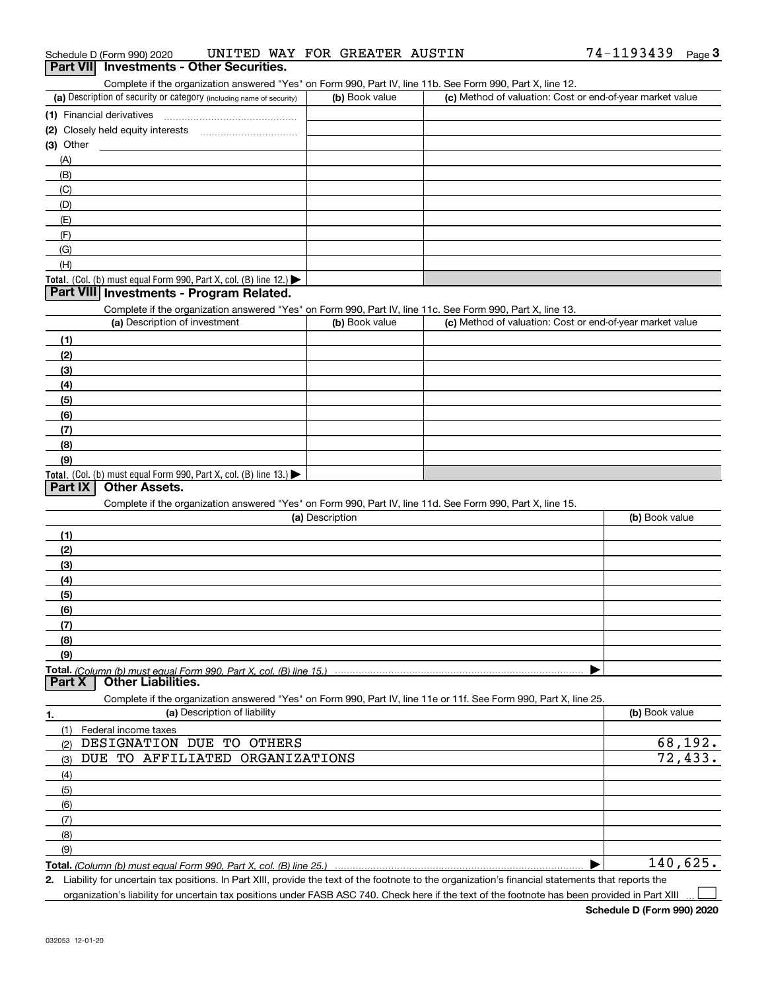|  | Schedule D (Form 990) 2020 |  |  |  | UNITED WAY FOR GREATER AUSTIN |  | 74-1193439 | Page |  |
|--|----------------------------|--|--|--|-------------------------------|--|------------|------|--|
|--|----------------------------|--|--|--|-------------------------------|--|------------|------|--|

### **Part VII Investments - Other Securities.**

Complete if the organization answered "Yes" on Form 990, Part IV, line 11b. See Form 990, Part X, line 12.

| (a) Description of security or category (including name of security)                   | (b) Book value | (c) Method of valuation: Cost or end-of-year market value |
|----------------------------------------------------------------------------------------|----------------|-----------------------------------------------------------|
| (1) Financial derivatives                                                              |                |                                                           |
| (2) Closely held equity interests                                                      |                |                                                           |
| (3) Other                                                                              |                |                                                           |
| (A)                                                                                    |                |                                                           |
| (B)                                                                                    |                |                                                           |
| (C)                                                                                    |                |                                                           |
| (D)                                                                                    |                |                                                           |
| (E)                                                                                    |                |                                                           |
| (F)                                                                                    |                |                                                           |
| (G)                                                                                    |                |                                                           |
| (H)                                                                                    |                |                                                           |
| Total. (Col. (b) must equal Form 990, Part X, col. (B) line 12.) $\blacktriangleright$ |                |                                                           |

#### **Part VIII Investments - Program Related.**

Complete if the organization answered "Yes" on Form 990, Part IV, line 11c. See Form 990, Part X, line 13.

| (a) Description of investment                                                                 | (b) Book value | (c) Method of valuation: Cost or end-of-year market value |
|-----------------------------------------------------------------------------------------------|----------------|-----------------------------------------------------------|
| (1)                                                                                           |                |                                                           |
| (2)                                                                                           |                |                                                           |
| $\frac{1}{2}$                                                                                 |                |                                                           |
| (4)                                                                                           |                |                                                           |
| $\left(5\right)$                                                                              |                |                                                           |
| (6)                                                                                           |                |                                                           |
| (7)                                                                                           |                |                                                           |
| (8)                                                                                           |                |                                                           |
| (9)                                                                                           |                |                                                           |
| <b>Total.</b> (Col. (b) must equal Form 990, Part X, col. (B) line 13.) $\blacktriangleright$ |                |                                                           |

#### **Part IX Other Assets.**

Complete if the organization answered "Yes" on Form 990, Part IV, line 11d. See Form 990, Part X, line 15.

|                             | (a) Description                                                                                                   | (b) Book value |
|-----------------------------|-------------------------------------------------------------------------------------------------------------------|----------------|
| (1)                         |                                                                                                                   |                |
| (2)                         |                                                                                                                   |                |
| (3)                         |                                                                                                                   |                |
| (4)                         |                                                                                                                   |                |
| (5)                         |                                                                                                                   |                |
| (6)                         |                                                                                                                   |                |
| (7)                         |                                                                                                                   |                |
| (8)                         |                                                                                                                   |                |
| (9)                         |                                                                                                                   |                |
|                             |                                                                                                                   |                |
|                             |                                                                                                                   |                |
|                             | Complete if the organization answered "Yes" on Form 990, Part IV, line 11e or 11f. See Form 990, Part X, line 25. |                |
| 1.                          | (a) Description of liability                                                                                      | (b) Book value |
| Federal income taxes<br>(1) |                                                                                                                   |                |
| (2)                         | DESIGNATION DUE<br>TO<br>OTHERS                                                                                   | 68,192.        |
| (3)                         | DUE TO AFFILIATED ORGANIZATIONS                                                                                   | 72,433.        |
| (4)                         |                                                                                                                   |                |
| (5)                         |                                                                                                                   |                |
| (6)                         |                                                                                                                   |                |
| (7)                         |                                                                                                                   |                |
| (8)                         |                                                                                                                   |                |

**Total.**  *(Column (b) must equal Form 990, Part X, col. (B) line 25.)*

**2.** $\blacktriangleright$ Liability for uncertain tax positions. In Part XIII, provide the text of the footnote to the organization's financial statements that reports the 140,625.

organization's liability for uncertain tax positions under FASB ASC 740. Check here if the text of the footnote has been provided in Part XIII

 $\mathcal{L}^{\text{max}}$ 

(9)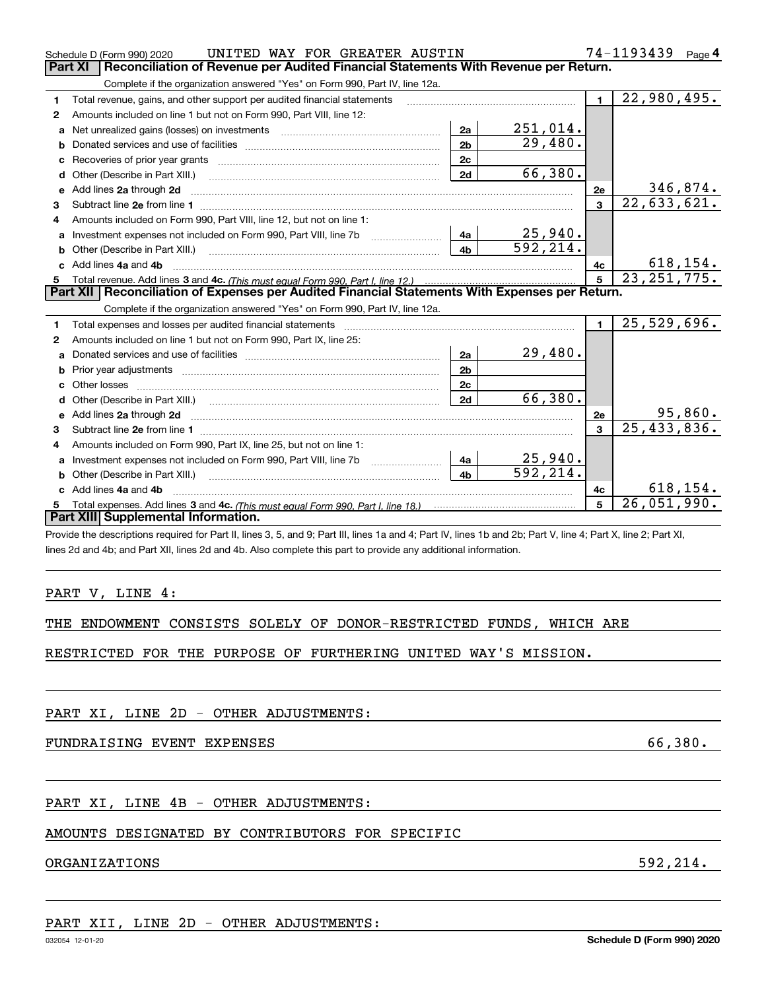|              | UNITED WAY FOR GREATER AUSTIN<br>Schedule D (Form 990) 2020                                                                                                                                                                        |                |          |                | 74-1193439<br>Page 4        |
|--------------|------------------------------------------------------------------------------------------------------------------------------------------------------------------------------------------------------------------------------------|----------------|----------|----------------|-----------------------------|
|              | <b>Part XI</b><br>Reconciliation of Revenue per Audited Financial Statements With Revenue per Return.                                                                                                                              |                |          |                |                             |
|              | Complete if the organization answered "Yes" on Form 990, Part IV, line 12a.                                                                                                                                                        |                |          |                |                             |
| 1            | Total revenue, gains, and other support per audited financial statements                                                                                                                                                           |                |          | $\blacksquare$ | 22,980,495.                 |
| $\mathbf{2}$ | Amounts included on line 1 but not on Form 990, Part VIII, line 12:                                                                                                                                                                |                |          |                |                             |
| a            |                                                                                                                                                                                                                                    | 2a             | 251,014. |                |                             |
| b            |                                                                                                                                                                                                                                    | 2 <sub>b</sub> | 29,480.  |                |                             |
| с            |                                                                                                                                                                                                                                    | 2c             |          |                |                             |
| d            | Other (Describe in Part XIII.)                                                                                                                                                                                                     | 2d             | 66,380.  |                |                             |
| е            | Add lines 2a through 2d                                                                                                                                                                                                            |                |          | 2e             | 346,874.                    |
| з            |                                                                                                                                                                                                                                    |                |          | 3              | 22,633,621.                 |
| 4            | Amounts included on Form 990, Part VIII, line 12, but not on line 1:                                                                                                                                                               |                |          |                |                             |
| a            | Investment expenses not included on Form 990, Part VIII, line 7b [100] [100] [100] [100] [100] [100] [100] [10                                                                                                                     | 4a             | 25,940.  |                |                             |
| b            | Other (Describe in Part XIII.)                                                                                                                                                                                                     | 4 <sub>b</sub> | 592,214. |                |                             |
|              | c Add lines 4a and 4b                                                                                                                                                                                                              |                |          | 4с             | 618, 154.                   |
|              |                                                                                                                                                                                                                                    |                | 5        | 23, 251, 775.  |                             |
|              | Part XII   Reconciliation of Expenses per Audited Financial Statements With Expenses per Return.                                                                                                                                   |                |          |                |                             |
|              | Complete if the organization answered "Yes" on Form 990, Part IV, line 12a.                                                                                                                                                        |                |          |                |                             |
| 1            | Total expenses and losses per audited financial statements [11, 11] manuscription control expenses and losses per audited financial statements [11] manuscription of the statements [11] manuscription of the statements [11]      |                |          | $\blacksquare$ | 25,529,696.                 |
| 2            | Amounts included on line 1 but not on Form 990, Part IX, line 25:                                                                                                                                                                  |                |          |                |                             |
|              |                                                                                                                                                                                                                                    | 2a             | 29,480.  |                |                             |
| b            |                                                                                                                                                                                                                                    |                |          |                |                             |
|              | Prior year adjustments [1111] Prior year adjustments [111] Masseum Masseum Masseum Masseum Masseum Masseum Mas                                                                                                                     | 2 <sub>b</sub> |          |                |                             |
|              |                                                                                                                                                                                                                                    | 2c             |          |                |                             |
| d            | Other (Describe in Part XIII.) (2000) (2000) (2000) (2010) (2010) (2010) (2010) (2010) (2010) (2010) (2010) (20                                                                                                                    | 2d             | 66,380.  |                |                             |
| е            | Add lines 2a through 2d <b>manufactures</b> in the contract of the contract of the contract of the contract of the contract of the contract of the contract of the contract of the contract of the contract of the contract of the |                |          | 2e             | 95,860.                     |
| 3            |                                                                                                                                                                                                                                    |                |          | $\mathbf{3}$   | $\overline{25, 433, 836}$ . |
| 4            | Amounts included on Form 990, Part IX, line 25, but not on line 1:                                                                                                                                                                 |                |          |                |                             |
| a            |                                                                                                                                                                                                                                    | 4a             | 25,940.  |                |                             |
| b            | Other (Describe in Part XIII.) <b>Construction Contract Construction</b> (Describe in Part XIII.)                                                                                                                                  | 4 <sub>h</sub> | 592.214. |                |                             |
|              | c Add lines 4a and 4b                                                                                                                                                                                                              |                |          | 4c             | 618, 154.                   |
|              |                                                                                                                                                                                                                                    |                |          | 5              | 26,051,990.                 |
|              | Part XIII Supplemental Information.                                                                                                                                                                                                |                |          |                |                             |
|              | Provide the descriptions required for Part II, lines 3, 5, and 9; Part III, lines 1a and 4; Part IV, lines 1b and 2b; Part V, line 4; Part X, line 2; Part XI,                                                                     |                |          |                |                             |

### PART V, LINE 4:

|  |  |  |  |  | THE ENDOWMENT CONSISTS SOLELY OF DONOR-RESTRICTED FUNDS, WHICH ARE |  |  |  |
|--|--|--|--|--|--------------------------------------------------------------------|--|--|--|
|--|--|--|--|--|--------------------------------------------------------------------|--|--|--|

RESTRICTED FOR THE PURPOSE OF FURTHERING UNITED WAY'S MISSION.

PART XI, LINE 2D - OTHER ADJUSTMENTS:

FUNDRAISING EVENT EXPENSES 66,380.

# PART XI, LINE 4B - OTHER ADJUSTMENTS:

# AMOUNTS DESIGNATED BY CONTRIBUTORS FOR SPECIFIC

### ORGANIZATIONS 592,214.

PART XII, LINE 2D - OTHER ADJUSTMENTS: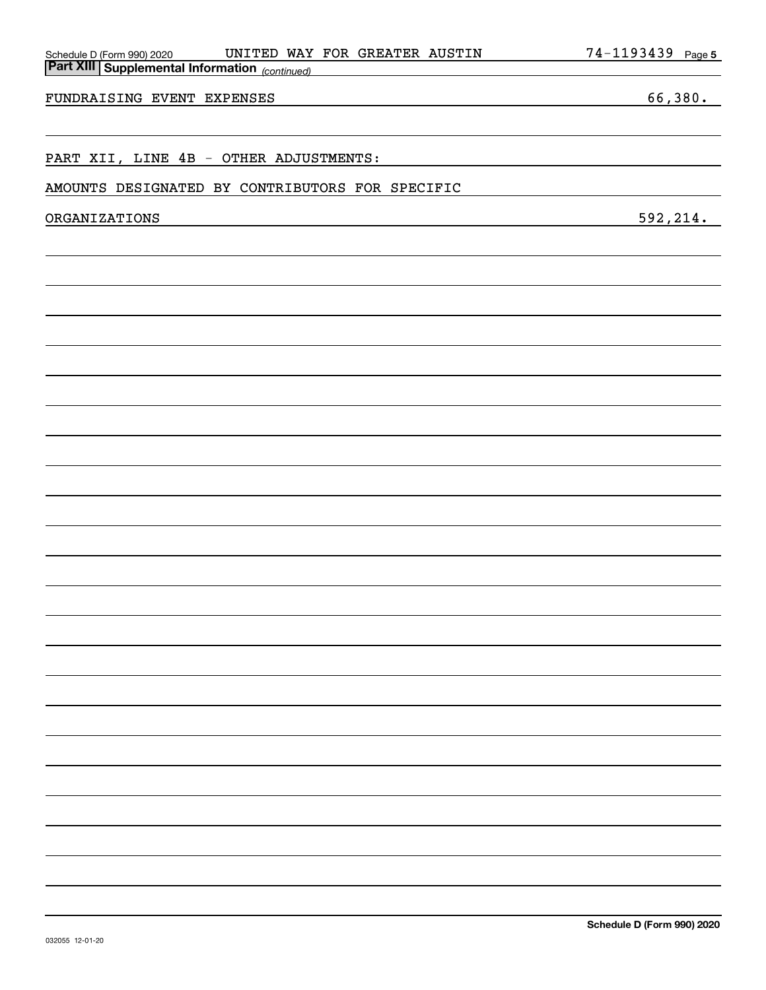| UNITED WAY FOR GREATER AUSTIN                                                           | 74-1193439<br>Page 5 |
|-----------------------------------------------------------------------------------------|----------------------|
| Schedule D (Form 990) 2020 UNITED WAY<br>Part XIII Supplemental Information (continued) |                      |
|                                                                                         |                      |
| FUNDRAISING EVENT EXPENSES                                                              | 66,380.              |
|                                                                                         |                      |
|                                                                                         |                      |
| PART XII, LINE 4B - OTHER ADJUSTMENTS:                                                  |                      |
| AMOUNTS DESIGNATED BY CONTRIBUTORS FOR SPECIFIC                                         |                      |
|                                                                                         |                      |
| ORGANIZATIONS                                                                           | 592, 214.            |
|                                                                                         |                      |
|                                                                                         |                      |
|                                                                                         |                      |
|                                                                                         |                      |
|                                                                                         |                      |
|                                                                                         |                      |
|                                                                                         |                      |
|                                                                                         |                      |
|                                                                                         |                      |
|                                                                                         |                      |
|                                                                                         |                      |
|                                                                                         |                      |
|                                                                                         |                      |
|                                                                                         |                      |
|                                                                                         |                      |
|                                                                                         |                      |
|                                                                                         |                      |
|                                                                                         |                      |
|                                                                                         |                      |
|                                                                                         |                      |
|                                                                                         |                      |
|                                                                                         |                      |
|                                                                                         |                      |

**Part XIII Supplem** 

#### 032055 12-01-20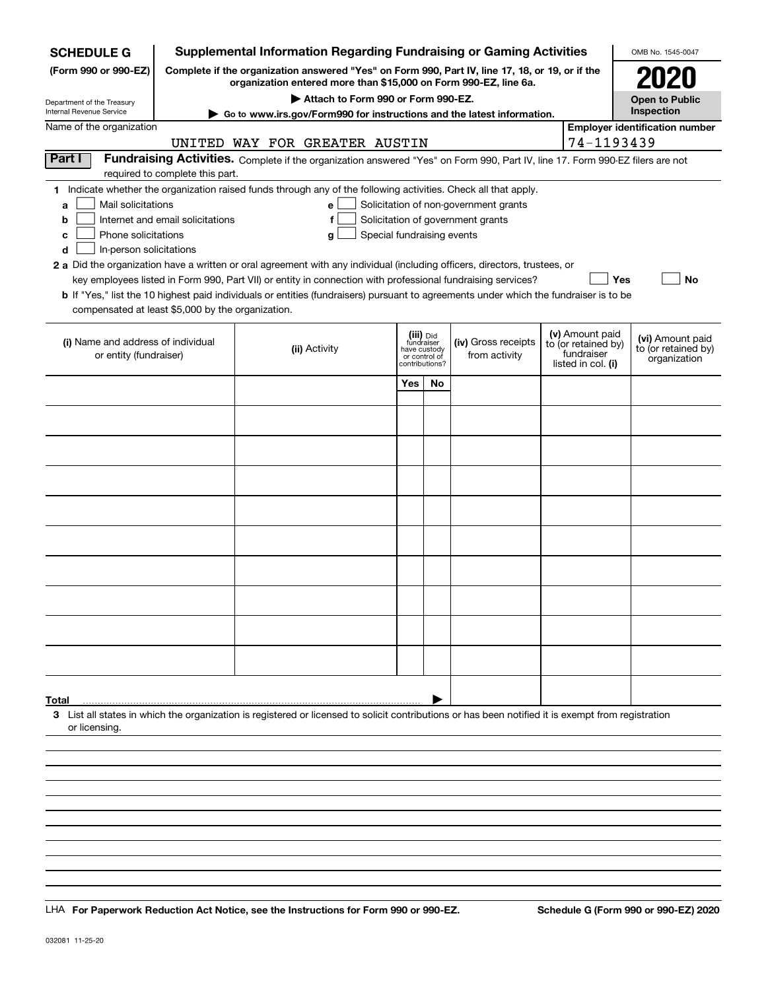| <b>SCHEDULE G</b>                                 |                                      | <b>Supplemental Information Regarding Fundraising or Gaming Activities</b>                                                                                          |                            |                               |                                       |  |                                        | OMB No. 1545-0047                     |
|---------------------------------------------------|--------------------------------------|---------------------------------------------------------------------------------------------------------------------------------------------------------------------|----------------------------|-------------------------------|---------------------------------------|--|----------------------------------------|---------------------------------------|
| (Form 990 or 990-EZ)                              |                                      | Complete if the organization answered "Yes" on Form 990, Part IV, line 17, 18, or 19, or if the<br>organization entered more than \$15,000 on Form 990-EZ, line 6a. |                            |                               |                                       |  |                                        | <b>2020</b>                           |
| Department of the Treasury                        |                                      | Attach to Form 990 or Form 990-EZ.                                                                                                                                  |                            |                               |                                       |  |                                        | <b>Open to Public</b>                 |
| Internal Revenue Service                          |                                      | Go to www.irs.gov/Form990 for instructions and the latest information.                                                                                              |                            |                               |                                       |  |                                        | Inspection                            |
| Name of the organization                          |                                      |                                                                                                                                                                     |                            |                               |                                       |  |                                        | <b>Employer identification number</b> |
|                                                   |                                      | UNITED WAY FOR GREATER AUSTIN                                                                                                                                       |                            |                               |                                       |  | 74-1193439                             |                                       |
| Part I                                            | required to complete this part.      | Fundraising Activities. Complete if the organization answered "Yes" on Form 990, Part IV, line 17. Form 990-EZ filers are not                                       |                            |                               |                                       |  |                                        |                                       |
|                                                   |                                      | 1 Indicate whether the organization raised funds through any of the following activities. Check all that apply.                                                     |                            |                               |                                       |  |                                        |                                       |
| Mail solicitations                                |                                      | e                                                                                                                                                                   |                            |                               | Solicitation of non-government grants |  |                                        |                                       |
| a<br>b                                            | Internet and email solicitations     | f                                                                                                                                                                   |                            |                               |                                       |  |                                        |                                       |
| Phone solicitations<br>c                          |                                      | g                                                                                                                                                                   | Special fundraising events |                               | Solicitation of government grants     |  |                                        |                                       |
| In-person solicitations<br>d                      |                                      |                                                                                                                                                                     |                            |                               |                                       |  |                                        |                                       |
|                                                   |                                      | 2 a Did the organization have a written or oral agreement with any individual (including officers, directors, trustees, or                                          |                            |                               |                                       |  |                                        |                                       |
|                                                   |                                      | key employees listed in Form 990, Part VII) or entity in connection with professional fundraising services?                                                         |                            |                               |                                       |  | Yes                                    | No                                    |
|                                                   |                                      | <b>b</b> If "Yes," list the 10 highest paid individuals or entities (fundraisers) pursuant to agreements under which the fundraiser is to be                        |                            |                               |                                       |  |                                        |                                       |
| compensated at least \$5,000 by the organization. |                                      |                                                                                                                                                                     |                            |                               |                                       |  |                                        |                                       |
|                                                   |                                      |                                                                                                                                                                     |                            |                               |                                       |  |                                        |                                       |
| (i) Name and address of individual                |                                      |                                                                                                                                                                     |                            | (iii) Did<br>fundraiser       | (iv) Gross receipts                   |  | (v) Amount paid<br>to (or retained by) | (vi) Amount paid                      |
| or entity (fundraiser)                            |                                      | (ii) Activity                                                                                                                                                       |                            | have custody<br>or control of | from activity                         |  | fundraiser                             | to (or retained by)<br>organization   |
|                                                   | listed in col. (i)<br>contributions? |                                                                                                                                                                     |                            |                               |                                       |  |                                        |                                       |
|                                                   |                                      |                                                                                                                                                                     | Yes                        | <b>No</b>                     |                                       |  |                                        |                                       |
|                                                   |                                      |                                                                                                                                                                     |                            |                               |                                       |  |                                        |                                       |
|                                                   |                                      |                                                                                                                                                                     |                            |                               |                                       |  |                                        |                                       |
|                                                   |                                      |                                                                                                                                                                     |                            |                               |                                       |  |                                        |                                       |
|                                                   |                                      |                                                                                                                                                                     |                            |                               |                                       |  |                                        |                                       |
|                                                   |                                      |                                                                                                                                                                     |                            |                               |                                       |  |                                        |                                       |
|                                                   |                                      |                                                                                                                                                                     |                            |                               |                                       |  |                                        |                                       |
|                                                   |                                      |                                                                                                                                                                     |                            |                               |                                       |  |                                        |                                       |
|                                                   |                                      |                                                                                                                                                                     |                            |                               |                                       |  |                                        |                                       |
|                                                   |                                      |                                                                                                                                                                     |                            |                               |                                       |  |                                        |                                       |
|                                                   |                                      |                                                                                                                                                                     |                            |                               |                                       |  |                                        |                                       |
|                                                   |                                      |                                                                                                                                                                     |                            |                               |                                       |  |                                        |                                       |
|                                                   |                                      |                                                                                                                                                                     |                            |                               |                                       |  |                                        |                                       |
|                                                   |                                      |                                                                                                                                                                     |                            |                               |                                       |  |                                        |                                       |
|                                                   |                                      |                                                                                                                                                                     |                            |                               |                                       |  |                                        |                                       |
|                                                   |                                      |                                                                                                                                                                     |                            |                               |                                       |  |                                        |                                       |
|                                                   |                                      |                                                                                                                                                                     |                            |                               |                                       |  |                                        |                                       |
|                                                   |                                      |                                                                                                                                                                     |                            |                               |                                       |  |                                        |                                       |
|                                                   |                                      |                                                                                                                                                                     |                            |                               |                                       |  |                                        |                                       |
|                                                   |                                      |                                                                                                                                                                     |                            |                               |                                       |  |                                        |                                       |
| Total                                             |                                      |                                                                                                                                                                     |                            |                               |                                       |  |                                        |                                       |
|                                                   |                                      | 3 List all states in which the organization is registered or licensed to solicit contributions or has been notified it is exempt from registration                  |                            |                               |                                       |  |                                        |                                       |
| or licensing                                      |                                      |                                                                                                                                                                     |                            |                               |                                       |  |                                        |                                       |
|                                                   |                                      |                                                                                                                                                                     |                            |                               |                                       |  |                                        |                                       |
|                                                   |                                      |                                                                                                                                                                     |                            |                               |                                       |  |                                        |                                       |
|                                                   |                                      |                                                                                                                                                                     |                            |                               |                                       |  |                                        |                                       |
|                                                   |                                      |                                                                                                                                                                     |                            |                               |                                       |  |                                        |                                       |
|                                                   |                                      |                                                                                                                                                                     |                            |                               |                                       |  |                                        |                                       |

LHA For Paperwork Reduction Act Notice, see the Instructions for Form 990 or 990-EZ. Schedule G (Form 990 or 990-EZ) 2020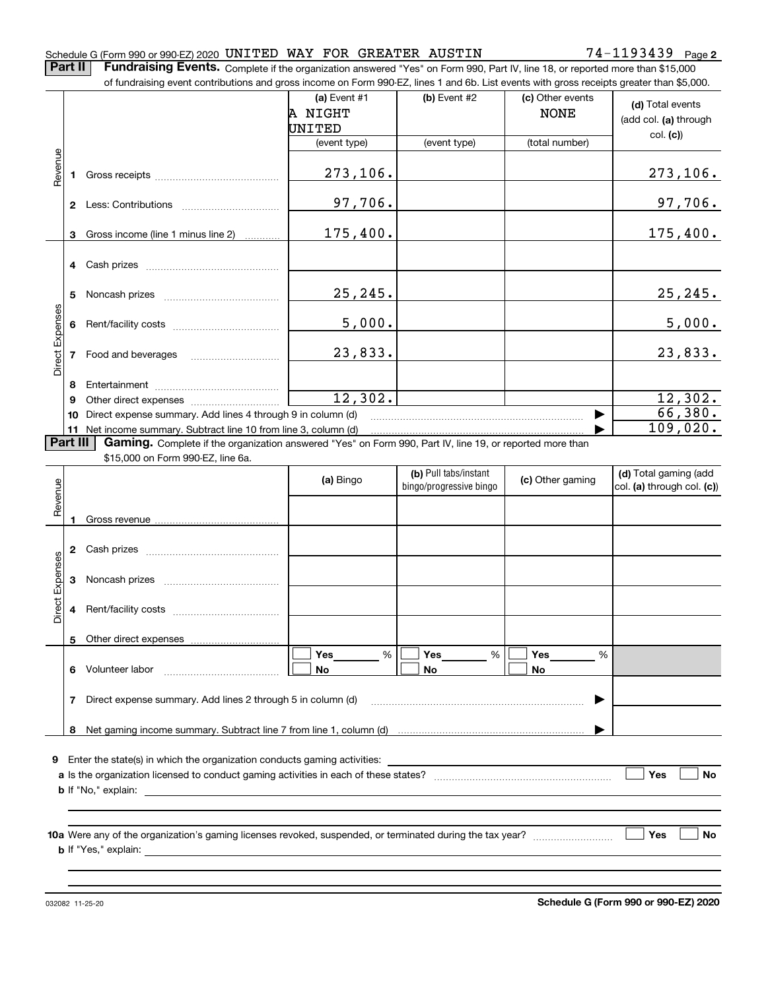#### Schedule G (Form 990 or 990-EZ) 2020 <code>UNITED WAY FOR GREATER AUSTIN</code>  $74-1193439$  <code>Page</code>

**2**

**Part II** | Fundraising Events. Complete if the organization answered "Yes" on Form 990, Part IV, line 18, or reported more than \$15,000

|                 |          | of fundraising event contributions and gross income on Form 990-EZ, lines 1 and 6b. List events with gross receipts greater than \$5,000.                                   |                                   |                                                  |                                 |                                                     |
|-----------------|----------|-----------------------------------------------------------------------------------------------------------------------------------------------------------------------------|-----------------------------------|--------------------------------------------------|---------------------------------|-----------------------------------------------------|
|                 |          |                                                                                                                                                                             | (a) Event #1<br>A NIGHT<br>UNITED | (b) Event #2                                     | (c) Other events<br><b>NONE</b> | (d) Total events<br>(add col. (a) through           |
|                 |          |                                                                                                                                                                             | (event type)                      | (event type)                                     | (total number)                  | col. (c)                                            |
| Revenue         |          |                                                                                                                                                                             | 273,106.                          |                                                  |                                 | 273, 106.                                           |
|                 |          |                                                                                                                                                                             | 97,706.                           |                                                  |                                 | 97,706.                                             |
|                 | 3        | Gross income (line 1 minus line 2)                                                                                                                                          | 175,400.                          |                                                  |                                 | 175,400.                                            |
|                 |          |                                                                                                                                                                             |                                   |                                                  |                                 |                                                     |
|                 | 5        |                                                                                                                                                                             | 25,245.                           |                                                  |                                 | 25, 245.                                            |
|                 | 6        |                                                                                                                                                                             | 5,000.                            |                                                  |                                 | 5,000.                                              |
| Direct Expenses |          |                                                                                                                                                                             | 23,833.                           |                                                  |                                 | 23,833.                                             |
|                 | 8        |                                                                                                                                                                             |                                   |                                                  |                                 |                                                     |
|                 | 9        |                                                                                                                                                                             | 12,302.                           |                                                  |                                 | 12,302.                                             |
|                 | 10       | Direct expense summary. Add lines 4 through 9 in column (d)                                                                                                                 |                                   |                                                  |                                 | 66,380.                                             |
|                 | Part III | 11 Net income summary. Subtract line 10 from line 3, column (d)<br>Gaming. Complete if the organization answered "Yes" on Form 990, Part IV, line 19, or reported more than |                                   |                                                  |                                 | 109,020.                                            |
|                 |          | \$15,000 on Form 990-EZ, line 6a.                                                                                                                                           |                                   |                                                  |                                 |                                                     |
| Revenue         |          |                                                                                                                                                                             | (a) Bingo                         | (b) Pull tabs/instant<br>bingo/progressive bingo | (c) Other gaming                | (d) Total gaming (add<br>col. (a) through col. (c)) |
|                 | 1        |                                                                                                                                                                             |                                   |                                                  |                                 |                                                     |
|                 |          |                                                                                                                                                                             |                                   |                                                  |                                 |                                                     |
| Expenses        |          |                                                                                                                                                                             |                                   |                                                  |                                 |                                                     |
| Direct          | 4        |                                                                                                                                                                             |                                   |                                                  |                                 |                                                     |
|                 |          |                                                                                                                                                                             |                                   |                                                  |                                 |                                                     |
|                 |          |                                                                                                                                                                             |                                   |                                                  |                                 |                                                     |
|                 | 6        | Other direct expenses<br>Volunteer labor                                                                                                                                    | Yes<br>$\%$<br>No                 | Yes<br>%<br>No                                   | Yes<br>%<br>No                  |                                                     |
|                 | 7        | Direct expense summary. Add lines 2 through 5 in column (d)                                                                                                                 |                                   |                                                  |                                 |                                                     |
|                 | 8        |                                                                                                                                                                             |                                   |                                                  |                                 |                                                     |
|                 |          |                                                                                                                                                                             |                                   |                                                  |                                 |                                                     |
|                 |          | <b>9</b> Enter the state(s) in which the organization conducts gaming activities:                                                                                           |                                   |                                                  |                                 | Yes<br>No                                           |
|                 |          | <b>b</b> If "No," explain:<br><u> 1989 - Johann Barbara, martin amerikan personal (</u>                                                                                     |                                   |                                                  |                                 |                                                     |
|                 |          |                                                                                                                                                                             |                                   |                                                  |                                 |                                                     |

**b** If "Yes," explain:

**Schedule G (Form 990 or 990-EZ) 2020**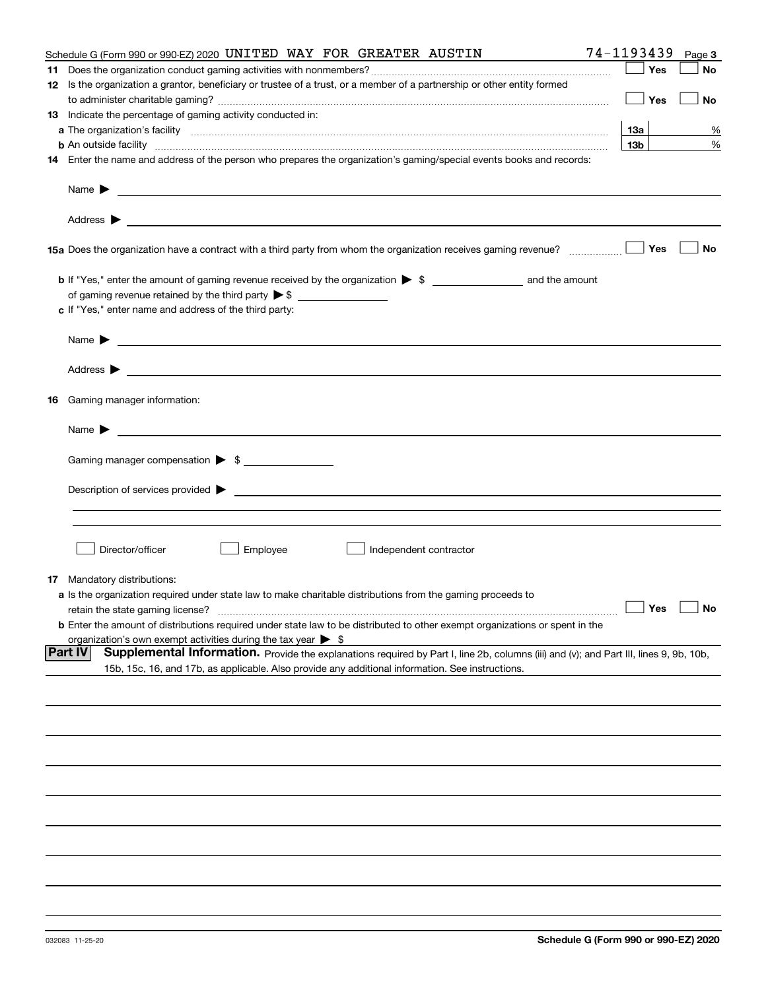| Schedule G (Form 990 or 990-EZ) 2020 UNITED WAY FOR GREATER AUSTIN                                                                                                                                                                                           | 74-1193439           | Page 3 |
|--------------------------------------------------------------------------------------------------------------------------------------------------------------------------------------------------------------------------------------------------------------|----------------------|--------|
|                                                                                                                                                                                                                                                              | Yes                  | No     |
| 12 Is the organization a grantor, beneficiary or trustee of a trust, or a member of a partnership or other entity formed                                                                                                                                     |                      |        |
|                                                                                                                                                                                                                                                              | Yes                  | No     |
| 13 Indicate the percentage of gaming activity conducted in:                                                                                                                                                                                                  |                      |        |
|                                                                                                                                                                                                                                                              | 13а                  | %      |
| <b>b</b> An outside facility <i>www.communicality communicality communicality communicality communicality communicality communically communically communically communically communically communically communically communically commu</i>                    | 13 <sub>b</sub>      | %      |
| 14 Enter the name and address of the person who prepares the organization's gaming/special events books and records:                                                                                                                                         |                      |        |
| Name $\blacktriangleright$<br><u> 1989 - Johann Stein, marwolaethau a bhann an t-Amhainn an t-Amhainn an t-Amhainn an t-Amhainn an t-Amhainn an</u>                                                                                                          |                      |        |
| Address $\blacktriangleright$<br><u> 1989 - Andrea State Barbara, amerikan personal di sebagai personal di sebagai personal di sebagai personal di</u>                                                                                                       |                      |        |
|                                                                                                                                                                                                                                                              | Yes                  | No     |
|                                                                                                                                                                                                                                                              |                      |        |
|                                                                                                                                                                                                                                                              |                      |        |
| c If "Yes," enter name and address of the third party:                                                                                                                                                                                                       |                      |        |
| Name $\blacktriangleright$<br><u> 1980 - Johann Barbara, martin amerikan basar dan berasal dan berasal dalam basar dalam basar dalam basar dala</u>                                                                                                          |                      |        |
|                                                                                                                                                                                                                                                              |                      |        |
| <b>16</b> Gaming manager information:                                                                                                                                                                                                                        |                      |        |
| Name $\blacktriangleright$                                                                                                                                                                                                                                   |                      |        |
| Gaming manager compensation > \$                                                                                                                                                                                                                             |                      |        |
|                                                                                                                                                                                                                                                              |                      |        |
| Description of services provided $\blacktriangleright$                                                                                                                                                                                                       |                      |        |
|                                                                                                                                                                                                                                                              |                      |        |
|                                                                                                                                                                                                                                                              |                      |        |
|                                                                                                                                                                                                                                                              |                      |        |
| Director/officer<br>Employee<br>Independent contractor                                                                                                                                                                                                       |                      |        |
| <b>17</b> Mandatory distributions:                                                                                                                                                                                                                           |                      |        |
| <b>a</b> Is the organization required under state law to make charitable distributions from the gaming proceeds to                                                                                                                                           |                      |        |
| retain the state gaming license?                                                                                                                                                                                                                             | $\Box$ Yes $\Box$ No |        |
| <b>b</b> Enter the amount of distributions required under state law to be distributed to other exempt organizations or spent in the                                                                                                                          |                      |        |
| organization's own exempt activities during the tax year $\triangleright$ \$                                                                                                                                                                                 |                      |        |
| <b>Part IV</b><br>Supplemental Information. Provide the explanations required by Part I, line 2b, columns (iii) and (v); and Part III, lines 9, 9b, 10b,<br>15b, 15c, 16, and 17b, as applicable. Also provide any additional information. See instructions. |                      |        |
|                                                                                                                                                                                                                                                              |                      |        |
|                                                                                                                                                                                                                                                              |                      |        |
|                                                                                                                                                                                                                                                              |                      |        |
|                                                                                                                                                                                                                                                              |                      |        |
|                                                                                                                                                                                                                                                              |                      |        |
|                                                                                                                                                                                                                                                              |                      |        |
|                                                                                                                                                                                                                                                              |                      |        |
|                                                                                                                                                                                                                                                              |                      |        |
|                                                                                                                                                                                                                                                              |                      |        |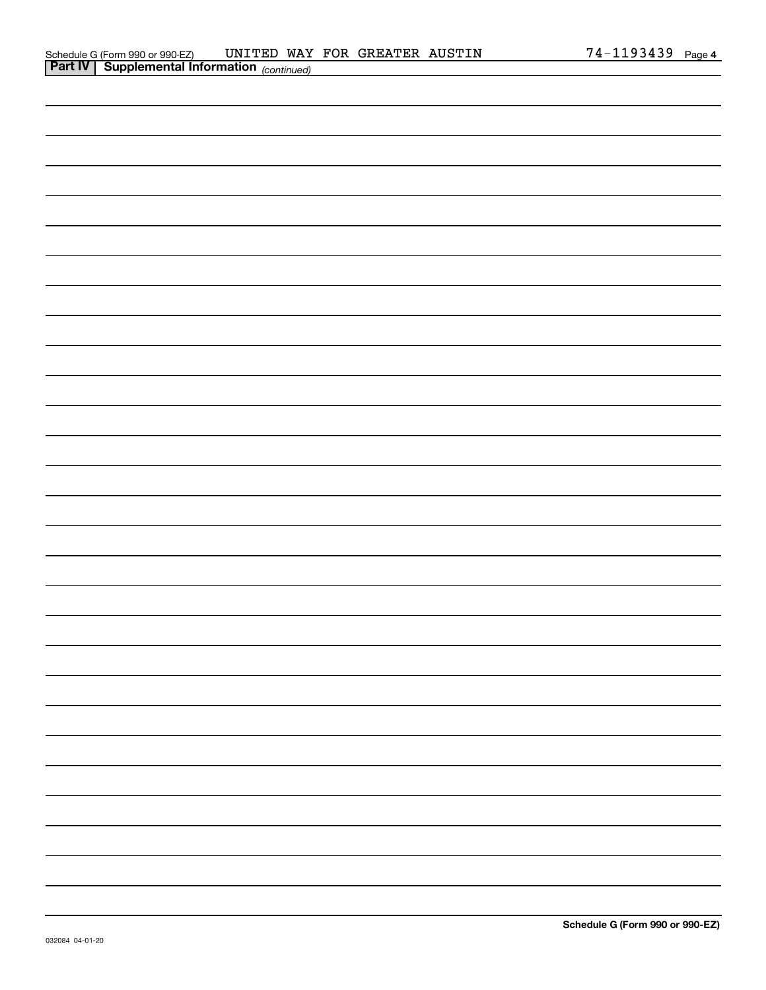| <b>Part IV</b> Supplemental Information $_{(continued)}$ |  |  |
|----------------------------------------------------------|--|--|
|                                                          |  |  |
|                                                          |  |  |
|                                                          |  |  |
|                                                          |  |  |
|                                                          |  |  |
|                                                          |  |  |
|                                                          |  |  |
|                                                          |  |  |
|                                                          |  |  |
|                                                          |  |  |
|                                                          |  |  |
|                                                          |  |  |
|                                                          |  |  |
|                                                          |  |  |
|                                                          |  |  |
|                                                          |  |  |
|                                                          |  |  |
|                                                          |  |  |
|                                                          |  |  |
|                                                          |  |  |
|                                                          |  |  |
|                                                          |  |  |
|                                                          |  |  |
|                                                          |  |  |
|                                                          |  |  |
|                                                          |  |  |
|                                                          |  |  |
|                                                          |  |  |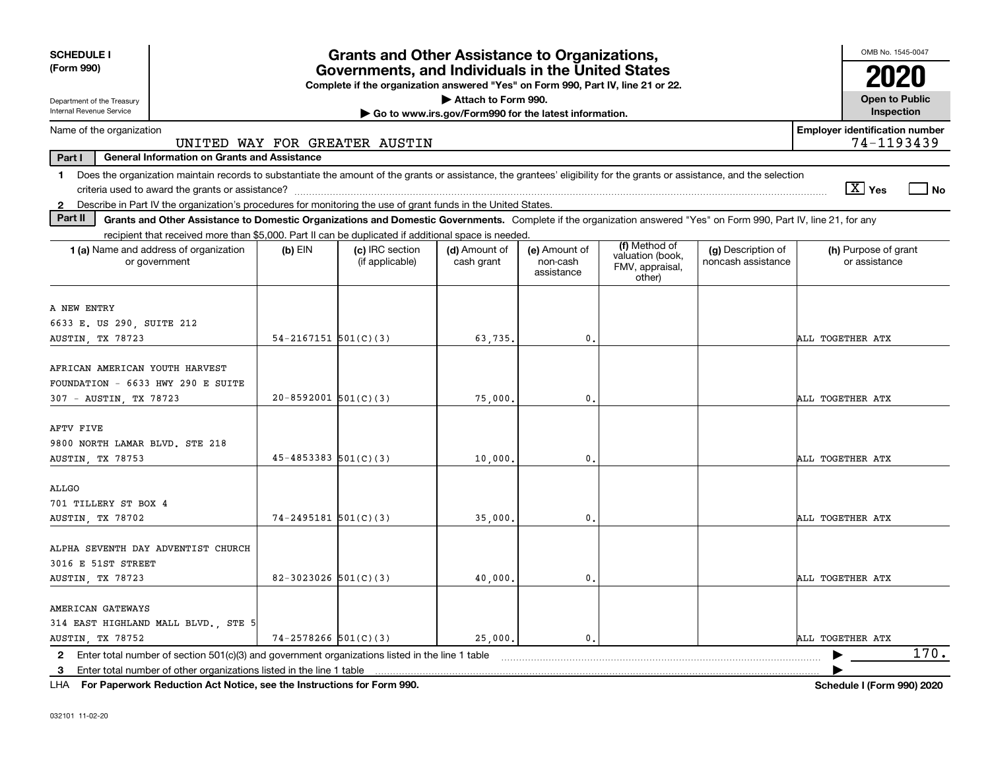| <b>SCHEDULE I</b>                                                                                                                                                              |                            | <b>Grants and Other Assistance to Organizations,</b>                                                                                  |                                                       |                                         |                                               |                                          | OMB No. 1545-0047                                   |
|--------------------------------------------------------------------------------------------------------------------------------------------------------------------------------|----------------------------|---------------------------------------------------------------------------------------------------------------------------------------|-------------------------------------------------------|-----------------------------------------|-----------------------------------------------|------------------------------------------|-----------------------------------------------------|
| (Form 990)                                                                                                                                                                     |                            | Governments, and Individuals in the United States<br>Complete if the organization answered "Yes" on Form 990, Part IV, line 21 or 22. |                                                       |                                         |                                               |                                          |                                                     |
| Department of the Treasury                                                                                                                                                     |                            |                                                                                                                                       | Attach to Form 990.                                   |                                         |                                               |                                          | <b>Open to Public</b>                               |
| Internal Revenue Service                                                                                                                                                       |                            |                                                                                                                                       | Go to www.irs.gov/Form990 for the latest information. |                                         |                                               |                                          | Inspection                                          |
| Name of the organization                                                                                                                                                       |                            | UNITED WAY FOR GREATER AUSTIN                                                                                                         |                                                       |                                         |                                               |                                          | <b>Employer identification number</b><br>74-1193439 |
| Part I<br><b>General Information on Grants and Assistance</b>                                                                                                                  |                            |                                                                                                                                       |                                                       |                                         |                                               |                                          |                                                     |
| Does the organization maintain records to substantiate the amount of the grants or assistance, the grantees' eligibility for the grants or assistance, and the selection<br>1. |                            |                                                                                                                                       |                                                       |                                         |                                               |                                          |                                                     |
|                                                                                                                                                                                |                            |                                                                                                                                       |                                                       |                                         |                                               |                                          | $\sqrt{X}$ Yes<br>  No                              |
| 2 Describe in Part IV the organization's procedures for monitoring the use of grant funds in the United States.                                                                |                            |                                                                                                                                       |                                                       |                                         |                                               |                                          |                                                     |
| Part II<br>Grants and Other Assistance to Domestic Organizations and Domestic Governments. Complete if the organization answered "Yes" on Form 990, Part IV, line 21, for any  |                            |                                                                                                                                       |                                                       |                                         |                                               |                                          |                                                     |
| recipient that received more than \$5,000. Part II can be duplicated if additional space is needed.                                                                            |                            |                                                                                                                                       |                                                       |                                         | (f) Method of                                 |                                          |                                                     |
| 1 (a) Name and address of organization<br>or government                                                                                                                        | $(b)$ EIN                  | (c) IRC section<br>(if applicable)                                                                                                    | (d) Amount of<br>cash grant                           | (e) Amount of<br>non-cash<br>assistance | valuation (book,<br>FMV, appraisal,<br>other) | (g) Description of<br>noncash assistance | (h) Purpose of grant<br>or assistance               |
| A NEW ENTRY                                                                                                                                                                    |                            |                                                                                                                                       |                                                       |                                         |                                               |                                          |                                                     |
| 6633 E. US 290, SUITE 212                                                                                                                                                      |                            |                                                                                                                                       |                                                       |                                         |                                               |                                          |                                                     |
| AUSTIN, TX 78723                                                                                                                                                               | $54 - 2167151$ $501(C)(3)$ |                                                                                                                                       | 63,735.                                               | 0.                                      |                                               |                                          | ALL TOGETHER ATX                                    |
| AFRICAN AMERICAN YOUTH HARVEST<br>FOUNDATION - 6633 HWY 290 E SUITE                                                                                                            |                            |                                                                                                                                       |                                                       |                                         |                                               |                                          |                                                     |
| 307 - AUSTIN, TX 78723                                                                                                                                                         | $20 - 8592001$ 501(C)(3)   |                                                                                                                                       | 75,000                                                | $\mathbf{0}$ .                          |                                               |                                          | ALL TOGETHER ATX                                    |
| AFTV FIVE<br>9800 NORTH LAMAR BLVD. STE 218<br>AUSTIN, TX 78753                                                                                                                | $45 - 4853383$ $501(C)(3)$ |                                                                                                                                       | 10,000                                                | 0.                                      |                                               |                                          | ALL TOGETHER ATX                                    |
| <b>ALLGO</b><br>701 TILLERY ST BOX 4<br>AUSTIN, TX 78702                                                                                                                       | $74 - 2495181$ 501(C)(3)   |                                                                                                                                       | 35,000                                                | $\mathbf{0}$                            |                                               |                                          | ALL TOGETHER ATX                                    |
| ALPHA SEVENTH DAY ADVENTIST CHURCH<br>3016 E 51ST STREET<br>AUSTIN, TX 78723                                                                                                   | 82-3023026 $501(C)(3)$     |                                                                                                                                       | 40,000                                                | $\mathbf{0}$ .                          |                                               |                                          | ALL TOGETHER ATX                                    |
| AMERICAN GATEWAYS<br>314 EAST HIGHLAND MALL BLVD. STE 5<br>AUSTIN, TX 78752                                                                                                    | $74 - 2578266$ 501(C)(3)   |                                                                                                                                       | 25,000.                                               | $\mathbf{0}$ .                          |                                               |                                          | ALL TOGETHER ATX                                    |
| 2 Enter total number of section 501(c)(3) and government organizations listed in the line 1 table                                                                              |                            |                                                                                                                                       |                                                       |                                         |                                               |                                          | 170.                                                |
| Enter total number of other organizations listed in the line 1 table<br>3                                                                                                      |                            |                                                                                                                                       |                                                       |                                         |                                               |                                          |                                                     |

**For Paperwork Reduction Act Notice, see the Instructions for Form 990. Schedule I (Form 990) 2020** LHA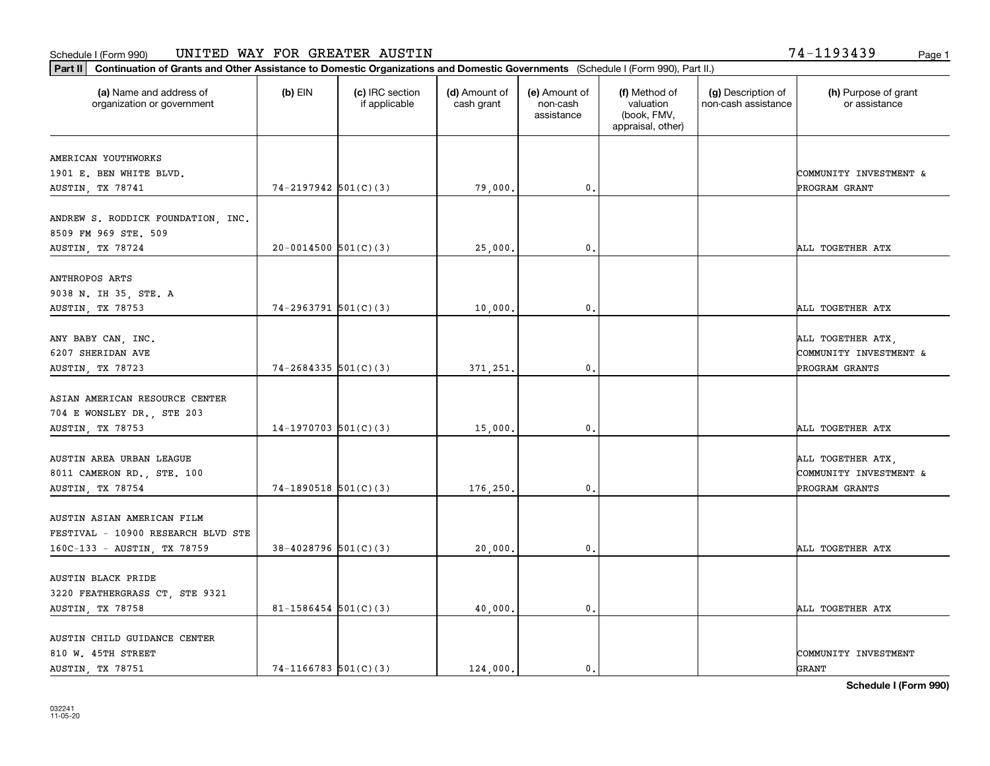**Part II Continuation of Grants and Other Assistance to Domestic Organizations and Domestic Governments**  (Schedule I (Form 990), Part II.)

| (a) Name and address of<br>organization or government                                           | $(b)$ EIN                | (c) IRC section<br>if applicable | (d) Amount of<br>cash grant | (e) Amount of<br>non-cash<br>assistance | (f) Method of<br>valuation<br>(book, FMV,<br>appraisal, other) | (g) Description of<br>non-cash assistance | (h) Purpose of grant<br>or assistance                         |
|-------------------------------------------------------------------------------------------------|--------------------------|----------------------------------|-----------------------------|-----------------------------------------|----------------------------------------------------------------|-------------------------------------------|---------------------------------------------------------------|
| AMERICAN YOUTHWORKS<br>1901 E. BEN WHITE BLVD.                                                  |                          |                                  |                             |                                         |                                                                |                                           | COMMUNITY INVESTMENT &                                        |
| AUSTIN, TX 78741                                                                                | $74-2197942$ 501(C)(3)   |                                  | 79,000.                     | $^{\rm 0}$ .                            |                                                                |                                           | PROGRAM GRANT                                                 |
| ANDREW S. RODDICK FOUNDATION, INC.<br>8509 FM 969 STE. 509                                      |                          |                                  |                             |                                         |                                                                |                                           |                                                               |
| AUSTIN, TX 78724                                                                                | $20-0014500$ $501(C)(3)$ |                                  | 25,000.                     | 0.                                      |                                                                |                                           | ALL TOGETHER ATX                                              |
| ANTHROPOS ARTS<br>9038 N. IH 35, STE. A<br>AUSTIN, TX 78753                                     | $74-2963791$ 501(C)(3)   |                                  | 10,000.                     | 0.                                      |                                                                |                                           | ALL TOGETHER ATX                                              |
| ANY BABY CAN, INC.<br>6207 SHERIDAN AVE<br>AUSTIN, TX 78723                                     | $74 - 2684335$ 501(C)(3) |                                  | 371,251.                    | 0.                                      |                                                                |                                           | ALL TOGETHER ATX,<br>COMMUNITY INVESTMENT &<br>PROGRAM GRANTS |
| ASIAN AMERICAN RESOURCE CENTER<br>704 E WONSLEY DR., STE 203<br><b>AUSTIN, TX 78753</b>         | $14-1970703$ 501(C)(3)   |                                  | 15,000.                     | 0.                                      |                                                                |                                           | ALL TOGETHER ATX                                              |
| AUSTIN AREA URBAN LEAGUE<br>8011 CAMERON RD., STE. 100<br>AUSTIN, TX 78754                      | $74-1890518$ $501(C)(3)$ |                                  | 176,250.                    | 0.                                      |                                                                |                                           | ALL TOGETHER ATX,<br>COMMUNITY INVESTMENT &<br>PROGRAM GRANTS |
| AUSTIN ASIAN AMERICAN FILM<br>FESTIVAL - 10900 RESEARCH BLVD STE<br>160C-133 - AUSTIN, TX 78759 | $38-4028796$ 501(C)(3)   |                                  | 20,000.                     | 0.                                      |                                                                |                                           | ALL TOGETHER ATX                                              |
| AUSTIN BLACK PRIDE<br>3220 FEATHERGRASS CT, STE 9321<br>AUSTIN, TX 78758                        | 81-1586454 $501(C)(3)$   |                                  | 40,000.                     | $\mathbf 0$ .                           |                                                                |                                           | ALL TOGETHER ATX                                              |
| AUSTIN CHILD GUIDANCE CENTER<br>810 W. 45TH STREET                                              |                          |                                  |                             |                                         |                                                                |                                           | COMMUNITY INVESTMENT                                          |

Т

AUSTIN, TX 78751  $74-1166783 \big| 501(C)(3)$  124,000. 0.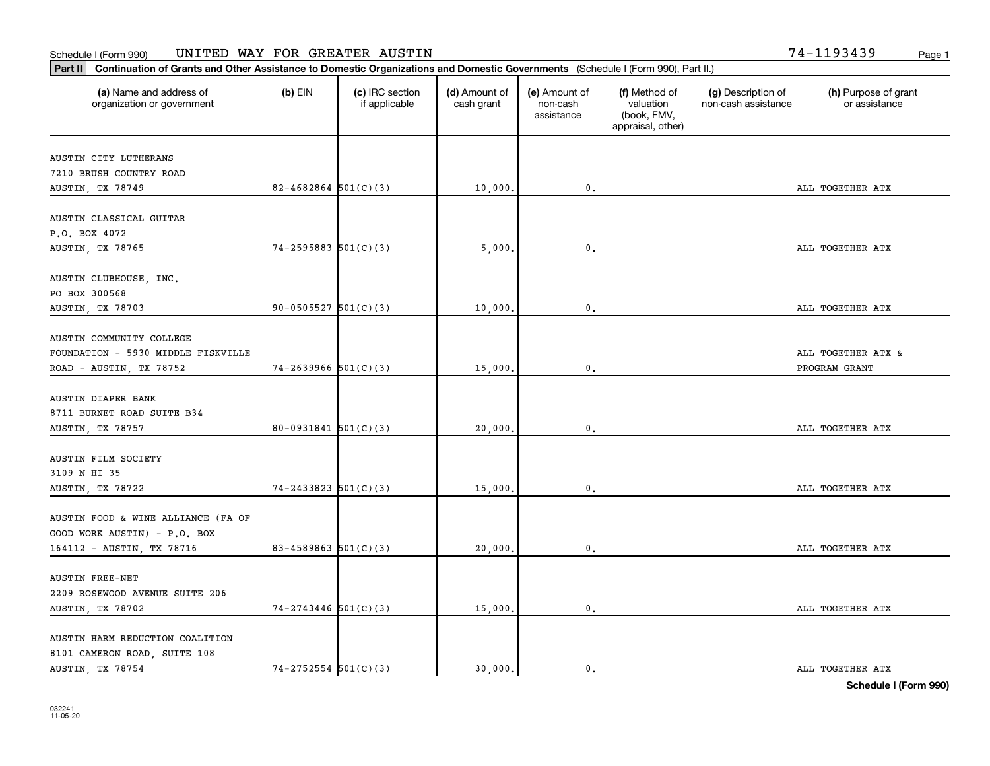**Part II Continuation of Grants and Other Assistance to Domestic Organizations and Domestic Governments**  (Schedule I (Form 990), Part II.)

| (a) Name and address of<br>organization or government | $(b)$ EIN                  | (c) IRC section<br>if applicable | (d) Amount of<br>cash grant | (e) Amount of<br>non-cash<br>assistance | (f) Method of<br>valuation<br>(book, FMV,<br>appraisal, other) | (g) Description of<br>non-cash assistance | (h) Purpose of grant<br>or assistance |
|-------------------------------------------------------|----------------------------|----------------------------------|-----------------------------|-----------------------------------------|----------------------------------------------------------------|-------------------------------------------|---------------------------------------|
| AUSTIN CITY LUTHERANS                                 |                            |                                  |                             |                                         |                                                                |                                           |                                       |
| 7210 BRUSH COUNTRY ROAD                               |                            |                                  |                             |                                         |                                                                |                                           |                                       |
| AUSTIN, TX 78749                                      | $82 - 4682864$ 501(C)(3)   |                                  | 10,000.                     | 0.                                      |                                                                |                                           | ALL TOGETHER ATX                      |
| AUSTIN CLASSICAL GUITAR                               |                            |                                  |                             |                                         |                                                                |                                           |                                       |
| P.O. BOX 4072                                         |                            |                                  |                             |                                         |                                                                |                                           |                                       |
| <b>AUSTIN, TX 78765</b>                               | $74 - 2595883$ $501(C)(3)$ |                                  | 5,000.                      | 0.                                      |                                                                |                                           | ALL TOGETHER ATX                      |
| AUSTIN CLUBHOUSE, INC.                                |                            |                                  |                             |                                         |                                                                |                                           |                                       |
| PO BOX 300568                                         |                            |                                  |                             |                                         |                                                                |                                           |                                       |
| AUSTIN, TX 78703                                      | $90 - 0505527$ $501(C)(3)$ |                                  | 10,000.                     | 0.                                      |                                                                |                                           | ALL TOGETHER ATX                      |
| AUSTIN COMMUNITY COLLEGE                              |                            |                                  |                             |                                         |                                                                |                                           |                                       |
| FOUNDATION - 5930 MIDDLE FISKVILLE                    |                            |                                  |                             |                                         |                                                                |                                           | ALL TOGETHER ATX &                    |
| ROAD - AUSTIN, TX 78752                               | $74 - 2639966$ $501(C)(3)$ |                                  | 15,000.                     | $\mathbf{0}$                            |                                                                |                                           | PROGRAM GRANT                         |
|                                                       |                            |                                  |                             |                                         |                                                                |                                           |                                       |
| AUSTIN DIAPER BANK                                    |                            |                                  |                             |                                         |                                                                |                                           |                                       |
| 8711 BURNET ROAD SUITE B34                            |                            |                                  |                             |                                         |                                                                |                                           |                                       |
| AUSTIN, TX 78757                                      | $80-0931841$ $501(C)(3)$   |                                  | 20,000.                     | 0.                                      |                                                                |                                           | ALL TOGETHER ATX                      |
| AUSTIN FILM SOCIETY                                   |                            |                                  |                             |                                         |                                                                |                                           |                                       |
| 3109 N HI 35                                          |                            |                                  |                             |                                         |                                                                |                                           |                                       |
| AUSTIN, TX 78722                                      | $74 - 2433823$ 501(C)(3)   |                                  | 15,000.                     | $\mathbf{0}$                            |                                                                |                                           | ALL TOGETHER ATX                      |
|                                                       |                            |                                  |                             |                                         |                                                                |                                           |                                       |
| AUSTIN FOOD & WINE ALLIANCE (FA OF                    |                            |                                  |                             |                                         |                                                                |                                           |                                       |
| GOOD WORK AUSTIN) - P.O. BOX                          |                            |                                  |                             |                                         |                                                                |                                           |                                       |
| 164112 - AUSTIN, TX 78716                             | 83-4589863 $501(C)(3)$     |                                  | 20,000.                     | 0.                                      |                                                                |                                           | ALL TOGETHER ATX                      |
|                                                       |                            |                                  |                             |                                         |                                                                |                                           |                                       |
| <b>AUSTIN FREE-NET</b>                                |                            |                                  |                             |                                         |                                                                |                                           |                                       |
| 2209 ROSEWOOD AVENUE SUITE 206                        |                            |                                  |                             |                                         |                                                                |                                           | ALL TOGETHER ATX                      |
| AUSTIN, TX 78702                                      | $74 - 2743446$ 501(C)(3)   |                                  | 15,000.                     | 0.                                      |                                                                |                                           |                                       |
| AUSTIN HARM REDUCTION COALITION                       |                            |                                  |                             |                                         |                                                                |                                           |                                       |
| 8101 CAMERON ROAD, SUITE 108                          |                            |                                  |                             |                                         |                                                                |                                           |                                       |

┰

AUSTIN, TX 78754 74-2752554 501(C)(3) 30,000. 0. ALL TOGETHER ATX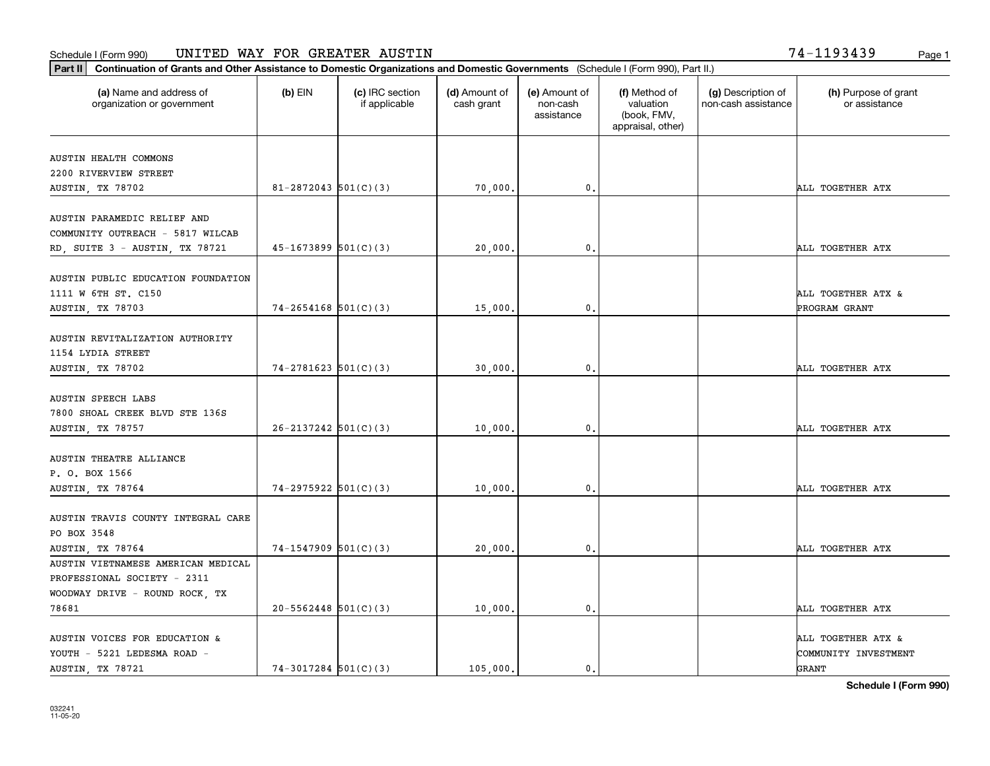**Part II Continuation of Grants and Other Assistance to Domestic Organizations and Domestic Governments**  (Schedule I (Form 990), Part II.)

| (a) Name and address of<br>organization or government                                               | (b) EIN                    | (c) IRC section<br>if applicable | (d) Amount of<br>cash grant | (e) Amount of<br>non-cash<br>assistance | (f) Method of<br>valuation<br>(book, FMV,<br>appraisal, other) | (g) Description of<br>non-cash assistance | (h) Purpose of grant<br>or assistance               |
|-----------------------------------------------------------------------------------------------------|----------------------------|----------------------------------|-----------------------------|-----------------------------------------|----------------------------------------------------------------|-------------------------------------------|-----------------------------------------------------|
| AUSTIN HEALTH COMMONS                                                                               |                            |                                  |                             |                                         |                                                                |                                           |                                                     |
| 2200 RIVERVIEW STREET                                                                               |                            |                                  |                             |                                         |                                                                |                                           |                                                     |
| AUSTIN, TX 78702                                                                                    | 81-2872043 $501(C)(3)$     |                                  | 70,000.                     | 0.                                      |                                                                |                                           | ALL TOGETHER ATX                                    |
| AUSTIN PARAMEDIC RELIEF AND                                                                         |                            |                                  |                             |                                         |                                                                |                                           |                                                     |
| COMMUNITY OUTREACH - 5817 WILCAB                                                                    |                            |                                  |                             |                                         |                                                                |                                           |                                                     |
| RD, SUITE 3 - AUSTIN, TX 78721                                                                      | $45-1673899$ $501(C)(3)$   |                                  | 20,000.                     | 0.                                      |                                                                |                                           | ALL TOGETHER ATX                                    |
| AUSTIN PUBLIC EDUCATION FOUNDATION                                                                  |                            |                                  |                             |                                         |                                                                |                                           |                                                     |
| 1111 W 6TH ST. C150                                                                                 |                            |                                  |                             |                                         |                                                                |                                           | <b>ALL TOGETHER ATX &amp;</b>                       |
| AUSTIN, TX 78703                                                                                    | $74-2654168$ $501(C)(3)$   |                                  | 15,000.                     | 0.                                      |                                                                |                                           | PROGRAM GRANT                                       |
| AUSTIN REVITALIZATION AUTHORITY<br>1154 LYDIA STREET                                                |                            |                                  |                             |                                         |                                                                |                                           |                                                     |
| AUSTIN, TX 78702                                                                                    | $74 - 2781623$ 501(C)(3)   |                                  | 30,000.                     | 0.                                      |                                                                |                                           | ALL TOGETHER ATX                                    |
| <b>AUSTIN SPEECH LABS</b><br>7800 SHOAL CREEK BLVD STE 136S<br>AUSTIN, TX 78757                     | $26 - 2137242$ $501(C)(3)$ |                                  | 10,000.                     | 0.                                      |                                                                |                                           | ALL TOGETHER ATX                                    |
|                                                                                                     |                            |                                  |                             |                                         |                                                                |                                           |                                                     |
| AUSTIN THEATRE ALLIANCE<br>P. O. BOX 1566<br>AUSTIN, TX 78764                                       | $74-2975922$ 501(C)(3)     |                                  | 10,000.                     | 0.                                      |                                                                |                                           | ALL TOGETHER ATX                                    |
| AUSTIN TRAVIS COUNTY INTEGRAL CARE<br>PO BOX 3548                                                   |                            |                                  |                             |                                         |                                                                |                                           |                                                     |
| AUSTIN, TX 78764                                                                                    | $74-1547909$ $501(C)(3)$   |                                  | 20,000.                     | 0.                                      |                                                                |                                           | ALL TOGETHER ATX                                    |
| AUSTIN VIETNAMESE AMERICAN MEDICAL<br>PROFESSIONAL SOCIETY - 2311<br>WOODWAY DRIVE - ROUND ROCK, TX |                            |                                  |                             |                                         |                                                                |                                           |                                                     |
| 78681                                                                                               | $20 - 5562448$ 501(C)(3)   |                                  | 10,000.                     | 0.                                      |                                                                |                                           | ALL TOGETHER ATX                                    |
| AUSTIN VOICES FOR EDUCATION &<br>YOUTH - 5221 LEDESMA ROAD -<br>AUSTIN, TX 78721                    | $74-3017284$ 501(C)(3)     |                                  | 105,000.                    | 0.                                      |                                                                |                                           | ALL TOGETHER ATX &<br>COMMUNITY INVESTMENT<br>GRANT |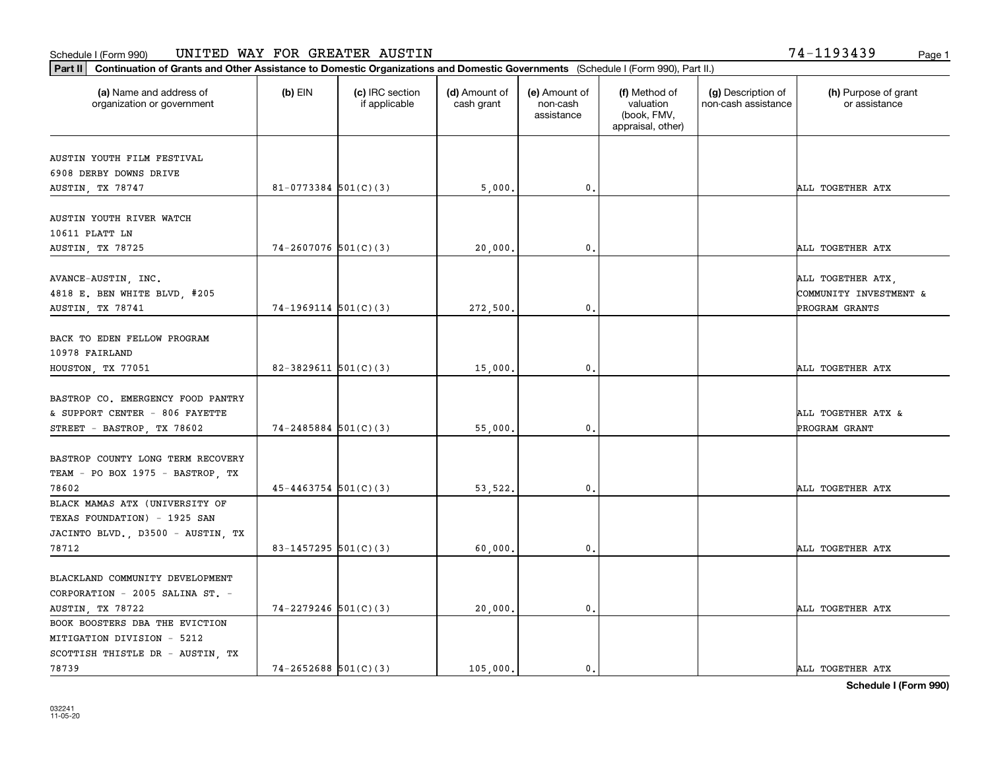**Part II Continuation of Grants and Other Assistance to Domestic Organizations and Domestic Governments**  (Schedule I (Form 990), Part II.)

78739

| (a) Name and address of<br>organization or government                                                        | $(b)$ EIN                | (c) IRC section<br>if applicable | (d) Amount of<br>cash grant | (e) Amount of<br>non-cash<br>assistance | (f) Method of<br>valuation<br>(book, FMV,<br>appraisal, other) | (g) Description of<br>non-cash assistance | (h) Purpose of grant<br>or assistance                         |
|--------------------------------------------------------------------------------------------------------------|--------------------------|----------------------------------|-----------------------------|-----------------------------------------|----------------------------------------------------------------|-------------------------------------------|---------------------------------------------------------------|
| AUSTIN YOUTH FILM FESTIVAL                                                                                   |                          |                                  |                             |                                         |                                                                |                                           |                                                               |
| 6908 DERBY DOWNS DRIVE                                                                                       |                          |                                  |                             |                                         |                                                                |                                           |                                                               |
| AUSTIN, TX 78747                                                                                             | $81 - 0773384$ 501(C)(3) |                                  | 5,000.                      | 0.                                      |                                                                |                                           | ALL TOGETHER ATX                                              |
| AUSTIN YOUTH RIVER WATCH<br>10611 PLATT LN                                                                   |                          |                                  |                             |                                         |                                                                |                                           |                                                               |
| AUSTIN, TX 78725                                                                                             | $74 - 2607076$ 501(C)(3) |                                  | 20,000.                     | 0.                                      |                                                                |                                           | ALL TOGETHER ATX                                              |
| AVANCE-AUSTIN, INC.<br>4818 E. BEN WHITE BLVD, #205<br>AUSTIN, TX 78741                                      | $74-1969114$ $501(C)(3)$ |                                  | 272,500.                    | 0.                                      |                                                                |                                           | ALL TOGETHER ATX,<br>COMMUNITY INVESTMENT &<br>PROGRAM GRANTS |
| BACK TO EDEN FELLOW PROGRAM<br>10978 FAIRLAND<br>HOUSTON, TX 77051                                           | 82-3829611 $501(C)(3)$   |                                  | 15,000.                     | 0.                                      |                                                                |                                           | ALL TOGETHER ATX                                              |
| BASTROP CO. EMERGENCY FOOD PANTRY<br>& SUPPORT CENTER - 806 FAYETTE<br>STREET - BASTROP, TX 78602            | $74 - 2485884$ 501(C)(3) |                                  | 55,000.                     | 0.                                      |                                                                |                                           | ALL TOGETHER ATX &<br>PROGRAM GRANT                           |
| BASTROP COUNTY LONG TERM RECOVERY<br>TEAM - PO BOX 1975 - BASTROP, TX<br>78602                               | $45 - 4463754$ 501(C)(3) |                                  | 53,522.                     | 0.                                      |                                                                |                                           | ALL TOGETHER ATX                                              |
| BLACK MAMAS ATX (UNIVERSITY OF<br>TEXAS FOUNDATION) - 1925 SAN<br>JACINTO BLVD., D3500 - AUSTIN, TX<br>78712 | 83-1457295 $501(C)(3)$   |                                  | 60,000.                     | 0.                                      |                                                                |                                           | ALL TOGETHER ATX                                              |
| BLACKLAND COMMUNITY DEVELOPMENT<br>CORPORATION - 2005 SALINA ST. -<br>AUSTIN, TX 78722                       | $74 - 2279246$ 501(C)(3) |                                  | 20,000.                     | 0.                                      |                                                                |                                           | ALL TOGETHER ATX                                              |
| BOOK BOOSTERS DBA THE EVICTION<br>MITIGATION DIVISION - 5212<br>SCOTTISH THISTLE DR - AUSTIN, TX             |                          |                                  |                             |                                         |                                                                |                                           |                                                               |

т

**Schedule I (Form 990)** 74-2652688 501(C)(3) | 105,000. 0. 0. ALL TOGETHER ATX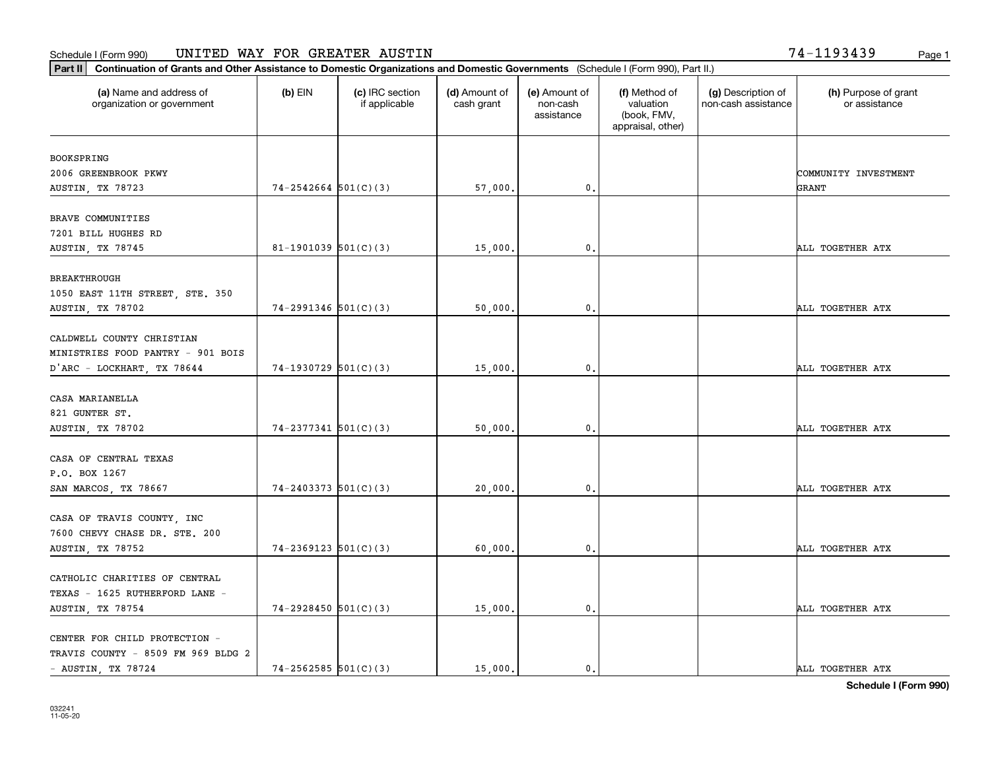**Part II Continuation of Grants and Other Assistance to Domestic Organizations and Domestic Governments**  (Schedule I (Form 990), Part II.)

| (a) Name and address of<br>organization or government          | (b) EIN                    | (c) IRC section<br>if applicable | (d) Amount of<br>cash grant | (e) Amount of<br>non-cash<br>assistance | (f) Method of<br>valuation<br>(book, FMV,<br>appraisal, other) | (g) Description of<br>non-cash assistance | (h) Purpose of grant<br>or assistance |
|----------------------------------------------------------------|----------------------------|----------------------------------|-----------------------------|-----------------------------------------|----------------------------------------------------------------|-------------------------------------------|---------------------------------------|
| BOOKSPRING                                                     |                            |                                  |                             |                                         |                                                                |                                           |                                       |
| 2006 GREENBROOK PKWY                                           |                            |                                  |                             |                                         |                                                                |                                           | COMMUNITY INVESTMENT                  |
| AUSTIN, TX 78723                                               | $74 - 2542664$ $501(C)(3)$ |                                  | 57,000.                     | $^{\rm 0}$ .                            |                                                                |                                           | GRANT                                 |
| BRAVE COMMUNITIES                                              |                            |                                  |                             |                                         |                                                                |                                           |                                       |
| 7201 BILL HUGHES RD                                            |                            |                                  |                             |                                         |                                                                |                                           |                                       |
| AUSTIN, TX 78745                                               | 81-1901039 $501(C)(3)$     |                                  | 15,000.                     | 0.                                      |                                                                |                                           | ALL TOGETHER ATX                      |
| <b>BREAKTHROUGH</b>                                            |                            |                                  |                             |                                         |                                                                |                                           |                                       |
| 1050 EAST 11TH STREET, STE. 350                                |                            |                                  |                             |                                         |                                                                |                                           |                                       |
| AUSTIN, TX 78702                                               | $74-2991346$ $501(C)(3)$   |                                  | 50,000.                     | 0.                                      |                                                                |                                           | ALL TOGETHER ATX                      |
|                                                                |                            |                                  |                             |                                         |                                                                |                                           |                                       |
| CALDWELL COUNTY CHRISTIAN<br>MINISTRIES FOOD PANTRY - 901 BOIS |                            |                                  |                             |                                         |                                                                |                                           |                                       |
|                                                                | $74-1930729$ 501(C)(3)     |                                  | 15,000.                     | 0.                                      |                                                                |                                           | ALL TOGETHER ATX                      |
| D'ARC - LOCKHART, TX 78644                                     |                            |                                  |                             |                                         |                                                                |                                           |                                       |
| CASA MARIANELLA                                                |                            |                                  |                             |                                         |                                                                |                                           |                                       |
| 821 GUNTER ST.                                                 |                            |                                  |                             |                                         |                                                                |                                           |                                       |
| AUSTIN, TX 78702                                               | $74 - 2377341$ 501(C)(3)   |                                  | 50,000.                     | 0.                                      |                                                                |                                           | ALL TOGETHER ATX                      |
| CASA OF CENTRAL TEXAS                                          |                            |                                  |                             |                                         |                                                                |                                           |                                       |
| P.O. BOX 1267                                                  |                            |                                  |                             |                                         |                                                                |                                           |                                       |
| SAN MARCOS, TX 78667                                           | $74 - 2403373$ $501(C)(3)$ |                                  | 20,000.                     | 0.                                      |                                                                |                                           | ALL TOGETHER ATX                      |
|                                                                |                            |                                  |                             |                                         |                                                                |                                           |                                       |
| CASA OF TRAVIS COUNTY, INC                                     |                            |                                  |                             |                                         |                                                                |                                           |                                       |
| 7600 CHEVY CHASE DR. STE. 200                                  |                            |                                  |                             |                                         |                                                                |                                           |                                       |
| AUSTIN, TX 78752                                               | $74 - 2369123$ $501(C)(3)$ |                                  | 60,000.                     | 0.                                      |                                                                |                                           | ALL TOGETHER ATX                      |
|                                                                |                            |                                  |                             |                                         |                                                                |                                           |                                       |
| CATHOLIC CHARITIES OF CENTRAL                                  |                            |                                  |                             |                                         |                                                                |                                           |                                       |
| TEXAS - 1625 RUTHERFORD LANE -                                 |                            |                                  |                             |                                         |                                                                |                                           |                                       |
| AUSTIN, TX 78754                                               | $74-2928450$ 501(C)(3)     |                                  | 15,000.                     | 0.                                      |                                                                |                                           | ALL TOGETHER ATX                      |
| CENTER FOR CHILD PROTECTION -                                  |                            |                                  |                             |                                         |                                                                |                                           |                                       |
| TRAVIS COUNTY - 8509 FM 969 BLDG 2                             |                            |                                  |                             |                                         |                                                                |                                           |                                       |

**Schedule I (Form 990)** - AUSTIN, TX 78724  $\begin{vmatrix} 74-2562585 & 501(C)(3) \end{vmatrix}$  15,000. 0. 0.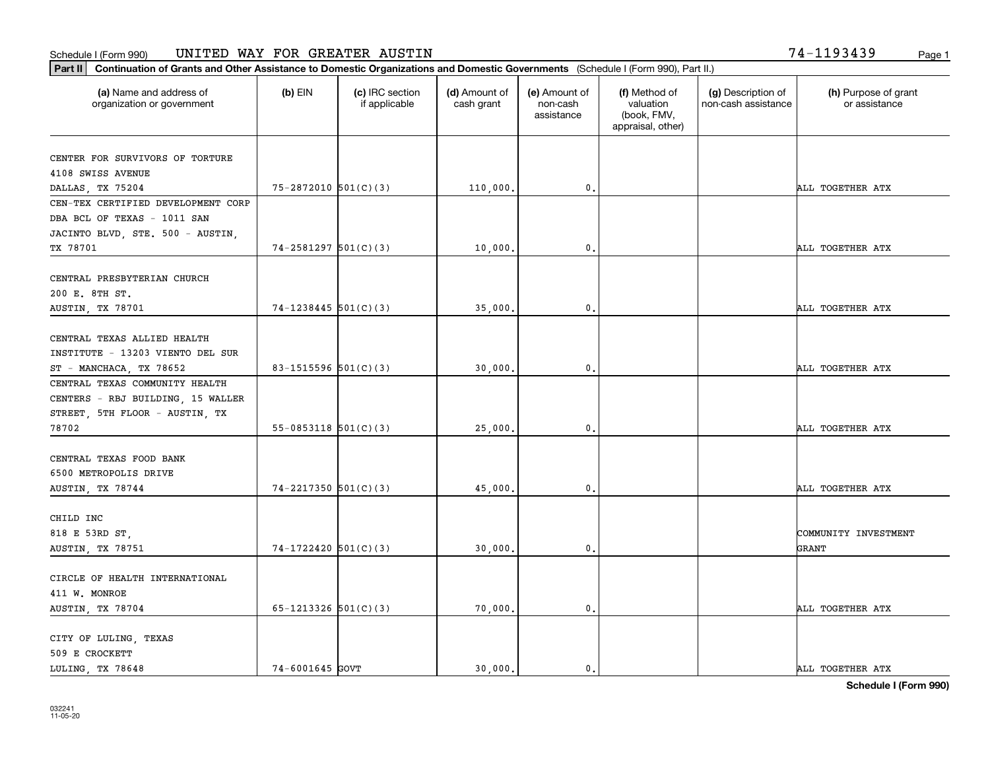**Part II Continuation of Grants and Other Assistance to Domestic Organizations and Domestic Governments**  (Schedule I (Form 990), Part II.)

| (a) Name and address of<br>organization or government | $(b)$ EIN                  | (c) IRC section<br>if applicable | (d) Amount of<br>cash grant | (e) Amount of<br>non-cash<br>assistance | (f) Method of<br>valuation<br>(book, FMV,<br>appraisal, other) | (g) Description of<br>non-cash assistance | (h) Purpose of grant<br>or assistance |
|-------------------------------------------------------|----------------------------|----------------------------------|-----------------------------|-----------------------------------------|----------------------------------------------------------------|-------------------------------------------|---------------------------------------|
| CENTER FOR SURVIVORS OF TORTURE                       |                            |                                  |                             |                                         |                                                                |                                           |                                       |
| 4108 SWISS AVENUE                                     |                            |                                  |                             |                                         |                                                                |                                           |                                       |
| DALLAS, TX 75204                                      | $75 - 2872010$ $501(C)(3)$ |                                  | 110,000.                    | 0.                                      |                                                                |                                           | ALL TOGETHER ATX                      |
| CEN-TEX CERTIFIED DEVELOPMENT CORP                    |                            |                                  |                             |                                         |                                                                |                                           |                                       |
| DBA BCL OF TEXAS - 1011 SAN                           |                            |                                  |                             |                                         |                                                                |                                           |                                       |
| JACINTO BLVD, STE. 500 - AUSTIN,                      |                            |                                  |                             |                                         |                                                                |                                           |                                       |
| TX 78701                                              | $74 - 2581297$ 501(C)(3)   |                                  | 10,000.                     | 0.                                      |                                                                |                                           | ALL TOGETHER ATX                      |
|                                                       |                            |                                  |                             |                                         |                                                                |                                           |                                       |
| CENTRAL PRESBYTERIAN CHURCH                           |                            |                                  |                             |                                         |                                                                |                                           |                                       |
| 200 E. 8TH ST.                                        |                            |                                  |                             |                                         |                                                                |                                           |                                       |
| AUSTIN, TX 78701                                      | $74-1238445$ 501(C)(3)     |                                  | 35,000.                     | 0.                                      |                                                                |                                           | ALL TOGETHER ATX                      |
|                                                       |                            |                                  |                             |                                         |                                                                |                                           |                                       |
| CENTRAL TEXAS ALLIED HEALTH                           |                            |                                  |                             |                                         |                                                                |                                           |                                       |
| INSTITUTE - 13203 VIENTO DEL SUR                      |                            |                                  |                             |                                         |                                                                |                                           |                                       |
| ST - MANCHACA, TX 78652                               | 83-1515596 $501(C)(3)$     |                                  | 30,000.                     | $\mathbf 0$ .                           |                                                                |                                           | ALL TOGETHER ATX                      |
| CENTRAL TEXAS COMMUNITY HEALTH                        |                            |                                  |                             |                                         |                                                                |                                           |                                       |
| CENTERS - RBJ BUILDING, 15 WALLER                     |                            |                                  |                             |                                         |                                                                |                                           |                                       |
| STREET, 5TH FLOOR - AUSTIN, TX                        |                            |                                  |                             |                                         |                                                                |                                           |                                       |
| 78702                                                 | 55-0853118 $501(C)(3)$     |                                  | 25,000.                     | 0.                                      |                                                                |                                           | ALL TOGETHER ATX                      |
| CENTRAL TEXAS FOOD BANK                               |                            |                                  |                             |                                         |                                                                |                                           |                                       |
| 6500 METROPOLIS DRIVE                                 |                            |                                  |                             |                                         |                                                                |                                           |                                       |
| AUSTIN, TX 78744                                      | 74-2217350 $501(C)(3)$     |                                  | 45,000.                     | 0.                                      |                                                                |                                           | ALL TOGETHER ATX                      |
|                                                       |                            |                                  |                             |                                         |                                                                |                                           |                                       |
| CHILD INC                                             |                            |                                  |                             |                                         |                                                                |                                           |                                       |
| 818 E 53RD ST,                                        |                            |                                  |                             |                                         |                                                                |                                           | COMMUNITY INVESTMENT                  |
| AUSTIN, TX 78751                                      | $74-1722420$ 501(C)(3)     |                                  | 30,000.                     | 0.                                      |                                                                |                                           | GRANT                                 |
|                                                       |                            |                                  |                             |                                         |                                                                |                                           |                                       |
| CIRCLE OF HEALTH INTERNATIONAL                        |                            |                                  |                             |                                         |                                                                |                                           |                                       |
| 411 W. MONROE                                         |                            |                                  |                             |                                         |                                                                |                                           |                                       |
| AUSTIN, TX 78704                                      | 65-1213326 $501(C)(3)$     |                                  | 70,000.                     | 0.                                      |                                                                |                                           | ALL TOGETHER ATX                      |
|                                                       |                            |                                  |                             |                                         |                                                                |                                           |                                       |
| CITY OF LULING, TEXAS                                 |                            |                                  |                             |                                         |                                                                |                                           |                                       |
| 509 E CROCKETT                                        |                            |                                  |                             |                                         |                                                                |                                           |                                       |
| LULING TX 78648                                       | 74-6001645 GOVT            |                                  | 30,000.                     | 0.                                      |                                                                |                                           | ALL TOGETHER ATX                      |

**Schedule I (Form 990)**

Т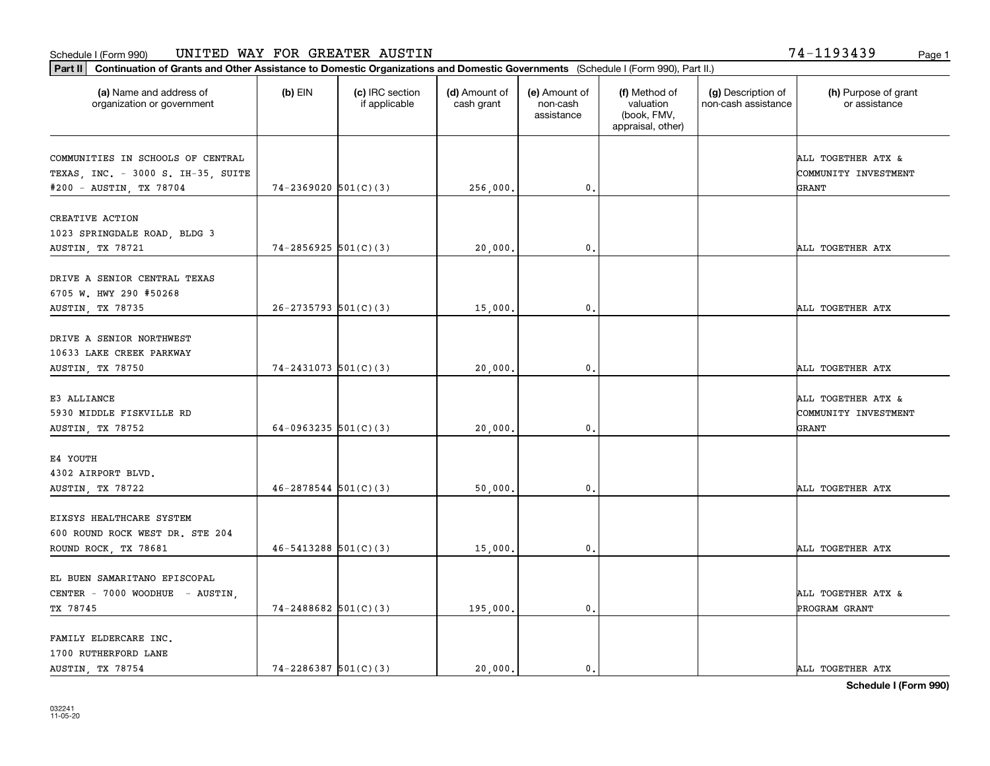**Part II Continuation of Grants and Other Assistance to Domestic Organizations and Domestic Governments**  (Schedule I (Form 990), Part II.)

| (a) Name and address of<br>organization or government  | (b) EIN                    | (c) IRC section<br>if applicable | (d) Amount of<br>cash grant | (e) Amount of<br>non-cash<br>assistance | (f) Method of<br>valuation<br>(book, FMV,<br>appraisal, other) | (g) Description of<br>non-cash assistance | (h) Purpose of grant<br>or assistance |
|--------------------------------------------------------|----------------------------|----------------------------------|-----------------------------|-----------------------------------------|----------------------------------------------------------------|-------------------------------------------|---------------------------------------|
| COMMUNITIES IN SCHOOLS OF CENTRAL                      |                            |                                  |                             |                                         |                                                                |                                           | ALL TOGETHER ATX &                    |
| TEXAS, INC. - 3000 S. IH-35, SUITE                     |                            |                                  |                             |                                         |                                                                |                                           | COMMUNITY INVESTMENT                  |
| #200 - AUSTIN, TX 78704                                | $74 - 2369020$ $501(C)(3)$ |                                  | 256,000.                    | $\mathbf 0$                             |                                                                |                                           | GRANT                                 |
| CREATIVE ACTION                                        |                            |                                  |                             |                                         |                                                                |                                           |                                       |
| 1023 SPRINGDALE ROAD, BLDG 3                           |                            |                                  |                             |                                         |                                                                |                                           |                                       |
| AUSTIN, TX 78721                                       | $74 - 2856925$ $501(C)(3)$ |                                  | 20,000,                     | $\mathbf{0}$                            |                                                                |                                           | ALL TOGETHER ATX                      |
|                                                        |                            |                                  |                             |                                         |                                                                |                                           |                                       |
| DRIVE A SENIOR CENTRAL TEXAS<br>6705 W. HWY 290 #50268 |                            |                                  |                             |                                         |                                                                |                                           |                                       |
| AUSTIN, TX 78735                                       | $26-2735793$ 501(C)(3)     |                                  | 15,000.                     | 0.                                      |                                                                |                                           | ALL TOGETHER ATX                      |
|                                                        |                            |                                  |                             |                                         |                                                                |                                           |                                       |
| DRIVE A SENIOR NORTHWEST                               |                            |                                  |                             |                                         |                                                                |                                           |                                       |
| 10633 LAKE CREEK PARKWAY                               |                            |                                  |                             |                                         |                                                                |                                           |                                       |
| <b>AUSTIN, TX 78750</b>                                | $74 - 2431073$ 501(C)(3)   |                                  | 20,000.                     | 0.                                      |                                                                |                                           | ALL TOGETHER ATX                      |
| E3 ALLIANCE                                            |                            |                                  |                             |                                         |                                                                |                                           | ALL TOGETHER ATX &                    |
| 5930 MIDDLE FISKVILLE RD                               |                            |                                  |                             |                                         |                                                                |                                           | COMMUNITY INVESTMENT                  |
| AUSTIN, TX 78752                                       | 64-0963235 $501(C)(3)$     |                                  | 20,000,                     | $\mathbf{0}$ .                          |                                                                |                                           | GRANT                                 |
|                                                        |                            |                                  |                             |                                         |                                                                |                                           |                                       |
| E4 YOUTH                                               |                            |                                  |                             |                                         |                                                                |                                           |                                       |
| 4302 AIRPORT BLVD.                                     |                            |                                  |                             |                                         |                                                                |                                           |                                       |
| AUSTIN, TX 78722                                       | $46 - 2878544$ 501(C)(3)   |                                  | 50,000.                     | 0.                                      |                                                                |                                           | ALL TOGETHER ATX                      |
| EIXSYS HEALTHCARE SYSTEM                               |                            |                                  |                             |                                         |                                                                |                                           |                                       |
| 600 ROUND ROCK WEST DR. STE 204                        |                            |                                  |                             |                                         |                                                                |                                           |                                       |
| ROUND ROCK, TX 78681                                   | $46 - 5413288$ $501(C)(3)$ |                                  | 15,000.                     | 0.                                      |                                                                |                                           | ALL TOGETHER ATX                      |
|                                                        |                            |                                  |                             |                                         |                                                                |                                           |                                       |
| EL BUEN SAMARITANO EPISCOPAL                           |                            |                                  |                             |                                         |                                                                |                                           |                                       |
| CENTER - 7000 WOODHUE - AUSTIN,                        |                            |                                  |                             |                                         |                                                                |                                           | ALL TOGETHER ATX &                    |
| TX 78745                                               | $74 - 2488682$ 501(C)(3)   |                                  | 195,000.                    | 0.                                      |                                                                |                                           | PROGRAM GRANT                         |
| FAMILY ELDERCARE INC.                                  |                            |                                  |                             |                                         |                                                                |                                           |                                       |
| 1700 RUTHERFORD LANE                                   |                            |                                  |                             |                                         |                                                                |                                           |                                       |
| AUSTIN, TX 78754                                       | $74 - 2286387$ 501(C)(3)   |                                  | 20,000.                     | $\mathbf{0}$ .                          |                                                                |                                           | ALL TOGETHER ATX                      |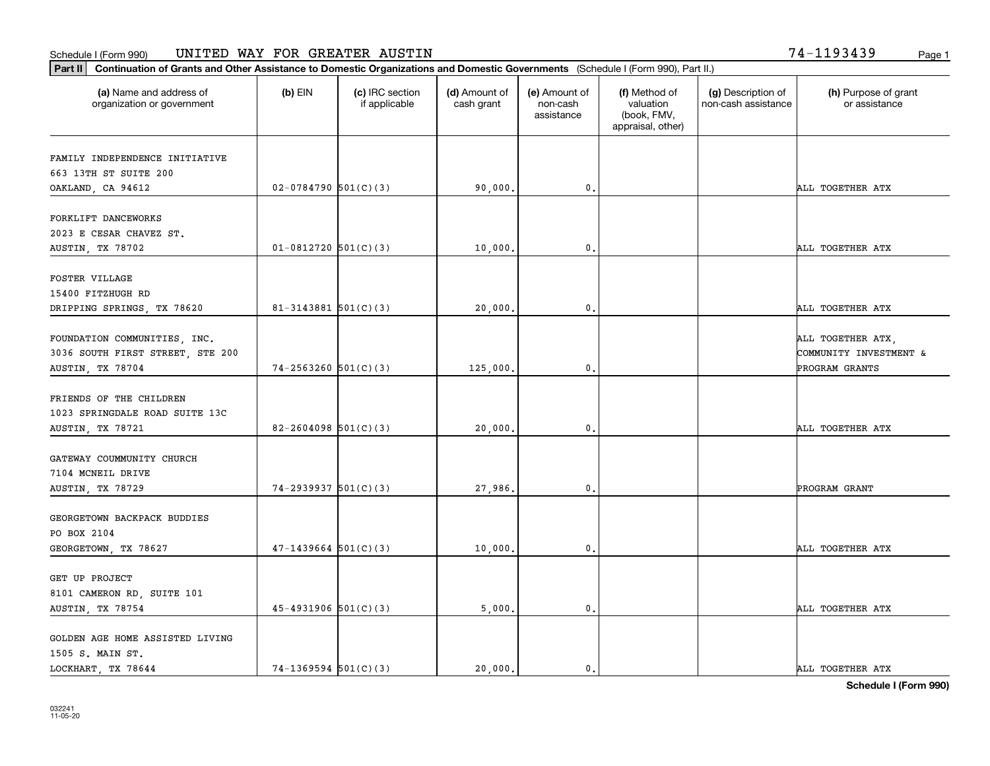**Part II Continuation of Grants and Other Assistance to Domestic Organizations and Domestic Governments**  (Schedule I (Form 990), Part II.)

| (a) Name and address of<br>organization or government                                | $(b)$ EIN                  | (c) IRC section<br>if applicable | (d) Amount of<br>cash grant | (e) Amount of<br>non-cash<br>assistance | (f) Method of<br>valuation<br>(book, FMV,<br>appraisal, other) | (g) Description of<br>non-cash assistance | (h) Purpose of grant<br>or assistance                         |
|--------------------------------------------------------------------------------------|----------------------------|----------------------------------|-----------------------------|-----------------------------------------|----------------------------------------------------------------|-------------------------------------------|---------------------------------------------------------------|
| FAMILY INDEPENDENCE INITIATIVE                                                       |                            |                                  |                             |                                         |                                                                |                                           |                                                               |
| 663 13TH ST SUITE 200                                                                |                            |                                  |                             |                                         |                                                                |                                           |                                                               |
| OAKLAND, CA 94612                                                                    | $02-0784790$ 501(C)(3)     |                                  | 90,000.                     | 0.                                      |                                                                |                                           | ALL TOGETHER ATX                                              |
| FORKLIFT DANCEWORKS<br>2023 E CESAR CHAVEZ ST.                                       |                            |                                  |                             |                                         |                                                                |                                           |                                                               |
| AUSTIN, TX 78702                                                                     | $01-0812720$ 501(C)(3)     |                                  | 10,000.                     | $\mathbf 0$ .                           |                                                                |                                           | ALL TOGETHER ATX                                              |
| FOSTER VILLAGE<br>15400 FITZHUGH RD                                                  |                            |                                  |                             |                                         |                                                                |                                           |                                                               |
| DRIPPING SPRINGS, TX 78620                                                           | $81 - 3143881$ 501(C)(3)   |                                  | 20,000.                     | $\mathbf 0$ .                           |                                                                |                                           | ALL TOGETHER ATX                                              |
| FOUNDATION COMMUNITIES, INC.<br>3036 SOUTH FIRST STREET, STE 200<br>AUSTIN, TX 78704 | $74 - 2563260$ $501(C)(3)$ |                                  | 125,000.                    | $\mathbf 0$ .                           |                                                                |                                           | ALL TOGETHER ATX,<br>COMMUNITY INVESTMENT &<br>PROGRAM GRANTS |
| FRIENDS OF THE CHILDREN<br>1023 SPRINGDALE ROAD SUITE 13C                            |                            |                                  |                             |                                         |                                                                |                                           |                                                               |
| AUSTIN, TX 78721                                                                     | $82 - 2604098$ 501(C)(3)   |                                  | 20,000.                     | $\mathbf 0$ .                           |                                                                |                                           | ALL TOGETHER ATX                                              |
| GATEWAY COUMMUNITY CHURCH<br>7104 MCNEIL DRIVE<br>AUSTIN, TX 78729                   | $74-2939937$ 501(C)(3)     |                                  | 27,986.                     | 0.                                      |                                                                |                                           | PROGRAM GRANT                                                 |
|                                                                                      |                            |                                  |                             |                                         |                                                                |                                           |                                                               |
| GEORGETOWN BACKPACK BUDDIES<br>PO BOX 2104<br>GEORGETOWN, TX 78627                   | $47 - 1439664$ 501(C)(3)   |                                  | 10,000.                     | $\mathbf 0$ .                           |                                                                |                                           | ALL TOGETHER ATX                                              |
| GET UP PROJECT<br>8101 CAMERON RD, SUITE 101<br>AUSTIN, TX 78754                     | $45 - 4931906$ $501(C)(3)$ |                                  | 5,000.                      | 0.                                      |                                                                |                                           | ALL TOGETHER ATX                                              |
| GOLDEN AGE HOME ASSISTED LIVING<br>1505 S. MAIN ST.                                  |                            |                                  |                             |                                         |                                                                |                                           |                                                               |

LOCKHART, TX 78644 20,000. 20,000. 20,000. 0.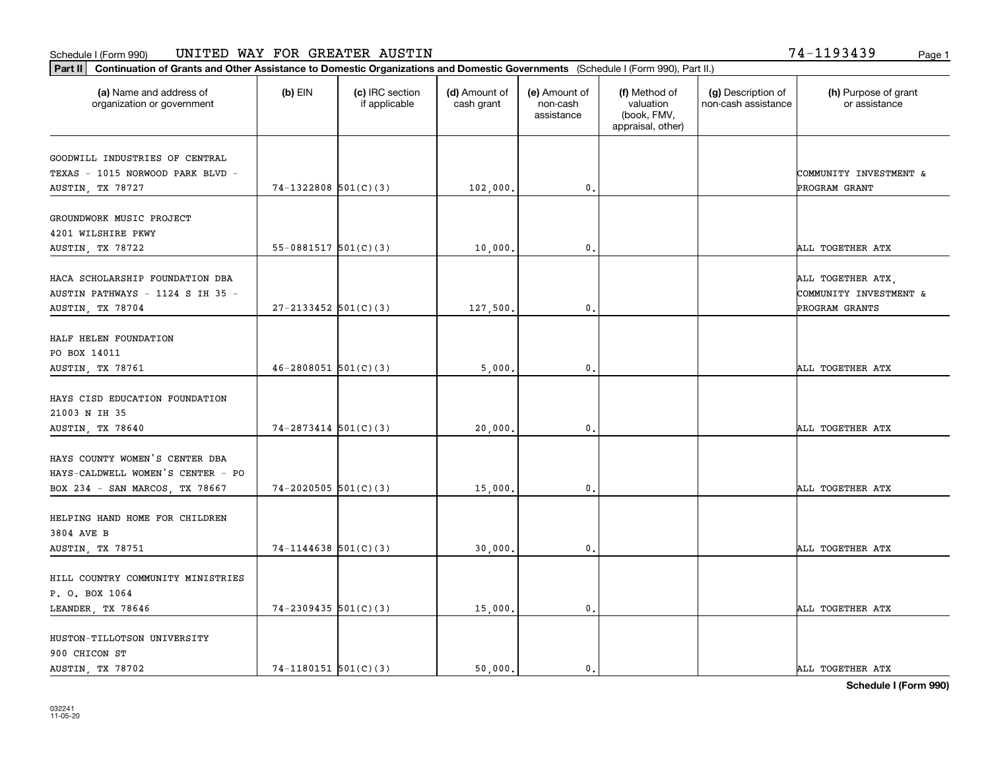**Part II Continuation of Grants and Other Assistance to Domestic Organizations and Domestic Governments**  (Schedule I (Form 990), Part II.)

| (a) Name and address of<br>organization or government                                   | $(b)$ EIN                | (c) IRC section<br>if applicable | (d) Amount of<br>cash grant | (e) Amount of<br>non-cash<br>assistance | (f) Method of<br>valuation<br>(book, FMV,<br>appraisal, other) | (g) Description of<br>non-cash assistance | (h) Purpose of grant<br>or assistance                         |
|-----------------------------------------------------------------------------------------|--------------------------|----------------------------------|-----------------------------|-----------------------------------------|----------------------------------------------------------------|-------------------------------------------|---------------------------------------------------------------|
| GOODWILL INDUSTRIES OF CENTRAL                                                          |                          |                                  |                             |                                         |                                                                |                                           |                                                               |
| TEXAS - 1015 NORWOOD PARK BLVD -                                                        |                          |                                  |                             |                                         |                                                                |                                           | COMMUNITY INVESTMENT &                                        |
| AUSTIN, TX 78727                                                                        | $74-1322808$ 501(C)(3)   |                                  | 102,000.                    | 0.                                      |                                                                |                                           | PROGRAM GRANT                                                 |
| GROUNDWORK MUSIC PROJECT<br>4201 WILSHIRE PKWY                                          |                          |                                  |                             |                                         |                                                                |                                           |                                                               |
| AUSTIN, TX 78722                                                                        | 55-0881517 $501(C)(3)$   |                                  | 10,000.                     | $\mathbf{0}$                            |                                                                |                                           | ALL TOGETHER ATX                                              |
| HACA SCHOLARSHIP FOUNDATION DBA<br>AUSTIN PATHWAYS - 1124 S IH 35 -<br>AUSTIN, TX 78704 | $27 - 2133452$ 501(C)(3) |                                  | 127,500.                    | $\mathbf 0$ .                           |                                                                |                                           | ALL TOGETHER ATX,<br>COMMUNITY INVESTMENT &<br>PROGRAM GRANTS |
|                                                                                         |                          |                                  |                             |                                         |                                                                |                                           |                                                               |
| HALF HELEN FOUNDATION<br>PO BOX 14011                                                   |                          |                                  |                             |                                         |                                                                |                                           |                                                               |
| AUSTIN, TX 78761                                                                        | $46 - 2808051$ 501(C)(3) |                                  | 5,000.                      | 0.                                      |                                                                |                                           | ALL TOGETHER ATX                                              |
| HAYS CISD EDUCATION FOUNDATION<br>21003 N IH 35                                         |                          |                                  |                             |                                         |                                                                |                                           |                                                               |
| AUSTIN, TX 78640                                                                        | $74 - 2873414$ 501(C)(3) |                                  | 20,000.                     | 0.                                      |                                                                |                                           | ALL TOGETHER ATX                                              |
| HAYS COUNTY WOMEN'S CENTER DBA<br>HAYS-CALDWELL WOMEN'S CENTER - PO                     |                          |                                  |                             |                                         |                                                                |                                           |                                                               |
| BOX 234 - SAN MARCOS, TX 78667                                                          | $74-2020505$ 501(C)(3)   |                                  | 15,000.                     | 0.                                      |                                                                |                                           | ALL TOGETHER ATX                                              |
| HELPING HAND HOME FOR CHILDREN<br>3804 AVE B                                            |                          |                                  |                             |                                         |                                                                |                                           |                                                               |
| AUSTIN, TX 78751                                                                        | $74-1144638$ 501(C)(3)   |                                  | 30,000.                     | $\mathbf 0$ .                           |                                                                |                                           | ALL TOGETHER ATX                                              |
| HILL COUNTRY COMMUNITY MINISTRIES<br>P. O. BOX 1064                                     |                          |                                  |                             |                                         |                                                                |                                           |                                                               |
| LEANDER, TX 78646                                                                       | $74-2309435$ 501(C)(3)   |                                  | 15,000.                     | 0.                                      |                                                                |                                           | ALL TOGETHER ATX                                              |
| HUSTON-TILLOTSON UNIVERSITY<br>900 CHICON ST                                            |                          |                                  |                             |                                         |                                                                |                                           |                                                               |

AUSTIN, TX 78702  $\begin{vmatrix} 74-1180151 & 501(C)(3) \end{vmatrix}$  50,000. 0. 0. ALL TOGETHER ATX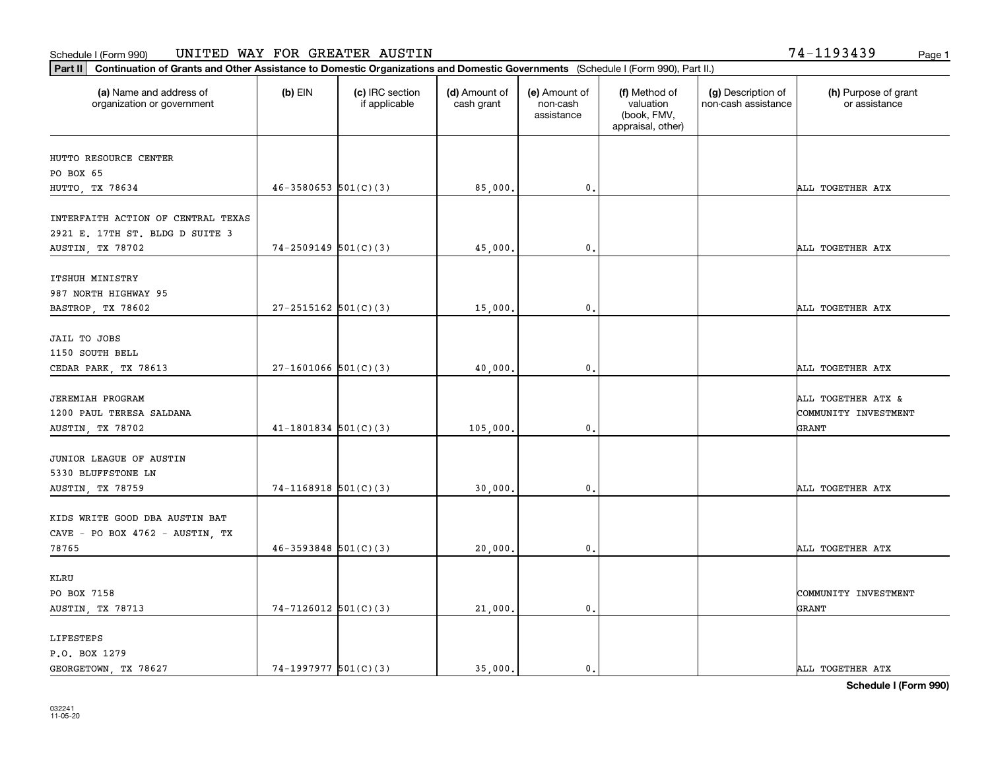**Part II Continuation of Grants and Other Assistance to Domestic Organizations and Domestic Governments**  (Schedule I (Form 990), Part II.)

| (a) Name and address of<br>organization or government                      | $(b)$ EIN                  | (c) IRC section<br>if applicable | (d) Amount of<br>cash grant | (e) Amount of<br>non-cash<br>assistance | (f) Method of<br>valuation<br>(book, FMV,<br>appraisal, other) | (g) Description of<br>non-cash assistance | (h) Purpose of grant<br>or assistance      |
|----------------------------------------------------------------------------|----------------------------|----------------------------------|-----------------------------|-----------------------------------------|----------------------------------------------------------------|-------------------------------------------|--------------------------------------------|
| HUTTO RESOURCE CENTER                                                      |                            |                                  |                             |                                         |                                                                |                                           |                                            |
| PO BOX 65                                                                  |                            |                                  |                             |                                         |                                                                |                                           |                                            |
| HUTTO, TX 78634                                                            | $46 - 3580653$ $501(C)(3)$ |                                  | 85,000.                     | 0.                                      |                                                                |                                           | ALL TOGETHER ATX                           |
| INTERFAITH ACTION OF CENTRAL TEXAS<br>2921 E. 17TH ST. BLDG D SUITE 3      |                            |                                  |                             |                                         |                                                                |                                           |                                            |
| AUSTIN, TX 78702                                                           | $74 - 2509149$ 501(C)(3)   |                                  | 45,000.                     | 0.                                      |                                                                |                                           | ALL TOGETHER ATX                           |
| ITSHUH MINISTRY<br>987 NORTH HIGHWAY 95                                    | $27 - 2515162$ 501(C)(3)   |                                  |                             | 0.                                      |                                                                |                                           | ALL TOGETHER ATX                           |
| BASTROP, TX 78602                                                          |                            |                                  | 15,000.                     |                                         |                                                                |                                           |                                            |
| JAIL TO JOBS<br>1150 SOUTH BELL                                            |                            |                                  |                             |                                         |                                                                |                                           |                                            |
| CEDAR PARK, TX 78613                                                       | $27-1601066$ $501(C)(3)$   |                                  | 40,000.                     | 0.                                      |                                                                |                                           | ALL TOGETHER ATX                           |
| <b>JEREMIAH PROGRAM</b><br>1200 PAUL TERESA SALDANA                        |                            |                                  |                             |                                         |                                                                |                                           | ALL TOGETHER ATX &<br>COMMUNITY INVESTMENT |
| AUSTIN, TX 78702                                                           | $41-1801834$ $501(C)(3)$   |                                  | 105,000.                    | 0.                                      |                                                                |                                           | GRANT                                      |
| JUNIOR LEAGUE OF AUSTIN<br>5330 BLUFFSTONE LN<br>AUSTIN, TX 78759          | $74-1168918$ $501(C)(3)$   |                                  | 30,000.                     | 0.                                      |                                                                |                                           | ALL TOGETHER ATX                           |
| KIDS WRITE GOOD DBA AUSTIN BAT<br>CAVE - PO BOX 4762 - AUSTIN, TX<br>78765 | $46 - 3593848$ $501(C)(3)$ |                                  | 20,000.                     | 0.                                      |                                                                |                                           | ALL TOGETHER ATX                           |
|                                                                            |                            |                                  |                             |                                         |                                                                |                                           |                                            |
| KLRU<br>PO BOX 7158<br>AUSTIN, TX 78713                                    | $74-7126012$ 501(C)(3)     |                                  | 21,000.                     | 0.                                      |                                                                |                                           | COMMUNITY INVESTMENT<br>GRANT              |
| LIFESTEPS<br>P.O. BOX 1279                                                 |                            |                                  |                             |                                         |                                                                |                                           |                                            |

┰

GEORGETOWN, TX 78627  $301(C)(3)$  35,000. 0. 0.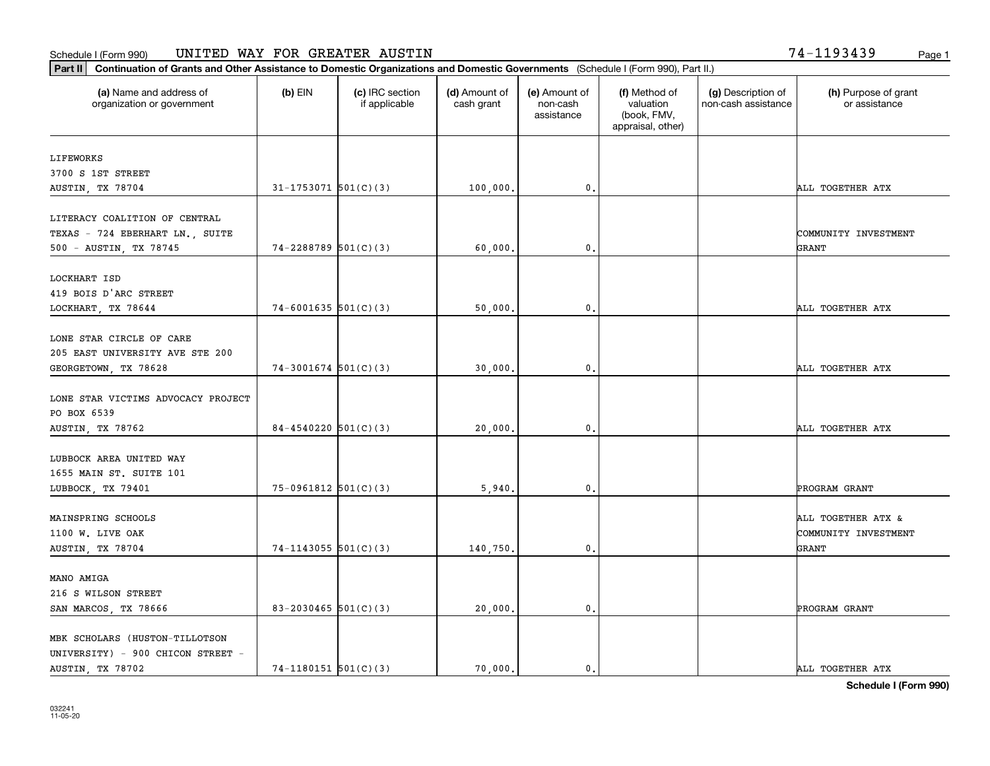**Part II Continuation of Grants and Other Assistance to Domestic Organizations and Domestic Governments**  (Schedule I (Form 990), Part II.)

| (a) Name and address of<br>organization or government | (b) EIN                  | (c) IRC section<br>if applicable | (d) Amount of<br>cash grant | (e) Amount of<br>non-cash<br>assistance | (f) Method of<br>valuation<br>(book, FMV,<br>appraisal, other) | (g) Description of<br>non-cash assistance | (h) Purpose of grant<br>or assistance |
|-------------------------------------------------------|--------------------------|----------------------------------|-----------------------------|-----------------------------------------|----------------------------------------------------------------|-------------------------------------------|---------------------------------------|
| LIFEWORKS                                             |                          |                                  |                             |                                         |                                                                |                                           |                                       |
| 3700 S 1ST STREET                                     |                          |                                  |                             |                                         |                                                                |                                           |                                       |
| AUSTIN, TX 78704                                      | $31 - 1753071$ 501(C)(3) |                                  | 100,000.                    | $\mathfrak{o}$ .                        |                                                                |                                           | ALL TOGETHER ATX                      |
| LITERACY COALITION OF CENTRAL                         |                          |                                  |                             |                                         |                                                                |                                           |                                       |
| TEXAS - 724 EBERHART LN., SUITE                       |                          |                                  |                             |                                         |                                                                |                                           | COMMUNITY INVESTMENT                  |
| 500 - AUSTIN, TX 78745                                | $74 - 2288789$ 501(C)(3) |                                  | 60,000.                     | 0.                                      |                                                                |                                           | GRANT                                 |
| LOCKHART ISD                                          |                          |                                  |                             |                                         |                                                                |                                           |                                       |
| 419 BOIS D'ARC STREET                                 |                          |                                  |                             |                                         |                                                                |                                           |                                       |
| LOCKHART, TX 78644                                    | $74-6001635$ 501(C)(3)   |                                  | 50,000.                     | $\mathbf 0$ .                           |                                                                |                                           | ALL TOGETHER ATX                      |
|                                                       |                          |                                  |                             |                                         |                                                                |                                           |                                       |
| LONE STAR CIRCLE OF CARE                              |                          |                                  |                             |                                         |                                                                |                                           |                                       |
| 205 EAST UNIVERSITY AVE STE 200                       |                          |                                  |                             |                                         |                                                                |                                           |                                       |
| GEORGETOWN, TX 78628                                  | $74-3001674$ 501(C)(3)   |                                  | 30,000.                     | 0.                                      |                                                                |                                           | ALL TOGETHER ATX                      |
| LONE STAR VICTIMS ADVOCACY PROJECT                    |                          |                                  |                             |                                         |                                                                |                                           |                                       |
| PO BOX 6539                                           |                          |                                  |                             |                                         |                                                                |                                           |                                       |
| AUSTIN, TX 78762                                      | $84 - 4540220$ 501(C)(3) |                                  | 20,000.                     | $\mathbf{0}$                            |                                                                |                                           | ALL TOGETHER ATX                      |
|                                                       |                          |                                  |                             |                                         |                                                                |                                           |                                       |
| LUBBOCK AREA UNITED WAY                               |                          |                                  |                             |                                         |                                                                |                                           |                                       |
| 1655 MAIN ST. SUITE 101                               | $75-0961812$ $501(C)(3)$ |                                  |                             | $\mathbf{0}$                            |                                                                |                                           | PROGRAM GRANT                         |
| LUBBOCK, TX 79401                                     |                          |                                  | 5,940.                      |                                         |                                                                |                                           |                                       |
| MAINSPRING SCHOOLS                                    |                          |                                  |                             |                                         |                                                                |                                           | ALL TOGETHER ATX &                    |
| 1100 W. LIVE OAK                                      |                          |                                  |                             |                                         |                                                                |                                           | COMMUNITY INVESTMENT                  |
| AUSTIN, TX 78704                                      | $74-1143055$ 501(C)(3)   |                                  | 140,750.                    | 0.                                      |                                                                |                                           | GRANT                                 |
|                                                       |                          |                                  |                             |                                         |                                                                |                                           |                                       |
| MANO AMIGA                                            |                          |                                  |                             |                                         |                                                                |                                           |                                       |
| 216 S WILSON STREET                                   |                          |                                  |                             |                                         |                                                                |                                           |                                       |
| SAN MARCOS, TX 78666                                  | 83-2030465 $501(C)(3)$   |                                  | 20,000.                     | $\mathbf{0}$                            |                                                                |                                           | PROGRAM GRANT                         |
| MBK SCHOLARS (HUSTON-TILLOTSON                        |                          |                                  |                             |                                         |                                                                |                                           |                                       |
| UNIVERSITY) - 900 CHICON STREET -                     |                          |                                  |                             |                                         |                                                                |                                           |                                       |

AUSTIN, TX 78702 2000 2000 214-1180151 501(C)(3) 20,000. 2000. 0. ALL TOGETHER ATX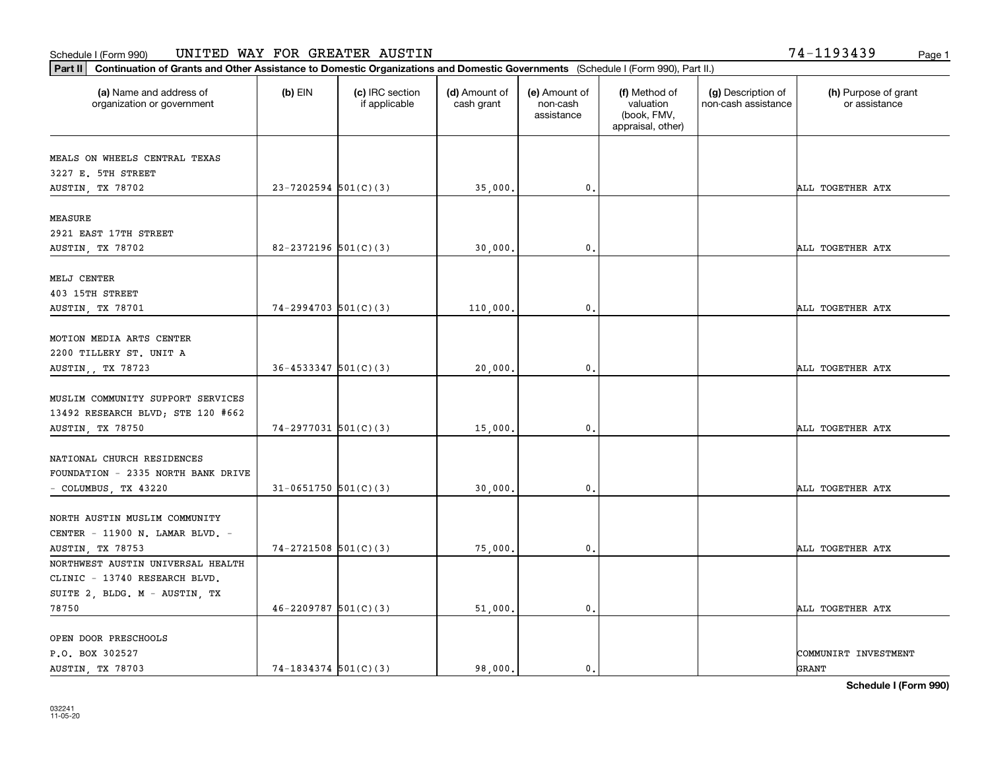Ι.

**Part II Continuation of Grants and Other Assistance to Domestic Organizations and Domestic Governments**  (Schedule I (Form 990), Part II.)

| (a) Name and address of<br>organization or government            | $(b)$ EIN                  | (c) IRC section<br>if applicable | (d) Amount of<br>cash grant | (e) Amount of<br>non-cash<br>assistance | (f) Method of<br>valuation<br>(book, FMV,<br>appraisal, other) | (g) Description of<br>non-cash assistance | (h) Purpose of grant<br>or assistance |
|------------------------------------------------------------------|----------------------------|----------------------------------|-----------------------------|-----------------------------------------|----------------------------------------------------------------|-------------------------------------------|---------------------------------------|
| MEALS ON WHEELS CENTRAL TEXAS                                    |                            |                                  |                             |                                         |                                                                |                                           |                                       |
| 3227 E. 5TH STREET                                               |                            |                                  |                             |                                         |                                                                |                                           |                                       |
| AUSTIN, TX 78702                                                 | $23 - 7202594$ 501(C)(3)   |                                  | 35,000.                     | 0.                                      |                                                                |                                           | ALL TOGETHER ATX                      |
| <b>MEASURE</b>                                                   |                            |                                  |                             |                                         |                                                                |                                           |                                       |
| 2921 EAST 17TH STREET                                            |                            |                                  |                             |                                         |                                                                |                                           |                                       |
| AUSTIN, TX 78702                                                 | $82 - 2372196$ 501(C)(3)   |                                  | 30,000.                     | $\mathbf 0$ .                           |                                                                |                                           | ALL TOGETHER ATX                      |
| MELJ CENTER                                                      |                            |                                  |                             |                                         |                                                                |                                           |                                       |
| 403 15TH STREET                                                  |                            |                                  |                             |                                         |                                                                |                                           |                                       |
| AUSTIN, TX 78701                                                 | $74-2994703$ 501(C)(3)     |                                  | 110,000.                    | 0.                                      |                                                                |                                           | ALL TOGETHER ATX                      |
| MOTION MEDIA ARTS CENTER                                         |                            |                                  |                             |                                         |                                                                |                                           |                                       |
| 2200 TILLERY ST. UNIT A                                          |                            |                                  |                             |                                         |                                                                |                                           |                                       |
| AUSTIN, TX 78723                                                 | $36 - 4533347$ $501(C)(3)$ |                                  | 20,000.                     | 0.                                      |                                                                |                                           | ALL TOGETHER ATX                      |
|                                                                  |                            |                                  |                             |                                         |                                                                |                                           |                                       |
| MUSLIM COMMUNITY SUPPORT SERVICES                                |                            |                                  |                             |                                         |                                                                |                                           |                                       |
| 13492 RESEARCH BLVD; STE 120 #662                                |                            |                                  |                             |                                         |                                                                |                                           |                                       |
| AUSTIN, TX 78750                                                 | $74-2977031$ 501(C)(3)     |                                  | 15,000.                     | 0.                                      |                                                                |                                           | ALL TOGETHER ATX                      |
|                                                                  |                            |                                  |                             |                                         |                                                                |                                           |                                       |
| NATIONAL CHURCH RESIDENCES                                       |                            |                                  |                             |                                         |                                                                |                                           |                                       |
| FOUNDATION - 2335 NORTH BANK DRIVE                               |                            |                                  |                             |                                         |                                                                |                                           |                                       |
| - COLUMBUS, TX 43220                                             | $31-0651750$ $501(C)(3)$   |                                  | 30,000.                     | 0.                                      |                                                                |                                           | ALL TOGETHER ATX                      |
|                                                                  |                            |                                  |                             |                                         |                                                                |                                           |                                       |
| NORTH AUSTIN MUSLIM COMMUNITY<br>CENTER - 11900 N. LAMAR BLVD. - |                            |                                  |                             |                                         |                                                                |                                           |                                       |
| AUSTIN, TX 78753                                                 | $74 - 2721508$ 501(C)(3)   |                                  | 75,000.                     | 0.                                      |                                                                |                                           | ALL TOGETHER ATX                      |
| NORTHWEST AUSTIN UNIVERSAL HEALTH                                |                            |                                  |                             |                                         |                                                                |                                           |                                       |
| CLINIC - 13740 RESEARCH BLVD.                                    |                            |                                  |                             |                                         |                                                                |                                           |                                       |
| SUITE 2, BLDG. M - AUSTIN, TX                                    |                            |                                  |                             |                                         |                                                                |                                           |                                       |
| 78750                                                            | $46 - 2209787$ 501(C)(3)   |                                  | 51,000                      | $\mathbf 0$ .                           |                                                                |                                           | ALL TOGETHER ATX                      |
| OPEN DOOR PRESCHOOLS                                             |                            |                                  |                             |                                         |                                                                |                                           |                                       |
| P.O. BOX 302527                                                  |                            |                                  |                             |                                         |                                                                |                                           | COMMUNIRT INVESTMENT                  |

 $\mathbf{I}$ 

AUSTIN, TX 78703  $\begin{vmatrix} 74-1834374 & 501(C)(3) & | & 98,000. & 0. \end{vmatrix}$  0.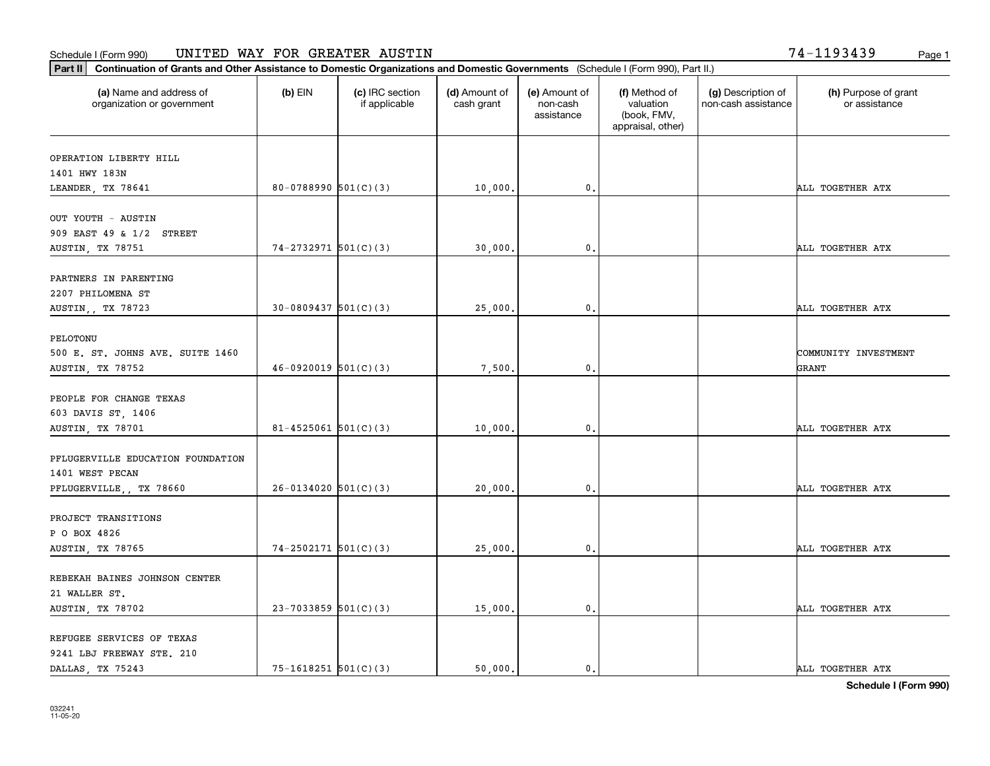**Part II Continuation of Grants and Other Assistance to Domestic Organizations and Domestic Governments**  (Schedule I (Form 990), Part II.)

| (a) Name and address of<br>organization or government            | $(b)$ EIN                | (c) IRC section<br>if applicable | (d) Amount of<br>cash grant | (e) Amount of<br>non-cash<br>assistance | (f) Method of<br>valuation<br>(book, FMV,<br>appraisal, other) | (g) Description of<br>non-cash assistance | (h) Purpose of grant<br>or assistance |
|------------------------------------------------------------------|--------------------------|----------------------------------|-----------------------------|-----------------------------------------|----------------------------------------------------------------|-------------------------------------------|---------------------------------------|
| OPERATION LIBERTY HILL                                           |                          |                                  |                             |                                         |                                                                |                                           |                                       |
| 1401 HWY 183N<br>LEANDER, TX 78641                               | $80-0788990$ $501(C)(3)$ |                                  | 10,000.                     | 0.                                      |                                                                |                                           | ALL TOGETHER ATX                      |
| OUT YOUTH - AUSTIN<br>909 EAST 49 & 1/2 STREET                   |                          |                                  |                             |                                         |                                                                |                                           |                                       |
| AUSTIN, TX 78751                                                 | $74-2732971$ 501(C)(3)   |                                  | 30,000                      | $\mathbf 0$ .                           |                                                                |                                           | ALL TOGETHER ATX                      |
| PARTNERS IN PARENTING<br>2207 PHILOMENA ST                       |                          |                                  |                             |                                         |                                                                |                                           |                                       |
| AUSTIN,, TX 78723                                                | $30-0809437$ 501(C)(3)   |                                  | 25,000.                     | 0.                                      |                                                                |                                           | ALL TOGETHER ATX                      |
| PELOTONU<br>500 E. ST. JOHNS AVE. SUITE 1460<br>AUSTIN, TX 78752 | $46-0920019$ 501(C)(3)   |                                  | 7,500.                      | 0.                                      |                                                                |                                           | COMMUNITY INVESTMENT<br>GRANT         |
| PEOPLE FOR CHANGE TEXAS<br>603 DAVIS ST, 1406                    |                          |                                  |                             |                                         |                                                                |                                           |                                       |
| AUSTIN, TX 78701                                                 | $81 - 4525061$ 501(C)(3) |                                  | 10,000                      | $\mathbf 0$ .                           |                                                                |                                           | ALL TOGETHER ATX                      |
| PFLUGERVILLE EDUCATION FOUNDATION<br>1401 WEST PECAN             |                          |                                  |                             |                                         |                                                                |                                           |                                       |
| PFLUGERVILLE,, TX 78660                                          | $26-0134020$ 501(C)(3)   |                                  | 20,000.                     | $\mathbf 0$ .                           |                                                                |                                           | ALL TOGETHER ATX                      |
| PROJECT TRANSITIONS<br>P O BOX 4826<br>AUSTIN, TX 78765          | $74-2502171$ 501(C)(3)   |                                  | 25,000.                     | $\mathbf{0}$ .                          |                                                                |                                           | ALL TOGETHER ATX                      |
| REBEKAH BAINES JOHNSON CENTER<br>21 WALLER ST.                   | $23-7033859$ 501(C)(3)   |                                  | 15,000                      | 0.                                      |                                                                |                                           | ALL TOGETHER ATX                      |
| AUSTIN, TX 78702                                                 |                          |                                  |                             |                                         |                                                                |                                           |                                       |
| REFUGEE SERVICES OF TEXAS<br>9241 LBJ FREEWAY STE. 210           |                          |                                  |                             |                                         |                                                                |                                           |                                       |

DALLAS, TX 75243 2001 15-1618251 501(C)(3) 0. 50,000. 0. 0. 0. ALL TOGETHER ATX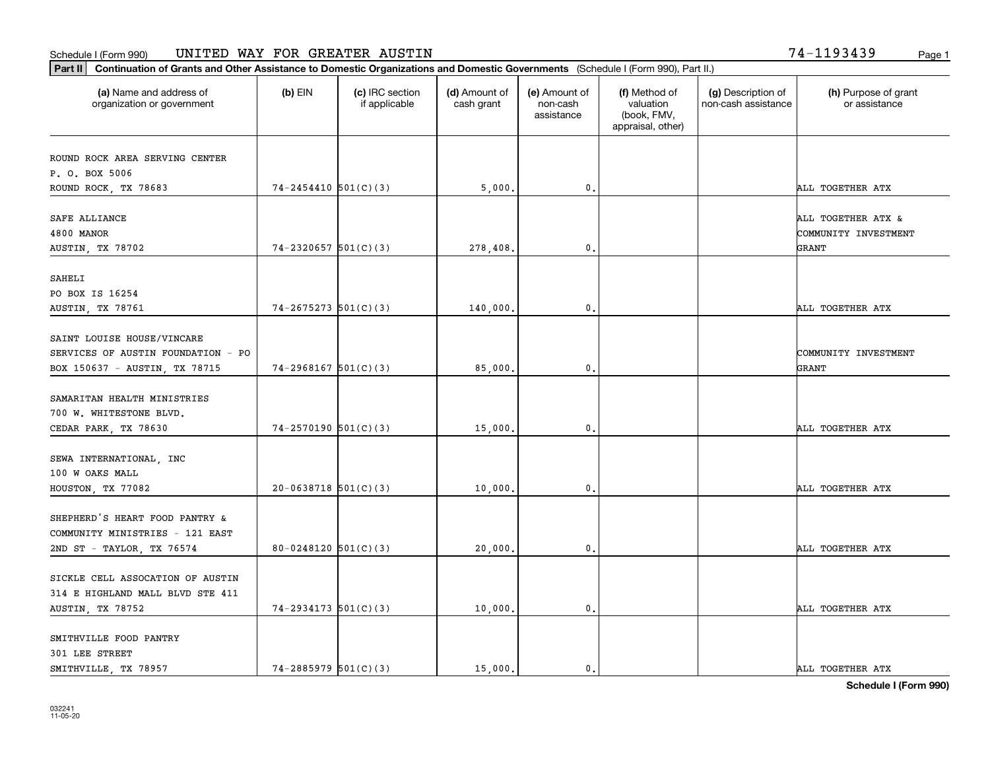**Part II Continuation of Grants and Other Assistance to Domestic Organizations and Domestic Governments**  (Schedule I (Form 990), Part II.)

032241 11-05-20

| (a) Name and address of<br>organization or government                | (b) EIN                  | (c) IRC section<br>if applicable | (d) Amount of<br>cash grant | (e) Amount of<br>non-cash<br>assistance | (f) Method of<br>valuation<br>(book, FMV,<br>appraisal, other) | (g) Description of<br>non-cash assistance | (h) Purpose of grant<br>or assistance |
|----------------------------------------------------------------------|--------------------------|----------------------------------|-----------------------------|-----------------------------------------|----------------------------------------------------------------|-------------------------------------------|---------------------------------------|
| ROUND ROCK AREA SERVING CENTER                                       |                          |                                  |                             |                                         |                                                                |                                           |                                       |
| P. O. BOX 5006                                                       |                          |                                  |                             |                                         |                                                                |                                           |                                       |
| ROUND ROCK, TX 78683                                                 | $74 - 2454410$ 501(C)(3) |                                  | 5,000.                      | 0.                                      |                                                                |                                           | ALL TOGETHER ATX                      |
| SAFE ALLIANCE                                                        |                          |                                  |                             |                                         |                                                                |                                           | ALL TOGETHER ATX &                    |
| 4800 MANOR                                                           |                          |                                  |                             |                                         |                                                                |                                           | COMMUNITY INVESTMENT                  |
| AUSTIN, TX 78702                                                     | $74-2320657$ 501(C)(3)   |                                  | 278,408.                    | $\mathbf{0}$                            |                                                                |                                           | GRANT                                 |
| SAHELI                                                               |                          |                                  |                             |                                         |                                                                |                                           |                                       |
| PO BOX IS 16254                                                      |                          |                                  |                             |                                         |                                                                |                                           |                                       |
| AUSTIN, TX 78761                                                     | $74-2675273$ 501(C)(3)   |                                  | 140,000.                    | $\mathbf 0$ .                           |                                                                |                                           | ALL TOGETHER ATX                      |
| SAINT LOUISE HOUSE/VINCARE                                           |                          |                                  |                             |                                         |                                                                |                                           |                                       |
| SERVICES OF AUSTIN FOUNDATION - PO                                   |                          |                                  |                             |                                         |                                                                |                                           | COMMUNITY INVESTMENT                  |
| BOX 150637 - AUSTIN, TX 78715                                        | $74 - 2968167$ 501(C)(3) |                                  | 85,000.                     | $\mathbf{0}$                            |                                                                |                                           | GRANT                                 |
|                                                                      |                          |                                  |                             |                                         |                                                                |                                           |                                       |
| SAMARITAN HEALTH MINISTRIES                                          |                          |                                  |                             |                                         |                                                                |                                           |                                       |
| 700 W. WHITESTONE BLVD.                                              |                          |                                  |                             |                                         |                                                                |                                           |                                       |
| CEDAR PARK, TX 78630                                                 | $74-2570190$ 501(C)(3)   |                                  | 15,000.                     | 0.                                      |                                                                |                                           | ALL TOGETHER ATX                      |
| SEWA INTERNATIONAL, INC                                              |                          |                                  |                             |                                         |                                                                |                                           |                                       |
| 100 W OAKS MALL                                                      |                          |                                  |                             |                                         |                                                                |                                           |                                       |
| HOUSTON, TX 77082                                                    | $20-0638718$ 501(C)(3)   |                                  | 10,000                      | $\mathbf 0$ .                           |                                                                |                                           | ALL TOGETHER ATX                      |
|                                                                      |                          |                                  |                             |                                         |                                                                |                                           |                                       |
| SHEPHERD'S HEART FOOD PANTRY &                                       |                          |                                  |                             |                                         |                                                                |                                           |                                       |
| COMMUNITY MINISTRIES - 121 EAST                                      |                          |                                  |                             |                                         |                                                                |                                           |                                       |
| 2ND ST - TAYLOR, TX 76574                                            | 80-0248120 $501(C)(3)$   |                                  | 20,000.                     | 0.                                      |                                                                |                                           | ALL TOGETHER ATX                      |
|                                                                      |                          |                                  |                             |                                         |                                                                |                                           |                                       |
| SICKLE CELL ASSOCATION OF AUSTIN<br>314 E HIGHLAND MALL BLVD STE 411 |                          |                                  |                             |                                         |                                                                |                                           |                                       |
| AUSTIN, TX 78752                                                     | $74 - 2934173$ 501(C)(3) |                                  | 10,000.                     | 0.                                      |                                                                |                                           | ALL TOGETHER ATX                      |
|                                                                      |                          |                                  |                             |                                         |                                                                |                                           |                                       |
| SMITHVILLE FOOD PANTRY                                               |                          |                                  |                             |                                         |                                                                |                                           |                                       |
| 301 LEE STREET                                                       |                          |                                  |                             |                                         |                                                                |                                           |                                       |
| SMITHVILLE, TX 78957                                                 | $74-2885979$ 501(C)(3)   |                                  | 15,000.                     | 0.                                      |                                                                |                                           | ALL TOGETHER ATX                      |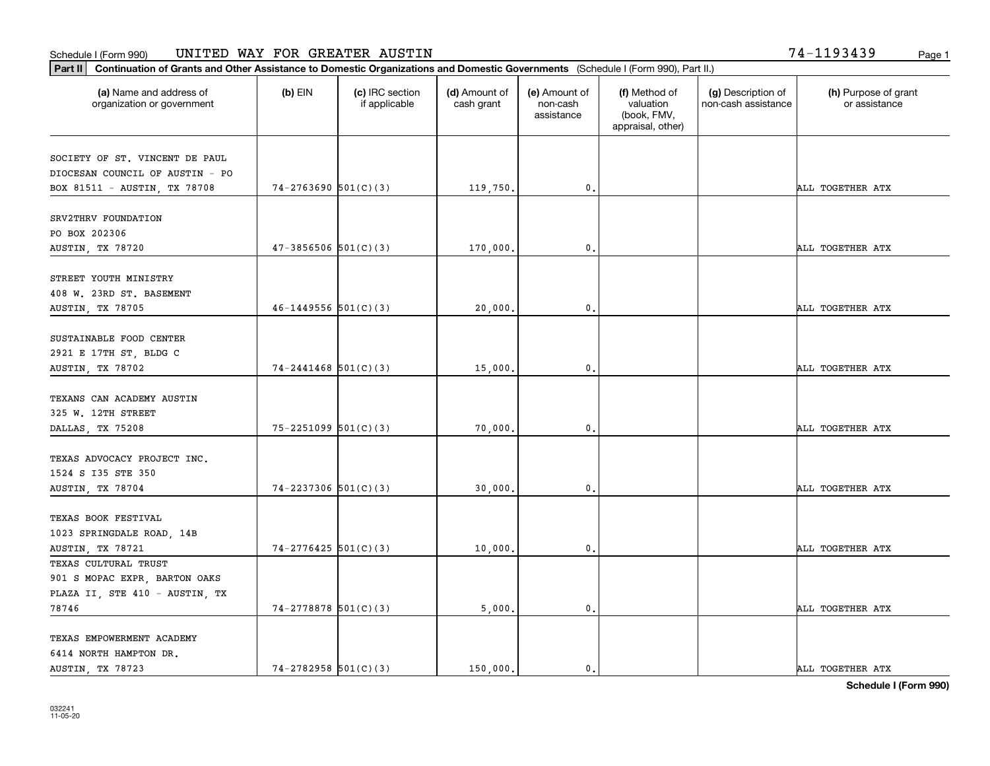**Part II Continuation of Grants and Other Assistance to Domestic Organizations and Domestic Governments**  (Schedule I (Form 990), Part II.)

| (a) Name and address of<br>organization or government | $(b)$ EIN                  | (c) IRC section<br>if applicable | (d) Amount of<br>cash grant | (e) Amount of<br>non-cash<br>assistance | (f) Method of<br>valuation<br>(book, FMV,<br>appraisal, other) | (g) Description of<br>non-cash assistance | (h) Purpose of grant<br>or assistance |
|-------------------------------------------------------|----------------------------|----------------------------------|-----------------------------|-----------------------------------------|----------------------------------------------------------------|-------------------------------------------|---------------------------------------|
| SOCIETY OF ST. VINCENT DE PAUL                        |                            |                                  |                             |                                         |                                                                |                                           |                                       |
| DIOCESAN COUNCIL OF AUSTIN - PO                       |                            |                                  |                             |                                         |                                                                |                                           |                                       |
| BOX 81511 - AUSTIN, TX 78708                          | $74-2763690$ $501(C)(3)$   |                                  | 119,750.                    | 0.                                      |                                                                |                                           | ALL TOGETHER ATX                      |
| SRV2THRV FOUNDATION                                   |                            |                                  |                             |                                         |                                                                |                                           |                                       |
| PO BOX 202306                                         |                            |                                  |                             |                                         |                                                                |                                           |                                       |
| <b>AUSTIN, TX 78720</b>                               | $47-3856506$ $501(C)(3)$   |                                  | 170,000.                    | $\mathbf{0}$                            |                                                                |                                           | ALL TOGETHER ATX                      |
| STREET YOUTH MINISTRY                                 |                            |                                  |                             |                                         |                                                                |                                           |                                       |
| 408 W. 23RD ST. BASEMENT                              |                            |                                  |                             |                                         |                                                                |                                           |                                       |
| AUSTIN, TX 78705                                      | $46 - 1449556$ 501(C)(3)   |                                  | 20,000.                     | 0.                                      |                                                                |                                           | ALL TOGETHER ATX                      |
|                                                       |                            |                                  |                             |                                         |                                                                |                                           |                                       |
| SUSTAINABLE FOOD CENTER                               |                            |                                  |                             |                                         |                                                                |                                           |                                       |
| 2921 E 17TH ST, BLDG C                                |                            |                                  |                             |                                         |                                                                |                                           |                                       |
| AUSTIN, TX 78702                                      | $74 - 2441468$ 501(C)(3)   |                                  | 15,000.                     | $\mathbf 0$ .                           |                                                                |                                           | ALL TOGETHER ATX                      |
| TEXANS CAN ACADEMY AUSTIN                             |                            |                                  |                             |                                         |                                                                |                                           |                                       |
| 325 W. 12TH STREET                                    |                            |                                  |                             |                                         |                                                                |                                           |                                       |
| DALLAS, TX 75208                                      | $75 - 2251099$ $501(C)(3)$ |                                  | 70,000.                     | $\mathbf 0$ .                           |                                                                |                                           | ALL TOGETHER ATX                      |
|                                                       |                            |                                  |                             |                                         |                                                                |                                           |                                       |
| TEXAS ADVOCACY PROJECT INC.                           |                            |                                  |                             |                                         |                                                                |                                           |                                       |
| 1524 S 135 STE 350                                    |                            |                                  |                             |                                         |                                                                |                                           |                                       |
| AUSTIN, TX 78704                                      | $74 - 2237306$ 501(C)(3)   |                                  | 30,000.                     | 0.                                      |                                                                |                                           | ALL TOGETHER ATX                      |
| TEXAS BOOK FESTIVAL                                   |                            |                                  |                             |                                         |                                                                |                                           |                                       |
| 1023 SPRINGDALE ROAD, 14B                             |                            |                                  |                             |                                         |                                                                |                                           |                                       |
| AUSTIN, TX 78721                                      | $74-2776425$ 501(C)(3)     |                                  | 10,000.                     | 0.                                      |                                                                |                                           | ALL TOGETHER ATX                      |
| TEXAS CULTURAL TRUST                                  |                            |                                  |                             |                                         |                                                                |                                           |                                       |
| 901 S MOPAC EXPR, BARTON OAKS                         |                            |                                  |                             |                                         |                                                                |                                           |                                       |
| PLAZA II, STE 410 - AUSTIN, TX                        |                            |                                  |                             |                                         |                                                                |                                           |                                       |
| 78746                                                 | $74-2778878$ 501(C)(3)     |                                  | 5,000.                      | 0.                                      |                                                                |                                           | ALL TOGETHER ATX                      |
|                                                       |                            |                                  |                             |                                         |                                                                |                                           |                                       |
| TEXAS EMPOWERMENT ACADEMY                             |                            |                                  |                             |                                         |                                                                |                                           |                                       |
| 6414 NORTH HAMPTON DR.                                |                            |                                  |                             |                                         |                                                                |                                           |                                       |
| AUSTIN, TX 78723                                      | $74-2782958$ $501(C)(3)$   |                                  | 150,000.                    | $\mathfrak{o}$ .                        |                                                                |                                           | ALL TOGETHER ATX                      |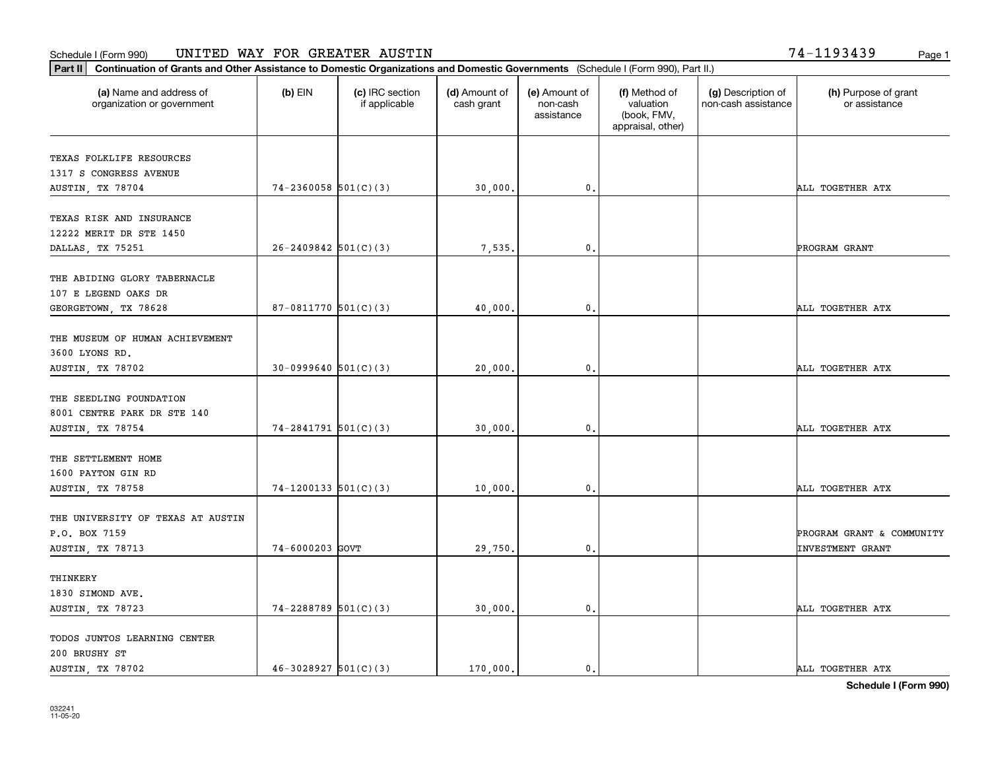**Part II Continuation of Grants and Other Assistance to Domestic Organizations and Domestic Governments**  (Schedule I (Form 990), Part II.)

| (a) Name and address of<br>organization or government                      | $(b)$ EIN                | (c) IRC section<br>if applicable | (d) Amount of<br>cash grant | (e) Amount of<br>non-cash<br>assistance | (f) Method of<br>valuation<br>(book, FMV,<br>appraisal, other) | (g) Description of<br>non-cash assistance | (h) Purpose of grant<br>or assistance                |
|----------------------------------------------------------------------------|--------------------------|----------------------------------|-----------------------------|-----------------------------------------|----------------------------------------------------------------|-------------------------------------------|------------------------------------------------------|
| TEXAS FOLKLIFE RESOURCES<br>1317 S CONGRESS AVENUE                         |                          |                                  |                             |                                         |                                                                |                                           |                                                      |
| AUSTIN, TX 78704                                                           | $74-2360058$ $501(C)(3)$ |                                  | 30,000.                     | 0.                                      |                                                                |                                           | ALL TOGETHER ATX                                     |
| TEXAS RISK AND INSURANCE<br>12222 MERIT DR STE 1450                        |                          |                                  |                             |                                         |                                                                |                                           |                                                      |
| DALLAS, TX 75251                                                           | $26 - 2409842$ 501(C)(3) |                                  | 7,535.                      | 0.                                      |                                                                |                                           | PROGRAM GRANT                                        |
| THE ABIDING GLORY TABERNACLE<br>107 E LEGEND OAKS DR                       |                          |                                  |                             |                                         |                                                                |                                           |                                                      |
| GEORGETOWN, TX 78628                                                       | 87-0811770 $501(C)(3)$   |                                  | 40,000.                     | $\mathbf 0$ .                           |                                                                |                                           | ALL TOGETHER ATX                                     |
| THE MUSEUM OF HUMAN ACHIEVEMENT<br>3600 LYONS RD.                          |                          |                                  |                             |                                         |                                                                |                                           |                                                      |
| AUSTIN, TX 78702                                                           | $30-0999640$ 501(C)(3)   |                                  | 20,000.                     | 0.                                      |                                                                |                                           | ALL TOGETHER ATX                                     |
| THE SEEDLING FOUNDATION<br>8001 CENTRE PARK DR STE 140<br>AUSTIN, TX 78754 | $74-2841791$ 501(C)(3)   |                                  | 30,000.                     | 0.                                      |                                                                |                                           | ALL TOGETHER ATX                                     |
| THE SETTLEMENT HOME<br>1600 PAYTON GIN RD<br>AUSTIN, TX 78758              | $74-1200133$ $501(C)(3)$ |                                  | 10,000.                     | $\mathbf{0}$                            |                                                                |                                           | ALL TOGETHER ATX                                     |
|                                                                            |                          |                                  |                             |                                         |                                                                |                                           |                                                      |
| THE UNIVERSITY OF TEXAS AT AUSTIN<br>P.O. BOX 7159<br>AUSTIN, TX 78713     | 74-6000203 GOVT          |                                  | 29,750.                     | $\mathbf 0$ .                           |                                                                |                                           | PROGRAM GRANT & COMMUNITY<br><b>INVESTMENT GRANT</b> |
| THINKERY<br>1830 SIMOND AVE.<br>AUSTIN, TX 78723                           | 74-2288789 501(C)(3)     |                                  | 30,000.                     | 0.                                      |                                                                |                                           | ALL TOGETHER ATX                                     |
| TODOS JUNTOS LEARNING CENTER<br>200 BRUSHY ST                              |                          |                                  |                             |                                         |                                                                |                                           |                                                      |

⊤

AUSTIN, TX 78702  $\begin{vmatrix} 46-3028927 & 501(C)(3) \end{vmatrix}$  170,000. 0. 0.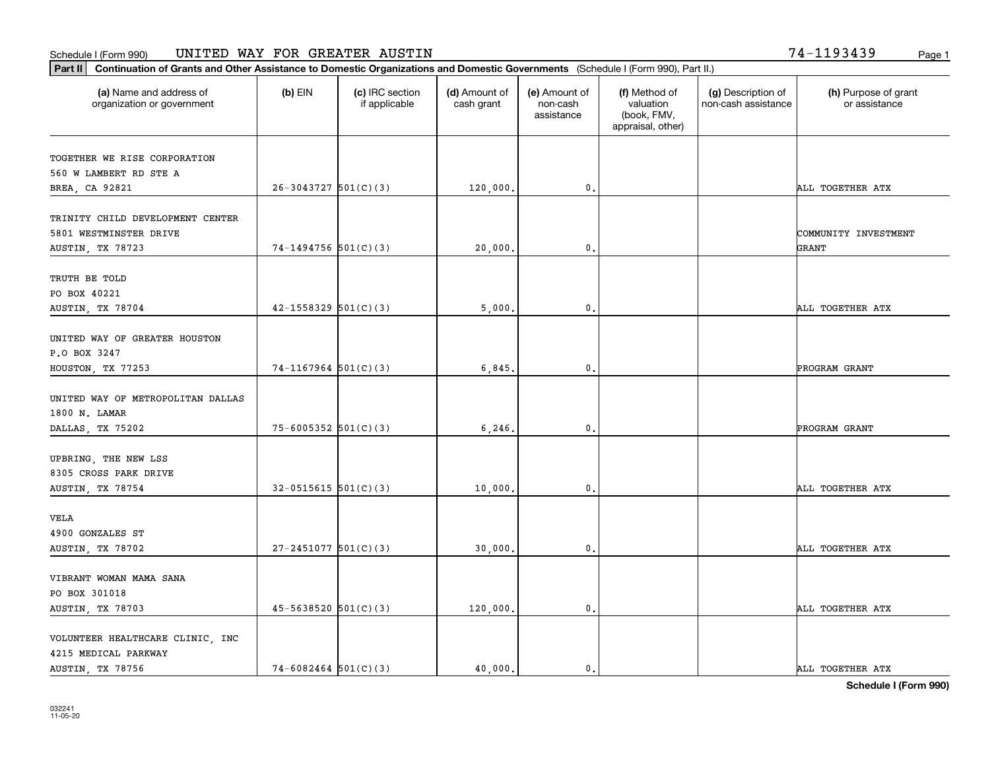**Part II Continuation of Grants and Other Assistance to Domestic Organizations and Domestic Governments**  (Schedule I (Form 990), Part II.)

| (a) Name and address of<br>organization or government                          | $(b)$ EIN                  | (c) IRC section<br>if applicable | (d) Amount of<br>cash grant | (e) Amount of<br>non-cash<br>assistance | (f) Method of<br>valuation<br>(book, FMV,<br>appraisal, other) | (g) Description of<br>non-cash assistance | (h) Purpose of grant<br>or assistance |
|--------------------------------------------------------------------------------|----------------------------|----------------------------------|-----------------------------|-----------------------------------------|----------------------------------------------------------------|-------------------------------------------|---------------------------------------|
| TOGETHER WE RISE CORPORATION<br>560 W LAMBERT RD STE A                         |                            |                                  |                             |                                         |                                                                |                                           |                                       |
| BREA, CA 92821                                                                 | $26-3043727$ 501(C)(3)     |                                  | 120,000.                    | 0.                                      |                                                                |                                           | ALL TOGETHER ATX                      |
| TRINITY CHILD DEVELOPMENT CENTER<br>5801 WESTMINSTER DRIVE<br>AUSTIN, TX 78723 | 74-1494756 501(C)(3)       |                                  | 20,000.                     | 0.                                      |                                                                |                                           | COMMUNITY INVESTMENT<br><b>GRANT</b>  |
|                                                                                |                            |                                  |                             |                                         |                                                                |                                           |                                       |
| TRUTH BE TOLD<br>PO BOX 40221<br>AUSTIN, TX 78704                              | $42 - 1558329$ $501(C)(3)$ |                                  | 5,000,                      | $\mathbf{0}$                            |                                                                |                                           | ALL TOGETHER ATX                      |
| UNITED WAY OF GREATER HOUSTON<br>P.O BOX 3247<br>HOUSTON, TX 77253             | $74-1167964$ 501(C)(3)     |                                  | 6,845.                      | $\mathbf{0}$ .                          |                                                                |                                           | PROGRAM GRANT                         |
| UNITED WAY OF METROPOLITAN DALLAS<br>1800 N. LAMAR                             |                            |                                  |                             |                                         |                                                                |                                           |                                       |
| DALLAS, TX 75202                                                               | $75 - 6005352$ 501(C)(3)   |                                  | 6, 246.                     | 0.                                      |                                                                |                                           | PROGRAM GRANT                         |
| UPBRING, THE NEW LSS<br>8305 CROSS PARK DRIVE<br>AUSTIN, TX 78754              | $32-0515615$ $501(C)(3)$   |                                  | 10,000.                     | 0.                                      |                                                                |                                           | ALL TOGETHER ATX                      |
| VELA                                                                           |                            |                                  |                             |                                         |                                                                |                                           |                                       |
| 4900 GONZALES ST<br>AUSTIN, TX 78702                                           | $27 - 2451077$ 501(C)(3)   |                                  | 30,000.                     | 0.                                      |                                                                |                                           | ALL TOGETHER ATX                      |
| VIBRANT WOMAN MAMA SANA<br>PO BOX 301018<br>AUSTIN, TX 78703                   | $45 - 5638520$ $501(C)(3)$ |                                  | 120,000.                    | 0.                                      |                                                                |                                           | ALL TOGETHER ATX                      |
| VOLUNTEER HEALTHCARE CLINIC, INC<br>4215 MEDICAL PARKWAY                       |                            |                                  |                             |                                         |                                                                |                                           |                                       |

AUSTIN, TX 78756  $\begin{vmatrix} 74-6082464 & 501(C)(3) \\ 14-6082464 & 3000. \end{vmatrix}$  40,000.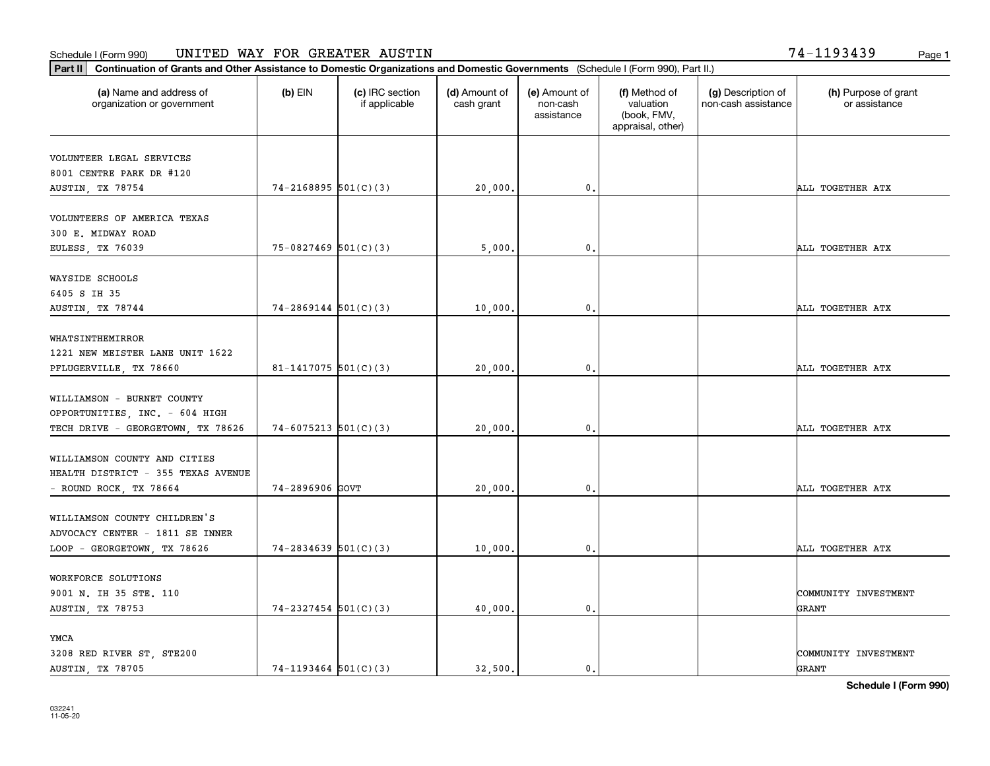**Part II Continuation of Grants and Other Assistance to Domestic Organizations and Domestic Governments**  (Schedule I (Form 990), Part II.)

| (a) Name and address of<br>organization or government        | $(b)$ EIN                  | (c) IRC section<br>if applicable | (d) Amount of<br>cash grant | (e) Amount of<br>non-cash<br>assistance | (f) Method of<br>valuation<br>(book, FMV,<br>appraisal, other) | (g) Description of<br>non-cash assistance | (h) Purpose of grant<br>or assistance |
|--------------------------------------------------------------|----------------------------|----------------------------------|-----------------------------|-----------------------------------------|----------------------------------------------------------------|-------------------------------------------|---------------------------------------|
| VOLUNTEER LEGAL SERVICES                                     |                            |                                  |                             |                                         |                                                                |                                           |                                       |
| 8001 CENTRE PARK DR #120                                     |                            |                                  |                             |                                         |                                                                |                                           |                                       |
| AUSTIN, TX 78754                                             | $74 - 2168895$ 501(C)(3)   |                                  | 20,000.                     | 0.                                      |                                                                |                                           | ALL TOGETHER ATX                      |
| VOLUNTEERS OF AMERICA TEXAS                                  |                            |                                  |                             |                                         |                                                                |                                           |                                       |
| 300 E. MIDWAY ROAD                                           |                            |                                  |                             |                                         |                                                                |                                           |                                       |
| EULESS, TX 76039                                             | $75-0827469$ 501(C)(3)     |                                  | 5,000.                      | 0.                                      |                                                                |                                           | ALL TOGETHER ATX                      |
| WAYSIDE SCHOOLS                                              |                            |                                  |                             |                                         |                                                                |                                           |                                       |
| 6405 S IH 35                                                 |                            |                                  |                             |                                         |                                                                |                                           |                                       |
| AUSTIN, TX 78744                                             | $74 - 2869144$ $501(C)(3)$ |                                  | 10,000.                     | 0.                                      |                                                                |                                           | ALL TOGETHER ATX                      |
|                                                              |                            |                                  |                             |                                         |                                                                |                                           |                                       |
| WHATSINTHEMIRROR                                             |                            |                                  |                             |                                         |                                                                |                                           |                                       |
| 1221 NEW MEISTER LANE UNIT 1622                              |                            |                                  |                             |                                         |                                                                |                                           |                                       |
| PFLUGERVILLE, TX 78660                                       | 81-1417075 $501(C)(3)$     |                                  | 20,000.                     | 0.                                      |                                                                |                                           | ALL TOGETHER ATX                      |
| WILLIAMSON - BURNET COUNTY                                   |                            |                                  |                             |                                         |                                                                |                                           |                                       |
| OPPORTUNITIES, INC. - 604 HIGH                               |                            |                                  |                             |                                         |                                                                |                                           |                                       |
| TECH DRIVE - GEORGETOWN, TX 78626                            | $74-6075213$ $501(C)(3)$   |                                  | 20,000.                     | 0.                                      |                                                                |                                           | ALL TOGETHER ATX                      |
|                                                              |                            |                                  |                             |                                         |                                                                |                                           |                                       |
| WILLIAMSON COUNTY AND CITIES                                 |                            |                                  |                             |                                         |                                                                |                                           |                                       |
| HEALTH DISTRICT - 355 TEXAS AVENUE<br>- ROUND ROCK, TX 78664 | 74-2896906 GOVT            |                                  | 20,000,                     | 0.                                      |                                                                |                                           | ALL TOGETHER ATX                      |
|                                                              |                            |                                  |                             |                                         |                                                                |                                           |                                       |
| WILLIAMSON COUNTY CHILDREN'S                                 |                            |                                  |                             |                                         |                                                                |                                           |                                       |
| ADVOCACY CENTER - 1811 SE INNER                              |                            |                                  |                             |                                         |                                                                |                                           |                                       |
| LOOP - GEORGETOWN, TX 78626                                  | $74-2834639$ $501(C)(3)$   |                                  | 10,000.                     | 0.                                      |                                                                |                                           | ALL TOGETHER ATX                      |
|                                                              |                            |                                  |                             |                                         |                                                                |                                           |                                       |
| WORKFORCE SOLUTIONS                                          |                            |                                  |                             |                                         |                                                                |                                           |                                       |
| 9001 N. IH 35 STE. 110                                       |                            |                                  |                             |                                         |                                                                |                                           | COMMUNITY INVESTMENT                  |
| AUSTIN, TX 78753                                             | $74 - 2327454$ 501(C)(3)   |                                  | 40,000                      | 0.                                      |                                                                |                                           | GRANT                                 |
| YMCA                                                         |                            |                                  |                             |                                         |                                                                |                                           |                                       |
| 3208 RED RIVER ST, STE200                                    |                            |                                  |                             |                                         |                                                                |                                           | COMMUNITY INVESTMENT                  |
| AUSTIN, TX 78705                                             | $74-1193464$ $501(C)(3)$   |                                  | 32,500.                     | 0.                                      |                                                                |                                           | <b>GRANT</b>                          |

┰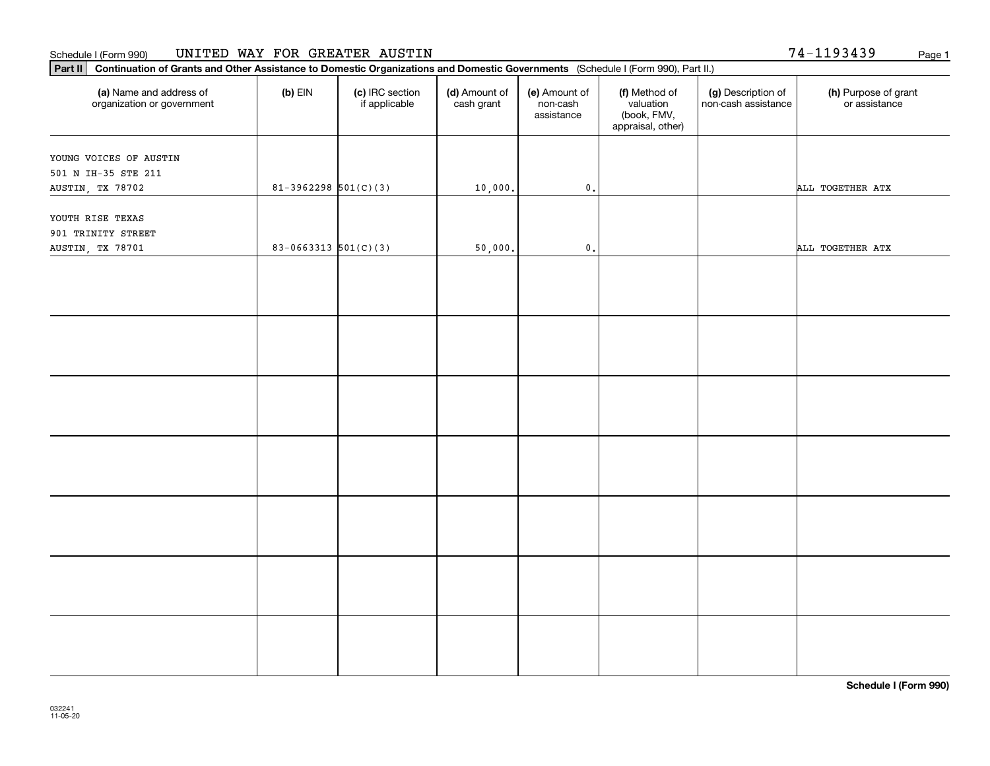| Part II   Continuation of Grants and Other Assistance to Domestic Organizations and Domestic Governments (Schedule I (Form 990), Part II.) |                            |                                  |                             |                                         |                                                                |                                           |                                       |
|--------------------------------------------------------------------------------------------------------------------------------------------|----------------------------|----------------------------------|-----------------------------|-----------------------------------------|----------------------------------------------------------------|-------------------------------------------|---------------------------------------|
| (a) Name and address of<br>organization or government                                                                                      | $(b)$ EIN                  | (c) IRC section<br>if applicable | (d) Amount of<br>cash grant | (e) Amount of<br>non-cash<br>assistance | (f) Method of<br>valuation<br>(book, FMV,<br>appraisal, other) | (g) Description of<br>non-cash assistance | (h) Purpose of grant<br>or assistance |
| YOUNG VOICES OF AUSTIN                                                                                                                     |                            |                                  |                             |                                         |                                                                |                                           |                                       |
| 501 N IH-35 STE 211                                                                                                                        |                            |                                  |                             |                                         |                                                                |                                           |                                       |
| AUSTIN, TX 78702                                                                                                                           | $81-3962298$ $501(C)(3)$   |                                  | 10,000.                     | $\mathbf 0$ .                           |                                                                |                                           | ALL TOGETHER ATX                      |
|                                                                                                                                            |                            |                                  |                             |                                         |                                                                |                                           |                                       |
| YOUTH RISE TEXAS                                                                                                                           |                            |                                  |                             |                                         |                                                                |                                           |                                       |
| 901 TRINITY STREET                                                                                                                         |                            |                                  |                             |                                         |                                                                |                                           |                                       |
| AUSTIN, TX 78701                                                                                                                           | $83 - 0663313$ $501(C)(3)$ |                                  | 50,000.                     | $\mathfrak o$ .                         |                                                                |                                           | ALL TOGETHER ATX                      |
|                                                                                                                                            |                            |                                  |                             |                                         |                                                                |                                           |                                       |
|                                                                                                                                            |                            |                                  |                             |                                         |                                                                |                                           |                                       |
|                                                                                                                                            |                            |                                  |                             |                                         |                                                                |                                           |                                       |
|                                                                                                                                            |                            |                                  |                             |                                         |                                                                |                                           |                                       |
|                                                                                                                                            |                            |                                  |                             |                                         |                                                                |                                           |                                       |
|                                                                                                                                            |                            |                                  |                             |                                         |                                                                |                                           |                                       |
|                                                                                                                                            |                            |                                  |                             |                                         |                                                                |                                           |                                       |
|                                                                                                                                            |                            |                                  |                             |                                         |                                                                |                                           |                                       |
|                                                                                                                                            |                            |                                  |                             |                                         |                                                                |                                           |                                       |
|                                                                                                                                            |                            |                                  |                             |                                         |                                                                |                                           |                                       |
|                                                                                                                                            |                            |                                  |                             |                                         |                                                                |                                           |                                       |
|                                                                                                                                            |                            |                                  |                             |                                         |                                                                |                                           |                                       |
|                                                                                                                                            |                            |                                  |                             |                                         |                                                                |                                           |                                       |
|                                                                                                                                            |                            |                                  |                             |                                         |                                                                |                                           |                                       |
|                                                                                                                                            |                            |                                  |                             |                                         |                                                                |                                           |                                       |
|                                                                                                                                            |                            |                                  |                             |                                         |                                                                |                                           |                                       |
|                                                                                                                                            |                            |                                  |                             |                                         |                                                                |                                           |                                       |
|                                                                                                                                            |                            |                                  |                             |                                         |                                                                |                                           |                                       |
|                                                                                                                                            |                            |                                  |                             |                                         |                                                                |                                           |                                       |
|                                                                                                                                            |                            |                                  |                             |                                         |                                                                |                                           |                                       |
|                                                                                                                                            |                            |                                  |                             |                                         |                                                                |                                           |                                       |
|                                                                                                                                            |                            |                                  |                             |                                         |                                                                |                                           |                                       |
|                                                                                                                                            |                            |                                  |                             |                                         |                                                                |                                           |                                       |
|                                                                                                                                            |                            |                                  |                             |                                         |                                                                |                                           |                                       |
|                                                                                                                                            |                            |                                  |                             |                                         |                                                                |                                           |                                       |

74-1193439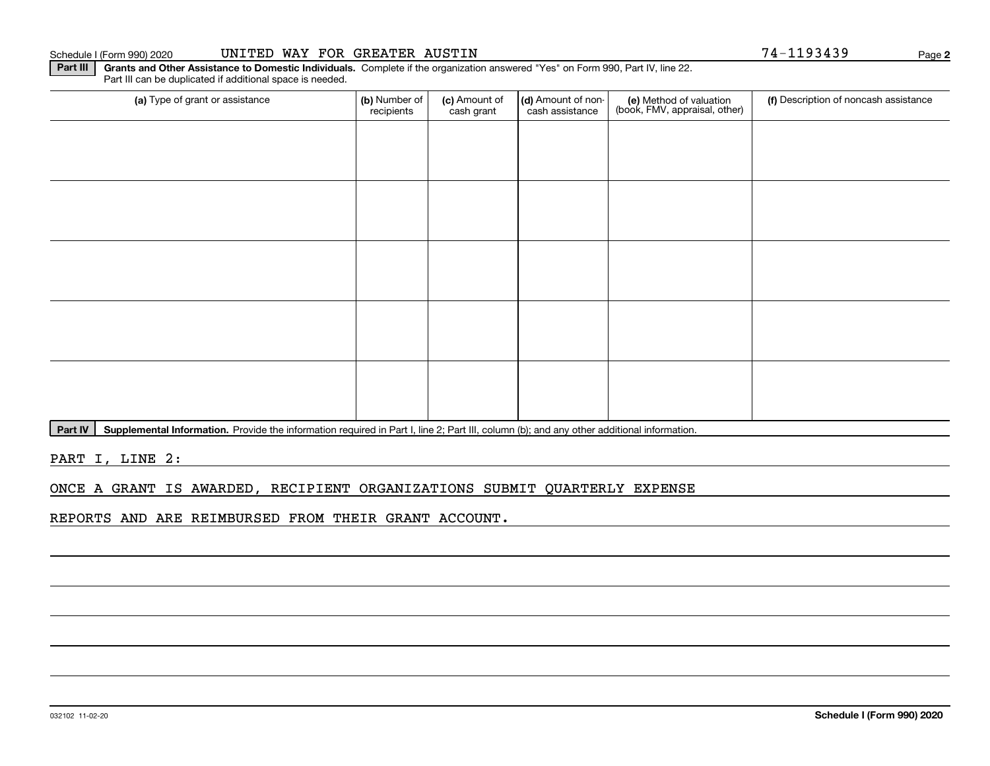#### Schedule I (Form 990) 2020 UNITED WAY FOR GREATER AUSTIN Page

**Part III** | Grants and Other Assistance to Domestic Individuals. Complete if the organization answered "Yes" on Form 990, Part IV, line 22. Part III can be duplicated if additional space is needed.

| (a) Type of grant or assistance | (b) Number of<br>recipients | (c) Amount of<br>cash grant | (d) Amount of non-<br>cash assistance | (e) Method of valuation<br>(book, FMV, appraisal, other) | (f) Description of noncash assistance |
|---------------------------------|-----------------------------|-----------------------------|---------------------------------------|----------------------------------------------------------|---------------------------------------|
|                                 |                             |                             |                                       |                                                          |                                       |
|                                 |                             |                             |                                       |                                                          |                                       |
|                                 |                             |                             |                                       |                                                          |                                       |
|                                 |                             |                             |                                       |                                                          |                                       |
|                                 |                             |                             |                                       |                                                          |                                       |
|                                 |                             |                             |                                       |                                                          |                                       |
|                                 |                             |                             |                                       |                                                          |                                       |
|                                 |                             |                             |                                       |                                                          |                                       |
|                                 |                             |                             |                                       |                                                          |                                       |
|                                 |                             |                             |                                       |                                                          |                                       |
|                                 |                             |                             |                                       |                                                          |                                       |

Part IV | Supplemental Information. Provide the information required in Part I, line 2; Part III, column (b); and any other additional information.

PART I, LINE 2:

### ONCE A GRANT IS AWARDED, RECIPIENT ORGANIZATIONS SUBMIT QUARTERLY EXPENSE

REPORTS AND ARE REIMBURSED FROM THEIR GRANT ACCOUNT.

**2**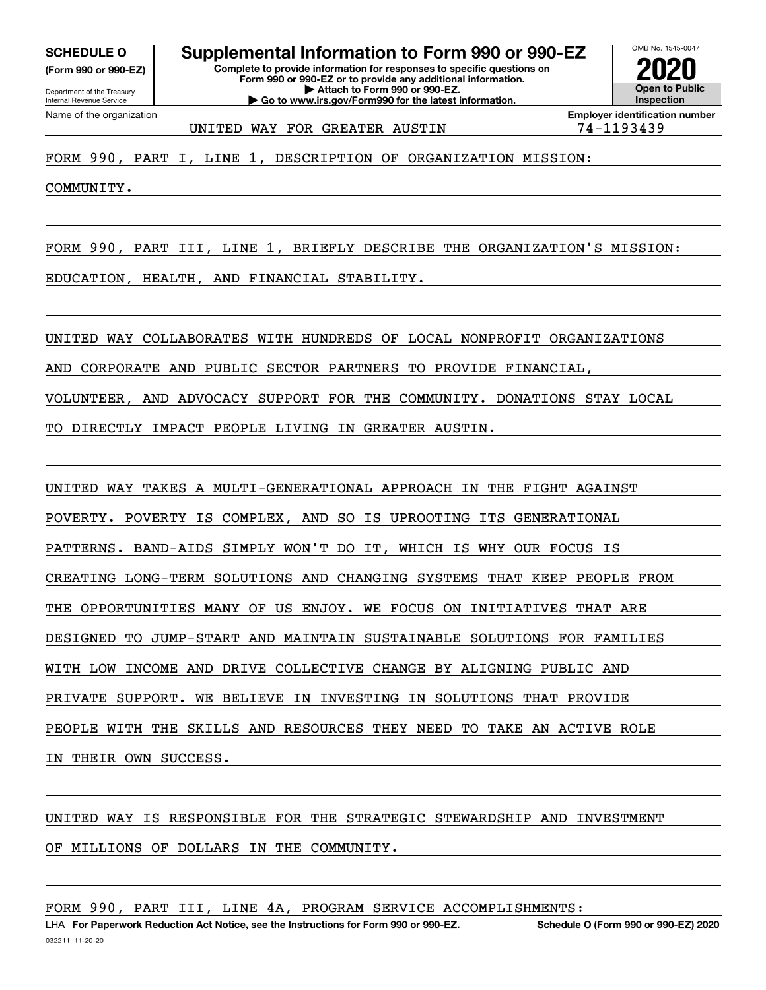**(Form 990 or 990-EZ)**

Department of the Treasury Internal Revenue Service Name of the organization

**Complete to provide information for responses to specific questions on Form 990 or 990-EZ or to provide any additional information. | Attach to Form 990 or 990-EZ. | Go to www.irs.gov/Form990 for the latest information. SCHEDULE O Supplemental Information to Form 990 or 990-EZ**



UNITED WAY FOR GREATER AUSTIN THE 74-1193439

FORM 990, PART I, LINE 1, DESCRIPTION OF ORGANIZATION MISSION:

COMMUNITY.

FORM 990, PART III, LINE 1, BRIEFLY DESCRIBE THE ORGANIZATION'S MISSION:

EDUCATION, HEALTH, AND FINANCIAL STABILITY.

UNITED WAY COLLABORATES WITH HUNDREDS OF LOCAL NONPROFIT ORGANIZATIONS

AND CORPORATE AND PUBLIC SECTOR PARTNERS TO PROVIDE FINANCIAL,

VOLUNTEER, AND ADVOCACY SUPPORT FOR THE COMMUNITY. DONATIONS STAY LOCAL

TO DIRECTLY IMPACT PEOPLE LIVING IN GREATER AUSTIN.

UNITED WAY TAKES A MULTI-GENERATIONAL APPROACH IN THE FIGHT AGAINST

POVERTY. POVERTY IS COMPLEX, AND SO IS UPROOTING ITS GENERATIONAL

PATTERNS. BAND-AIDS SIMPLY WON'T DO IT, WHICH IS WHY OUR FOCUS IS

CREATING LONG-TERM SOLUTIONS AND CHANGING SYSTEMS THAT KEEP PEOPLE FROM

THE OPPORTUNITIES MANY OF US ENJOY. WE FOCUS ON INITIATIVES THAT ARE

DESIGNED TO JUMP-START AND MAINTAIN SUSTAINABLE SOLUTIONS FOR FAMILIES

WITH LOW INCOME AND DRIVE COLLECTIVE CHANGE BY ALIGNING PUBLIC AND

PRIVATE SUPPORT. WE BELIEVE IN INVESTING IN SOLUTIONS THAT PROVIDE

PEOPLE WITH THE SKILLS AND RESOURCES THEY NEED TO TAKE AN ACTIVE ROLE

IN THEIR OWN SUCCESS.

UNITED WAY IS RESPONSIBLE FOR THE STRATEGIC STEWARDSHIP AND INVESTMENT

OF MILLIONS OF DOLLARS IN THE COMMUNITY.

FORM 990, PART III, LINE 4A, PROGRAM SERVICE ACCOMPLISHMENTS: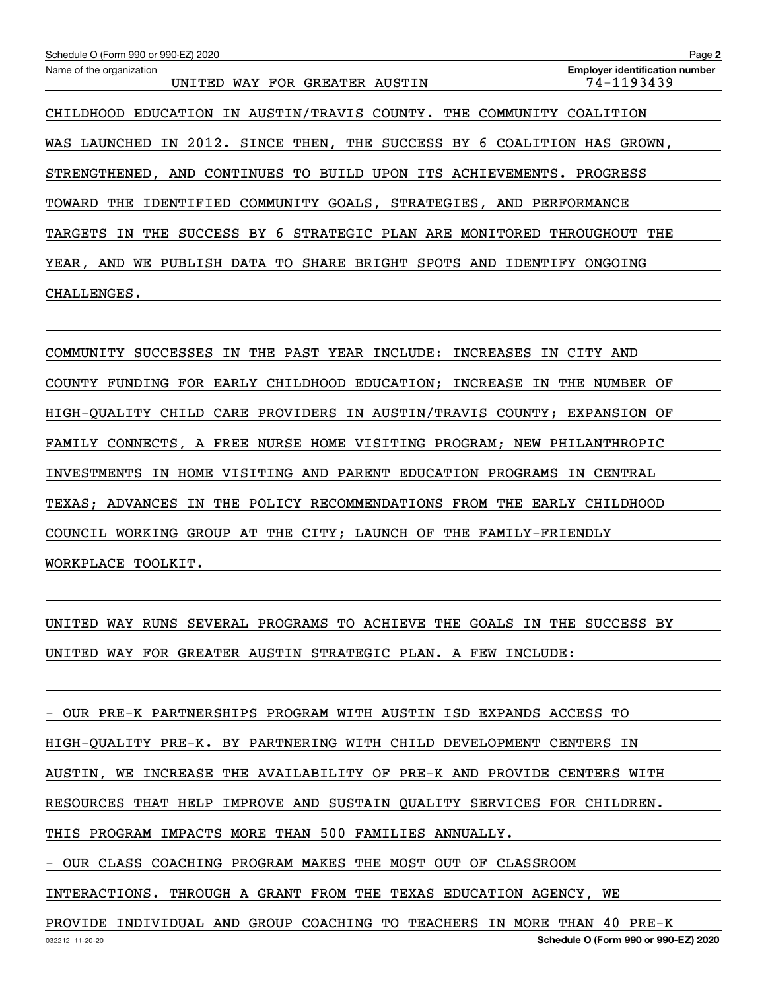| Schedule O (Form 990 or 990-EZ) 2020                                                    | Page 2                                              |
|-----------------------------------------------------------------------------------------|-----------------------------------------------------|
| Name of the organization<br>WAY FOR GREATER AUSTIN<br>UNITED                            | <b>Employer identification number</b><br>74-1193439 |
| EDUCATION IN AUSTIN/TRAVIS COUNTY. THE<br>COMMUNITY<br>CHILDHOOD                        | COALITION                                           |
| 2012.<br>SINCE THEN, THE SUCCESS BY 6 COALITION<br>WAS LAUNCHED<br>IN                   | HAS<br>GROWN.                                       |
| STRENGTHENED, AND CONTINUES TO<br>BUILD<br>UPON<br>ITS<br>ACHIEVEMENTS.                 | PROGRESS                                            |
| GOALS, STRATEGIES, AND<br>THE<br>IDENTIFIED<br>COMMUNITY<br>TOWARD                      | PERFORMANCE                                         |
| SUCCESS BY 6<br>STRATEGIC PLAN ARE MONITORED<br>TARGETS<br>THE<br>ΙN                    | THROUGHOUT<br>THE                                   |
| DATA TO<br>SHARE<br>BRIGHT<br>SPOTS<br>AND<br>PUBLISH<br>AND<br>IDENTIFY<br>YEAR.<br>WE | ONGOING                                             |
| CHALLENGES.                                                                             |                                                     |

COMMUNITY SUCCESSES IN THE PAST YEAR INCLUDE: INCREASES IN CITY AND COUNTY FUNDING FOR EARLY CHILDHOOD EDUCATION; INCREASE IN THE NUMBER OF HIGH-QUALITY CHILD CARE PROVIDERS IN AUSTIN/TRAVIS COUNTY; EXPANSION OF FAMILY CONNECTS, A FREE NURSE HOME VISITING PROGRAM; NEW PHILANTHROPIC INVESTMENTS IN HOME VISITING AND PARENT EDUCATION PROGRAMS IN CENTRAL TEXAS; ADVANCES IN THE POLICY RECOMMENDATIONS FROM THE EARLY CHILDHOOD COUNCIL WORKING GROUP AT THE CITY; LAUNCH OF THE FAMILY-FRIENDLY WORKPLACE TOOLKIT.

UNITED WAY RUNS SEVERAL PROGRAMS TO ACHIEVE THE GOALS IN THE SUCCESS BY UNITED WAY FOR GREATER AUSTIN STRATEGIC PLAN. A FEW INCLUDE:

| - OUR PRE-K PARTNERSHIPS PROGRAM WITH AUSTIN ISD EXPANDS ACCESS TO     |
|------------------------------------------------------------------------|
| HIGH-QUALITY PRE-K. BY PARTNERING WITH CHILD DEVELOPMENT CENTERS IN    |
| AUSTIN, WE INCREASE THE AVAILABILITY OF PRE-K AND PROVIDE CENTERS WITH |
| RESOURCES THAT HELP IMPROVE AND SUSTAIN QUALITY SERVICES FOR CHILDREN. |
| THIS PROGRAM IMPACTS MORE THAN 500 FAMILIES ANNUALLY.                  |
| - OUR CLASS COACHING PROGRAM MAKES THE MOST OUT OF CLASSROOM           |
| INTERACTIONS. THROUGH A GRANT FROM THE TEXAS EDUCATION AGENCY, WE      |
|                                                                        |

032212 11-20-20 **Schedule O (Form 990 or 990-EZ) 2020** PROVIDE INDIVIDUAL AND GROUP COACHING TO TEACHERS IN MORE THAN 40 PRE-K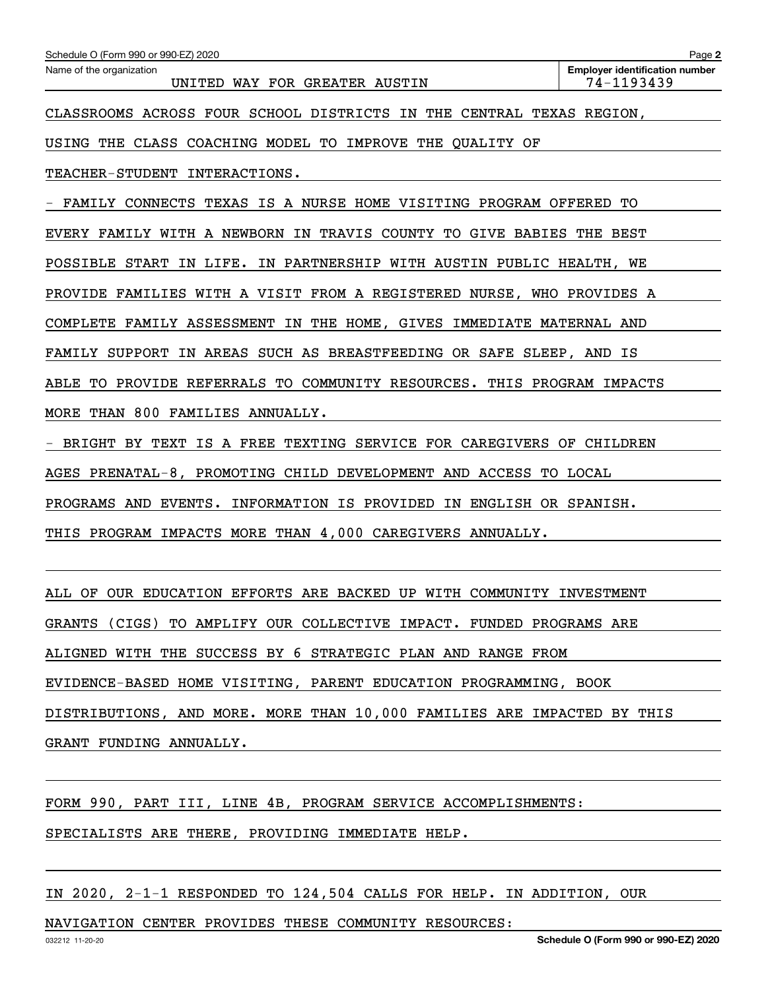| Schedule O (Form 990 or 990-EZ) 2020                                      | Page 2                                                               |  |  |  |  |
|---------------------------------------------------------------------------|----------------------------------------------------------------------|--|--|--|--|
| Name of the organization<br>UNITED WAY FOR GREATER AUSTIN                 | <b>Employer identification number</b><br>74-1193439                  |  |  |  |  |
|                                                                           | CLASSROOMS ACROSS FOUR SCHOOL DISTRICTS IN THE CENTRAL TEXAS REGION, |  |  |  |  |
| USING THE CLASS COACHING MODEL TO IMPROVE THE OUALITY OF                  |                                                                      |  |  |  |  |
| TEACHER-STUDENT INTERACTIONS.                                             |                                                                      |  |  |  |  |
| FAMILY CONNECTS TEXAS IS A NURSE HOME VISITING PROGRAM OFFERED            | TО                                                                   |  |  |  |  |
| EVERY FAMILY WITH A NEWBORN IN TRAVIS COUNTY TO GIVE BABIES THE BEST      |                                                                      |  |  |  |  |
| POSSIBLE START IN LIFE. IN PARTNERSHIP WITH AUSTIN PUBLIC HEALTH, WE      |                                                                      |  |  |  |  |
| PROVIDE FAMILIES WITH A VISIT FROM A REGISTERED NURSE, WHO PROVIDES A     |                                                                      |  |  |  |  |
| COMPLETE FAMILY ASSESSMENT IN THE HOME, GIVES IMMEDIATE MATERNAL AND      |                                                                      |  |  |  |  |
| FAMILY SUPPORT IN AREAS SUCH AS BREASTFEEDING OR SAFE SLEEP, AND IS       |                                                                      |  |  |  |  |
| TO PROVIDE REFERRALS TO COMMUNITY RESOURCES. THIS PROGRAM IMPACTS<br>ABLE |                                                                      |  |  |  |  |
| MORE THAN 800 FAMILIES ANNUALLY.                                          |                                                                      |  |  |  |  |
| BRIGHT BY TEXT IS A FREE TEXTING SERVICE FOR CAREGIVERS OF CHILDREN       |                                                                      |  |  |  |  |
| AGES PRENATAL-8, PROMOTING CHILD DEVELOPMENT AND ACCESS TO LOCAL          |                                                                      |  |  |  |  |
| PROGRAMS AND EVENTS. INFORMATION IS PROVIDED IN ENGLISH OR SPANISH.       |                                                                      |  |  |  |  |
| PROGRAM IMPACTS MORE THAN 4,000 CAREGIVERS ANNUALLY.<br>THIS              |                                                                      |  |  |  |  |
|                                                                           |                                                                      |  |  |  |  |
| ALL OF OUR EDUCATION EFFORTS ARE BACKED UP WITH COMMUNITY INVESTMENT      |                                                                      |  |  |  |  |
| GRANTS (CIGS)<br>TO AMPLIFY OUR COLLECTIVE IMPACT. FUNDED PROGRAMS ARE    |                                                                      |  |  |  |  |

ALIGNED WITH THE SUCCESS BY 6 STRATEGIC PLAN AND RANGE FROM

EVIDENCE-BASED HOME VISITING, PARENT EDUCATION PROGRAMMING, BOOK

DISTRIBUTIONS, AND MORE. MORE THAN 10,000 FAMILIES ARE IMPACTED BY THIS

GRANT FUNDING ANNUALLY.

FORM 990, PART III, LINE 4B, PROGRAM SERVICE ACCOMPLISHMENTS:

SPECIALISTS ARE THERE, PROVIDING IMMEDIATE HELP.

IN 2020, 2-1-1 RESPONDED TO 124,504 CALLS FOR HELP. IN ADDITION, OUR

NAVIGATION CENTER PROVIDES THESE COMMUNITY RESOURCES: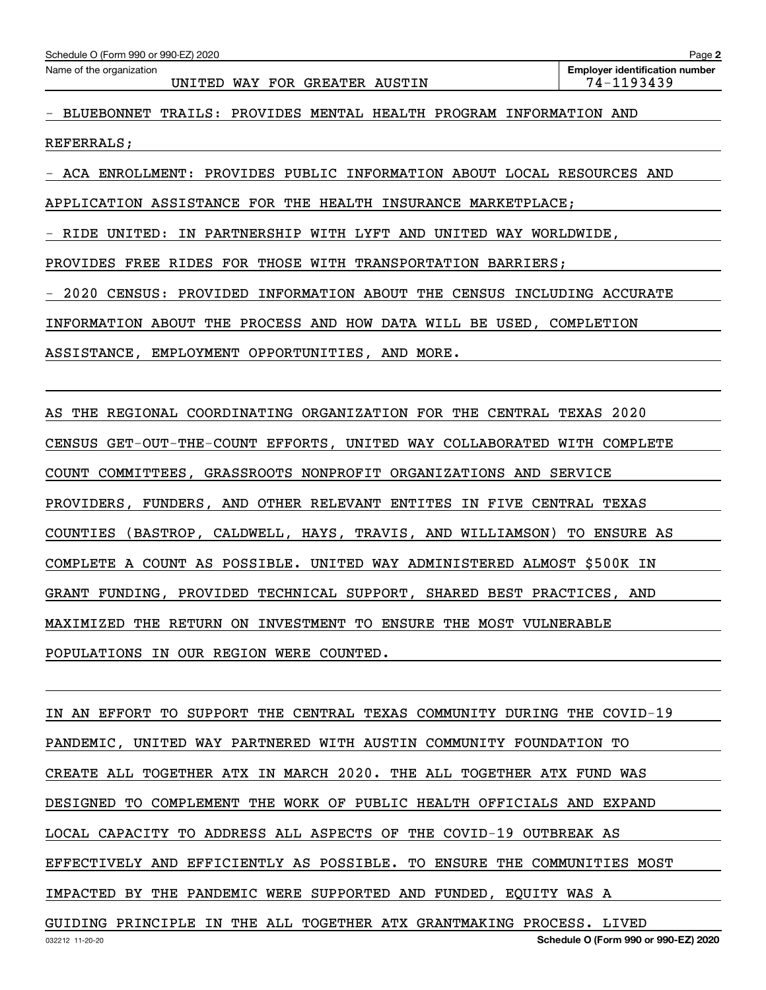| Schedule O (Form 990 or 990-EZ) 2020 |  |  |  |
|--------------------------------------|--|--|--|
|--------------------------------------|--|--|--|

- BLUEBONNET TRAILS: PROVIDES MENTAL HEALTH PROGRAM INFORMATION AND

REFERRALS;

- ACA ENROLLMENT: PROVIDES PUBLIC INFORMATION ABOUT LOCAL RESOURCES AND

APPLICATION ASSISTANCE FOR THE HEALTH INSURANCE MARKETPLACE;

- RIDE UNITED: IN PARTNERSHIP WITH LYFT AND UNITED WAY WORLDWIDE,

PROVIDES FREE RIDES FOR THOSE WITH TRANSPORTATION BARRIERS;

- 2020 CENSUS: PROVIDED INFORMATION ABOUT THE CENSUS INCLUDING ACCURATE

INFORMATION ABOUT THE PROCESS AND HOW DATA WILL BE USED, COMPLETION

ASSISTANCE, EMPLOYMENT OPPORTUNITIES, AND MORE.

AS THE REGIONAL COORDINATING ORGANIZATION FOR THE CENTRAL TEXAS 2020 CENSUS GET-OUT-THE-COUNT EFFORTS, UNITED WAY COLLABORATED WITH COMPLETE COUNT COMMITTEES, GRASSROOTS NONPROFIT ORGANIZATIONS AND SERVICE PROVIDERS, FUNDERS, AND OTHER RELEVANT ENTITES IN FIVE CENTRAL TEXAS COUNTIES (BASTROP, CALDWELL, HAYS, TRAVIS, AND WILLIAMSON) TO ENSURE AS COMPLETE A COUNT AS POSSIBLE. UNITED WAY ADMINISTERED ALMOST \$500K IN GRANT FUNDING, PROVIDED TECHNICAL SUPPORT, SHARED BEST PRACTICES, AND MAXIMIZED THE RETURN ON INVESTMENT TO ENSURE THE MOST VULNERABLE POPULATIONS IN OUR REGION WERE COUNTED.

IN AN EFFORT TO SUPPORT THE CENTRAL TEXAS COMMUNITY DURING THE COVID-19 PANDEMIC, UNITED WAY PARTNERED WITH AUSTIN COMMUNITY FOUNDATION TO CREATE ALL TOGETHER ATX IN MARCH 2020. THE ALL TOGETHER ATX FUND WAS DESIGNED TO COMPLEMENT THE WORK OF PUBLIC HEALTH OFFICIALS AND EXPAND LOCAL CAPACITY TO ADDRESS ALL ASPECTS OF THE COVID-19 OUTBREAK AS EFFECTIVELY AND EFFICIENTLY AS POSSIBLE. TO ENSURE THE COMMUNITIES MOST IMPACTED BY THE PANDEMIC WERE SUPPORTED AND FUNDED, EQUITY WAS A GUIDING PRINCIPLE IN THE ALL TOGETHER ATX GRANTMAKING PROCESS. LIVED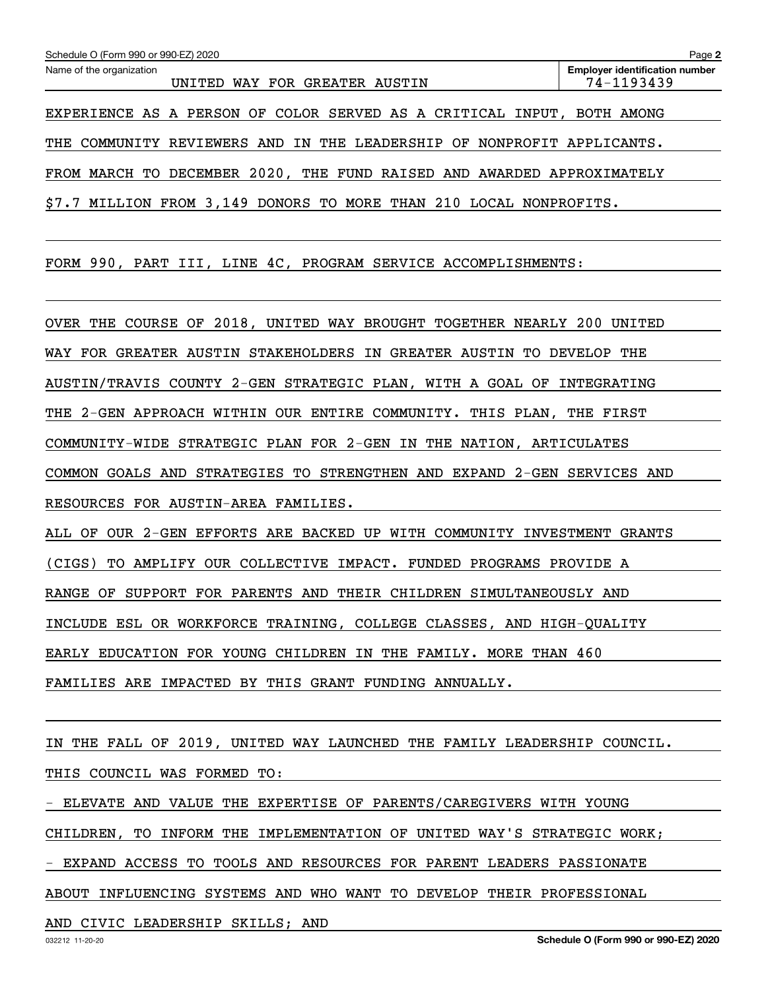| Schedule O (Form 990 or 990-EZ) 2020                                   | Page 2                                              |
|------------------------------------------------------------------------|-----------------------------------------------------|
| Name of the organization<br>WAY FOR GREATER AUSTIN<br>UNITED           | <b>Employer identification number</b><br>74-1193439 |
| EXPERIENCE AS A PERSON OF COLOR SERVED AS A CRITICAL INPUT, BOTH AMONG |                                                     |
| THE COMMUNITY REVIEWERS AND IN THE LEADERSHIP OF NONPROFIT APPLICANTS. |                                                     |
| FROM MARCH TO DECEMBER 2020, THE FUND RAISED AND                       | AWARDED APPROXIMATELY                               |
| MILLION FROM 3,149 DONORS TO MORE THAN 210 LOCAL NONPROFITS.<br>\$7.7  |                                                     |

FORM 990, PART III, LINE 4C, PROGRAM SERVICE ACCOMPLISHMENTS:

OVER THE COURSE OF 2018, UNITED WAY BROUGHT TOGETHER NEARLY 200 UNITED WAY FOR GREATER AUSTIN STAKEHOLDERS IN GREATER AUSTIN TO DEVELOP THE AUSTIN/TRAVIS COUNTY 2-GEN STRATEGIC PLAN, WITH A GOAL OF INTEGRATING THE 2-GEN APPROACH WITHIN OUR ENTIRE COMMUNITY. THIS PLAN, THE FIRST COMMUNITY-WIDE STRATEGIC PLAN FOR 2-GEN IN THE NATION, ARTICULATES COMMON GOALS AND STRATEGIES TO STRENGTHEN AND EXPAND 2-GEN SERVICES AND RESOURCES FOR AUSTIN-AREA FAMILIES. ALL OF OUR 2-GEN EFFORTS ARE BACKED UP WITH COMMUNITY INVESTMENT GRANTS (CIGS) TO AMPLIFY OUR COLLECTIVE IMPACT. FUNDED PROGRAMS PROVIDE A

RANGE OF SUPPORT FOR PARENTS AND THEIR CHILDREN SIMULTANEOUSLY AND

INCLUDE ESL OR WORKFORCE TRAINING, COLLEGE CLASSES, AND HIGH-QUALITY

EARLY EDUCATION FOR YOUNG CHILDREN IN THE FAMILY. MORE THAN 460

FAMILIES ARE IMPACTED BY THIS GRANT FUNDING ANNUALLY.

IN THE FALL OF 2019, UNITED WAY LAUNCHED THE FAMILY LEADERSHIP COUNCIL.

THIS COUNCIL WAS FORMED TO:

- ELEVATE AND VALUE THE EXPERTISE OF PARENTS/CAREGIVERS WITH YOUNG

CHILDREN, TO INFORM THE IMPLEMENTATION OF UNITED WAY'S STRATEGIC WORK;

- EXPAND ACCESS TO TOOLS AND RESOURCES FOR PARENT LEADERS PASSIONATE

ABOUT INFLUENCING SYSTEMS AND WHO WANT TO DEVELOP THEIR PROFESSIONAL

AND CIVIC LEADERSHIP SKILLS; AND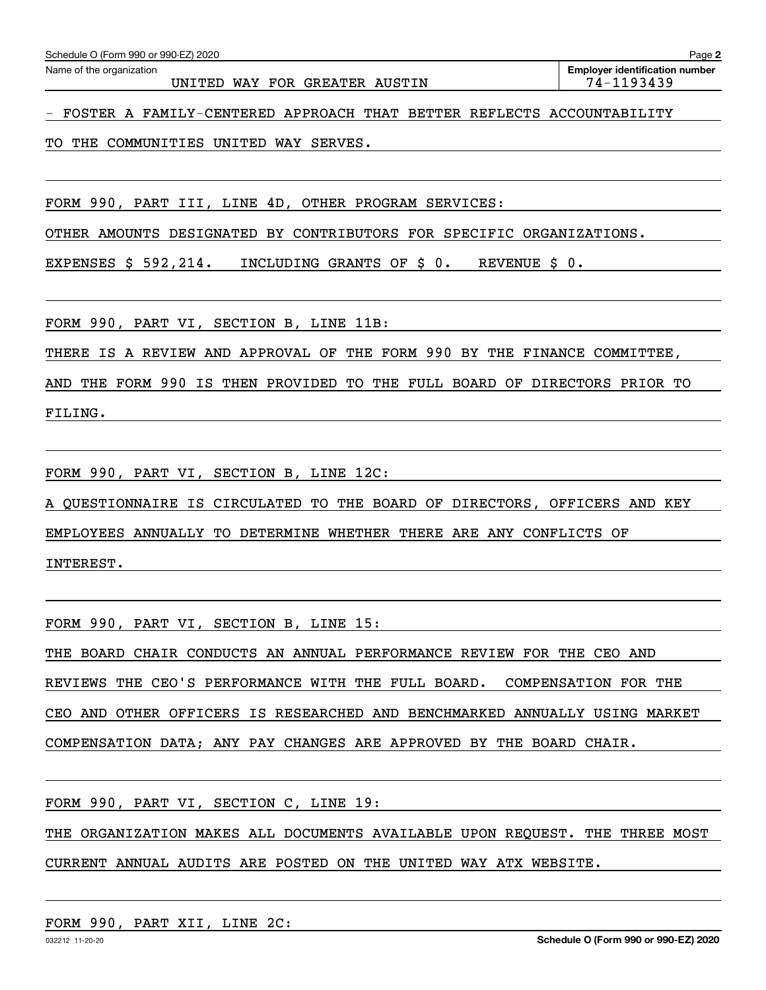**Employer identification number** Schedule O (Form 990 or 990-EZ) 2020<br>Name of the organization **provided by the organization number of the organization number** 

- FOSTER A FAMILY-CENTERED APPROACH THAT BETTER REFLECTS ACCOUNTABILITY

TO THE COMMUNITIES UNITED WAY SERVES.

FORM 990, PART III, LINE 4D, OTHER PROGRAM SERVICES:

OTHER AMOUNTS DESIGNATED BY CONTRIBUTORS FOR SPECIFIC ORGANIZATIONS.

EXPENSES \$ 592,214. INCLUDING GRANTS OF \$ 0. REVENUE \$ 0.

FORM 990, PART VI, SECTION B, LINE 11B:

THERE IS A REVIEW AND APPROVAL OF THE FORM 990 BY THE FINANCE COMMITTEE,

AND THE FORM 990 IS THEN PROVIDED TO THE FULL BOARD OF DIRECTORS PRIOR TO

FILING.

FORM 990, PART VI, SECTION B, LINE 12C:

A QUESTIONNAIRE IS CIRCULATED TO THE BOARD OF DIRECTORS, OFFICERS AND KEY

EMPLOYEES ANNUALLY TO DETERMINE WHETHER THERE ARE ANY CONFLICTS OF

INTEREST.

FORM 990, PART VI, SECTION B, LINE 15:

THE BOARD CHAIR CONDUCTS AN ANNUAL PERFORMANCE REVIEW FOR THE CEO AND

REVIEWS THE CEO'S PERFORMANCE WITH THE FULL BOARD. COMPENSATION FOR THE

CEO AND OTHER OFFICERS IS RESEARCHED AND BENCHMARKED ANNUALLY USING MARKET

COMPENSATION DATA; ANY PAY CHANGES ARE APPROVED BY THE BOARD CHAIR.

FORM 990, PART VI, SECTION C, LINE 19:

THE ORGANIZATION MAKES ALL DOCUMENTS AVAILABLE UPON REQUEST. THE THREE MOST

CURRENT ANNUAL AUDITS ARE POSTED ON THE UNITED WAY ATX WEBSITE.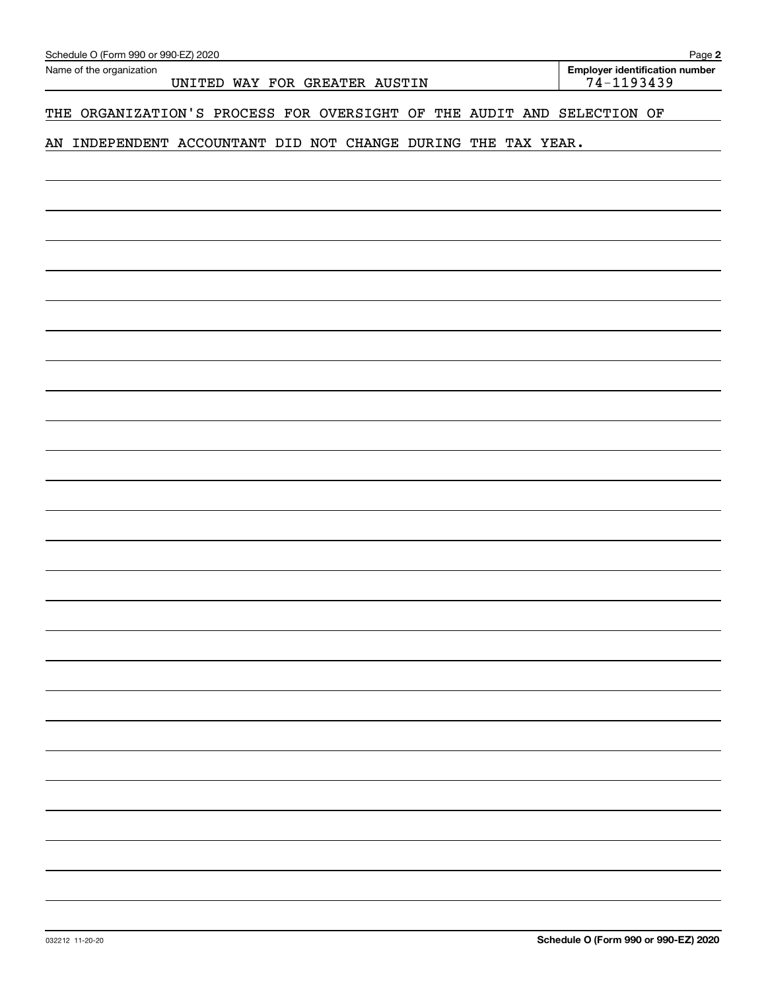| Schedule O (Form 990 or 990-EZ) 2020 |  |  |
|--------------------------------------|--|--|

**2**

# THE ORGANIZATION'S PROCESS FOR OVERSIGHT OF THE AUDIT AND SELECTION OF

# AN INDEPENDENT ACCOUNTANT DID NOT CHANGE DURING THE TAX YEAR.